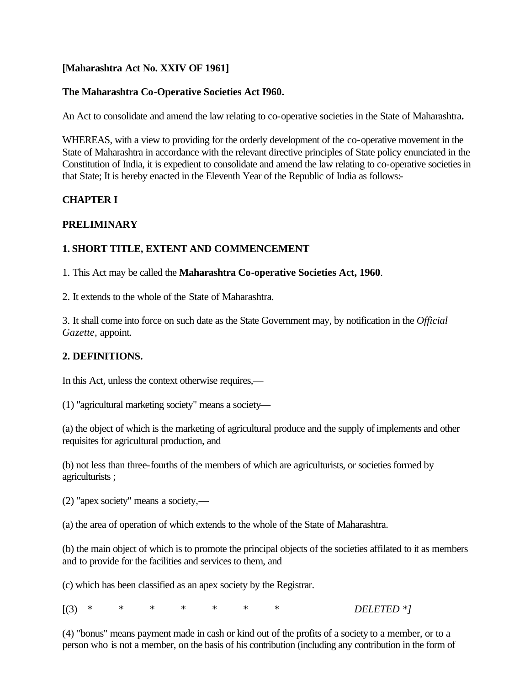### **[Maharashtra Act No. XXIV OF 1961]**

### **The Maharashtra Co-Operative Societies Act I960.**

An Act to consolidate and amend the law relating to co-operative societies in the State of Maharashtra**.**

WHEREAS, with a view to providing for the orderly development of the co-operative movement in the State of Maharashtra in accordance with the relevant directive principles of State policy enunciated in the Constitution of India, it is expedient to consolidate and amend the law relating to co-operative societies in that State; It is hereby enacted in the Eleventh Year of the Republic of India as follows:-

## **CHAPTER I**

### **PRELIMINARY**

## **1. SHORT TITLE, EXTENT AND COMMENCEMENT**

1. This Act may be called the **Maharashtra Co-operative Societies Act, 1960**.

2. It extends to the whole of the State of Maharashtra.

3. It shall come into force on such date as the State Government may, by notification in the *Official Gazette,* appoint.

### **2. DEFINITIONS.**

In this Act, unless the context otherwise requires,—

(1) "agricultural marketing society" means a society—

(a) the object of which is the marketing of agricultural produce and the supply ofimplements and other requisites for agricultural production, and

(b) not less than three-fourths of the members of which are agriculturists, or societies formed by agriculturists ;

(2) "apex society" means a society,—

(a) the area of operation of which extends to the whole of the State of Maharashtra.

(b) the main object of which is to promote the principal objects of the societies affilated to it as members and to provide for the facilities and services to them, and

(c) which has been classified as an apex society by the Registrar.

 $[(3) * * * * * * * * * * D \nE \nE \nE \nD *]$ 

(4) "bonus" means payment made in cash or kind out of the profits of a society to a member, or to a person who is not a member, on the basis of his contribution (including any contribution in the form of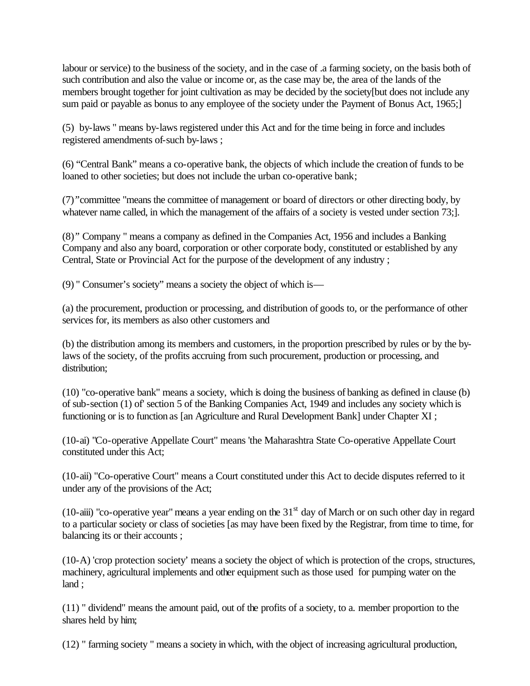labour or service) to the business of the society, and in the case of .a farming society, on the basis both of such contribution and also the value or income or, as the case may be, the area of the lands of the members brought together for joint cultivation as may be decided by the society[but does not include any sum paid or payable as bonus to any employee of the society under the Payment of Bonus Act, 1965;

(5) by-laws " means by-laws registered under this Act and for the time being in force and includes registered amendments of-such by-laws ;

(6) "Central Bank" means a co-operative bank, the objects of which include the creation of funds to be loaned to other societies; but does not include the urban co-operative bank;

(7)*"*committee "means the committee of management or board of directors or other directing body, by whatever name called, in which the management of the affairs of a society is vested under section 73;].

(8)*"* Company " means a company as defined in the Companies Act, 1956 and includes a Banking Company and also any board, corporation or other corporate body, constituted or established by any Central, State or Provincial Act for the purpose of the development of any industry;

(9) " Consumer's society" means a society the object of which is—

(a) the procurement, production or processing, and distribution of goods to, or the performance of other services for, its members as also other customers and

(b) the distribution among its members and customers, in the proportion prescribed by rules or by the bylaws of the society, of the profits accruing from such procurement, production or processing, and distribution;

(10) "co-operative bank" means a society, which is doing the business of banking as defined in clause (b) of sub-section (1) of' section 5 of the Banking Companies Act, 1949 and includes any society which is functioning or is to function as [an Agriculture and Rural Development Bank] under Chapter XI ;

(10-ai) "Co-operative Appellate Court" means 'the Maharashtra State Co-operative Appellate Court constituted under this Act;

(10-aii) "Co-operative Court" means a Court constituted under this Act to decide disputes referred to it under any of the provisions of the Act;

(10-aiii) "co-operative year" means a year ending on the  $31<sup>st</sup>$  day of March or on such other day in regard to a particular society or class of societies [as may have been fixed by the Registrar, from time to time, for balancing its or their accounts ;

(10-A) 'crop protection society' means a society the object of which is protection of the crops, structures, machinery, agricultural implements and other equipment such as those used for pumping water on the land ;

(11) " dividend" means the amount paid, out of the profits of a society, to a*.* member proportion to the shares held by him;

(12) " farming society " means a society in which, with the object of increasing agricultural production,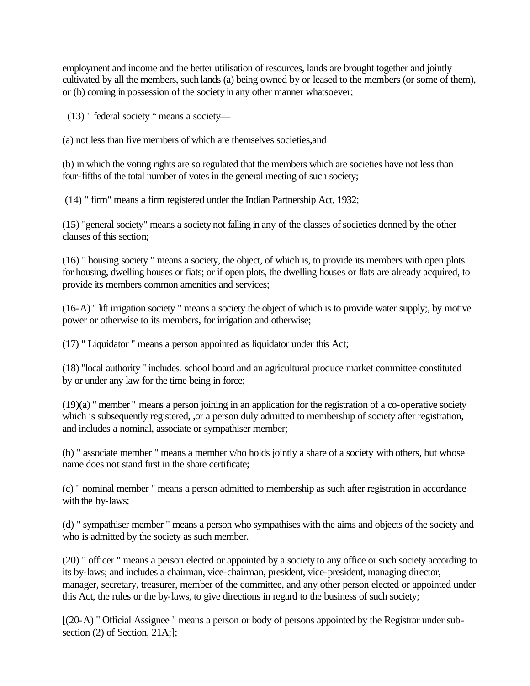employment and income and the better utilisation of resources, lands are brought together and jointly cultivated by all the members, such lands (a) being owned by or leased to the members (or some of them), or (b) coming in possession of the society in any other manner whatsoever;

(13) " federal society " means a society—

(a) not less than five members of which are themselves societies,and

(b) in which the voting rights are so regulated that the members which are societies have not less than four-fifths of the total number of votes in the general meeting of such society;

(14) " firm" means a firm registered under the Indian Partnership Act, 1932;

(15) "general society" means a society not falling in any of the classes ofsocieties denned by the other clauses of this section;

(16) " housing society " means a society, the object, of which is, to provide its members with open plots for housing, dwelling houses or fiats; or if open plots, the dwelling houses or flats are already acquired, to provide its members common amenities and services;

(16-A) " lift irrigation society " means a society the object of which is to provide water supply;, by motive power or otherwise to its members, for irrigation and otherwise;

(17) " Liquidator " means a person appointed as liquidator under this Act;

(18) "local authority " includes*.* school board and an agricultural produce market committee constituted by or under any law for the time being in force;

(19)(a) " member " means a person joining in an application for the registration of a co-operative society which is subsequently registered, ,or a person duly admitted to membership of society after registration, and includes a nominal, associate or sympathiser member;

(b) " associate member " means a member v/ho holds jointly a share of a society with others, but whose name does not stand first in the share certificate;

(c) " nominal member " means a person admitted to membership as such after registration in accordance with the by-laws;

(d) " sympathiser member " means a person who sympathises with the aims and objects of the society and who is admitted by the society as such member.

(20) " officer " means a person elected or appointed by a society to any office or such society according to its by-laws; and includes a chairman, vice-chairman, president, vice-president, managing director, manager, secretary, treasurer, member of the committee, and any other person elected or appointed under this Act, the rules or the by-laws, to give directions in regard to the business of such society;

[(20-A) " Official Assignee " means a person or body of persons appointed by the Registrar under subsection (2) of Section, 21A;];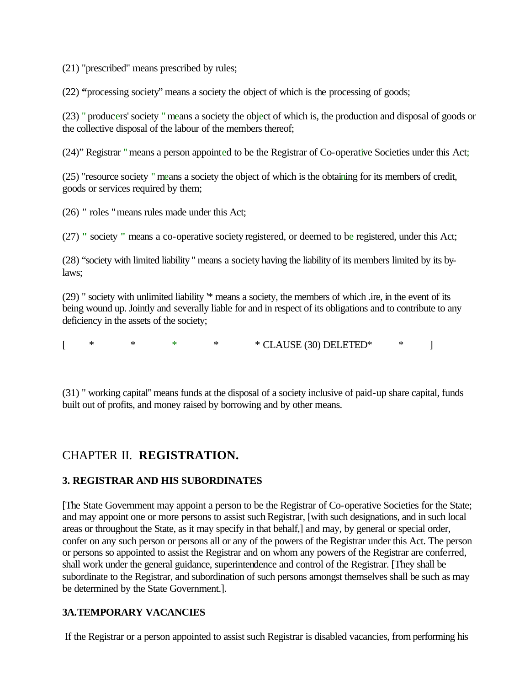(21) "prescribed" means prescribed by rules;

(22) **"**processing society" means a society the object of which is the processing of goods;

(23) " producers' society " means a society the object of which is, the production and disposal of goods or the collective disposal of the labour of the members thereof;

(24)" Registrar " means a person appointed to be the Registrar of Co-operative Societies under this Act;

(25) "resource society " means a society the object of which is the obtaining for its members of credit, goods or services required by them;

(26) *"* roles " means rules made under this Act;

(27) **"** society **"** means a co-operative society registered, or deemed to be registered, under this Act;

(28) "society with limited liability " means a society having the liability of its members limited by its bylaws;

(29) " society with unlimited liability '\* means a society, the members of which .ire, in the event of its being wound up. Jointly and severally liable for and in respect of its obligations and to contribute to any deficiency in the assets of the society;

 $[$  \* \* \* \* CLAUSE (30) DELETED\* \* ]

(31) " working capital'' means funds at the disposal of a society inclusive of paid-up share capital, funds built out of profits, and money raised by borrowing and by other means.

# CHAPTER II. **REGISTRATION.**

### **3. REGISTRAR AND HIS SUBORDINATES**

[The State Government may appoint a person to be the Registrar of Co-operative Societies for the State; and may appoint one or more persons to assist such Registrar, [with such designations, and in such local areas or throughout the State, as it may specify in that behalf,] and may, by general or special order, confer on any such person or persons all or any of the powers of the Registrar under this Act. The person or persons so appointed to assist the Registrar and on whom any powers of the Registrar are conferred, shall work under the general guidance, superintendence and control of the Registrar. [They shall be subordinate to the Registrar, and subordination of such persons amongst themselves shall be such as may be determined by the State Government.].

### **3A.TEMPORARY VACANCIES**

If the Registrar or a person appointed to assist such Registrar is disabled vacancies, from performing his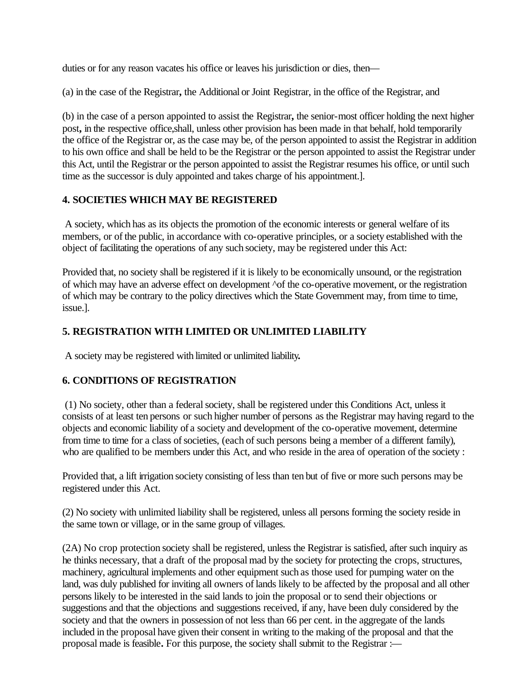duties or for any reason vacates his office or leaves his jurisdiction or dies, then—

(a) in the case of the Registrar**,** the Additional or Joint Registrar, in the office of the Registrar, and

(b) in the case of a person appointed to assist the Registrar**,** the senior-most officer holding the next higher post**,** in the respective office,shall, unless other provision has been made in that behalf, hold temporarily the office of the Registrar or, as the case may be, of the person appointed to assist the Registrar in addition to his own office and shall be held to be the Registrar or the person appointed to assist the Registrar under this Act, until the Registrar or the person appointed to assist the Registrar resumes his office, or until such time as the successor is duly appointed and takes charge of his appointment.].

## **4. SOCIETIES WHICH MAY BE REGISTERED**

A society, which has as its objects the promotion of the economic interests or general welfare of its members, or of the public, in accordance with co-operative principles, or a society established with the object of facilitating the operations of any such society, may be registered under this Act:

Provided that, no society shall be registered if it is likely to be economically unsound, or the registration of which may have an adverse effect on development  $\sim$  of the co-operative movement, or the registration of which may be contrary to the policy directives which the State Government may, from time to time, issue.].

## **5. REGISTRATION WITH LIMITED OR UNLIMITED LIABILITY**

A society may be registered with limited or unlimited liability**.** 

### **6. CONDITIONS OF REGISTRATION**

(1) No society, other than a federal society, shall be registered under this Conditions Act, unless it consists of at least ten persons or such higher number of persons as the Registrar may having regard to the objects and economic liability of a society and development of the co-operative movement, determine from time to time for a class of societies, (each of such persons being a member of a different family), who are qualified to be members under this Act, and who reside in the area of operation of the society :

Provided that, a lift irrigation society consisting of less than ten but of five or more such persons may be registered under this Act.

(2) No society with unlimited liability shall be registered, unless all persons forming the society reside in the same town or village, or in the same group of villages.

(2A) No crop protection society shall be registered, unless the Registrar is satisfied, after such inquiry as he thinks necessary, that a draft of the proposal mad by the society for protecting the crops, structures, machinery, agricultural implements and other equipment such as those used for pumping water on the land, was duly published for inviting all owners of lands likely to be affected by the proposal and all other persons likely to be interested in the said lands to join the proposal or to send their objections or suggestions and that the objections and suggestions received, if any, have been duly considered by the society and that the owners in possession of not less than 66 per cent. in the aggregate of the lands included in the proposal have given their consent in writing to the making of the proposal and that the proposal made is feasible**.** For this purpose, the society shall submit to the Registrar :—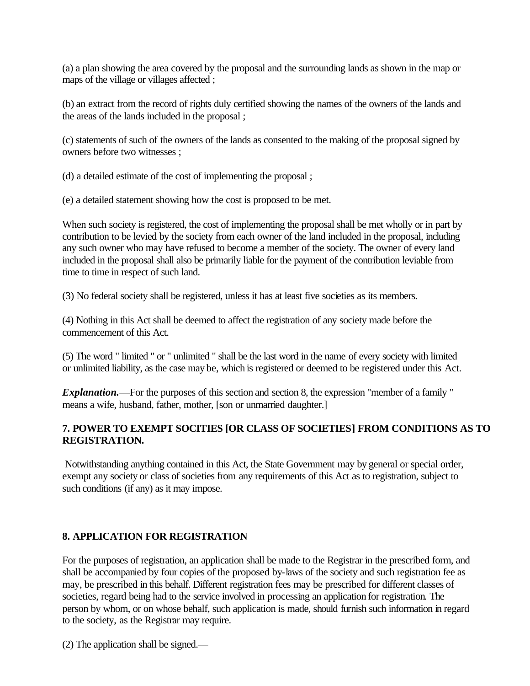(a) a plan showing the area covered by the proposal and the surrounding lands as shown in the map or maps of the village or villages affected ;

(b) an extract from the record of rights duly certified showing the names of the owners of the lands and the areas of the lands included in the proposal ;

(c) statements of such of the owners of the lands as consented to the making of the proposal signed by owners before two witnesses ;

(d) a detailed estimate of the cost of implementing the proposal ;

(e) a detailed statement showing how the cost is proposed to be met.

When such society is registered, the cost of implementing the proposal shall be met wholly or in part by contribution to be levied by the society from each owner of the land included in the proposal, including any such owner who may have refused to become a member of the society. The owner of every land included in the proposal shall also be primarily liable for the payment of the contribution leviable from time to time in respect of such land.

(3) No federal society shall be registered, unless it has at least five societies as its members.

(4) Nothing in this Act shall be deemed to affect the registration of any society made before the commencement of this Act.

(5) The word " limited " or " unlimited " shall be the last word in the name of every society with limited or unlimited liability, as the case may be, which is registered or deemed to be registered under this Act.

*Explanation.*—For the purposes of this section and section 8, the expression "member of a family " means a wife, husband, father, mother, [son or unmarried daughter.]

## **7. POWER TO EXEMPT SOCITIES [OR CLASS OF SOCIETIES] FROM CONDITIONS AS TO REGISTRATION.**

 Notwithstanding anything contained in this Act, the State Government may by general or special order, exempt any society or class of societies from any requirements of this Act as to registration, subject to such conditions (if any) as it may impose.

### **8. APPLICATION FOR REGISTRATION**

For the purposes of registration, an application shall be made to the Registrar in the prescribed form, and shall be accompanied by four copies of the proposed by-laws of the society and such registration fee as may, be prescribed in this behalf. Different registration fees may be prescribed for different classes of societies, regard being had to the service involved in processing an application for registration. The person by whom, or on whose behalf, such application is made, should furnish such information in regard to the society, as the Registrar may require.

(2) The application shall be signed.—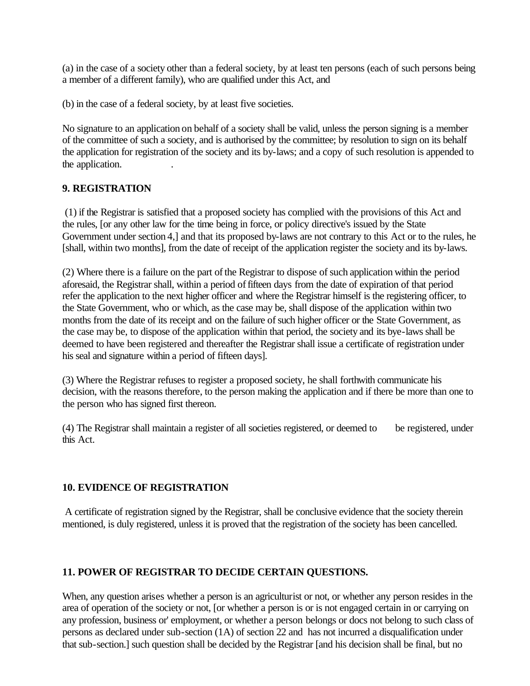(a) in the case of a society other than a federal society, by at least ten persons (each of such persons being a member of a different family), who are qualified under this Act, and

(b) in the case of a federal society, by at least five societies.

No signature to an application on behalf of a society shall be valid, unless the person signing is a member of the committee of such a society, and is authorised by the committee; by resolution to sign on its behalf the application for registration of the society and its by-laws; and a copy of such resolution is appended to the application.

### **9. REGISTRATION**

 (1) if the Registrar is satisfied that a proposed society has complied with the provisions of this Act and the rules, [or any other law for the time being in force, or policy directive's issued by the State Government under section 4,] and that its proposed by-laws are not contrary to this Act or to the rules, he [shall, within two months], from the date of receipt of the application register the society and its by-laws.

 $(2)$  Where there is a failure on the part of the Registrar to dispose of such application within the period aforesaid, the Registrar shall, within a period of fifteen days from the date of expiration of that period refer the application to the next higher officer and where the Registrar himself is the registering officer, to the State Government, who or which, as the case may be, shall dispose of the application within two months from the date of its receipt and on the failure of such higher officer or the State Government, as the case may be, to dispose of the application within that period, the society and its bye-laws shall be deemed to have been registered and thereafter the Registrar shall issue a certificate of registration under his seal and signature within a period of fifteen days].

(3) Where the Registrar refuses to register a proposed society, he shall forthwith communicate his decision, with the reasons therefore, to the person making the application and if there be more than one to the person who has signed first thereon.

(4) The Registrar shall maintain a register of all societies registered, or deemed to be registered, under this Act.

# **10. EVIDENCE OF REGISTRATION**

 A certificate of registration signed by the Registrar, shall be conclusive evidence that the society therein mentioned, is duly registered, unless it is proved that the registration of the society has been cancelled.

# **11. POWER OF REGISTRAR TO DECIDE CERTAIN QUESTIONS.**

When, any question arises whether a person is an agriculturist or not, or whether any person resides in the area of operation of the society or not, [or whether a person is or is not engaged certain in or carrying on any profession, business or' employment, or whether a person belongs or docs not belong to such class of persons as declared under sub-section (1A) of section 22 and has not incurred a disqualification under that sub-section.] such question shall be decided by the Registrar [and his decision shall be final, but no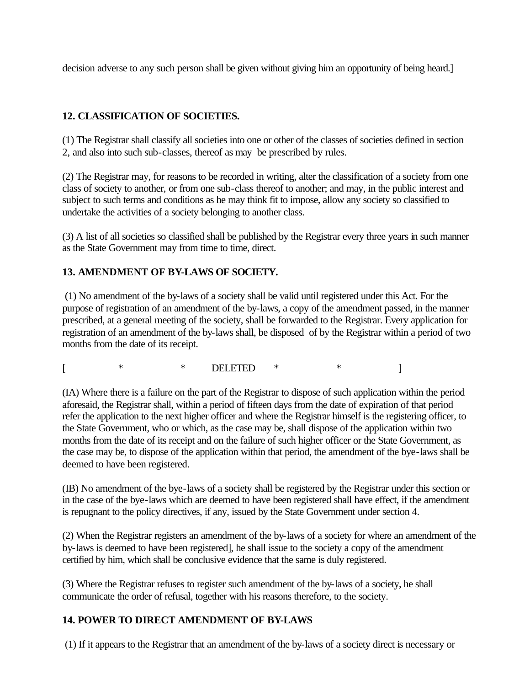decision adverse to any such person shall be given without giving him an opportunity of being heard.]

## **12. CLASSIFICATION OF SOCIETIES.**

(1) The Registrar shall classify all societies into one or other of the classes of societies defined in section 2, and also into such sub-classes, thereof as may be prescribed by rules.

(2) The Registrar may, for reasons to be recorded in writing, alter the classification of a society from one class of society to another, or from one sub-class thereof to another; and may, in the public interest and subject to such terms and conditions as he may think fit to impose, allow any society so classified to undertake the activities of a society belonging to another class.

(3) A list of all societies so classified shall be published by the Registrar every three years in such manner as the State Government may from time to time, direct.

## **13. AMENDMENT OF BY-LAWS OF SOCIETY.**

 (1) No amendment of the by-laws of a society shall be valid until registered under this Act. For the purpose of registration of an amendment of the by-laws, a copy of the amendment passed, in the manner prescribed, at a general meeting of the society, shall be forwarded to the Registrar. Every application for registration of an amendment of the by-laws shall, be disposed of by the Registrar within a period of two months from the date of its receipt.

 $\begin{bmatrix} * & * & * \end{bmatrix}$  DELETED  $*$  \*  $\begin{bmatrix} * & * & * \end{bmatrix}$ 

(IA) Where there is a failure on the part of the Registrar to dispose of such application within the period aforesaid, the Registrar shall, within a period of fifteen days from the date of expiration of that period refer the application to the next higher officer and where the Registrar himself is the registering officer, to the State Government, who or which, as the case may be, shall dispose of the application within two months from the date of its receipt and on the failure of such higher officer or the State Government, as the case may be, to dispose of the application within that period, the amendment of the bye-laws shall be deemed to have been registered.

(IB) No amendment of the bye-laws of a society shall be registered by the Registrar under this section or in the case of the bye-laws which are deemed to have been registered shall have effect, if the amendment is repugnant to the policy directives, if any, issued by the State Government under section 4.

(2) When the Registrar registers an amendment of the by-laws of a society for where an amendment of the by-laws is deemed to have been registered], he shall issue to the society a copy of the amendment certified by him, which shall be conclusive evidence that the same is duly registered.

(3) Where the Registrar refuses to register such amendment of the by-laws of a society, he shall communicate the order of refusal, together with his reasons therefore, to the society.

# **14. POWER TO DIRECT AMENDMENT OF BY-LAWS**

(1) If it appears to the Registrar that an amendment of the by-laws of a society direct is necessary or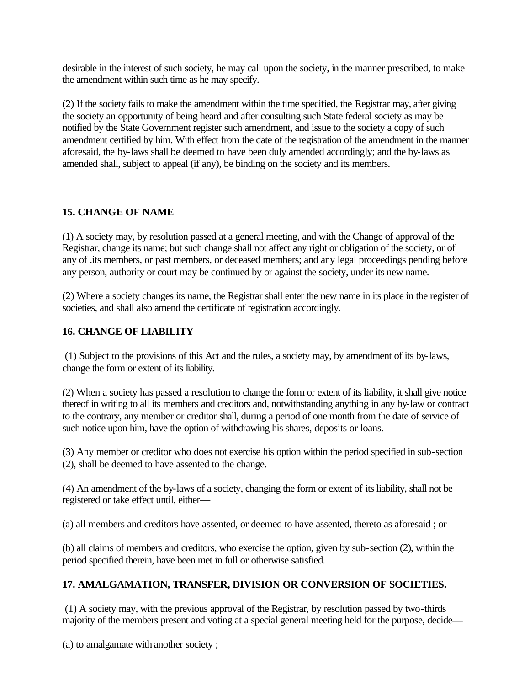desirable in the interest of such society, he may call upon the society, in the manner prescribed, to make the amendment within such time as he may specify.

(2) If the society fails to make the amendment within the time specified, the Registrar may, after giving the society an opportunity of being heard and after consulting such State federal society as may be notified by the State Government register such amendment, and issue to the society a copy of such amendment certified by him. With effect from the date of the registration of the amendment in the manner aforesaid, the by-laws shall be deemed to have been duly amended accordingly; and the by-laws as amended shall, subject to appeal (if any), be binding on the society and its members.

## **15. CHANGE OF NAME**

(1) A society may, by resolution passed at a general meeting, and with the Change of approval of the Registrar, change its name; but such change shall not affect any right or obligation of the society, or of any of .its members, or past members, or deceased members; and any legal proceedings pending before any person, authority or court may be continued by or against the society, under its new name.

(2) Where a society changes its name, the Registrar shall enter the new name in its place in the register of societies, and shall also amend the certificate of registration accordingly.

### **16. CHANGE OF LIABILITY**

(1) Subject to the provisions of this Act and the rules, a society may, by amendment of its by-laws, change the form or extent of its liability.

(2) When a society has passed a resolution to change the form or extent of its liability, it shall give notice thereof in writing to all its members and creditors and, notwithstanding anything in any by-law or contract to the contrary, any member or creditor shall, during a period of one month from the date of service of such notice upon him, have the option of withdrawing his shares, deposits or loans.

(3) Any member or creditor who does not exercise his option within the period specified in sub-section (2), shall be deemed to have assented to the change.

(4) An amendment of the by-laws of a society, changing the form or extent of its liability, shall not be registered or take effect until, either—

(a) all members and creditors have assented, or deemed to have assented, thereto as aforesaid ; or

(b) all claims of members and creditors, who exercise the option, given by sub-section (2), within the period specified therein, have been met in full or otherwise satisfied.

### **17. AMALGAMATION, TRANSFER, DIVISION OR CONVERSION OF SOCIETIES.**

 (1) A society may, with the previous approval of the Registrar, by resolution passed by two-thirds majority of the members present and voting at a special general meeting held for the purpose, decide—

(a) to amalgamate with another society ;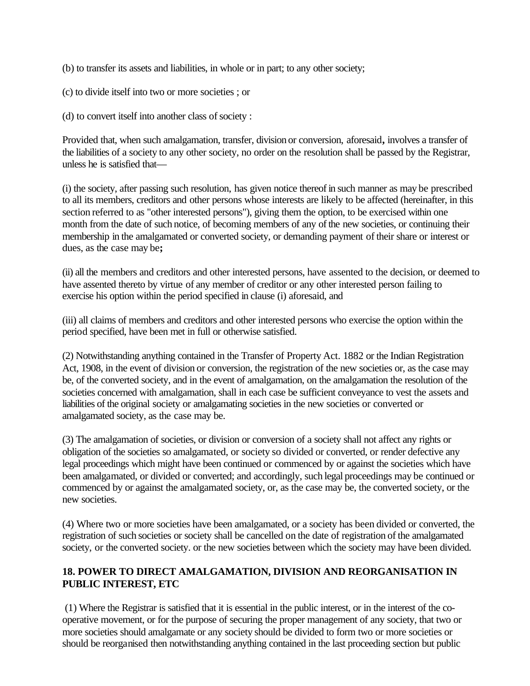(b) to transfer its assets and liabilities, in whole or in part; to any other society;

(c) to divide itself into two or more societies ; or

(d) to convert itself into another class of society :

Provided that, when such amalgamation, transfer, division or conversion, aforesaid**,** involves a transfer of the liabilities of a society to any other society, no order on the resolution shall be passed by the Registrar, unless he is satisfied that—

(i) the society, after passing such resolution, has given notice thereof in such manner as may be prescribed to all its members, creditors and other persons whose interests are likely to be affected (hereinafter, in this section referred to as "other interested persons"), giving them the option, to be exercised within one month from the date of such notice, of becoming members of any of the new societies, or continuing their membership in the amalgamated or converted society, or demanding payment of their share or interest or dues, as the case may be**;**

(ii) all the members and creditors and other interested persons, have assented to the decision, or deemed to have assented thereto by virtue of any member of creditor or any other interested person failing to exercise his option within the period specified in clause (i) aforesaid, and

(iii) all claims of members and creditors and other interested persons who exercise the option within the period specified, have been met in full or otherwise satisfied.

(2) Notwithstanding anything contained in the Transfer of Property Act. 1882 or the Indian Registration Act, 1908, in the event of division or conversion, the registration of the new societies or, as the case may be, of the converted society, and in the event of amalgamation, on the amalgamation the resolution of the societies concerned with amalgamation, shall in each case be sufficient conveyance to vest the assets and liabilities of the original society or amalgamating societies in the new societies or converted or amalgamated society, as the case may be.

(3) The amalgamation of societies, or division or conversion of a society shall not affect any rights or obligation of the societies so amalgamated, or society so divided or converted, or render defective any legal proceedings which might have been continued or commenced by or against the societies which have been amalgamated, or divided or converted; and accordingly, such legal proceedings may be continued or commenced by or against the amalgamated society, or, as the case may be, the converted society, or the new societies.

(4) Where two or more societies have been amalgamated, or a society has been divided or converted, the registration of such societies or society shall be cancelled on the date of registration of the amalgamated society, or the converted society. or the new societies between which the society may have been divided.

## **18. POWER TO DIRECT AMALGAMATION, DIVISION AND REORGANISATION IN PUBLIC INTEREST, ETC**

 (1) Where the Registrar is satisfied that it is essential in the public interest, or in the interest of the cooperative movement, or for the purpose of securing the proper management of any society, that two or more societies should amalgamate or any society should be divided to form two or more societies or should be reorganised then notwithstanding anything contained in the last proceeding section but public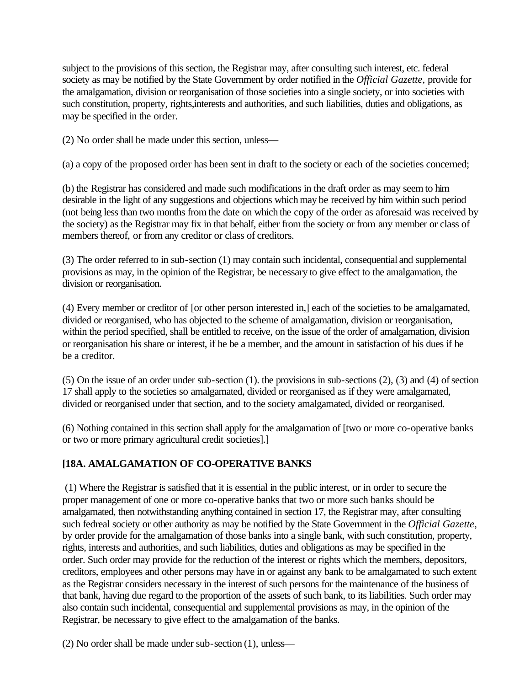subject to the provisions of this section, the Registrar may, after consulting such interest, etc. federal society as may be notified by the State Government by order notified in the *Official Gazette,* provide for the amalgamation, division or reorganisation of those societies into a single society, or into societies with such constitution, property, rights,interests and authorities, and such liabilities, duties and obligations, as may be specified in the order.

(2) No order shall be made under this section, unless—

(a) a copy of the proposed order has been sent in draft to the society or each of the societies concerned;

(b) the Registrar has considered and made such modifications in the draft order as may seem to him desirable in the light of any suggestions and objections which may be received by him within such period (not being less than two months from the date on which the copy of the order as aforesaid was received by the society) as the Registrar may fix in that behalf, either from the society or from any member or class of members thereof, or from any creditor or class of creditors.

(3) The order referred to in sub-section (1) may contain such incidental, consequential and supplemental provisions as may, in the opinion of the Registrar, be necessary to give effect to the amalgamation, the division or reorganisation.

(4) Every member or creditor of [or other person interested in,] each of the societies to be amalgamated, divided or reorganised, who has objected to the scheme of amalgamation, division or reorganisation, within the period specified, shall be entitled to receive, on the issue of the order of amalgamation, division or reorganisation his share or interest, if he be a member, and the amount in satisfaction of his dues if he be a creditor.

(5) On the issue of an order under sub-section (1). the provisions in sub-sections (2), (3) and (4) of section 17 shall apply to the societies so amalgamated, divided or reorganised as if they were amalgamated, divided or reorganised under that section, and to the society amalgamated, divided or reorganised.

(6) Nothing contained in this section shall apply for the amalgamation of [two or more co-operative banks or two or more primary agricultural credit societies].]

# **[18A. AMALGAMATION OF CO-OPERATIVE BANKS**

 (1) Where the Registrar is satisfied that it is essential in the public interest, or in order to secure the proper management of one or more co-operative banks that two or more such banks should be amalgamated, then notwithstanding anything contained in section 17, the Registrar may, after consulting such fedreal society or other authority as may be notified by the State Government in the *Official Gazette,*  by order provide for the amalgamation of those banks into a single bank, with such constitution, property, rights, interests and authorities, and such liabilities, duties and obligations as may be specified in the order. Such order may provide for the reduction of the interest or rights which the members, depositors, creditors, employees and other persons may have in or against any bank to be amalgamated to such extent as the Registrar considers necessary in the interest of such persons for the maintenance of the business of that bank, having due regard to the proportion of the assets of such bank, to its liabilities. Such order may also contain such incidental, consequential and supplemental provisions as may, in the opinion of the Registrar, be necessary to give effect to the amalgamation of the banks.

(2) No order shall be made under sub-section (1), unless—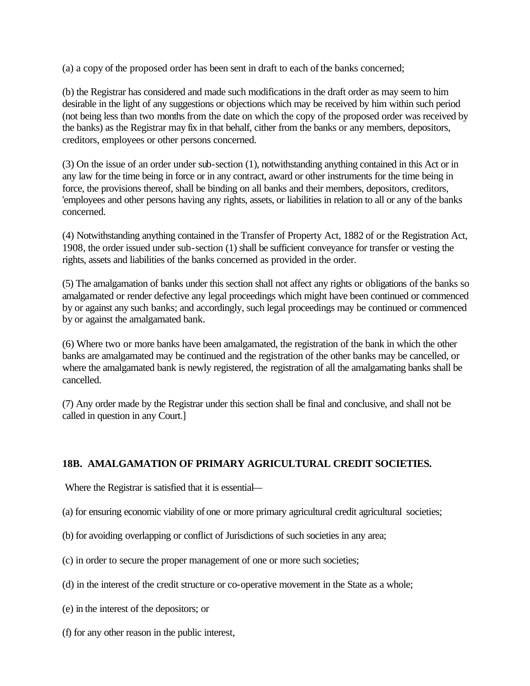(a) a copy of the proposed order has been sent in draft to each of the banks concerned;

(b) the Registrar has considered and made such modifications in the draft order as may seem to him desirable in the light of any suggestions or objections which may be received by him within such period (not being less than two months from the date on which the copy of the proposed order was received by the banks) as the Registrar may fix in that behalf, cither from the banks or any members, depositors, creditors, employees or other persons concerned.

(3) On the issue of an order under sub-section (1), notwithstanding anything contained in this Act or in any law for the time being in force or in any contract, award or other instruments for the time being in force, the provisions thereof, shall be binding on all banks and their members, depositors, creditors, 'employees and other persons having any rights, assets, or liabilities in relation to all or any of the banks concerned.

(4) Notwithstanding anything contained in the Transfer of Property Act, 1882 of or the Registration Act, 1908, the order issued under sub-section (1) shall be sufficient conveyance for transfer or vesting the rights, assets and liabilities of the banks concerned as provided in the order.

(5) The amalgamation of banks under this section shall not affect any rights or obligations of the banks so amalgamated or render defective any legal proceedings which might have been continued or commenced by or against any such banks; and accordingly, such legal proceedings may be continued or commenced by or against the amalgamated bank.

(6) Where two or more banks have been amalgamated, the registration of the bank in which the other banks are amalgamated may be continued and the registration of the other banks may be cancelled, or where the amalgamated bank is newly registered, the registration of all the amalgamating banks shall be cancelled.

(7) Any order made by the Registrar under this section shall be final and conclusive, and shall not be called in question in any Court.]

### **18B. AMALGAMATION OF PRIMARY AGRICULTURAL CREDIT SOCIETIES.**

Where the Registrar is satisfied that it is essential*—*

- (a) for ensuring economic viability of one or more primary agricultural credit agricultural societies;
- (b) for avoiding overlapping or conflict of Jurisdictions of such societies in any area;
- (c) in order to secure the proper management of one or more such societies;
- (d) in the interest of the credit structure or co-operative movement in the State as a whole;
- (e) in the interest of the depositors; or
- (f) for any other reason in the public interest,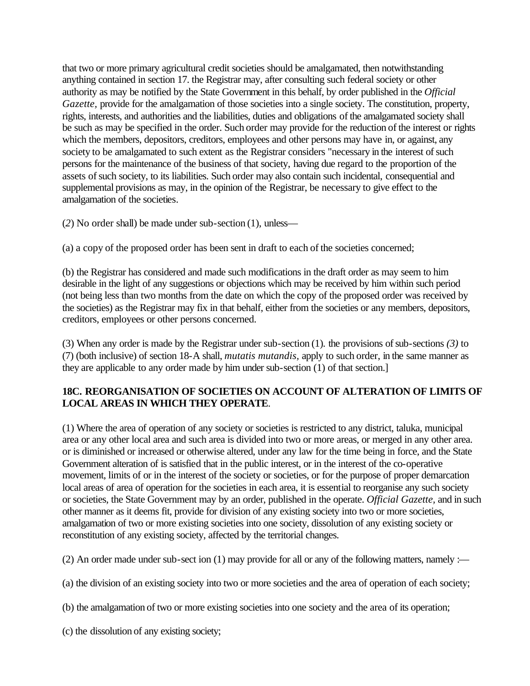that two or more primary agricultural credit societies should be amalgamated, then notwithstanding anything contained in section 17. the Registrar may, after consulting such federal society or other authority as may be notified by the State Government in this behalf, by order published in the *Official Gazette,* provide for the amalgamation of those societies into a single society. The constitution, property, rights, interests, and authorities and the liabilities, duties and obligations of the amalgamated society shall be such as may be specified in the order. Such order may provide for the reduction of the interest or rights which the members, depositors, creditors, employees and other persons may have in, or against, any society to be amalgamated to such extent as the Registrar considers "necessary in the interest of such persons for the maintenance of the business of that society, having due regard to the proportion of the assets of such society, to its liabilities. Such order may also contain such incidental, consequential and supplemental provisions as may, in the opinion of the Registrar, be necessary to give effect to the amalgamation of the societies.

(*2*) No order shall) be made under sub-section (1), unless—

(a) a copy of the proposed order has been sent in draft to each of the societies concerned;

(b) the Registrar has considered and made such modifications in the draft order as may seem to him desirable in the light of any suggestions or objections which may be received by him within such period (not being less than two months from the date on which the copy of the proposed order was received by the societies) as the Registrar may fix in that behalf, either from the societies or any members, depositors, creditors, employees or other persons concerned.

(3) When any order is made by the Registrar under sub-section (1)*.* the provisions of sub-sections *(3)* to (7) (both inclusive) of section 18-A shall, *mutatis mutandis,* apply to such order, in the same manner as they are applicable to any order made by him under sub-section (1) of that section.]

## **18C. REORGANISATION OF SOCIETIES ON ACCOUNT OF ALTERATION OF LIMITS OF LOCAL AREAS IN WHICH THEY OPERATE**.

(1) Where the area of operation of any society or societies is restricted to any district, taluka, municipal area or any other local area and such area is divided into two or more areas, or merged in any other area. or is diminished or increased or otherwise altered, under any law for the time being in force, and the State Government alteration of is satisfied that in the public interest, or in the interest of the co-operative movement, limits of or in the interest of the society or societies, or for the purpose of proper demarcation local areas of area of operation for the societies in each area, it is essential to reorganise any such society or societies, the State Government may by an order, published in the operate. *Official Gazette,* and in such other manner as it deems fit, provide for division of any existing society into two or more societies, amalgamation of two or more existing societies into one society, dissolution of any existing society or reconstitution of any existing society, affected by the territorial changes.

(2) An order made under sub-sect ion (1) may provide for all or any of the following matters, namely :—

- (a) the division of an existing society into two or more societies and the area of operation of each society;
- (b) the amalgamation of two or more existing societies into one society and the area of its operation;
- (c) the dissolution of any existing society;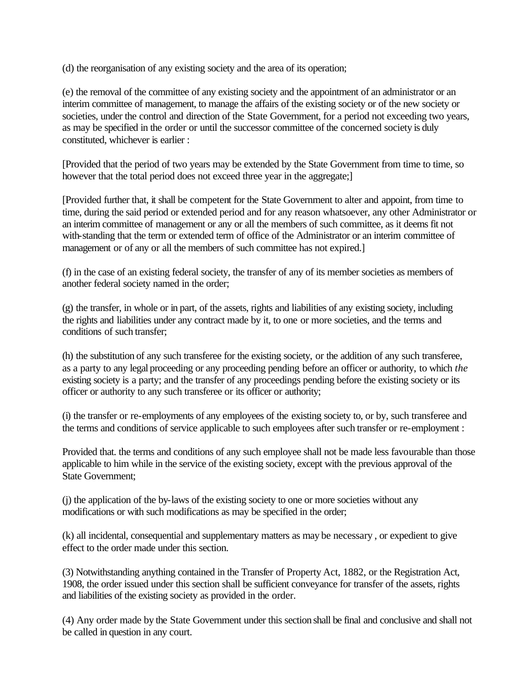(d) the reorganisation of any existing society and the area of its operation;

(e) the removal of the committee of any existing society and the appointment of an administrator or an interim committee of management, to manage the affairs of the existing society or of the new society or societies, under the control and direction of the State Government, for a period not exceeding two years, as may be specified in the order or until the successor committee of the concerned society is duly constituted, whichever is earlier :

[Provided that the period of two years may be extended by the State Government from time to time, so however that the total period does not exceed three year in the aggregate;]

[Provided further that, it shall be competent for the State Government to alter and appoint, from time to time, during the said period or extended period and for any reason whatsoever, any other Administrator or an interim committee of management or any or all the members of such committee, as it deems fit not with-standing that the term or extended term of office of the Administrator or an interim committee of management or of any or all the members of such committee has not expired.]

(f) in the case of an existing federal society, the transfer of any of its member societies as members of another federal society named in the order;

(g) the transfer, in whole or in part, of the assets, rights and liabilities of any existing society, including the rights and liabilities under any contract made by it, to one or more societies, and the terms and conditions of such transfer;

(h) the substitution of any such transferee for the existing society, or the addition of any such transferee, as a party to any legal proceeding or any proceeding pending before an officer or authority, to which *the* existing society is a party; and the transfer of any proceedings pending before the existing society or its officer or authority to any such transferee or its officer or authority;

(i) the transfer or re-employments of any employees of the existing society to, or by, such transferee and the terms and conditions of service applicable to such employees after such transfer or re-employment :

Provided that. the terms and conditions of any such employee shall not be made less favourable than those applicable to him while in the service of the existing society, except with the previous approval of the State Government;

(j) the application of the by-laws of the existing society to one or more societies without any modifications or with such modifications as may be specified in the order;

(k) all incidental, consequential and supplementary matters as may be necessary , or expedient to give effect to the order made under this section.

(3) Notwithstanding anything contained in the Transfer of Property Act, 1882, or the Registration Act, 1908, the order issued under this section shall be sufficient conveyance for transfer of the assets, rights and liabilities of the existing society as provided in the order.

(4) Any order made by the State Government under this section shall be final and conclusive and shall not be called in question in any court.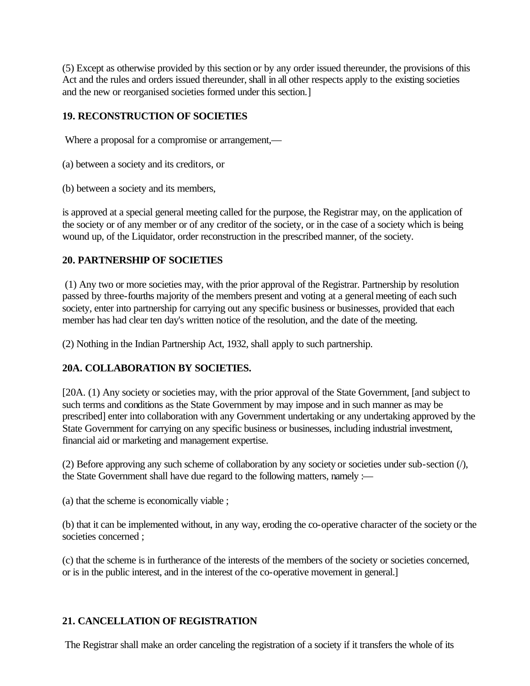(5) Except as otherwise provided by this section or by any order issued thereunder, the provisions of this Act and the rules and orders issued thereunder, shall in all other respects apply to the existing societies and the new or reorganised societies formed under this section.]

### **19. RECONSTRUCTION OF SOCIETIES**

Where a proposal for a compromise or arrangement,—

- (a) between a society and its creditors, or
- (b) between a society and its members,

is approved at a special general meeting called for the purpose, the Registrar may, on the application of the society or of any member or of any creditor of the society, or in the case of a society which is being wound up, of the Liquidator, order reconstruction in the prescribed manner, of the society.

### **20. PARTNERSHIP OF SOCIETIES**

(1) Any two or more societies may, with the prior approval of the Registrar. Partnership by resolution passed by three-fourths majority of the members present and voting at a general meeting of each such society, enter into partnership for carrying out any specific business or businesses, provided that each member has had clear ten day's written notice of the resolution, and the date of the meeting.

(2) Nothing in the Indian Partnership Act, 1932, shall apply to such partnership.

### **20A. COLLABORATION BY SOCIETIES.**

[20A. (1) Any society or societies may, with the prior approval of the State Government, [and subject to such terms and conditions as the State Government by may impose and in such manner as may be prescribed] enter into collaboration with any Government undertaking or any undertaking approved by the State Government for carrying on any specific business or businesses, including industrial investment, financial aid or marketing and management expertise.

(2) Before approving any such scheme of collaboration by any society or societies under sub-section (/), the State Government shall have due regard to the following matters, namely :—

(a) that the scheme is economically viable ;

(b) that it can be implemented without, in any way, eroding the co-operative character of the society or the societies concerned ;

(c) that the scheme is in furtherance of the interests of the members of the society or societies concerned, or is in the public interest, and in the interest of the co-operative movement in general.]

### **21. CANCELLATION OF REGISTRATION**

The Registrar shall make an order canceling the registration of a society if it transfers the whole of its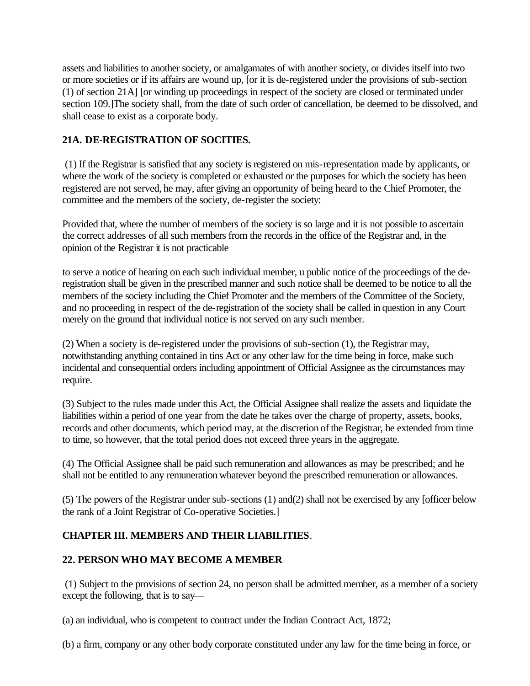assets and liabilities to another society, or amalgamates of with another society, or divides itself into two or more societies or if its affairs are wound up, [or it is de-registered under the provisions of sub-section (1) of section 21A] [or winding up proceedings in respect of the society are closed or terminated under section 109.]The society shall, from the date of such order of cancellation, be deemed to be dissolved, and shall cease to exist as a corporate body.

# **21A. DE-REGISTRATION OF SOCITIES.**

 (1) If the Registrar is satisfied that any society is registered on mis-representation made by applicants, or where the work of the society is completed or exhausted or the purposes for which the society has been registered are not served, he may, after giving an opportunity of being heard to the Chief Promoter, the committee and the members of the society, de-register the society:

Provided that, where the number of members of the society is so large and it is not possible to ascertain the correct addresses of all such members from the records in the office of the Registrar and, in the opinion of the Registrar it is not practicable

to serve a notice of hearing on each such individual member, u public notice of the proceedings of the deregistration shall be given in the prescribed manner and such notice shall be deemed to be notice to all the members of the society including the Chief Promoter and the members of the Committee of the Society, and no proceeding in respect of the de-registration of the society shall be called in question in any Court merely on the ground that individual notice is not served on any such member.

(2) When a society is de-registered under the provisions of sub-section (1), the Registrar may, notwithstanding anything contained in tins Act or any other law for the time being in force, make such incidental and consequential orders including appointment of Official Assignee as the circumstances may require.

(3) Subject to the rules made under this Act, the Official Assignee shall realize the assets and liquidate the liabilities within a period of one year from the date he takes over the charge of property, assets, books, records and other documents, which period may, at the discretion of the Registrar, be extended from time to time, so however, that the total period does not exceed three years in the aggregate.

(4) The Official Assignee shall be paid such remuneration and allowances as may be prescribed; and he shall not be entitled to any remuneration whatever beyond the prescribed remuneration or allowances.

(5) The powers of the Registrar under sub-sections (1) and(2) shall not be exercised by any [officer below the rank of a Joint Registrar of Co-operative Societies.]

# **CHAPTER III. MEMBERS AND THEIR LIABILITIES**.

# **22. PERSON WHO MAY BECOME A MEMBER**

 (1) Subject to the provisions of section 24, no person shall be admitted member, as a member of a society except the following, that is to say—

(a) an individual, who is competent to contract under the Indian Contract Act, 1872;

(b) a firm, company or any other body corporate constituted under any law for the time being in force, or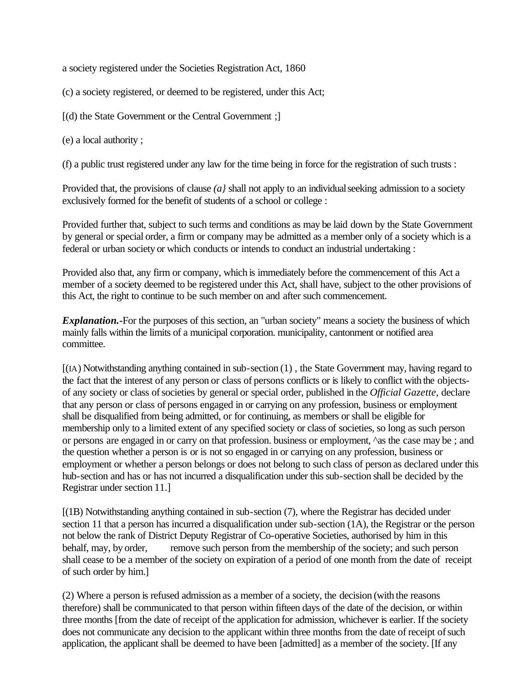a society registered under the Societies Registration Act, 1860

(c) a society registered, or deemed to be registered, under this Act;

[(d) the State Government or the Central Government ;]

(e) a local authority ;

(f) a public trust registered under any law for the time being in force for the registration of such trusts :

Provided that, the provisions of clause *(a}* shall not apply to an individual seeking admission to a society exclusively formed for the benefit of students of a school or college :

Provided further that, subject to such terms and conditions as may be laid down by the State Government by general or special order, a firm or company may be admitted as a member only of a society which is a federal or urban society or which conducts or intends to conduct an industrial undertaking :

Provided also that, any firm or company, which is immediately before the commencement of this Act a member of a society deemed to be registered under this Act, shall have, subject to the other provisions of this Act, the right to continue to be such member on and after such commencement.

*Explanation.*-For the purposes of this section, an "urban society" means a society the business of which mainly falls within the limits of a municipal corporation. municipality, cantonment or notified area committee.

[(IA) Notwithstanding anything contained in sub-section (1) , the State Government may, having regard to the fact that the interest of any person or class of persons conflicts or is likely to conflict with the objectsof any society or class of societies by general or special order, published in the *Official Gazette,* declare that any person or class of persons engaged in or carrying on any profession, business or employment shall be disqualified from being admitted, or for continuing, as members or shall be eligible for membership only to a limited extent of any specified society or class of societies, so long as such person or persons are engaged in or carry on that profession. business or employment, ^as the case may be ; and the question whether a person is or is not so engaged in or carrying on any profession, business or employment or whether a person belongs or does not belong to such class of person as declared under this hub-section and has or has not incurred a disqualification under this sub-section shall be decided by the Registrar under section 11.]

[(1B) Notwithstanding anything contained in sub-section (7), where the Registrar has decided under section 11 that a person has incurred a disqualification under sub-section (1A), the Registrar or the person not below the rank of District Deputy Registrar of Co-operative Societies, authorised by him in this behalf, may, by order, remove such person from the membership of the society; and such person shall cease to be a member of the society on expiration of a period of one month from the date of receipt of such order by him.]

(2) Where a person is refused admission as a member of a society, the decision (with the reasons therefore) shall be communicated to that person within fifteen days of the date of the decision, or within three months [from the date of receipt of the application for admission, whichever is earlier. If the society does not communicate any decision to the applicant within three months from the date of receipt of such application, the applicant shall be deemed to have been [admitted] as a member of the society. [If any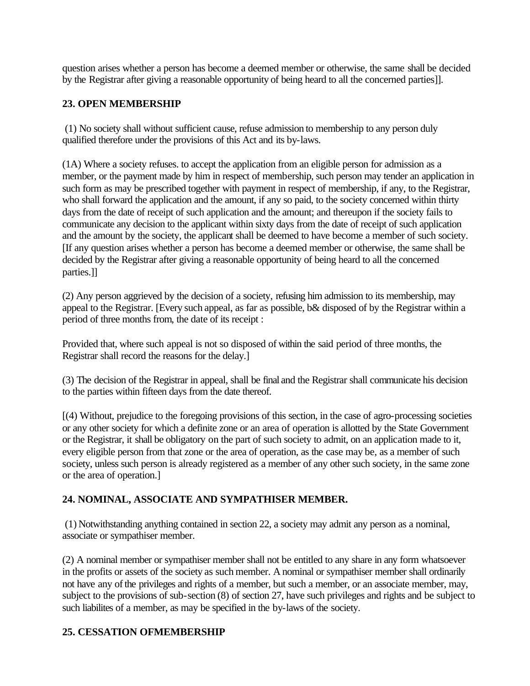question arises whether a person has become a deemed member or otherwise, the same shall be decided by the Registrar after giving a reasonable opportunity of being heard to all the concerned parties]].

### **23. OPEN MEMBERSHIP**

(1) No society shall without sufficient cause, refuse admission to membership to any person duly qualified therefore under the provisions of this Act and its by-laws.

(1A) Where a society refuses. to accept the application from an eligible person for admission as a member, or the payment made by him in respect of membership, such person may tender an application in such form as may be prescribed together with payment in respect of membership, if any, to the Registrar, who shall forward the application and the amount, if any so paid, to the society concerned within thirty days from the date of receipt of such application and the amount; and thereupon if the society fails to communicate any decision to the applicant within sixty days from the date of receipt of such application and the amount by the society, the applicant shall be deemed to have become a member of such society. [If any question arises whether a person has become a deemed member or otherwise, the same shall be decided by the Registrar after giving a reasonable opportunity of being heard to all the concerned parties.]]

(2) Any person aggrieved by the decision of a society, refusing him admission to its membership, may appeal to the Registrar. [Every such appeal, as far as possible, b& disposed of by the Registrar within a period of three months from, the date of its receipt :

Provided that, where such appeal is not so disposed of within the said period of three months, the Registrar shall record the reasons for the delay.]

(3) The decision of the Registrar in appeal, shall be final and the Registrar shall communicate his decision to the parties within fifteen days from the date thereof.

[(4) Without, prejudice to the foregoing provisions of this section, in the case of agro-processing societies or any other society for which a definite zone or an area of operation is allotted by the State Government or the Registrar, it shall be obligatory on the part of such society to admit, on an application made to it, every eligible person from that zone or the area of operation, as the case may be, as a member of such society, unless such person is already registered as a member of any other such society, in the same zone or the area of operation.]

# **24. NOMINAL, ASSOCIATE AND SYMPATHISER MEMBER.**

(1) Notwithstanding anything contained in section 22, a society may admit any person as a nominal, associate or sympathiser member.

(2) A nominal member or sympathiser member shall not be entitled to any share in any form whatsoever in the profits or assets of the society as such member. A nominal or sympathiser member shall ordinarily not have any of the privileges and rights of a member, but such a member, or an associate member, may, subject to the provisions of sub-section (8) of section 27, have such privileges and rights and be subject to such liabilites of a member, as may be specified in the by-laws of the society.

# **25. CESSATION OFMEMBERSHIP**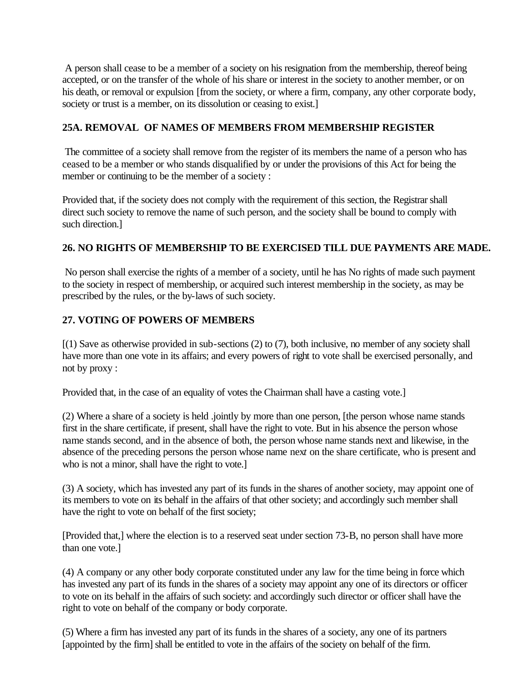A person shall cease to be a member of a society on his resignation from the membership, thereof being accepted, or on the transfer of the whole of his share or interest in the society to another member, or on his death, or removal or expulsion [from the society, or where a firm, company, any other corporate body, society or trust is a member, on its dissolution or ceasing to exist.]

## **25A. REMOVAL OF NAMES OF MEMBERS FROM MEMBERSHIP REGISTER**

 The committee of a society shall remove from the register of its members the name of a person who has ceased to be a member or who stands disqualified by or under the provisions of this Act for being the member or continuing to be the member of a society :

Provided that, if the society does not comply with the requirement of this section, the Registrar shall direct such society to remove the name of such person, and the society shall be bound to comply with such direction.]

## **26. NO RIGHTS OF MEMBERSHIP TO BE EXERCISED TILL DUE PAYMENTS ARE MADE.**

 No person shall exercise the rights of a member of a society, until he has No rights of made such payment to the society in respect of membership, or acquired such interest membership in the society, as may be prescribed by the rules, or the by-laws of such society.

### **27. VOTING OF POWERS OF MEMBERS**

[(1) Save as otherwise provided in sub-sections (2) to (7), both inclusive, no member of any society shall have more than one vote in its affairs; and every powers of right to vote shall be exercised personally, and not by proxy :

Provided that, in the case of an equality of votes the Chairman shall have a casting vote.]

(2) Where a share of a society is held .jointly by more than one person, [the person whose name stands first in the share certificate, if present, shall have the right to vote. But in his absence the person whose name stands second, and in the absence of both, the person whose name stands next and likewise, in the absence of the preceding persons the person whose name nex*t* on the share certificate, who is present and who is not a minor, shall have the right to vote.]

(3) A society, which has invested any part of its funds in the shares of another society, may appoint one of its members to vote on its behalf in the affairs of that other society; and accordingly such member shall have the right to vote on behalf of the first society;

[Provided that,] where the election is to a reserved seat under section 73-B, no person shall have more than one vote.]

(4) A company or any other body corporate constituted under any law for the time being in force which has invested any part of its funds in the shares of a society may appoint any one of its directors or officer to vote on its behalf in the affairs of such society: and accordingly such director or officer shall have the right to vote on behalf of the company or body corporate.

(5) Where a firm has invested any part of its funds in the shares of a society, any one of its partners [appointed by the firm] shall be entitled to vote in the affairs of the society on behalf of the firm.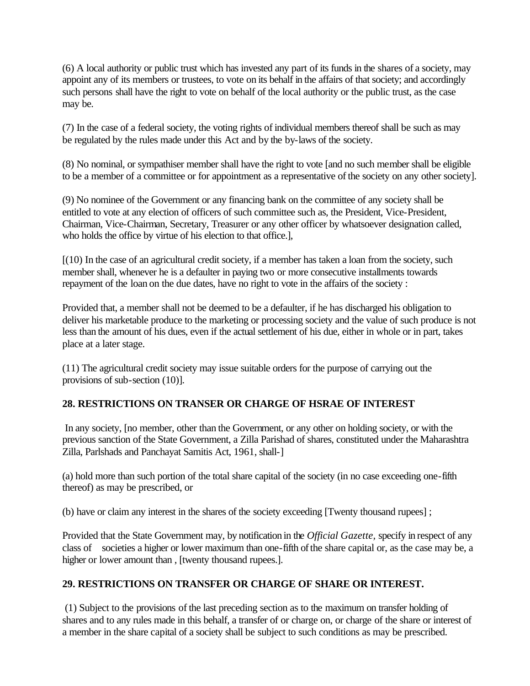(6) A local authority or public trust which has invested any part of its funds in the shares of a society, may appoint any of its members or trustees, to vote on its behalf in the affairs of that society; and accordingly such persons shall have the right to vote on behalf of the local authority or the public trust, as the case may be.

(7) In the case of a federal society, the voting rights of individual members thereof shall be such as may be regulated by the rules made under this Act and by the by-laws of the society.

(8) No nominal, or sympathiser member shall have the right to vote [and no such member shall be eligible to be a member of a committee or for appointment as a representative of the society on any other society].

(9) No nominee of the Government or any financing bank on the committee of any society shall be entitled to vote at any election of officers of such committee such as, the President, Vice-President, Chairman, Vice-Chairman, Secretary, Treasurer or any other officer by whatsoever designation called, who holds the office by virtue of his election to that office.],

[(10) In the case of an agricultural credit society, if a member has taken a loan from the society, such member shall, whenever he is a defaulter in paying two or more consecutive installments towards repayment of the loan on the due dates, have no right to vote in the affairs of the society :

Provided that, a member shall not be deemed to be a defaulter, if he has discharged his obligation to deliver his marketable produce to the marketing or processing society and the value of such produce is not less than the amount of his dues, even if the actual settlement of his due, either in whole or in part, takes place at a later stage.

(11) The agricultural credit society may issue suitable orders for the purpose of carrying out the provisions of sub-section (10)]*.*

# **28. RESTRICTIONS ON TRANSER OR CHARGE OF HSRAE OF INTEREST**

 In any society, [no member, other than the Government, or any other on holding society, or with the previous sanction of the State Government, a Zilla Parishad of shares, constituted under the Maharashtra Zilla, Parlshads and Panchayat Samitis Act, 1961, shall-]

(a) hold more than such portion of the total share capital of the society (in no case exceeding one-fifth thereof) as may be prescribed, or

(b) have or claim any interest in the shares of the society exceeding [Twenty thousand rupees] ;

Provided that the State Government may, by notification in the *Official Gazette,* specify in respect of any class of societies a higher or lower maximum than one-fifth of the share capital or, as the case may be, a higher or lower amount than, [twenty thousand rupees.].

# **29. RESTRICTIONS ON TRANSFER OR CHARGE OF SHARE OR INTEREST.**

 (1) Subject to the provisions of the last preceding section as to the maximum on transfer holding of shares and to any rules made in this behalf, a transfer of or charge on, or charge of the share or interest of a member in the share capital of a society shall be subject to such conditions as may be prescribed.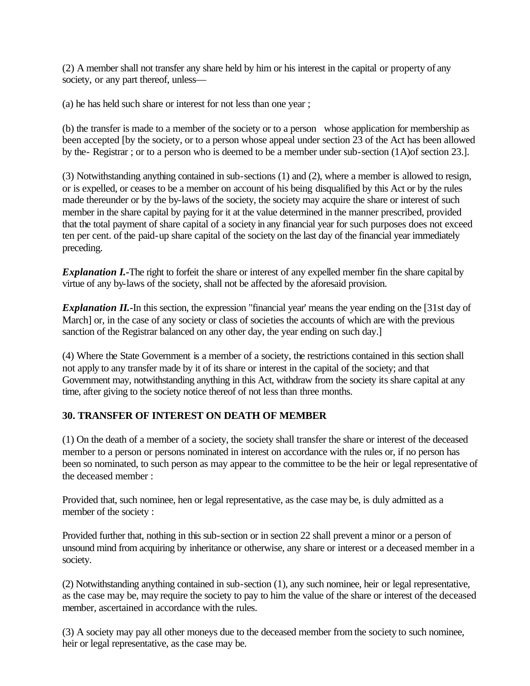(2) A member shall not transfer any share held by him or his interest in the capital or property of any society, or any part thereof, unless—

(a) he has held such share or interest for not less than one year ;

(b) the transfer is made to a member of the society or to a person whose application for membership as been accepted [by the society, or to a person whose appeal under section 23 of the Act has been allowed by the- Registrar ; or to a person who is deemed to be a member under sub-section (1A)of section 23.].

(3) Notwithstanding anything contained in sub-sections (1) and (2), where a member is allowed to resign, or is expelled, or ceases to be a member on account of his being disqualified by this Act or by the rules made thereunder or by the by-laws of the society, the society may acquire the share or interest of such member in the share capital by paying for it at the value determined in the manner prescribed, provided that the total payment of share capital of a society in any financial year for such purposes does not exceed ten per cent. of the paid-up share capital of the society on the last day of the financial year immediately preceding.

*Explanation I.*-The right to forfeit the share or interest of any expelled member fin the share capital by virtue of any by-laws of the society, shall not be affected by the aforesaid provision.

*Explanation II.*-In this section, the expression "financial year' means the year ending on the [31st day of March] or, in the case of any society or class of societies the accounts of which are with the previous sanction of the Registrar balanced on any other day, the year ending on such day.]

(4) Where the State Government is a member of a society, the restrictions contained in this section shall not apply to any transfer made by it of its share or interest in the capital of the society; and that Government may, notwithstanding anything in this Act, withdraw from the society its share capital at any time, after giving to the society notice thereof of not less than three months.

# **30. TRANSFER OF INTEREST ON DEATH OF MEMBER**

(1) On the death of a member of a society, the society shall transfer the share or interest of the deceased member to a person or persons nominated in interest on accordance with the rules or, if no person has been so nominated, to such person as may appear to the committee to be the heir or legal representative of the deceased member :

Provided that, such nominee, hen or legal representative, as the case may be, is duly admitted as a member of the society :

Provided further that, nothing in this sub-section or in section 22 shall prevent a minor or a person of unsound mind from acquiring by inheritance or otherwise, any share or interest or a deceased member in a society.

(2) Notwithstanding anything contained in sub-section (1), any such nominee, heir or legal representative, as the case may be, may require the society to pay to him the value of the share or interest of the deceased member, ascertained in accordance with the rules.

(3) A society may pay all other moneys due to the deceased member from the society to such nominee, heir or legal representative, as the case may be.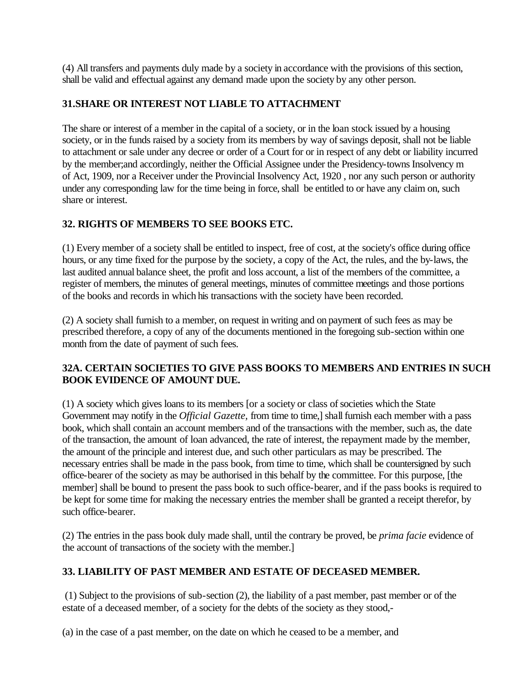(4) All transfers and payments duly made by a society in accordance with the provisions of this section, shall be valid and effectual against any demand made upon the society by any other person.

### **31.SHARE OR INTEREST NOT LIABLE TO ATTACHMENT**

The share or interest of a member in the capital of a society, or in the loan stock issued by a housing society, or in the funds raised by a society from its members by way of savings deposit, shall not be liable to attachment or sale under any decree or order of a Court for or in respect of any debt or liability incurred by the member;and accordingly, neither the Official Assignee under the Presidency-towns Insolvency m of Act, 1909, nor a Receiver under the Provincial Insolvency Act, 1920 , nor any such person or authority under any corresponding law for the time being in force, shall be entitled to or have any claim on, such share or interest.

# **32. RIGHTS OF MEMBERS TO SEE BOOKS ETC.**

(1) Every member of a society shall be entitled to inspect, free of cost, at the society's office during office hours, or any time fixed for the purpose by the society, a copy of the Act, the rules, and the by-laws, the last audited annual balance sheet, the profit and loss account, a list of the members of the committee, a register of members, the minutes of general meetings, minutes of committee meetings and those portions of the books and records in which his transactions with the society have been recorded.

(2) A society shall furnish to a member, on request in writing and on payment of such fees as may be prescribed therefore, a copy of any of the documents mentioned in the foregoing sub-section within one month from the date of payment of such fees.

### **32A. CERTAIN SOCIETIES TO GIVE PASS BOOKS TO MEMBERS AND ENTRIES IN SUCH BOOK EVIDENCE OF AMOUNT DUE.**

(1) A society which gives loans to its members [or a society or class of societies which the State Government may notify in the *Official Gazette,* from time to time,] shall furnish each member with a pass book, which shall contain an account members and of the transactions with the member, such as, the date of the transaction, the amount of loan advanced, the rate of interest, the repayment made by the member, the amount of the principle and interest due, and such other particulars as may be prescribed. The necessary entries shall be made in the pass book, from time to time, which shall be countersigned by such office-bearer of the society as may be authorised in this behalf by the committee. For this purpose, [the member] shall be bound to present the pass book to such office-bearer, and if the pass books is required to be kept for some time for making the necessary entries the member shall be granted a receipt therefor, by such office-bearer.

(2) The entries in the pass book duly made shall, until the contrary be proved, be *prima facie* evidence of the account of transactions of the society with the member.]

### **33. LIABILITY OF PAST MEMBER AND ESTATE OF DECEASED MEMBER.**

(1) Subject to the provisions of sub-section (2), the liability of a past member, past member or of the estate of a deceased member, of a society for the debts of the society as they stood,-

(a) in the case of a past member, on the date on which he ceased to be a member, and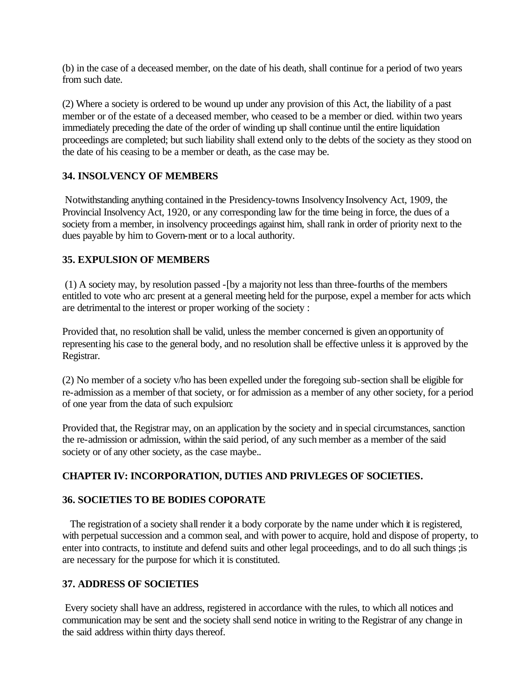(b) in the case of a deceased member, on the date of his death, shall continue for a period of two years from such date.

(2) Where a society is ordered to be wound up under any provision of this Act, the liability of a past member or of the estate of a deceased member, who ceased to be a member or died. within two years immediately preceding the date of the order of winding up shall continue until the entire liquidation proceedings are completed; but such liability shall extend only to the debts of the society as they stood on the date of his ceasing to be a member or death, as the case may be.

## **34. INSOLVENCY OF MEMBERS**

 Notwithstanding anything contained in the Presidency-towns Insolvency Insolvency Act, 1909, the Provincial Insolvency Act, 1920, or any corresponding law for the time being in force, the dues of a society from a member, in insolvency proceedings against him, shall rank in order of priority next to the dues payable by him to Govern-ment or to a local authority.

# **35. EXPULSION OF MEMBERS**

 (1) A society may, by resolution passed -[by a majority not less than three-fourths of the members entitled to vote who arc present at a general meeting held for the purpose, expel a member for acts which are detrimental to the interest or proper working of the society :

Provided that, no resolution shall be valid, unless the member concerned is given an opportunity of representing his case to the general body, and no resolution shall be effective unless it is approved by the Registrar.

(2) No member of a society v/ho has been expelled under the foregoing sub-section shall be eligible for re-admission as a member of that society, or for admission as a member of any other society, for a period of one year from the data of such expulsion:

Provided that, the Registrar may, on an application by the society and in special circumstances, sanction the re-admission or admission, within the said period, of any such member as a member of the said society or of any other society, as the case maybe.*.*

# **CHAPTER IV: INCORPORATION, DUTIES AND PRIVLEGES OF SOCIETIES.**

# **36. SOCIETIES TO BE BODIES COPORATE**

 The registration of a society shall render it a body corporate by the name under which it is registered, with perpetual succession and a common seal, and with power to acquire, hold and dispose of property, to enter into contracts, to institute and defend suits and other legal proceedings, and to do all such things ;is are necessary for the purpose for which it is constituted.

# **37. ADDRESS OF SOCIETIES**

 Every society shall have an address, registered in accordance with the rules, to which all notices and communication may be sent and the society shall send notice in writing to the Registrar of any change in the said address within thirty days thereof.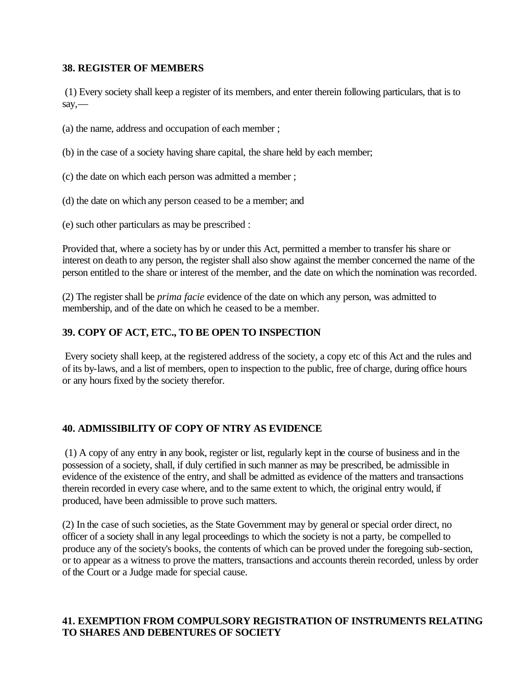#### **38. REGISTER OF MEMBERS**

 (1) Every society shall keep a register of its members, and enter therein following particulars, that is to say,—

(a) the name, address and occupation of each member ;

- (b) in the case of a society having share capital, the share held by each member;
- (c) the date on which each person was admitted a member ;
- (d) the date on which any person ceased to be a member; and

(e) such other particulars as may be prescribed :

Provided that, where a society has by or under this Act, permitted a member to transfer his share or interest on death to any person, the register shall also show against the member concerned the name of the person entitled to the share or interest of the member, and the date on which the nomination was recorded.

(2) The register shall be *prima facie* evidence of the date on which any person, was admitted to membership, and of the date on which he ceased to be a member.

### **39. COPY OF ACT, ETC., TO BE OPEN TO INSPECTION**

Every society shall keep, at the registered address of the society, a copy etc of this Act and the rules and of its by-laws, and a list of members, open to inspection to the public, free of charge, during office hours or any hours fixed by the society therefor.

### **40. ADMISSIBILITY OF COPY OF NTRY AS EVIDENCE**

 (1) A copy of any entry in any book, register or list, regularly kept in the course of business and in the possession of a society, shall, if duly certified in such manner as may be prescribed, be admissible in evidence of the existence of the entry, and shall be admitted as evidence of the matters and transactions therein recorded in every case where, and to the same extent to which, the original entry would, if produced, have been admissible to prove such matters.

(2) In the case of such societies, as the State Government may by general or special order direct, no officer of a society shall in any legal proceedings to which the society is not a party, be compelled to produce any of the society's books, the contents of which can be proved under the foregoing sub-section, or to appear as a witness to prove the matters, transactions and accounts therein recorded, unless by order of the Court or a Judge made for special cause.

### **41. EXEMPTION FROM COMPULSORY REGISTRATION OF INSTRUMENTS RELATING TO SHARES AND DEBENTURES OF SOCIETY**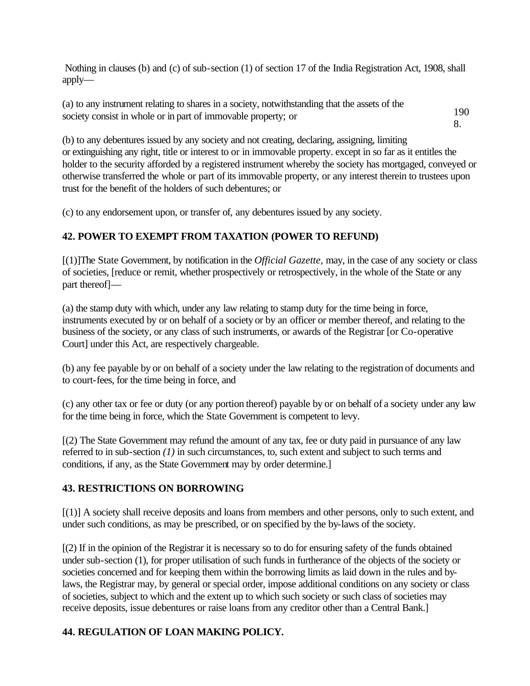Nothing in clauses (b) and (c) of sub-section (1) of section 17 of the India Registration Act, 1908, shall apply—

(a) to any instrument relating to shares in a society, notwithstanding that the assets of the society consist in whole or in part of immovable property; or 190 8.

(b) to any debentures issued by any society and not creating, declaring, assigning, limiting or extinguishing any right, title or interest to or in immovable property. except in so far as it entitles the holder to the security afforded by a registered instrument whereby the society has mortgaged, conveyed or otherwise transferred the whole or part of its immovable property, or any interest therein to trustees upon trust for the benefit of the holders of such debentures; or

(c) to any endorsement upon, or transfer of, any debentures issued by any society.

# **42. POWER TO EXEMPT FROM TAXATION (POWER TO REFUND)**

[(1)]The State Government, by notification in the *Official Gazette,* may, in the case of any society or class of societies, [reduce or remit, whether prospectively or retrospectively, in the whole of the State or any part thereof]—

(a) the stamp duty with which, under any law relating to stamp duty for the time being in force, instruments executed by or on behalf of a society or by an officer or member thereof, and relating to the business of the society, or any class of such instruments, or awards of the Registrar [or Co-operative Court] under this Act, are respectively chargeable.

(b) any fee payable by or on behalf of a society under the law relating to the registration of documents and to court-fees, for the time being in force, and

(c) any other tax or fee or duty (or any portion thereof) payable by or on behalf of a society under any law for the time being in force, which the State Government is competent to levy.

[(2) The State Government may refund the amount of any tax, fee or duty paid in pursuance of any law referred to in sub-section *(1)* in such circumstances, to, such extent and subject to such terms and conditions, if any, as the State Government may by order determine.]

### **43. RESTRICTIONS ON BORROWING**

[(1)] A society shall receive deposits and loans from members and other persons, only to such extent, and under such conditions, as may be prescribed, or on specified by the by-laws of the society.

[(2) If in the opinion of the Registrar it is necessary so to do for ensuring safety of the funds obtained under sub-section (1), for proper utilisation of such funds in furtherance of the objects of the society or societies concerned and for keeping them within the borrowing limits as laid down in the rules and bylaws, the Registrar may, by general or special order, impose additional conditions on any society or class of societies, subject to which and the extent up to which such society or such class of societies may receive deposits, issue debentures or raise loans from any creditor other than a Central Bank.]

# **44. REGULATION OF LOAN MAKING POLICY.**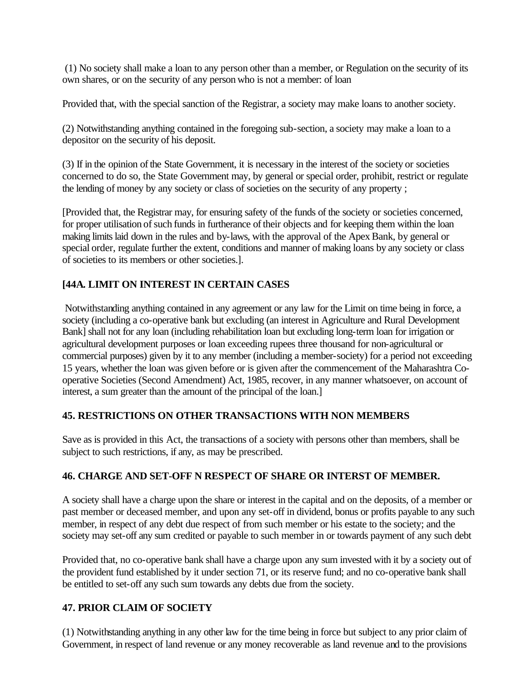(1) No society shall make a loan to any person other than a member, or Regulation on the security of its own shares, or on the security of any person who is not a member: of loan

Provided that, with the special sanction of the Registrar, a society may make loans to another society.

(2) Notwithstanding anything contained in the foregoing sub-section, a society may make a loan to a depositor on the security of his deposit.

(3) If in the opinion of the State Government, it is necessary in the interest of the society or societies concerned to do so, the State Government may, by general or special order, prohibit, restrict or regulate the lending of money by any society or class of societies on the security of any property ;

[Provided that, the Registrar may, for ensuring safety of the funds of the society or societies concerned, for proper utilisation of such funds in furtherance of their objects and for keeping them within the loan making limits laid down in the rules and by-laws, with the approval of the Apex Bank, by general or special order, regulate further the extent, conditions and manner of making loans by any society or class of societies to its members or other societies.].

# **[44A. LIMIT ON INTEREST IN CERTAIN CASES**

 Notwithstanding anything contained in any agreement or any law for the Limit on time being in force, a society (including a co-operative bank but excluding (an interest in Agriculture and Rural Development Bank] shall not for any loan (including rehabilitation loan but excluding long-term loan for irrigation or agricultural development purposes or loan exceeding rupees three thousand for non-agricultural or commercial purposes) given by it to any member (including a member-society) for a period not exceeding 15 years, whether the loan was given before or is given after the commencement of the Maharashtra Cooperative Societies (Second Amendment) Act, 1985, recover, in any manner whatsoever, on account of interest, a sum greater than the amount of the principal of the loan.]

### **45. RESTRICTIONS ON OTHER TRANSACTIONS WITH NON MEMBERS**

Save as is provided in this Act, the transactions of a society with persons other than members, shall be subject to such restrictions, if any, as may be prescribed.

### **46. CHARGE AND SET-OFF N RESPECT OF SHARE OR INTERST OF MEMBER.**

A society shall have a charge upon the share or interest in the capital and on the deposits, of a member or past member or deceased member, and upon any set-off in dividend, bonus or profits payable to any such member, in respect of any debt due respect of from such member or his estate to the society; and the society may set-off any sum credited or payable to such member in or towards payment of any such debt

Provided that, no co-operative bank shall have a charge upon any sum invested with it by a society out of the provident fund established by it under section 71, or its reserve fund; and no co-operative bank shall be entitled to set-off any such sum towards any debts due from the society.

### **47. PRIOR CLAIM OF SOCIETY**

(1) Notwithstanding anything in any other law for the time being in force but subject to any prior claim of Government, in respect of land revenue or any money recoverable as land revenue and to the provisions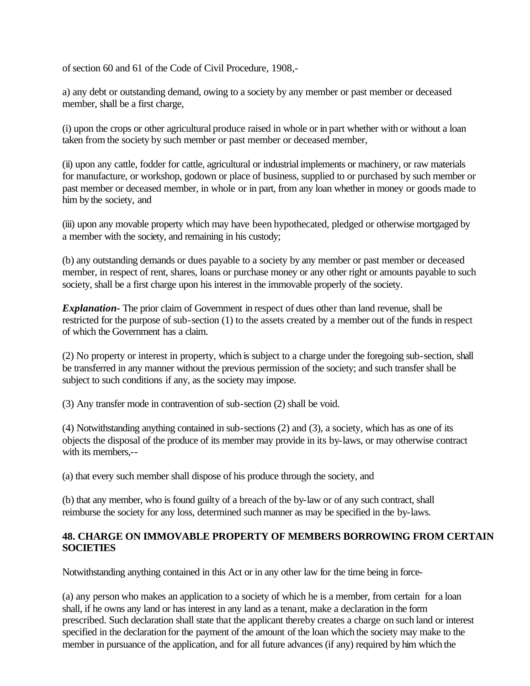of section 60 and 61 of the Code of Civil Procedure, 1908,-

a) any debt or outstanding demand, owing to a society by any member or past member or deceased member, shall be a first charge,

(i) upon the crops or other agricultural produce raised in whole or in part whether with or without a loan taken from the society by such member or past member or deceased member,

(ii) upon any cattle, fodder for cattle, agricultural or industrial implements or machinery, or raw materials for manufacture, or workshop, godown or place of business, supplied to or purchased by such member or past member or deceased member, in whole or in part, from any loan whether in money or goods made to him by the society, and

(iii) upon any movable property which may have been hypothecated, pledged or otherwise mortgaged by a member with the society, and remaining in his custody;

(b) any outstanding demands or dues payable to a society by any member or past member or deceased member, in respect of rent, shares, loans or purchase money or any other right or amounts payable to such society, shall be a first charge upon his interest in the immovable properly of the society.

*Explanation-* The prior claim of Government in respect of dues other than land revenue, shall be restricted for the purpose of sub-section (1) to the assets created by a member out of the funds in respect of which the Government has a claim.

(2) No property or interest in property, which is subject to a charge under the foregoing sub-section, shall be transferred in any manner without the previous permission of the society; and such transfer shall be subject to such conditions if any, as the society may impose.

(3) Any transfer mode in contravention of sub-section (2) shall be void.

(4) Notwithstanding anything contained in sub-sections (2) and (3), a society, which has as one of its objects the disposal of the produce of its member may provide in its by-laws, or may otherwise contract with its members,--

(a) that every such member shall dispose of his produce through the society, and

(b) that any member, who is found guilty of a breach of the by-law or of any such contract, shall reimburse the society for any loss, determined such manner as may be specified in the by-laws.

### **48. CHARGE ON IMMOVABLE PROPERTY OF MEMBERS BORROWING FROM CERTAIN SOCIETIES**

Notwithstanding anything contained in this Act or in any other law for the time being in force-

(a) any person who makes an application to a society of which he is a member, from certain for a loan shall, if he owns any land or has interest in any land as a tenant, make a declaration in the form prescribed. Such declaration shall state that the applicant thereby creates a charge on such land or interest specified in the declaration for the payment of the amount of the loan which the society may make to the member in pursuance of the application, and for all future advances (if any) required by him which the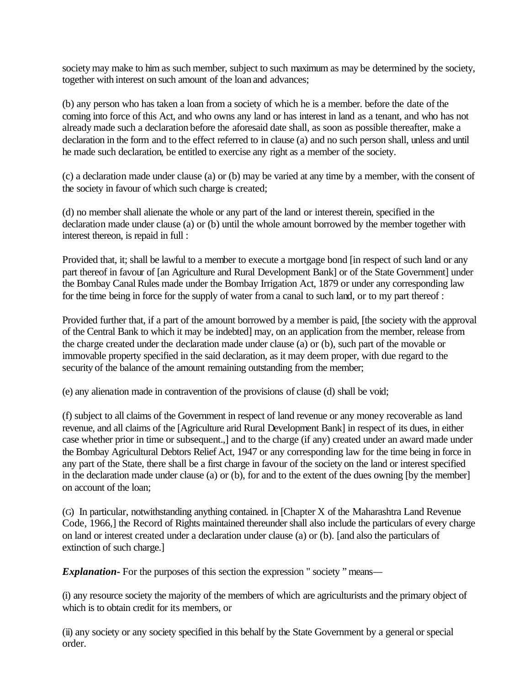society may make to him as such member, subject to such maximum as may be determined by the society, together with interest on such amount of the loan and advances;

(b) any person who has taken a loan from a society of which he is a member. before the date of the coming into force of this Act, and who owns any land or has interest in land as a tenant, and who has not already made such a declaration before the aforesaid date shall, as soon as possible thereafter, make a declaration in the form and to the effect referred to in clause (a) and no such person shall, unless and until he made such declaration, be entitled to exercise any right as a member of the society.

(c) a declaration made under clause (a) or (b) may be varied at any time by a member, with the consent of the society in favour of which such charge is created;

(d) no member shall alienate the whole or any part of the land or interest therein, specified in the declaration made under clause (a) or (b) until the whole amount borrowed by the member together with interest thereon, is repaid in full :

Provided that, it; shall be lawful to a member to execute a mortgage bond [in respect of such land or any part thereof in favour of [an Agriculture and Rural Development Bank] or of the State Government] under the Bombay Canal Rules made under the Bombay Irrigation Act, 1879 or under any corresponding law for the time being in force for the supply of water from a canal to such land, or to my part thereof :

Provided further that, if a part of the amount borrowed by a member is paid, [the society with the approval of the Central Bank to which it may be indebted] may, on an application from the member, release from the charge created under the declaration made under clause (a) or (b), such part of the movable or immovable property specified in the said declaration, as it may deem proper, with due regard to the security of the balance of the amount remaining outstanding from the member;

(e) any alienation made in contravention of the provisions of clause (d) shall be void;

(f) subject to all claims of the Government in respect of land revenue or any money recoverable as land revenue, and all claims of the [Agriculture arid Rural Development Bank] in respect of its dues, in either case whether prior in time or subsequent.,] and to the charge (if any) created under an award made under the Bombay Agricultural Debtors Relief Act, 1947 or any corresponding law for the time being in force in any part of the State, there shall be a first charge in favour of the society on the land or interest specified in the declaration made under clause (a) or (b), for and to the extent of the dues owning [by the member] on account of the loan;

(G) In particular, notwithstanding anything contained. in [Chapter X of the Maharashtra Land Revenue Code, 1966,] the Record of Rights maintained thereunder shall also include the particulars of every charge on land or interest created under a declaration under clause (a) or (b). [and also the particulars of extinction of such charge.]

*Explanation***-** For the purposes of this section the expression " society " means*—*

(i) any resource society the majority of the members of which are agriculturists and the primary object of which is to obtain credit for its members, or

(ii) any society or any society specified in this behalf by the State Government by a general or special order.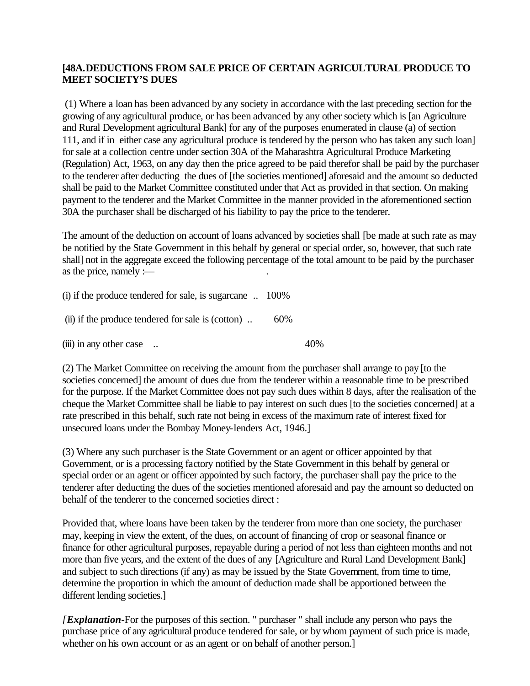### **[48A.DEDUCTIONS FROM SALE PRICE OF CERTAIN AGRICULTURAL PRODUCE TO MEET SOCIETY'S DUES**

 (1) Where a loan has been advanced by any society in accordance with the last preceding section for the growing of any agricultural produce, or has been advanced by any other society which is [an Agriculture and Rural Development agricultural Bank] for any of the purposes enumerated in clause (a) of section 111, and if in either case any agricultural produce is tendered by the person who has taken any such loan] for sale at a collection centre under section 30A of the Maharashtra Agricultural Produce Marketing (Regulation) Act, 1963, on any day then the price agreed to be paid therefor shall be paid by the purchaser to the tenderer after deducting the dues of [the societies mentioned] aforesaid and the amount so deducted shall be paid to the Market Committee constituted under that Act as provided in that section. On making payment to the tenderer and the Market Committee in the manner provided in the aforementioned section 30A the purchaser shall be discharged of his liability to pay the price to the tenderer.

The amount of the deduction on account of loans advanced by societies shall [be made at such rate as may be notified by the State Government in this behalf by general or special order, so, however, that such rate shall] not in the aggregate exceed the following percentage of the total amount to be paid by the purchaser as the price, namely  $:=$ 

| (i) if the produce tendered for sale, is sugarcane $\ldots$ 100% |     |
|------------------------------------------------------------------|-----|
| (ii) if the produce tendered for sale is (cotton).               | 60% |

(iii) in any other case ... 40%

(2) The Market Committee on receiving the amount from the purchaser shall arrange to pay [to the societies concerned] the amount of dues due from the tenderer within a reasonable time to be prescribed for the purpose. If the Market Committee does not pay such dues within 8 days, after the realisation of the cheque the Market Committee shall be liable to pay interest on such dues [to the societies concerned] at a rate prescribed in this behalf, such rate not being in excess of the maximum rate of interest fixed for unsecured loans under the Bombay Money-lenders Act, 1946.]

(3) Where any such purchaser is the State Government or an agent or officer appointed by that Government, or is a processing factory notified by the State Government in this behalf by general or special order or an agent or officer appointed by such factory, the purchaser shall pay the price to the tenderer after deducting the dues of the societies mentioned aforesaid and pay the amount so deducted on behalf of the tenderer to the concerned societies direct :

Provided that, where loans have been taken by the tenderer from more than one society, the purchaser may, keeping in view the extent, of the dues, on account of financing of crop or seasonal finance or finance for other agricultural purposes, repayable during a period of not less than eighteen months and not more than five years, and the extent of the dues of any [Agriculture and Rural Land Development Bank] and subject to such directions (if any) as may be issued by the State Government, from time to time, determine the proportion in which the amount of deduction made shall be apportioned between the different lending societies.]

*[Explanation-*For the purposes of this section. " purchaser " shall include any person who pays the purchase price of any agricultural produce tendered for sale, or by whom payment of such price is made, whether on his own account or as an agent or on behalf of another person.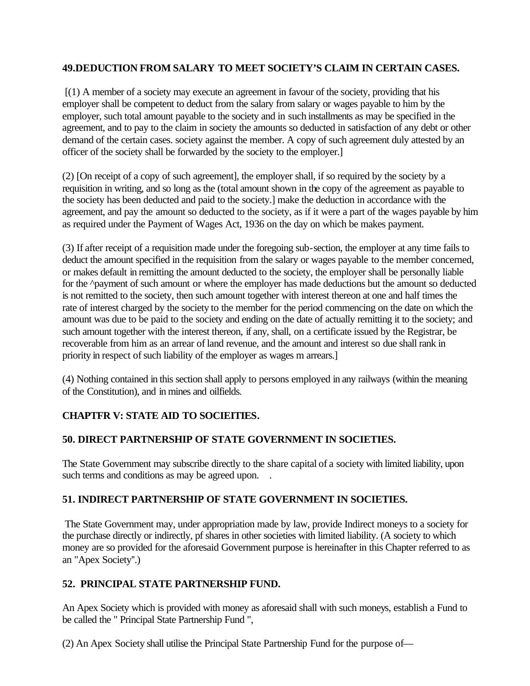### **49.DEDUCTION FROM SALARY TO MEET SOCIETY'S CLAIM IN CERTAIN CASES.**

[(1) A member of a society may execute an agreement in favour of the society, providing that his employer shall be competent to deduct from the salary from salary or wages payable to him by the employer, such total amount payable to the society and in such installments as may be specified in the agreement, and to pay to the claim in society the amounts so deducted in satisfaction of any debt or other demand of the certain cases. society against the member. A copy of such agreement duly attested by an officer of the society shall be forwarded by the society to the employer.]

(2) [On receipt of a copy of such agreement], the employer shall, if so required by the society by a requisition in writing, and so long as the (total amount shown in the copy of the agreement as payable to the society has been deducted and paid to the society.] make the deduction in accordance with the agreement, and pay the amount so deducted to the society, as if it were a part of the wages payable by him as required under the Payment of Wages Act, 1936 on the day on which be makes payment.

(3) If after receipt of a requisition made under the foregoing sub-section, the employer at any time fails to deduct the amount specified in the requisition from the salary or wages payable to the member concerned, or makes default in remitting the amount deducted to the society, the employer shall be personally liable for the <sup> $\lambda$ </sup>payment of such amount or where the employer has made deductions but the amount so deducted is not remitted to the society, then such amount together with interest thereon at one and half times the rate of interest charged by the society to the member for the period commencing on the date on which the amount was due to be paid to the society and ending on the date of actually remitting it to the society; and such amount together with the interest thereon, if any, shall, on a certificate issued by the Registrar, be recoverable from him as an arrear of land revenue, and the amount and interest so due shall rank in priority in respect of such liability of the employer as wages m arrears.]

(4) Nothing contained in this section shall apply to persons employed in any railways (within the meaning of the Constitution), and in mines and oilfields.

# **CHAPTFR V: STATE AID TO SOCIEITIES.**

### **50. DIRECT PARTNERSHIP OF STATE GOVERNMENT IN SOCIETIES.**

The State Government may subscribe directly to the share capital of a society with limited liability, upon such terms and conditions as may be agreed upon.

### **51. INDIRECT PARTNERSHIP OF STATE GOVERNMENT IN SOCIETIES.**

 The State Government may, under appropriation made by law, provide Indirect moneys to a society for the purchase directly or indirectly, pf shares in other societies with limited liability. (A society to which money are so provided for the aforesaid Government purpose is hereinafter in this Chapter referred to as an "Apex Society''.)

### **52. PRINCIPAL STATE PARTNERSHIP FUND.**

An Apex Society which is provided with money as aforesaid shall with such moneys, establish a Fund to be called the " Principal State Partnership Fund ",

(2) An Apex Society shall utilise the Principal State Partnership Fund for the purpose of—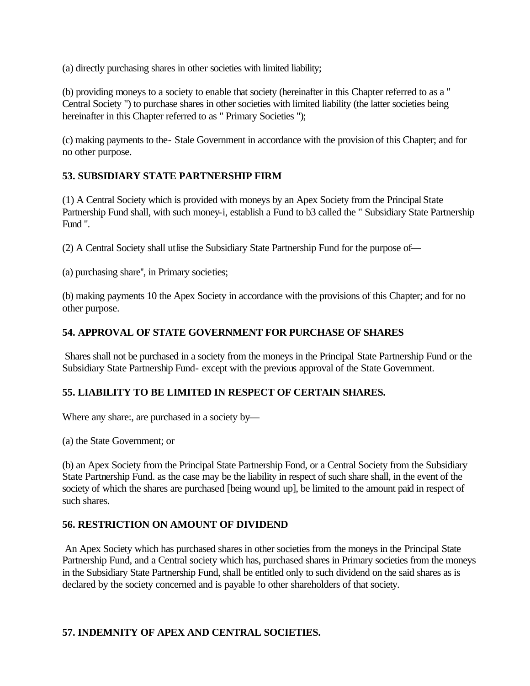(a) directly purchasing shares in other societies with limited liability;

(b) providing moneys to a society to enable that society (hereinafter in this Chapter referred to as a " Central Society ") to purchase shares in other societies with limited liability (the latter societies being hereinafter in this Chapter referred to as " Primary Societies ");

(c) making payments to the- Stale Government in accordance with the provision of this Chapter; and for no other purpose.

## **53. SUBSIDIARY STATE PARTNERSHIP FIRM**

(1) A Central Society which is provided with moneys by an Apex Society from the Principal State Partnership Fund shall, with such money-i, establish a Fund to b3 called the " Subsidiary State Partnership Fund ".

(2) A Central Society shall utlise the Subsidiary State Partnership Fund for the purpose of—

(a) purchasing share'', in Primary societies;

(b) making payments 10 the Apex Society in accordance with the provisions of this Chapter; and for no other purpose.

### **54. APPROVAL OF STATE GOVERNMENT FOR PURCHASE OF SHARES**

 Shares shall not be purchased in a society from the moneys in the Principal State Partnership Fund or the Subsidiary State Partnership Fund- except with the previous approval of the State Government.

### **55. LIABILITY TO BE LIMITED IN RESPECT OF CERTAIN SHARES.**

Where any share:, are purchased in a society by—

(a) the State Government; or

(b) an Apex Society from the Principal State Partnership Fond, or a Central Society from the Subsidiary State Partnership Fund. as the case may be the liability in respect of such share shall, in the event of the society of which the shares are purchased [being wound up], be limited to the amount paid in respect of such shares.

### **56. RESTRICTION ON AMOUNT OF DIVIDEND**

 An Apex Society which has purchased shares in other societies from the moneys in the Principal State Partnership Fund, and a Central society which has, purchased shares in Primary societies from the moneys in the Subsidiary State Partnership Fund, shall be entitled only to such dividend on the said shares as is declared by the society concerned and is payable !o other shareholders of that society.

### **57. INDEMNITY OF APEX AND CENTRAL SOCIETIES.**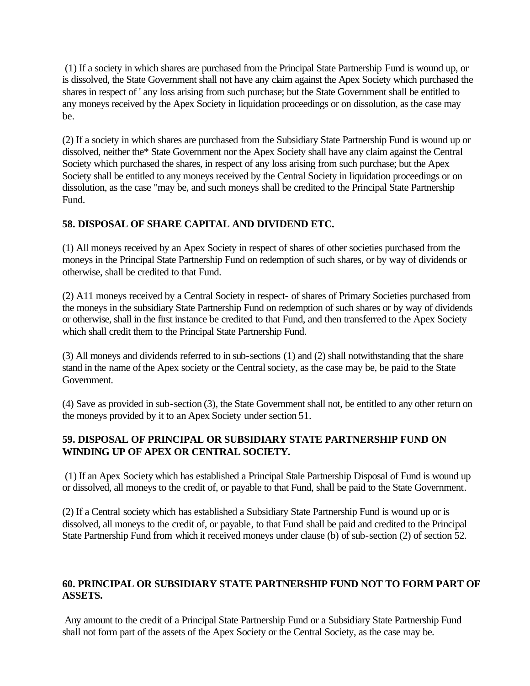(1) If a society in which shares are purchased from the Principal State Partnership Fund is wound up, or is dissolved, the State Government shall not have any claim against the Apex Society which purchased the shares in respect of ' any loss arising from such purchase; but the State Government shall be entitled to any moneys received by the Apex Society in liquidation proceedings or on dissolution, as the case may be.

(2) If a society in which shares are purchased from the Subsidiary State Partnership Fund is wound up or dissolved, neither the\* State Government nor the Apex Society shall have any claim against the Central Society which purchased the shares, in respect of any loss arising from such purchase; but the Apex Society shall be entitled to any moneys received by the Central Society in liquidation proceedings or on dissolution, as the case "may be, and such moneys shall be credited to the Principal State Partnership Fund.

## **58. DISPOSAL OF SHARE CAPITAL AND DIVIDEND ETC.**

(1) All moneys received by an Apex Society in respect of shares of other societies purchased from the moneys in the Principal State Partnership Fund on redemption of such shares, or by way of dividends or otherwise, shall be credited to that Fund.

(2) A11 moneys received by a Central Society in respect- of shares of Primary Societies purchased from the moneys in the subsidiary State Partnership Fund on redemption of such shares or by way of dividends or otherwise, shall in the first instance be credited to that Fund, and then transferred to the Apex Society which shall credit them to the Principal State Partnership Fund.

(3) All moneys and dividends referred to in sub-sections (1) and (2) shall notwithstanding that the share stand in the name of the Apex society or the Central society, as the case may be, be paid to the State Government.

(4) Save as provided in sub-section (3), the State Government shall not, be entitled to any other return on the moneys provided by it to an Apex Society under section 51.

## **59. DISPOSAL OF PRINCIPAL OR SUBSIDIARY STATE PARTNERSHIP FUND ON WINDING UP OF APEX OR CENTRAL SOCIETY.**

 (1) If an Apex Society which has established a Principal Stale Partnership Disposal of Fund is wound up or dissolved, all moneys to the credit of, or payable to that Fund, shall be paid to the State Government.

(2) If a Central society which has established a Subsidiary State Partnership Fund is wound up or is dissolved, all moneys to the credit of, or payable, to that Fund shall be paid and credited to the Principal State Partnership Fund from which it received moneys under clause (b) of sub-section (2) of section 52.

### **60. PRINCIPAL OR SUBSIDIARY STATE PARTNERSHIP FUND NOT TO FORM PART OF ASSETS.**

 Any amount to the credit of a Principal State Partnership Fund or a Subsidiary State Partnership Fund shall not form part of the assets of the Apex Society or the Central Society, as the case may be.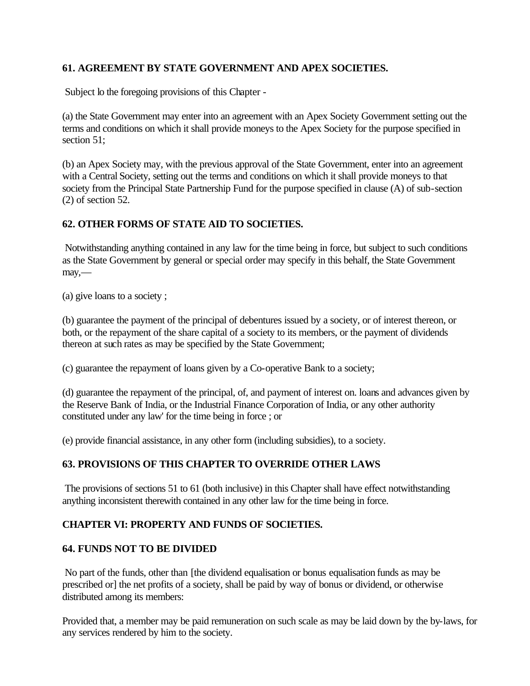### **61. AGREEMENT BY STATE GOVERNMENT AND APEX SOCIETIES.**

Subject lo the foregoing provisions of this Chapter -

(a) the State Government may enter into an agreement with an Apex Society Government setting out the terms and conditions on which it shall provide moneys to the Apex Society for the purpose specified in section 51:

(b) an Apex Society may, with the previous approval of the State Government, enter into an agreement with a Central Society, setting out the terms and conditions on which it shall provide moneys to that society from the Principal State Partnership Fund for the purpose specified in clause (A) of sub-section (2) of section 52.

## **62. OTHER FORMS OF STATE AID TO SOCIETIES.**

 Notwithstanding anything contained in any law for the time being in force, but subject to such conditions as the State Government by general or special order may specify in this behalf, the State Government may,—

(a) give loans to a society ;

(b) guarantee the payment of the principal of debentures issued by a society, or of interest thereon, or both, or the repayment of the share capital of a society to its members, or the payment of dividends thereon at such rates as may be specified by the State Government;

(c) guarantee the repayment of loans given by a Co-operative Bank to a society;

(d) guarantee the repayment of the principal, of, and payment of interest on. loans and advances given by the Reserve Bank of India, or the Industrial Finance Corporation of India, or any other authority constituted under any law' for the time being in force ; or

(e) provide financial assistance, in any other form (including subsidies), to a society.

### **63. PROVISIONS OF THIS CHAPTER TO OVERRIDE OTHER LAWS**

 The provisions of sections 51 to 61 (both inclusive) in this Chapter shall have effect notwithstanding anything inconsistent therewith contained in any other law for the time being in force.

### **CHAPTER VI: PROPERTY AND FUNDS OF SOCIETIES.**

### **64. FUNDS NOT TO BE DIVIDED**

 No part of the funds, other than [the dividend equalisation or bonus equalisation funds as may be prescribed or] the net profits of a society, shall be paid by way of bonus or dividend, or otherwise distributed among its members:

Provided that, a member may be paid remuneration on such scale as may be laid down by the by-laws, for any services rendered by him to the society.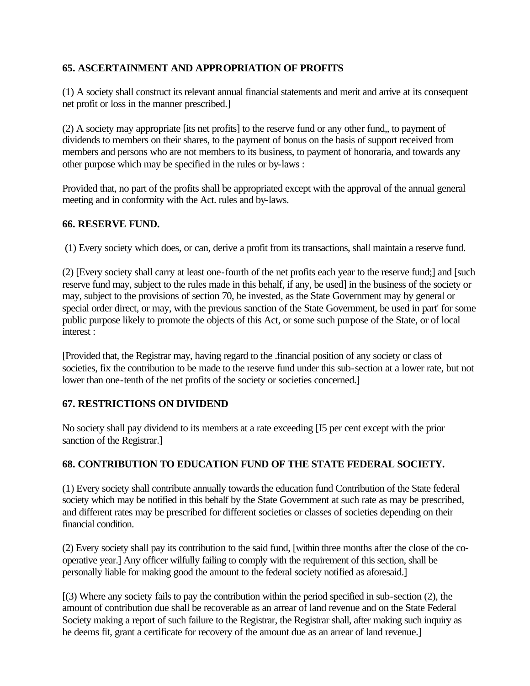### **65. ASCERTAINMENT AND APPROPRIATION OF PROFITS**

(1) A society shall construct its relevant annual financial statements and merit and arrive at its consequent net profit or loss in the manner prescribed.]

(2) A society may appropriate [its net profits] to the reserve fund or any other fund,, to payment of dividends to members on their shares, to the payment of bonus on the basis of support received from members and persons who are not members to its business, to payment of honoraria, and towards any other purpose which may be specified in the rules or by-laws :

Provided that, no part of the profits shall be appropriated except with the approval of the annual general meeting and in conformity with the Act. rules and by-laws.

### **66. RESERVE FUND.**

(1) Every society which does, or can, derive a profit from its transactions, shall maintain a reserve fund.

(2) [Every society shall carry at least one-fourth of the net profits each year to the reserve fund;] and [such reserve fund may, subject to the rules made in this behalf, if any, be used] in the business of the society or may, subject to the provisions of section 70, be invested, as the State Government may by general or special order direct, or may, with the previous sanction of the State Government, be used in part' for some public purpose likely to promote the objects of this Act, or some such purpose of the State, or of local interest :

[Provided that, the Registrar may, having regard to the .financial position of any society or class of societies, fix the contribution to be made to the reserve fund under this sub-section at a lower rate, but not lower than one-tenth of the net profits of the society or societies concerned.]

### **67. RESTRICTIONS ON DIVIDEND**

No society shall pay dividend to its members at a rate exceeding [I5 per cent except with the prior sanction of the Registrar.]

### **68. CONTRIBUTION TO EDUCATION FUND OF THE STATE FEDERAL SOCIETY.**

(1) Every society shall contribute annually towards the education fund Contribution of the State federal society which may be notified in this behalf by the State Government at such rate as may be prescribed, and different rates may be prescribed for different societies or classes of societies depending on their financial condition.

(2) Every society shall pay its contribution to the said fund, [within three months after the close of the cooperative year.] Any officer wilfully failing to comply with the requirement of this section, shall be personally liable for making good the amount to the federal society notified as aforesaid.]

[(3) Where any society fails to pay the contribution within the period specified in sub-section (2), the amount of contribution due shall be recoverable as an arrear of land revenue and on the State Federal Society making a report of such failure to the Registrar, the Registrar shall, after making such inquiry as he deems fit, grant a certificate for recovery of the amount due as an arrear of land revenue.]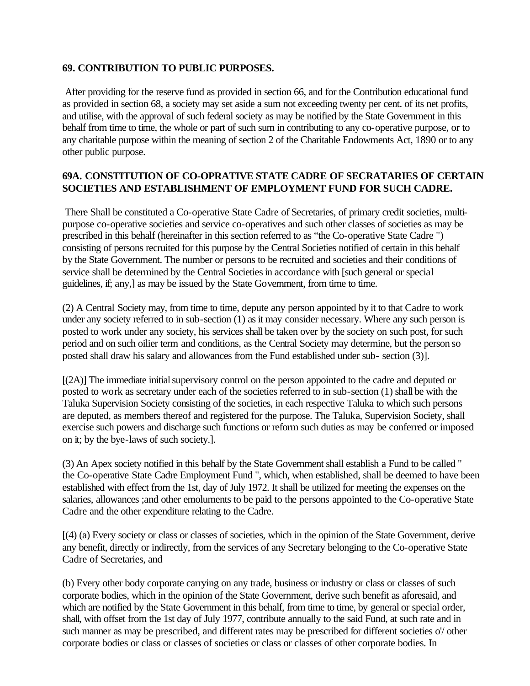### **69. CONTRIBUTION TO PUBLIC PURPOSES.**

 After providing for the reserve fund as provided in section 66, and for the Contribution educational fund as provided in section 68, a society may set aside a sum not exceeding twenty per cent. of its net profits, and utilise, with the approval of such federal society as may be notified by the State Government in this behalf from time to time, the whole or part of such sum in contributing to any co-operative purpose, or to any charitable purpose within the meaning of section 2 of the Charitable Endowments Act, 1890 or to any other public purpose.

### **69A. CONSTITUTION OF CO-OPRATIVE STATE CADRE OF SECRATARIES OF CERTAIN SOCIETIES AND ESTABLISHMENT OF EMPLOYMENT FUND FOR SUCH CADRE.**

 There Shall be constituted a Co-operative State Cadre of Secretaries, of primary credit societies, multipurpose co-operative societies and service co-operatives and such other classes of societies as may be prescribed in this behalf (hereinafter in this section referred to as "the Co-operative State Cadre ") consisting of persons recruited for this purpose by the Central Societies notified of certain in this behalf by the State Government. The number or persons to be recruited and societies and their conditions of service shall be determined by the Central Societies in accordance with [such general or special guidelines, if; any,] as may be issued by the State Government, from time to time.

(2) A Central Society may, from time to time, depute any person appointed by it to that Cadre to work under any society referred to in sub-section (1) as it may consider necessary. Where any such person is posted to work under any society, his services shall be taken over by the society on such post, for such period and on such oilier term and conditions, as the Central Society may determine, but the person so posted shall draw his salary and allowances from the Fund established under sub- section (3)].

[(2A)] The immediate initial supervisory control on the person appointed to the cadre and deputed or posted to work as secretary under each of the societies referred to in sub-section (1) shall be with the Taluka Supervision Society consisting of the societies, in each respective Taluka to which such persons are deputed, as members thereof and registered for the purpose. The Taluka, Supervision Society, shall exercise such powers and discharge such functions or reform such duties as may be conferred or imposed on it; by the bye-laws of such society.].

(3) An Apex society notified in this behalf by the State Government shall establish a Fund to be called " the Co-operative State Cadre Employment Fund ", which, when established, shall be deemed to have been established with effect from the 1st, day of July 1972. It shall be utilized for meeting the expenses on the salaries, allowances ;and other emoluments to be paid to the persons appointed to the Co-operative State Cadre and the other expenditure relating to the Cadre.

[(4) (a) Every society or class or classes of societies, which in the opinion of the State Government, derive any benefit, directly or indirectly, from the services of any Secretary belonging to the Co-operative State Cadre of Secretaries, and

(b) Every other body corporate carrying on any trade, business or industry or class or classes of such corporate bodies, which in the opinion of the State Government, derive such benefit as aforesaid, and which are notified by the State Government in this behalf, from time to time, by general or special order, shall, with offset from the 1st day of July 1977, contribute annually to the said Fund, at such rate and in such manner as may be prescribed, and different rates may be prescribed for different societies o'/ other corporate bodies or class or classes of societies or class or classes of other corporate bodies. In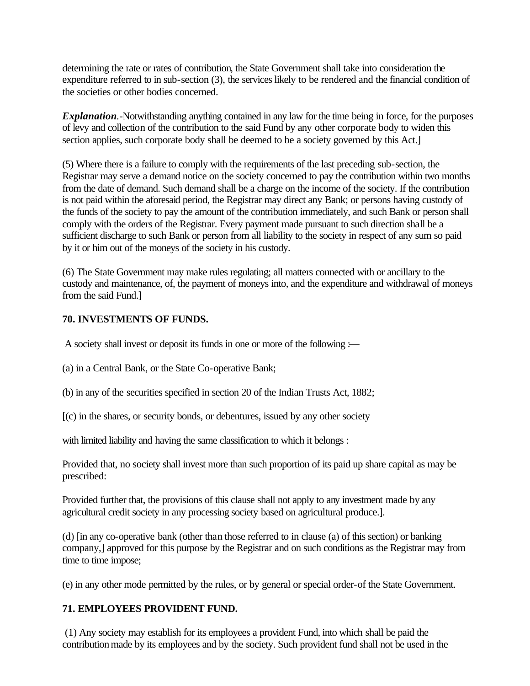determining the rate or rates of contribution, the State Government shall take into consideration the expenditure referred to in sub-section (3), the services likely to be rendered and the financial condition of the societies or other bodies concerned.

*Explanation.-*Notwithstanding anything contained in any law for the time being in force, for the purposes of levy and collection of the contribution to the said Fund by any other corporate body to widen this section applies, such corporate body shall be deemed to be a society governed by this Act.]

(5) Where there is a failure to comply with the requirements of the last preceding sub-section, the Registrar may serve a demand notice on the society concerned to pay the contribution within two months from the date of demand. Such demand shall be a charge on the income of the society. If the contribution is not paid within the aforesaid period, the Registrar may direct any Bank; or persons having custody of the funds of the society to pay the amount of the contribution immediately, and such Bank or person shall comply with the orders of the Registrar. Every payment made pursuant to such direction shall be a sufficient discharge to such Bank or person from all liability to the society in respect of any sum so paid by it or him out of the moneys of the society in his custody.

(6) The State Government may make rules regulating; all matters connected with or ancillary to the custody and maintenance, of, the payment of moneys into, and the expenditure and withdrawal of moneys from the said Fund.]

## **70. INVESTMENTS OF FUNDS.**

A society shall invest or deposit its funds in one or more of the following :—

- (a) in a Central Bank, or the State Co-operative Bank;
- (b) in any of the securities specified in section 20 of the Indian Trusts Act, 1882;
- [(c) in the shares, or security bonds, or debentures, issued by any other society

with limited liability and having the same classification to which it belongs :

Provided that, no society shall invest more than such proportion of its paid up share capital as may be prescribed:

Provided further that, the provisions of this clause shall not apply to any investment made by any agricultural credit society in any processing society based on agricultural produce.].

(d) [in any co-operative bank (other than those referred to in clause (a) of this section) or banking company,] approved for this purpose by the Registrar and on such conditions as the Registrar may from time to time impose;

(e) in any other mode permitted by the rules, or by general or special order-of the State Government.

### **71. EMPLOYEES PROVIDENT FUND.**

(1) Any society may establish for its employees a provident Fund, into which shall be paid the contribution made by its employees and by the society. Such provident fund shall not be used in the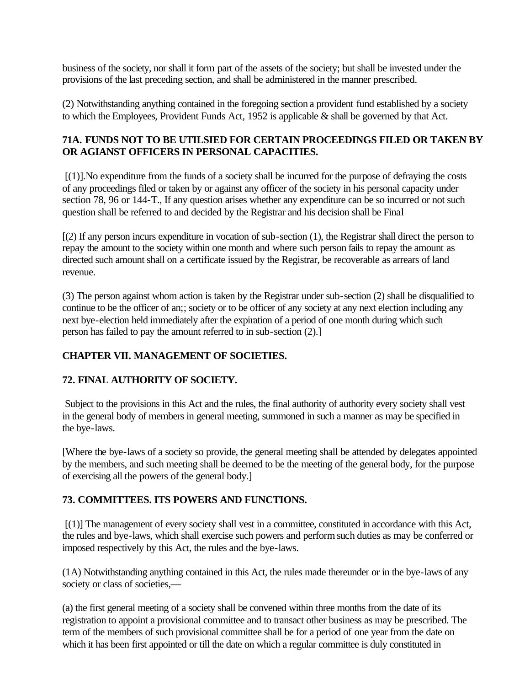business of the society, nor shall it form part of the assets of the society; but shall be invested under the provisions of the last preceding section, and shall be administered in the manner prescribed.

(2) Notwithstanding anything contained in the foregoing section a provident fund established by a society to which the Employees, Provident Funds Act, 1952 is applicable & shall be governed by that Act.

### **71A. FUNDS NOT TO BE UTILSIED FOR CERTAIN PROCEEDINGS FILED OR TAKEN BY OR AGIANST OFFICERS IN PERSONAL CAPACITIES.**

 [(1)].No expenditure from the funds of a society shall be incurred for the purpose of defraying the costs of any proceedings filed or taken by or against any officer of the society in his personal capacity under section 78, 96 or 144-T., If any question arises whether any expenditure can be so incurred or not such question shall be referred to and decided by the Registrar and his decision shall be Final

[(2) If any person incurs expenditure in vocation of sub-section (1), the Registrar shall direct the person to repay the amount to the society within one month and where such person fails to repay the amount as directed such amount shall on a certificate issued by the Registrar, be recoverable as arrears of land revenue.

(3) The person against whom action is taken by the Registrar under sub-section (2) shall be disqualified to continue to be the officer of an;; society or to be officer of any society at any next election including any next bye-election held immediately after the expiration of a period of one month during which such person has failed to pay the amount referred to in sub-section (2).]

# **CHAPTER VII. MANAGEMENT OF SOCIETIES.**

### **72. FINAL AUTHORITY OF SOCIETY.**

 Subject to the provisions in this Act and the rules, the final authority of authority every society shall vest in the general body of members in general meeting, summoned in such a manner as may be specified in the bye-laws.

[Where the bye-laws of a society so provide, the general meeting shall be attended by delegates appointed by the members, and such meeting shall be deemed to be the meeting of the general body, for the purpose of exercising all the powers of the general body.]

# **73. COMMITTEES. ITS POWERS AND FUNCTIONS.**

 [(1)] The management of every society shall vest in a committee, constituted in accordance with this Act, the rules and bye-laws, which shall exercise such powers and perform such duties as may be conferred or imposed respectively by this Act, the rules and the bye-laws.

(1A) Notwithstanding anything contained in this Act, the rules made thereunder or in the bye-laws of any society or class of societies,—

(a) the first general meeting of a society shall be convened within three months from the date of its registration to appoint a provisional committee and to transact other business as may be prescribed. The term of the members of such provisional committee shall be for a period of one year from the date on which it has been first appointed or till the date on which a regular committee is duly constituted in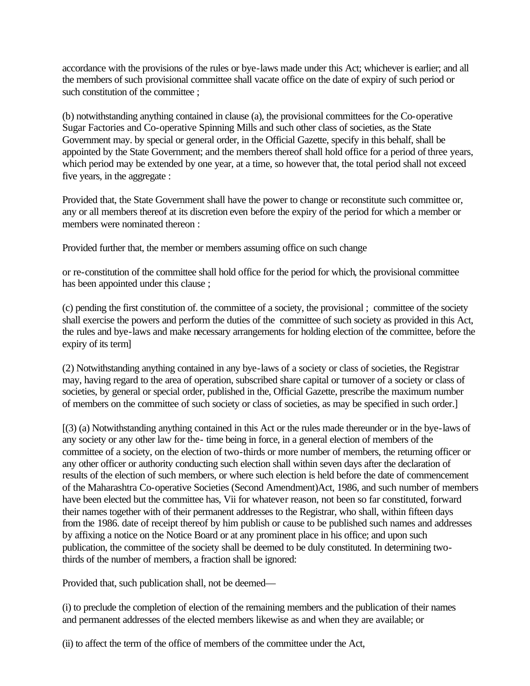accordance with the provisions of the rules or bye-laws made under this Act; whichever is earlier; and all the members of such provisional committee shall vacate office on the date of expiry of such period or such constitution of the committee ;

(b) notwithstanding anything contained in clause (a), the provisional committees for the Co-operative Sugar Factories and Co-operative Spinning Mills and such other class of societies, as the State Government may. by special or general order, in the Official Gazette, specify in this behalf, shall be appointed by the State Government; and the members thereof shall hold office for a period of three years, which period may be extended by one year, at a time, so however that, the total period shall not exceed five years, in the aggregate :

Provided that, the State Government shall have the power to change or reconstitute such committee or, any or all members thereof at its discretion even before the expiry of the period for which a member or members were nominated thereon :

Provided further that, the member or members assuming office on such change

or re-constitution of the committee shall hold office for the period for which, the provisional committee has been appointed under this clause ;

(c) pending the first constitution of. the committee of a society, the provisional ; committee of the society shall exercise the powers and perform the duties of the committee of such society as provided in this Act, the rules and bye-laws and make necessary arrangements for holding election of the committee, before the expiry of its term]

(2) Notwithstanding anything contained in any bye-laws of a society or class of societies, the Registrar may, having regard to the area of operation, subscribed share capital or turnover of a society or class of societies, by general or special order, published in the, Official Gazette, prescribe the maximum number of members on the committee of such society or class of societies, as may be specified in such order.]

[(3) (a) Notwithstanding anything contained in this Act or the rules made thereunder or in the bye-laws of any society or any other law for the- time being in force, in a general election of members of the committee of a society, on the election of two-thirds or more number of members, the returning officer or any other officer or authority conducting such election shall within seven days after the declaration of results of the election of such members, or where such election is held before the date of commencement of the Maharashtra Co-operative Societies (Second Amendment)Act, 1986, and such number of members have been elected but the committee has, Vii for whatever reason, not been so far constituted, forward their names together with of their permanent addresses to the Registrar, who shall, within fifteen days from the 1986. date of receipt thereof by him publish or cause to be published such names and addresses by affixing a notice on the Notice Board or at any prominent place in his office; and upon such publication, the committee of the society shall be deemed to be duly constituted. In determining twothirds of the number of members, a fraction shall be ignored:

Provided that, such publication shall, not be deemed—

(i) to preclude the completion of election of the remaining members and the publication of their names and permanent addresses of the elected members likewise as and when they are available; or

(ii) to affect the term of the office of members of the committee under the Act,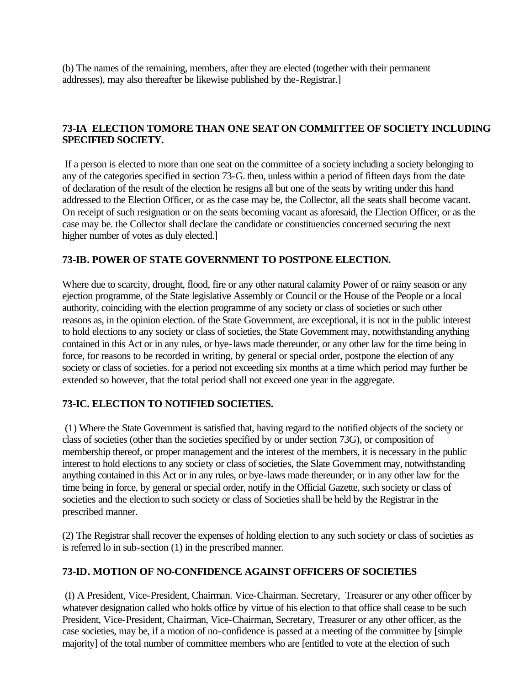(b) The names of the remaining, members, after they are elected (together with their permanent addresses), may also thereafter be likewise published by the-Registrar.]

### **73-IA ELECTION TOMORE THAN ONE SEAT ON COMMITTEE OF SOCIETY INCLUDING SPECIFIED SOCIETY.**

 If a person is elected to more than one seat on the committee of a society including a society belonging to any of the categories specified in section 73-G. then, unless within a period of fifteen days from the date of declaration of the result of the election he resigns all but one of the seats by writing under this hand addressed to the Election Officer, or as the case may be, the Collector, all the seats shall become vacant. On receipt of such resignation or on the seats becoming vacant as aforesaid, the Election Officer, or as the case may be. the Collector shall declare the candidate or constituencies concerned securing the next higher number of votes as duly elected.]

### **73-IB. POWER OF STATE GOVERNMENT TO POSTPONE ELECTION.**

Where due to scarcity, drought, flood, fire or any other natural calamity Power of or rainy season or any ejection programme, of the State legislative Assembly or Council or the House of the People or a local authority, coinciding with the election programme of any society or class of societies or such other reasons as, in the opinion election. of the State Government, are exceptional, it is not in the public interest to hold elections to any society or class of societies, the State Government may, notwithstanding anything contained in this Act or in any rules, or bye-laws made thereunder, or any other law for the time being in force, for reasons to be recorded in writing, by general or special order, postpone the election of any society or class of societies. for a period not exceeding six months at a time which period may further be extended so however, that the total period shall not exceed one year in the aggregate.

### **73-IC. ELECTION TO NOTIFIED SOCIETIES.**

 (1) Where the State Government is satisfied that, having regard to the notified objects of the society or class of societies (other than the societies specified by or under section 73G), or composition of membership thereof, or proper management and the interest of the members, it is necessary in the public interest to hold elections to any society or class of societies, the Slate Government may, notwithstanding anything contained in this Act or in any rules, or bye-laws made thereunder, or in any other law for the time being in force, by general or special order, notify in the Official Gazette, such society or class of societies and the election to such society or class of Societies shall be held by the Registrar in the prescribed manner.

(2) The Registrar shall recover the expenses of holding election to any such society or class of societies as is referred lo in sub-section (1) in the prescribed manner.

### **73-ID. MOTION OF NO-CONFIDENCE AGAINST OFFICERS OF SOCIETIES**

 (I) A President, Vice-President, Chairman. Vice-Chairman. Secretary, Treasurer or any other officer by whatever designation called who holds office by virtue of his election to that office shall cease to be such President, Vice-President, Chairman, Vice-Chairman, Secretary, Treasurer or any other officer, as the case societies, may be, if a motion of no-confidence is passed at a meeting of the committee by [simple majority] of the total number of committee members who are [entitled to vote at the election of such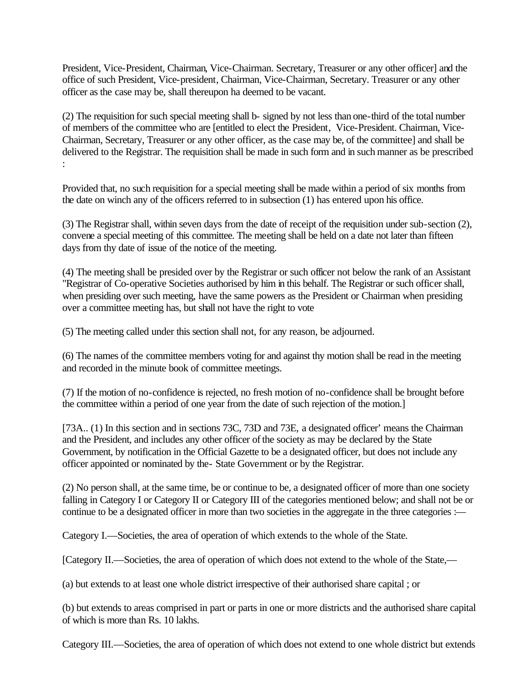President, Vice-President, Chairman, Vice-Chairman. Secretary, Treasurer or any other officer] and the office of such President, Vice-president, Chairman, Vice-Chairman, Secretary. Treasurer or any other officer as the case may be, shall thereupon ha deemed to be vacant.

(2) The requisition for such special meeting shall b- signed by not less than one-third of the total number of members of the committee who are [entitled to elect the President, Vice-President. Chairman, Vice-Chairman, Secretary, Treasurer or any other officer, as the case may be, of the committee] and shall be delivered to the Registrar. The requisition shall be made in such form and in such manner as be prescribed :

Provided that, no such requisition for a special meeting shall be made within a period of six months from the date on winch any of the officers referred to in subsection (1) has entered upon his office.

(3) The Registrar shall, within seven days from the date of receipt of the requisition under sub-section (2), convene a special meeting of this committee. The meeting shall be held on a date not later than fifteen days from thy date of issue of the notice of the meeting.

(4) The meeting shall be presided over by the Registrar or such officer not below the rank of an Assistant "Registrar of Co-operative Societies authorised by him in this behalf. The Registrar or such officer shall, when presiding over such meeting, have the same powers as the President or Chairman when presiding over a committee meeting has, but shall not have the right to vote

(5) The meeting called under this section shall not, for any reason, be adjourned.

(6) The names of the committee members voting for and against thy motion shall be read in the meeting and recorded in the minute book of committee meetings.

(7) If the motion of no-confidence is rejected, no fresh motion of no-confidence shall be brought before the committee within a period of one year from the date of such rejection of the motion.]

[73A.. (1) In this section and in sections 73C, 73D and 73E, a designated officer' means the Chairman and the President, and includes any other officer of the society as may be declared by the State Government, by notification in the Official Gazette to be a designated officer, but does not include any officer appointed or nominated by the- State Government or by the Registrar.

(2) No person shall, at the same time, be or continue to be, a designated officer of more than one society falling in Category I or Category II or Category III of the categories mentioned below; and shall not be or continue to be a designated officer in more than two societies in the aggregate in the three categories :—

Category I.—Societies, the area of operation of which extends to the whole of the State.

[Category II.—Societies, the area of operation of which does not extend to the whole of the State,—

(a) but extends to at least one whole district irrespective of their authorised share capital ; or

(b) but extends to areas comprised in part or parts in one or more districts and the authorised share capital of which is more than Rs. 10 lakhs.

Category III.—Societies, the area of operation of which does not extend to one whole district but extends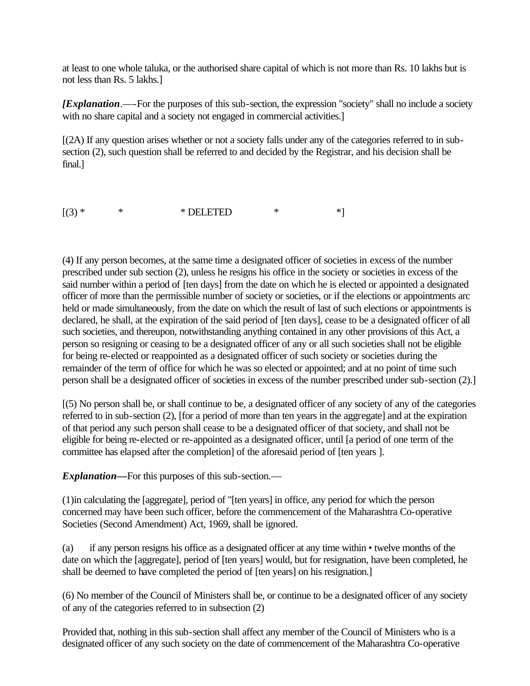at least to one whole taluka, or the authorised share capital of which is not more than Rs. 10 lakhs but is not less than Rs. 5 lakhs.]

*[Explanation*.—-For the purposes of this sub-section, the expression "society" shall no include a society with no share capital and a society not engaged in commercial activities.

[(2A) If any question arises whether or not a society falls under any of the categories referred to in subsection (2), such question shall be referred to and decided by the Registrar, and his decision shall be final.]

 $[(3) * * * \text{ DELETED} * * ]$ 

(4) If any person becomes, at the same time a designated officer of societies in excess of the number prescribed under sub section (2), unless he resigns his office in the society or societies in excess of the said number within a period of [ten days] from the date on which he is elected or appointed a designated officer of more than the permissible number of society or societies, or if the elections or appointments arc held or made simultaneously, from the date on which the result of last of such elections or appointments is declared, he shall, at the expiration of the said period of [ten days], cease to be a designated officer of all such societies, and thereupon, notwithstanding anything contained in any other provisions of this Act, a person so resigning or ceasing to be a designated officer of any or all such societies shall not be eligible for being re-elected or reappointed as a designated officer of such society or societies during the remainder of the term of office for which he was so elected or appointed; and at no point of time such person shall be a designated officer of societies in excess of the number prescribed under sub-section (2).]

[(5) No person shall be, or shall continue to be, a designated officer of any society of any of the categories referred to in sub-section (2), [for a period of more than ten years in the aggregate] and at the expiration of that period any such person shall cease to be a designated officer of that society, and shall not be eligible for being re-elected or re-appointed as a designated officer, until [a period of one term of the committee has elapsed after the completion] of the aforesaid period of [ten years ].

*Explanation***—**For this purposes of this sub-section.—

(1)in calculating the [aggregate], period of "[ten years] in office, any period for which the person concerned may have been such officer, before the commencement of the Maharashtra Co-operative Societies (Second Amendment) Act, 1969, shall be ignored.

(a) if any person resigns his office as a designated officer at any time within • twelve months of the date on which the [aggregate], period of [ten years] would, but for resignation, have been completed, he shall be deemed to have completed the period of [ten years] on his resignation.]

(6) No member of the Council of Ministers shall be, or continue to be a designated officer of any society of any of the categories referred to in subsection (2)

Provided that, nothing in this sub-section shall affect any member of the Council of Ministers who is a designated officer of any such society on the date of commencement of the Maharashtra Co-operative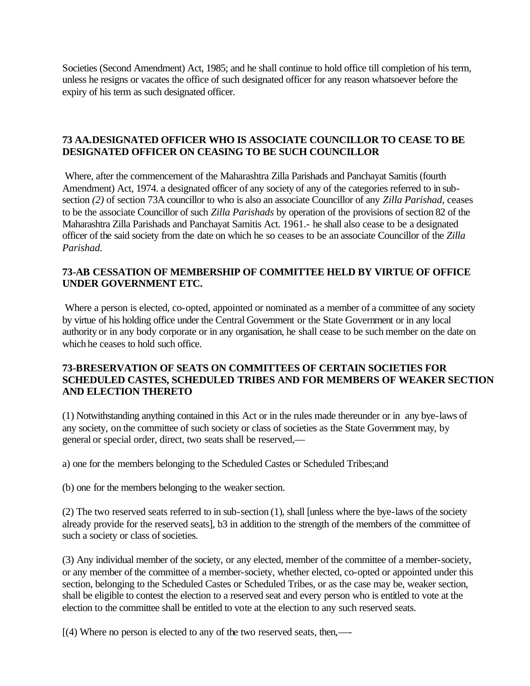Societies (Second Amendment) Act, 1985; and he shall continue to hold office till completion of his term, unless he resigns or vacates the office of such designated officer for any reason whatsoever before the expiry of his term as such designated officer.

#### **73 AA.DESIGNATED OFFICER WHO IS ASSOCIATE COUNCILLOR TO CEASE TO BE DESIGNATED OFFICER ON CEASING TO BE SUCH COUNCILLOR**

 Where, after the commencement of the Maharashtra Zilla Parishads and Panchayat Samitis (fourth Amendment) Act, 1974. a designated officer of any society of any of the categories referred to in subsection *(2)* of section 73A councillor to who is also an associate Councillor of any *Zilla Parishad,* ceases to be the associate Councillor of such *Zilla Parishads* by operation of the provisions of section 82 of the Maharashtra Zilla Parishads and Panchayat Samitis Act. 1961.- he shall also cease to be a designated officer of the said society from the date on which he so ceases to be an associate Councillor of the *Zilla Parishad.* 

#### **73-AB CESSATION OF MEMBERSHIP OF COMMITTEE HELD BY VIRTUE OF OFFICE UNDER GOVERNMENT ETC.**

Where a person is elected, co-opted, appointed or nominated as a member of a committee of any society by virtue of his holding office under the Central Government or the State Government or in any local authority or in any body corporate or in any organisation, he shall cease to be such member on the date on which he ceases to hold such office.

#### **73-BRESERVATION OF SEATS ON COMMITTEES OF CERTAIN SOCIETIES FOR SCHEDULED CASTES, SCHEDULED TRIBES AND FOR MEMBERS OF WEAKER SECTION AND ELECTION THERETO**

(1) Notwithstanding anything contained in this Act or in the rules made thereunder or in any bye-laws of any society, on the committee of such society or class of societies as the State Government may, by general or special order, direct, two seats shall be reserved,—

a) one for the members belonging to the Scheduled Castes or Scheduled Tribes;and

(b) one for the members belonging to the weaker section.

(2) The two reserved seats referred to in sub-section (1), shall [unless where the bye-laws of the society already provide for the reserved seats], b3 in addition to the strength of the members of the committee of such a society or class of societies.

(3) Any individual member of the society, or any elected, member of the committee of a member-society, or any member of the committee of a member-society, whether elected, co-opted or appointed under this section, belonging to the Scheduled Castes or Scheduled Tribes, or as the case may be, weaker section, shall be eligible to contest the election to a reserved seat and every person who is entitled to vote at the election to the committee shall be entitled to vote at the election to any such reserved seats.

[(4) Where no person is elected to any of the two reserved seats, then,—-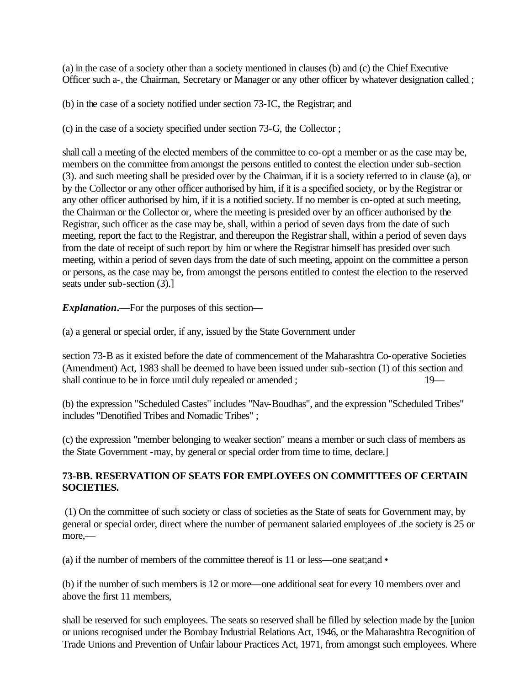(a) in the case of a society other than a society mentioned in clauses (b) and (c) the Chief Executive Officer such a-, the Chairman, Secretary or Manager or any other officer by whatever designation called ;

(b) in the case of a society notified under section 73-IC, the Registrar; and

(c) in the case of a society specified under section 73-G, the Collector ;

shall call a meeting of the elected members of the committee to co-opt a member or as the case may be, members on the committee from amongst the persons entitled to contest the election under sub-section (3). and such meeting shall be presided over by the Chairman, if it is a society referred to in clause (a), or by the Collector or any other officer authorised by him, if it is a specified society, or by the Registrar or any other officer authorised by him, if it is a notified society. If no member is co-opted at such meeting, the Chairman or the Collector or, where the meeting is presided over by an officer authorised by the Registrar, such officer as the case may be, shall, within a period of seven days from the date of such meeting, report the fact to the Registrar, and thereupon the Registrar shall, within a period of seven days from the date of receipt of such report by him or where the Registrar himself has presided over such meeting, within a period of seven days from the date of such meeting, appoint on the committee a person or persons, as the case may be, from amongst the persons entitled to contest the election to the reserved seats under sub-section (3).]

*Explanation***.**—For the purposes of this section—

(a) a general or special order, if any, issued by the State Government under

section 73-B as it existed before the date of commencement of the Maharashtra Co-operative Societies (Amendment) Act, 1983 shall be deemed to have been issued under sub-section (1) of this section and shall continue to be in force until duly repealed or amended; 19—

(b) the expression "Scheduled Castes" includes "Nav-Boudhas", and the expression "Scheduled Tribes" includes "Denotified Tribes and Nomadic Tribes" ;

(c) the expression "member belonging to weaker section" means a member or such class of members as the State Government -may, by general or special order from time to time, declare.]

### **73-BB. RESERVATION OF SEATS FOR EMPLOYEES ON COMMITTEES OF CERTAIN SOCIETIES.**

 (1) On the committee of such society or class of societies as the State of seats for Government may, by general or special order, direct where the number of permanent salaried employees of .the society is 25 or more,—

(a) if the number of members of the committee thereof is 11 or less—one seat;and  $\bullet$ 

(b) if the number of such members is 12 or more—one additional seat for every 10 members over and above the first 11 members,

shall be reserved for such employees. The seats so reserved shall be filled by selection made by the [union or unions recognised under the Bombay Industrial Relations Act, 1946, or the Maharashtra Recognition of Trade Unions and Prevention of Unfair labour Practices Act, 1971, from amongst such employees. Where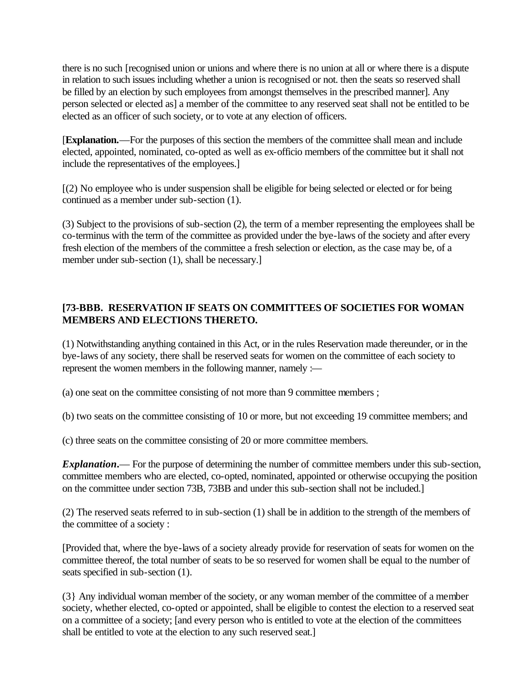there is no such [recognised union or unions and where there is no union at all or where there is a dispute in relation to such issues including whether a union is recognised or not. then the seats so reserved shall be filled by an election by such employees from amongst themselves in the prescribed manner]. Any person selected or elected as] a member of the committee to any reserved seat shall not be entitled to be elected as an officer of such society, or to vote at any election of officers.

[**Explanation.**—For the purposes of this section the members of the committee shall mean and include elected, appointed, nominated, co-opted as well as ex-officio members of the committee but it shall not include the representatives of the employees.]

[(2) No employee who is under suspension shall be eligible for being selected or elected or for being continued as a member under sub-section (1).

(3) Subject to the provisions of sub-section (2), the term of a member representing the employees shall be co-terminus with the term of the committee as provided under the bye-laws of the society and after every fresh election of the members of the committee a fresh selection or election, as the case may be, of a member under sub-section (1), shall be necessary.

# **[73-BBB. RESERVATION IF SEATS ON COMMITTEES OF SOCIETIES FOR WOMAN MEMBERS AND ELECTIONS THERETO.**

(1) Notwithstanding anything contained in this Act, or in the rules Reservation made thereunder, or in the bye-laws of any society, there shall be reserved seats for women on the committee of each society to represent the women members in the following manner, namely :—

(a) one seat on the committee consisting of not more than 9 committee members ;

(b) two seats on the committee consisting of 10 or more, but not exceeding 19 committee members; and

(c) three seats on the committee consisting of 20 or more committee members.

*Explanation***.**— For the purpose of determining the number of committee members under this sub-section, committee members who are elected, co-opted, nominated, appointed or otherwise occupying the position on the committee under section 73B, 73BB and under this sub-section shall not be included.]

(2) The reserved seats referred to in sub-section (1) shall be in addition to the strength of the members of the committee of a society :

[Provided that, where the bye-laws of a society already provide for reservation of seats for women on the committee thereof, the total number of seats to be so reserved for women shall be equal to the number of seats specified in sub-section (1).

(3} Any individual woman member of the society, or any woman member of the committee of a member society, whether elected, co-opted or appointed, shall be eligible to contest the election to a reserved seat on a committee of a society; [and every person who is entitled to vote at the election of the committees shall be entitled to vote at the election to any such reserved seat.]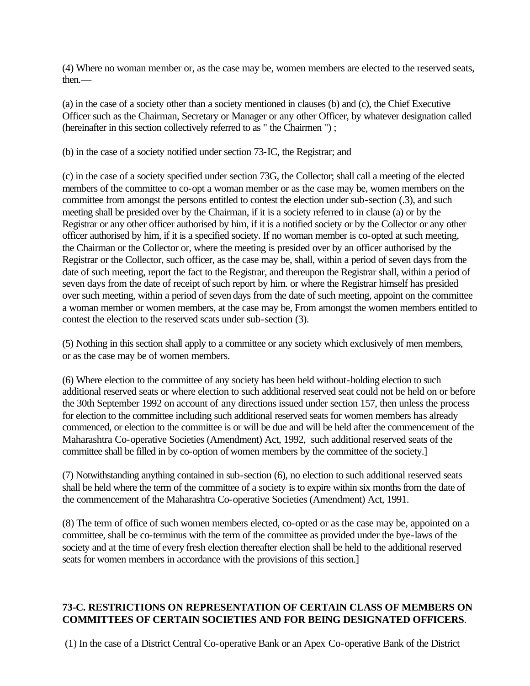(4) Where no woman member or, as the case may be, women members are elected to the reserved seats, then.—

(a) in the case of a society other than a society mentioned in clauses (b) and (c), the Chief Executive Officer such as the Chairman, Secretary or Manager or any other Officer, by whatever designation called (hereinafter in this section collectively referred to as " the Chairmen ") ;

(b) in the case of a society notified under section 73-IC, the Registrar; and

(c) in the case of a society specified under section 73G, the Collector; shall call a meeting of the elected members of the committee to co-opt a woman member or as the case may be, women members on the committee from amongst the persons entitled to contest the election under sub-section (.3), and such meeting shall be presided over by the Chairman, if it is a society referred to in clause (a) or by the Registrar or any other officer authorised by him, if it is a notified society or by the Collector or any other officer authorised by him, if it is a specified society. If no woman member is co-opted at such meeting, the Chairman or the Collector or, where the meeting is presided over by an officer authorised by the Registrar or the Collector, such officer, as the case may be, shall, within a period of seven days from the date of such meeting, report the fact to the Registrar, and thereupon the Registrar shall, within a period of seven days from the date of receipt of such report by him. or where the Registrar himself has presided over such meeting, within a period of seven days from the date of such meeting, appoint on the committee a woman member or women members, at the case may be, From amongst the women members entitled to contest the election to the reserved scats under sub-section (3).

(5) Nothing in this section shall apply to a committee or any society which exclusively of men members, or as the case may be of women members.

(6) Where election to the committee of any society has been held without-holding election to such additional reserved seats or where election to such additional reserved seat could not be held on or before the 30th September 1992 on account of any directions issued under section 157, then unless the process for election to the committee including such additional reserved seats for women members has already commenced, or election to the committee is or will be due and will be held after the commencement of the Maharashtra Co-operative Societies (Amendment) Act, 1992, such additional reserved seats of the committee shall be filled in by co-option of women members by the committee of the society.]

(7) Notwithstanding anything contained in sub-section (6), no election to such additional reserved seats shall be held where the term of the committee of a society is to expire within six months from the date of the commencement of the Maharashtra Co-operative Societies (Amendment) Act, 1991.

(8) The term of office of such women members elected, co-opted or as the case may be, appointed on a committee, shall be co-terminus with the term of the committee as provided under the bye-laws of the society and at the time of every fresh election thereafter election shall be held to the additional reserved seats for women members in accordance with the provisions of this section.]

# **73-C. RESTRICTIONS ON REPRESENTATION OF CERTAIN CLASS OF MEMBERS ON COMMITTEES OF CERTAIN SOCIETIES AND FOR BEING DESIGNATED OFFICERS**.

(1) In the case of a District Central Co-operative Bank or an Apex Co-operative Bank of the District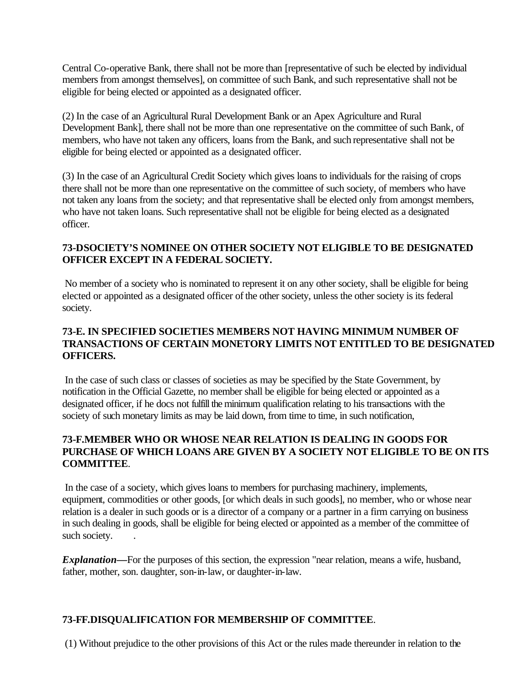Central Co-operative Bank, there shall not be more than [representative of such be elected by individual members from amongst themselves], on committee of such Bank, and such representative shall not be eligible for being elected or appointed as a designated officer.

(2) In the case of an Agricultural Rural Development Bank or an Apex Agriculture and Rural Development Bank], there shall not be more than one representative on the committee of such Bank, of members, who have not taken any officers, loans from the Bank, and such representative shall not be eligible for being elected or appointed as a designated officer.

(3) In the case of an Agricultural Credit Society which gives loans to individuals for the raising of crops there shall not be more than one representative on the committee of such society, of members who have not taken any loans from the society; and that representative shall be elected only from amongst members, who have not taken loans. Such representative shall not be eligible for being elected as a designated officer.

### **73-DSOCIETY'S NOMINEE ON OTHER SOCIETY NOT ELIGIBLE TO BE DESIGNATED OFFICER EXCEPT IN A FEDERAL SOCIETY.**

 No member of a society who is nominated to represent it on any other society, shall be eligible for being elected or appointed as a designated officer of the other society, unless the other society is its federal society.

### **73-E. IN SPECIFIED SOCIETIES MEMBERS NOT HAVING MINIMUM NUMBER OF TRANSACTIONS OF CERTAIN MONETORY LIMITS NOT ENTITLED TO BE DESIGNATED OFFICERS.**

 In the case of such class or classes of societies as may be specified by the State Government, by notification in the Official Gazette, no member shall be eligible for being elected or appointed as a designated officer, if he docs not fulfill the minimum qualification relating to his transactions with the society of such monetary limits as may be laid down, from time to time, in such notification,

### **73-F.MEMBER WHO OR WHOSE NEAR RELATION IS DEALING IN GOODS FOR PURCHASE OF WHICH LOANS ARE GIVEN BY A SOCIETY NOT ELIGIBLE TO BE ON ITS COMMITTEE**.

 In the case of a society, which gives loans to members for purchasing machinery, implements, equipment, commodities or other goods, [or which deals in such goods], no member, who or whose near relation is a dealer in such goods or is a director of a company or a partner in a firm carrying on business in such dealing in goods, shall be eligible for being elected or appointed as a member of the committee of such society.

*Explanation***—**For the purposes of this section, the expression "near relation, means a wife, husband, father, mother, son. daughter, son-in-law, or daughter-in-law.

# **73-FF.DISQUALIFICATION FOR MEMBERSHIP OF COMMITTEE**.

(1) Without prejudice to the other provisions of this Act or the rules made thereunder in relation to the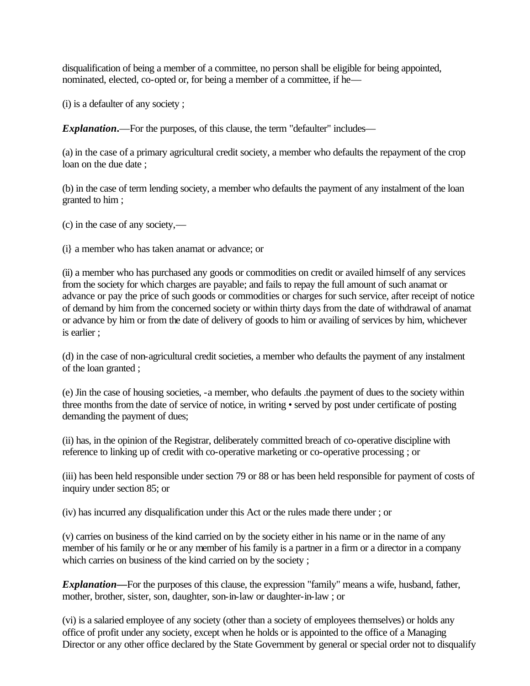disqualification of being a member of a committee, no person shall be eligible for being appointed, nominated, elected, co-opted or, for being a member of a committee, if he—

(i) is a defaulter of any society ;

*Explanation***.**—For the purposes, of this clause, the term "defaulter" includes—

(a) in the case of a primary agricultural credit society, a member who defaults the repayment of the crop loan on the due date ;

(b) in the case of term lending society, a member who defaults the payment of any instalment of the loan granted to him ;

(c) in the case of any society,—

(i} a member who has taken anamat or advance; or

(ii) a member who has purchased any goods or commodities on credit or availed himself of any services from the society for which charges are payable; and fails to repay the full amount of such anamat or advance or pay the price of such goods or commodities or charges for such service, after receipt of notice of demand by him from the concerned society or within thirty days from the date of withdrawal of anamat or advance by him or from the date of delivery of goods to him or availing of services by him, whichever is earlier ;

(d) in the case of non-agricultural credit societies, a member who defaults the payment of any instalment of the loan granted ;

(e) Jin the case of housing societies, -a member, who defaults .the payment of dues to the society within three months from the date of service of notice, in writing • served by post under certificate of posting demanding the payment of dues;

(ii) has, in the opinion of the Registrar, deliberately committed breach of co-operative discipline with reference to linking up of credit with co-operative marketing or co-operative processing ; or

(iii) has been held responsible under section 79 or 88 or has been held responsible for payment of costs of inquiry under section 85; or

(iv) has incurred any disqualification under this Act or the rules made there under ; or

(v) carries on business of the kind carried on by the society either in his name or in the name of any member of his family or he or any member of his family is a partner in a firm or a director in a company which carries on business of the kind carried on by the society ;

*Explanation***—**For the purposes of this clause, the expression "family" means a wife, husband, father, mother, brother, sister, son, daughter, son-in-law or daughter-in-law; or

(vi) is a salaried employee of any society (other than a society of employees themselves) or holds any office of profit under any society, except when he holds or is appointed to the office of a Managing Director or any other office declared by the State Government by general or special order not to disqualify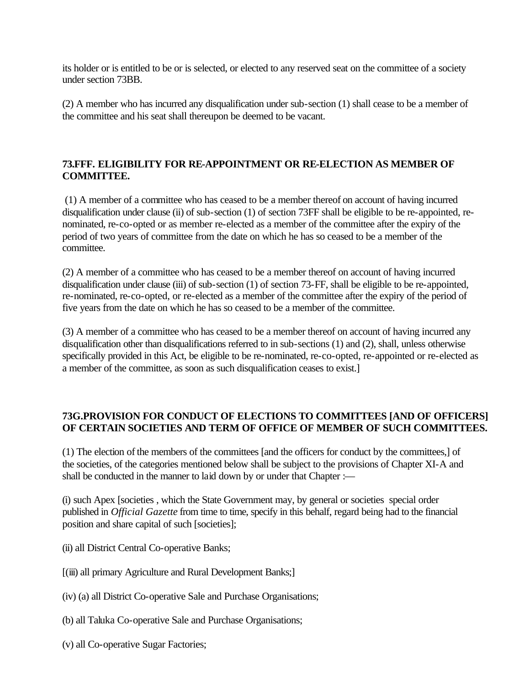its holder or is entitled to be or is selected, or elected to any reserved seat on the committee of a society under section 73BB.

(2) A member who has incurred any disqualification under sub-section (1) shall cease to be a member of the committee and his seat shall thereupon be deemed to be vacant.

### **73.FFF. ELIGIBILITY FOR RE-APPOINTMENT OR RE-ELECTION AS MEMBER OF COMMITTEE.**

 (1) A member of a committee who has ceased to be a member thereof on account of having incurred disqualification under clause (ii) of sub-section (1) of section 73FF shall be eligible to be re-appointed, renominated, re-co-opted or as member re-elected as a member of the committee after the expiry of the period of two years of committee from the date on which he has so ceased to be a member of the committee.

(2) A member of a committee who has ceased to be a member thereof on account of having incurred disqualification under clause (iii) of sub-section (1) of section 73-FF, shall be eligible to be re-appointed, re-nominated, re-co-opted, or re-elected as a member of the committee after the expiry of the period of five years from the date on which he has so ceased to be a member of the committee.

(3) A member of a committee who has ceased to be a member thereof on account of having incurred any disqualification other than disqualifications referred to in sub-sections (1) and (2), shall, unless otherwise specifically provided in this Act, be eligible to be re-nominated, re-co-opted, re-appointed or re-elected as a member of the committee, as soon as such disqualification ceases to exist.]

### **73G.PROVISION FOR CONDUCT OF ELECTIONS TO COMMITTEES [AND OF OFFICERS] OF CERTAIN SOCIETIES AND TERM OF OFFICE OF MEMBER OF SUCH COMMITTEES.**

(1) The election of the members of the committees [and the officers for conduct by the committees,] of the societies, of the categories mentioned below shall be subject to the provisions of Chapter XI-A and shall be conducted in the manner to laid down by or under that Chapter :-

(i) such Apex [societies , which the State Government may, by general or societies special order published in *Official Gazette* from time to time, specify in this behalf, regard being had to the financial position and share capital of such [societies];

(ii) all District Central Co-operative Banks;

- [(iii) all primary Agriculture and Rural Development Banks;]
- (iv) (a) all District Co-operative Sale and Purchase Organisations;
- (b) all Taluka Co-operative Sale and Purchase Organisations;
- (v) all Co-operative Sugar Factories;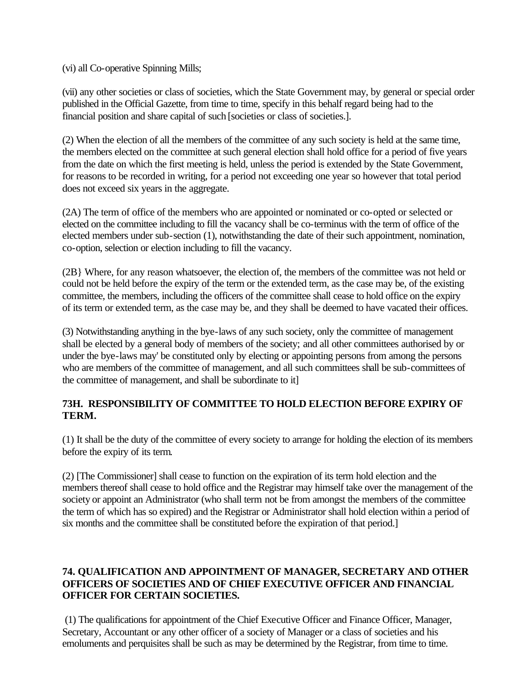(vi) all Co-operative Spinning Mills;

(vii) any other societies or class of societies, which the State Government may, by general or special order published in the Official Gazette, from time to time, specify in this behalf regard being had to the financial position and share capital of such [societies or class of societies.].

(2) When the election of all the members of the committee of any such society is held at the same time, the members elected on the committee at such general election shall hold office for a period of five years from the date on which the first meeting is held, unless the period is extended by the State Government, for reasons to be recorded in writing, for a period not exceeding one year so however that total period does not exceed six years in the aggregate.

(2A) The term of office of the members who are appointed or nominated or co-opted or selected or elected on the committee including to fill the vacancy shall be co-terminus with the term of office of the elected members under sub-section (1), notwithstanding the date of their such appointment, nomination, co-option, selection or election including to fill the vacancy.

(2B} Where, for any reason whatsoever, the election of, the members of the committee was not held or could not be held before the expiry of the term or the extended term, as the case may be, of the existing committee, the members, including the officers of the committee shall cease to hold office on the expiry of its term or extended term, as the case may be, and they shall be deemed to have vacated their offices.

(3) Notwithstanding anything in the bye-laws of any such society, only the committee of management shall be elected by a general body of members of the society; and all other committees authorised by or under the bye-laws may' be constituted only by electing or appointing persons from among the persons who are members of the committee of management, and all such committees shall be sub-committees of the committee of management, and shall be subordinate to it]

### **73H. RESPONSIBILITY OF COMMITTEE TO HOLD ELECTION BEFORE EXPIRY OF TERM.**

(1) It shall be the duty of the committee of every society to arrange for holding the election of its members before the expiry of its term.

(2) [The Commissioner] shall cease to function on the expiration of its term hold election and the members thereof shall cease to hold office and the Registrar may himself take over the management of the society or appoint an Administrator (who shall term not be from amongst the members of the committee the term of which has so expired) and the Registrar or Administrator shall hold election within a period of six months and the committee shall be constituted before the expiration of that period.]

### **74. QUALIFICATION AND APPOINTMENT OF MANAGER, SECRETARY AND OTHER OFFICERS OF SOCIETIES AND OF CHIEF EXECUTIVE OFFICER AND FINANCIAL OFFICER FOR CERTAIN SOCIETIES.**

 (1) The qualifications for appointment of the Chief Executive Officer and Finance Officer, Manager, Secretary, Accountant or any other officer of a society of Manager or a class of societies and his emoluments and perquisites shall be such as may be determined by the Registrar, from time to time.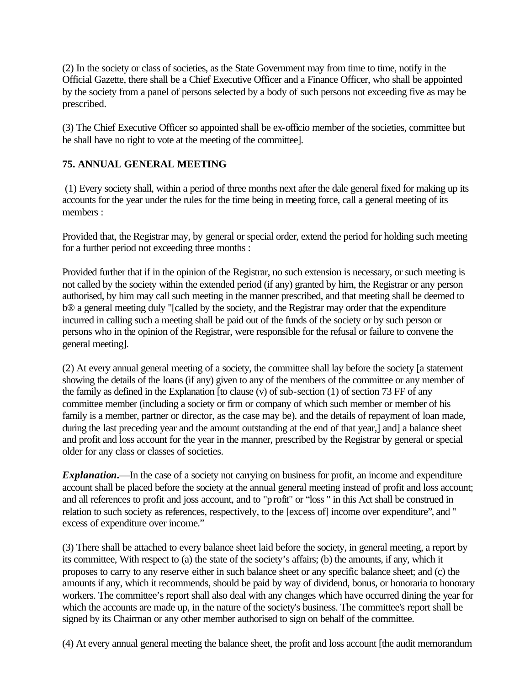(2) In the society or class of societies, as the State Government may from time to time, notify in the Official Gazette, there shall be a Chief Executive Officer and a Finance Officer, who shall be appointed by the society from a panel of persons selected by a body of such persons not exceeding five as may be prescribed.

(3) The Chief Executive Officer so appointed shall be ex-officio member of the societies, committee but he shall have no right to vote at the meeting of the committee].

# **75. ANNUAL GENERAL MEETING**

(1) Every society shall, within a period of three months next after the dale general fixed for making up its accounts for the year under the rules for the time being in meeting force, call a general meeting of its members :

Provided that, the Registrar may, by general or special order, extend the period for holding such meeting for a further period not exceeding three months :

Provided further that if in the opinion of the Registrar, no such extension is necessary, or such meeting is not called by the society within the extended period (if any) granted by him, the Registrar or any person authorised, by him may call such meeting in the manner prescribed, and that meeting shall be deemed to b® a general meeting duly "[called by the society, and the Registrar may order that the expenditure incurred in calling such a meeting shall be paid out of the funds of the society or by such person or persons who in the opinion of the Registrar, were responsible for the refusal or failure to convene the general meeting].

(2) At every annual general meeting of a society, the committee shall lay before the society [a statement showing the details of the loans (if any) given to any of the members of the committee or any member of the family as defined in the Explanation [to clause (v) of sub-section (1) of section 73 FF of any committee member (including a society or firm or company of which such member or member of his family is a member, partner or director, as the case may be). and the details of repayment of loan made, during the last preceding year and the amount outstanding at the end of that year,] and] a balance sheet and profit and loss account for the year in the manner, prescribed by the Registrar by general or special older for any class or classes of societies.

*Explanation***.**—In the case of a society not carrying on business for profit, an income and expenditure account shall be placed before the society at the annual general meeting instead of profit and loss account; and all references to profit and joss account, and to "profit" or "loss " in this Act shall be construed in relation to such society as references, respectively, to the [excess of] income over expenditure", and " excess of expenditure over income."

(3) There shall be attached to every balance sheet laid before the society, in general meeting, a report by its committee, With respect to (a) the state of the society's affairs; (b) the amounts, if any, which it proposes to carry to any reserve either in such balance sheet or any specific balance sheet; and (c) the amounts if any, which it recommends, should be paid by way of dividend, bonus, or honoraria to honorary workers. The committee's report shall also deal with any changes which have occurred dining the year for which the accounts are made up, in the nature of the society's business. The committee's report shall be signed by its Chairman or any other member authorised to sign on behalf of the committee.

(4) At every annual general meeting the balance sheet, the profit and loss account [the audit memorandum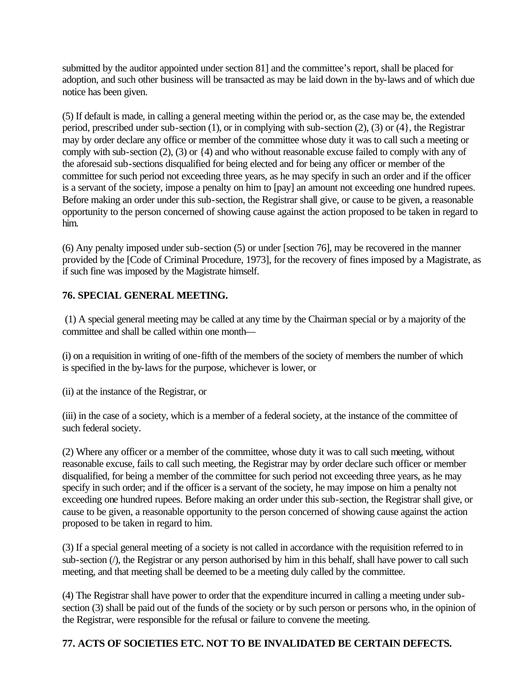submitted by the auditor appointed under section 81] and the committee's report, shall be placed for adoption, and such other business will be transacted as may be laid down in the by-laws and of which due notice has been given.

(5) If default is made, in calling a general meeting within the period or, as the case may be, the extended period, prescribed under sub-section (1), or in complying with sub-section (2), (3) or (4}, the Registrar may by order declare any office or member of the committee whose duty it was to call such a meeting or comply with sub-section (2), (3) or {4) and who without reasonable excuse failed to comply with any of the aforesaid sub-sections disqualified for being elected and for being any officer or member of the committee for such period not exceeding three years, as he may specify in such an order and if the officer is a servant of the society, impose a penalty on him to [pay] an amount not exceeding one hundred rupees. Before making an order under this sub-section, the Registrar shall give, or cause to be given, a reasonable opportunity to the person concerned of showing cause against the action proposed to be taken in regard to him.

(6) Any penalty imposed under sub-section (5) or under [section 76], may be recovered in the manner provided by the [Code of Criminal Procedure, 1973], for the recovery of fines imposed by a Magistrate, as if such fine was imposed by the Magistrate himself.

# **76. SPECIAL GENERAL MEETING.**

 (1) A special general meeting may be called at any time by the Chairman special or by a majority of the committee and shall be called within one month—

(i) on a requisition in writing of one-fifth of the members of the society of members the number of which is specified in the by-laws for the purpose, whichever is lower, or

(ii) at the instance of the Registrar, or

(iii) in the case of a society, which is a member of a federal society, at the instance of the committee of such federal society.

(2) Where any officer or a member of the committee, whose duty it was to call such meeting, without reasonable excuse, fails to call such meeting, the Registrar may by order declare such officer or member disqualified, for being a member of the committee for such period not exceeding three years, as he may specify in such order; and if the officer is a servant of the society, he may impose on him a penalty not exceeding one hundred rupees. Before making an order under this sub-section, the Registrar shall give, or cause to be given, a reasonable opportunity to the person concerned of showing cause against the action proposed to be taken in regard to him.

(3) If a special general meeting of a society is not called in accordance with the requisition referred to in sub-section (*/*), the Registrar or any person authorised by him in this behalf, shall have power to call such meeting, and that meeting shall be deemed to be a meeting duly called by the committee.

(4) The Registrar shall have power to order that the expenditure incurred in calling a meeting under subsection (3) shall be paid out of the funds of the society or by such person or persons who, in the opinion of the Registrar, were responsible for the refusal or failure to convene the meeting.

# **77. ACTS OF SOCIETIES ETC. NOT TO BE INVALIDATED BE CERTAIN DEFECTS.**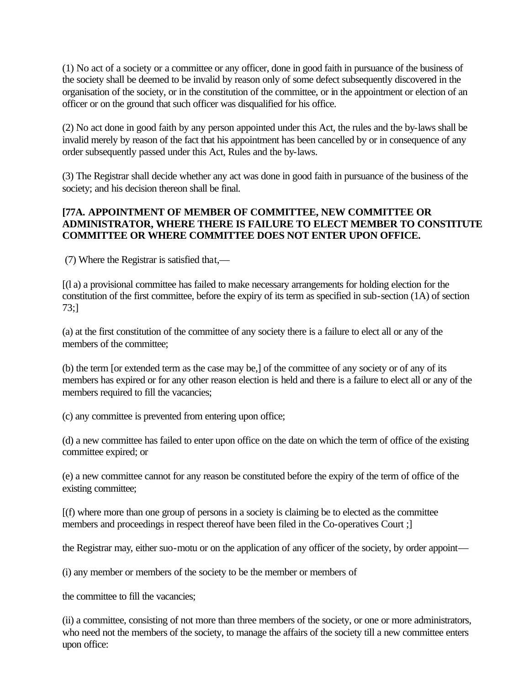(1) No act of a society or a committee or any officer, done in good faith in pursuance of the business of the society shall be deemed to be invalid by reason only of some defect subsequently discovered in the organisation of the society, or in the constitution of the committee, or in the appointment or election of an officer or on the ground that such officer was disqualified for his office.

(2) No act done in good faith by any person appointed under this Act, the rules and the by-laws shall be invalid merely by reason of the fact that his appointment has been cancelled by or in consequence of any order subsequently passed under this Act, Rules and the by-laws.

(3) The Registrar shall decide whether any act was done in good faith in pursuance of the business of the society; and his decision thereon shall be final.

#### **[77A. APPOINTMENT OF MEMBER OF COMMITTEE, NEW COMMITTEE OR ADMINISTRATOR, WHERE THERE IS FAILURE TO ELECT MEMBER TO CONSTITUTE COMMITTEE OR WHERE COMMITTEE DOES NOT ENTER UPON OFFICE.**

(7) Where the Registrar is satisfied that,—

[(l a) a provisional committee has failed to make necessary arrangements for holding election for the constitution of the first committee, before the expiry of its term as specified in sub-section (1A) of section 73;]

(a) at the first constitution of the committee of any society there is a failure to elect all or any of the members of the committee;

(b) the term [or extended term as the case may be,] of the committee of any society or of any of its members has expired or for any other reason election is held and there is a failure to elect all or any of the members required to fill the vacancies;

(c) any committee is prevented from entering upon office;

(d) a new committee has failed to enter upon office on the date on which the term of office of the existing committee expired; or

(e) a new committee cannot for any reason be constituted before the expiry of the term of office of the existing committee;

[(f) where more than one group of persons in a society is claiming be to elected as the committee members and proceedings in respect thereof have been filed in the Co-operatives Court ;]

the Registrar may, either suo-motu or on the application of any officer of the society, by order appoint—

(i) any member or members of the society to be the member or members of

the committee to fill the vacancies;

(ii) a committee, consisting of not more than three members of the society, or one or more administrators, who need not the members of the society, to manage the affairs of the society till a new committee enters upon office: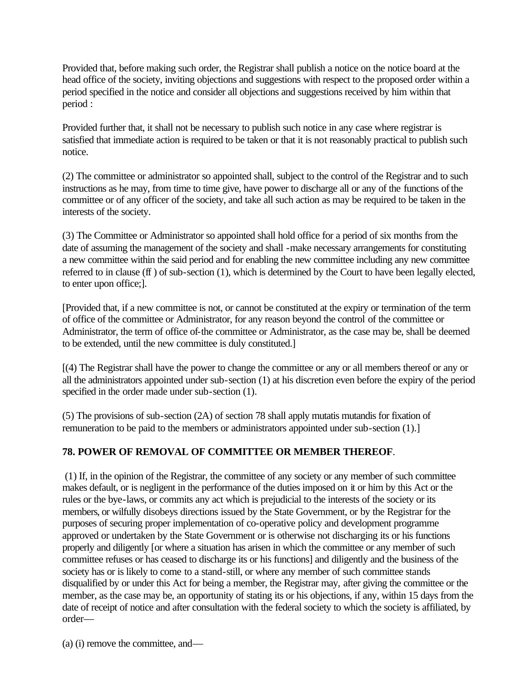Provided that, before making such order, the Registrar shall publish a notice on the notice board at the head office of the society, inviting objections and suggestions with respect to the proposed order within a period specified in the notice and consider all objections and suggestions received by him within that period :

Provided further that, it shall not be necessary to publish such notice in any case where registrar is satisfied that immediate action is required to be taken or that it is not reasonably practical to publish such notice.

(2) The committee or administrator so appointed shall, subject to the control of the Registrar and to such instructions as he may, from time to time give, have power to discharge all or any of the functions of the committee or of any officer of the society, and take all such action as may be required to be taken in the interests of the society.

(3) The Committee or Administrator so appointed shall hold office for a period of six months from the date of assuming the management of the society and shall -make necessary arrangements for constituting a new committee within the said period and for enabling the new committee including any new committee referred to in clause (ff ) of sub-section (1), which is determined by the Court to have been legally elected, to enter upon office;].

[Provided that, if a new committee is not, or cannot be constituted at the expiry or termination of the term of office of the committee or Administrator, for any reason beyond the control of the committee or Administrator, the term of office of-the committee or Administrator, as the case may be, shall be deemed to be extended, until the new committee is duly constituted.]

[(4) The Registrar shall have the power to change the committee or any or all members thereof or any or all the administrators appointed under sub-section (1) at his discretion even before the expiry of the period specified in the order made under sub-section (1).

(5) The provisions of sub-section (2A) of section 78 shall apply mutatis mutandis for fixation of remuneration to be paid to the members or administrators appointed under sub-section (1).]

# **78. POWER OF REMOVAL OF COMMITTEE OR MEMBER THEREOF**.

 (1) If, in the opinion of the Registrar, the committee of any society or any member of such committee makes default, or is negligent in the performance of the duties imposed on it or him by this Act or the rules or the bye-laws, or commits any act which is prejudicial to the interests of the society or its members, or wilfully disobeys directions issued by the State Government, or by the Registrar for the purposes of securing proper implementation of co-operative policy and development programme approved or undertaken by the State Government or is otherwise not discharging its or his functions properly and diligently [or where a situation has arisen in which the committee or any member of such committee refuses or has ceased to discharge its or his functions] and diligently and the business of the society has or is likely to come to a stand-still, or where any member of such committee stands disqualified by or under this Act for being a member, the Registrar may, after giving the committee or the member, as the case may be, an opportunity of stating its or his objections, if any, within 15 days from the date of receipt of notice and after consultation with the federal society to which the society is affiliated, by order—

(a) (i) remove the committee, and—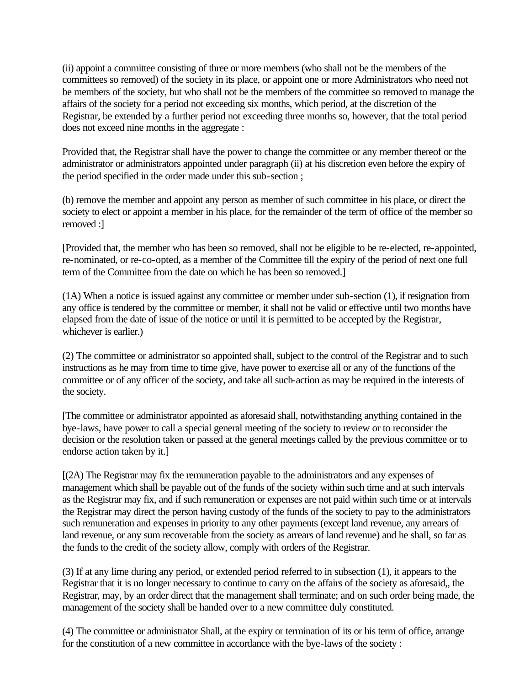(ii) appoint a committee consisting of three or more members (who shall not be the members of the committees so removed) of the society in its place, or appoint one or more Administrators who need not be members of the society, but who shall not be the members of the committee so removed to manage the affairs of the society for a period not exceeding six months, which period, at the discretion of the Registrar, be extended by a further period not exceeding three months so, however, that the total period does not exceed nine months in the aggregate :

Provided that, the Registrar shall have the power to change the committee or any member thereof or the administrator or administrators appointed under paragraph (ii) at his discretion even before the expiry of the period specified in the order made under this sub-section ;

(b) remove the member and appoint any person as member of such committee in his place, or direct the society to elect or appoint a member in his place, for the remainder of the term of office of the member so removed :]

[Provided that, the member who has been so removed, shall not be eligible to be re-elected, re-appointed, re-nominated, or re-co-opted, as a member of the Committee till the expiry of the period of next one full term of the Committee from the date on which he has been so removed.]

(1A) When a notice is issued against any committee or member under sub-section (1), if resignation from any office is tendered by the committee or member, it shall not be valid or effective until two months have elapsed from the date of issue of the notice or until it is permitted to be accepted by the Registrar, whichever is earlier.)

(2) The committee or administrator so appointed shall, subject to the control of the Registrar and to such instructions as he may from time to time give, have power to exercise all or any of the functions of the committee or of any officer of the society, and take all such-action as may be required in the interests of the society.

[The committee or administrator appointed as aforesaid shall, notwithstanding anything contained in the bye-laws, have power to call a special general meeting of the society to review or to reconsider the decision or the resolution taken or passed at the general meetings called by the previous committee or to endorse action taken by it.]

[(2A) The Registrar may fix the remuneration payable to the administrators and any expenses of management which shall be payable out of the funds of the society within such time and at such intervals as the Registrar may fix, and if such remuneration or expenses are not paid within such time or at intervals the Registrar may direct the person having custody of the funds of the society to pay to the administrators such remuneration and expenses in priority to any other payments (except land revenue, any arrears of land revenue, or any sum recoverable from the society as arrears of land revenue) and he shall, so far as the funds to the credit of the society allow, comply with orders of the Registrar.

(3) If at any lime during any period, or extended period referred to in subsection (1), it appears to the Registrar that it is no longer necessary to continue to carry on the affairs of the society as aforesaid,, the Registrar, may, by an order direct that the management shall terminate; and on such order being made, the management of the society shall be handed over to a new committee duly constituted.

(4) The committee or administrator Shall, at the expiry or termination of its or his term of office, arrange for the constitution of a new committee in accordance with the bye-laws of the society :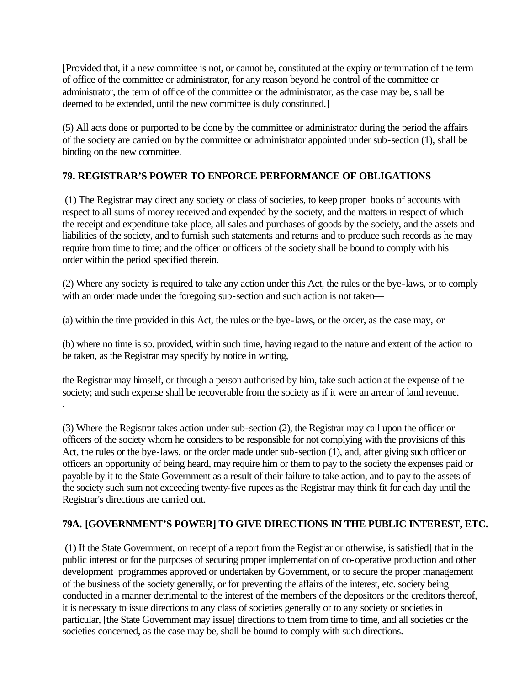[Provided that, if a new committee is not, or cannot be, constituted at the expiry or termination of the term of office of the committee or administrator, for any reason beyond he control of the committee or administrator, the term of office of the committee or the administrator, as the case may be, shall be deemed to be extended, until the new committee is duly constituted.]

(5) All acts done or purported to be done by the committee or administrator during the period the affairs of the society are carried on by the committee or administrator appointed under sub-section (1), shall be binding on the new committee.

### **79. REGISTRAR'S POWER TO ENFORCE PERFORMANCE OF OBLIGATIONS**

 (1) The Registrar may direct any society or class of societies, to keep proper books of accounts with respect to all sums of money received and expended by the society, and the matters in respect of which the receipt and expenditure take place, all sales and purchases of goods by the society, and the assets and liabilities of the society, and to furnish such statements and returns and to produce such records as he may require from time to time; and the officer or officers of the society shall be bound to comply with his order within the period specified therein.

(2) Where any society is required to take any action under this Act, the rules or the bye-laws, or to comply with an order made under the foregoing sub-section and such action is not taken—

(a) within the time provided in this Act, the rules or the bye-laws, or the order, as the case may, or

(b) where no time is so. provided, within such time, having regard to the nature and extent of the action to be taken, as the Registrar may specify by notice in writing,

the Registrar may himself, or through a person authorised by him, take such action at the expense of the society; and such expense shall be recoverable from the society as if it were an arrear of land revenue.

.

(3) Where the Registrar takes action under sub-section (2), the Registrar may call upon the officer or officers of the society whom he considers to be responsible for not complying with the provisions of this Act, the rules or the bye-laws, or the order made under sub-section (1), and, after giving such officer or officers an opportunity of being heard, may require him or them to pay to the society the expenses paid or payable by it to the State Government as a result of their failure to take action, and to pay to the assets of the society such sum not exceeding twenty-five rupees as the Registrar may think fit for each day until the Registrar's directions are carried out.

# **79A. [GOVERNMENT'S POWER] TO GIVE DIRECTIONS IN THE PUBLIC INTEREST, ETC.**

 (1) If the State Government, on receipt of a report from the Registrar or otherwise, is satisfied] that in the public interest or for the purposes of securing proper implementation of co-operative production and other development programmes approved or undertaken by Government, or to secure the proper management of the business of the society generally, or for preventing the affairs of the interest, etc. society being conducted in a manner detrimental to the interest of the members of the depositors or the creditors thereof, it is necessary to issue directions to any class of societies generally or to any society or societies in particular, [the State Government may issue] directions to them from time to time, and all societies or the societies concerned, as the case may be, shall be bound to comply with such directions.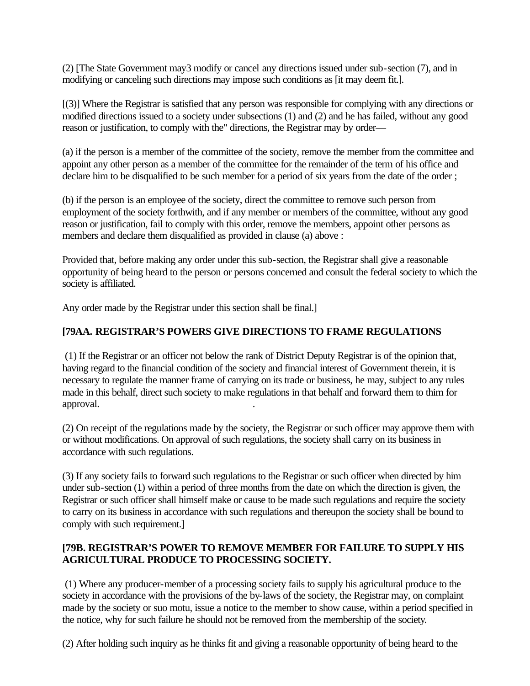(2) [The State Government may3 modify or cancel any directions issued under sub-section (7), and in modifying or canceling such directions may impose such conditions as [it may deem fit.].

[(3)] Where the Registrar is satisfied that any person was responsible for complying with any directions or modified directions issued to a society under subsections (1) and (2) and he has failed, without any good reason or justification, to comply with the" directions, the Registrar may by order—

(a) if the person is a member of the committee of the society, remove the member from the committee and appoint any other person as a member of the committee for the remainder of the term of his office and declare him to be disqualified to be such member for a period of six years from the date of the order ;

(b) if the person is an employee of the society, direct the committee to remove such person from employment of the society forthwith, and if any member or members of the committee, without any good reason or justification, fail to comply with this order, remove the members, appoint other persons as members and declare them disqualified as provided in clause (a) above :

Provided that, before making any order under this sub-section, the Registrar shall give a reasonable opportunity of being heard to the person or persons concerned and consult the federal society to which the society is affiliated.

Any order made by the Registrar under this section shall be final.]

# **[79AA. REGISTRAR'S POWERS GIVE DIRECTIONS TO FRAME REGULATIONS**

 (1) If the Registrar or an officer not below the rank of District Deputy Registrar is of the opinion that, having regard to the financial condition of the society and financial interest of Government therein, it is necessary to regulate the manner frame of carrying on its trade or business, he may, subject to any rules made in this behalf, direct such society to make regulations in that behalf and forward them to thim for approval.

(2) On receipt of the regulations made by the society, the Registrar or such officer may approve them with or without modifications. On approval of such regulations, the society shall carry on its business in accordance with such regulations.

(3) If any society fails to forward such regulations to the Registrar or such officer when directed by him under sub-section (1) within a period of three months from the date on which the direction is given, the Registrar or such officer shall himself make or cause to be made such regulations and require the society to carry on its business in accordance with such regulations and thereupon the society shall be bound to comply with such requirement.]

### **[79B. REGISTRAR'S POWER TO REMOVE MEMBER FOR FAILURE TO SUPPLY HIS AGRICULTURAL PRODUCE TO PROCESSING SOCIETY.**

 (1) Where any producer-member of a processing society fails to supply his agricultural produce to the society in accordance with the provisions of the by-laws of the society, the Registrar may, on complaint made by the society or suo motu, issue a notice to the member to show cause, within a period specified in the notice, why for such failure he should not be removed from the membership of the society.

(2) After holding such inquiry as he thinks fit and giving a reasonable opportunity of being heard to the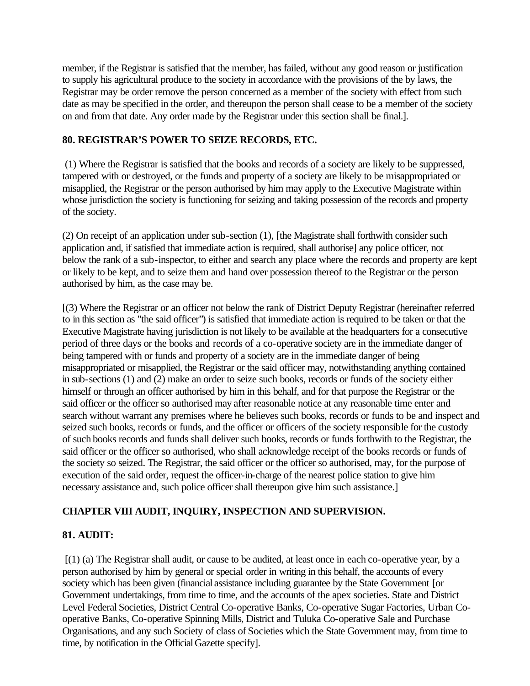member, if the Registrar is satisfied that the member, has failed, without any good reason or justification to supply his agricultural produce to the society in accordance with the provisions of the by laws, the Registrar may be order remove the person concerned as a member of the society with effect from such date as may be specified in the order, and thereupon the person shall cease to be a member of the society on and from that date. Any order made by the Registrar under this section shall be final.].

#### **80. REGISTRAR'S POWER TO SEIZE RECORDS, ETC.**

 (1) Where the Registrar is satisfied that the books and records of a society are likely to be suppressed, tampered with or destroyed, or the funds and property of a society are likely to be misappropriated or misapplied, the Registrar or the person authorised by him may apply to the Executive Magistrate within whose jurisdiction the society is functioning for seizing and taking possession of the records and property of the society.

(2) On receipt of an application under sub-section (1), [the Magistrate shall forthwith consider such application and, if satisfied that immediate action is required, shall authorise] any police officer, not below the rank of a sub-inspector, to either and search any place where the records and property are kept or likely to be kept, and to seize them and hand over possession thereof to the Registrar or the person authorised by him, as the case may be.

[(3) Where the Registrar or an officer not below the rank of District Deputy Registrar (hereinafter referred to in this section as "the said officer") is satisfied that immediate action is required to be taken or that the Executive Magistrate having jurisdiction is not likely to be available at the headquarters for a consecutive period of three days or the books and records of a co-operative society are in the immediate danger of being tampered with or funds and property of a society are in the immediate danger of being misappropriated or misapplied, the Registrar or the said officer may, notwithstanding anything contained in sub-sections (1) and (2) make an order to seize such books, records or funds of the society either himself or through an officer authorised by him in this behalf, and for that purpose the Registrar or the said officer or the officer so authorised may after reasonable notice at any reasonable time enter and search without warrant any premises where he believes such books, records or funds to be and inspect and seized such books, records or funds, and the officer or officers of the society responsible for the custody of such books records and funds shall deliver such books, records or funds forthwith to the Registrar, the said officer or the officer so authorised, who shall acknowledge receipt of the books records or funds of the society so seized. The Registrar, the said officer or the officer so authorised, may, for the purpose of execution of the said order, request the officer-in-charge of the nearest police station to give him necessary assistance and, such police officer shall thereupon give him such assistance.]

# **CHAPTER VIII AUDIT, INQUIRY, INSPECTION AND SUPERVISION.**

### **81. AUDIT:**

 [(1) (a) The Registrar shall audit, or cause to be audited, at least once in each co-operative year, by a person authorised by him by general or special order in writing in this behalf, the accounts of every society which has been given (financial assistance including guarantee by the State Government [or Government undertakings, from time to time, and the accounts of the apex societies. State and District Level Federal Societies, District Central Co-operative Banks, Co-operative Sugar Factories, Urban Cooperative Banks, Co-operative Spinning Mills, District and Tuluka Co-operative Sale and Purchase Organisations, and any such Society of class of Societies which the State Government may, from time to time, by notification in the Official Gazette specify].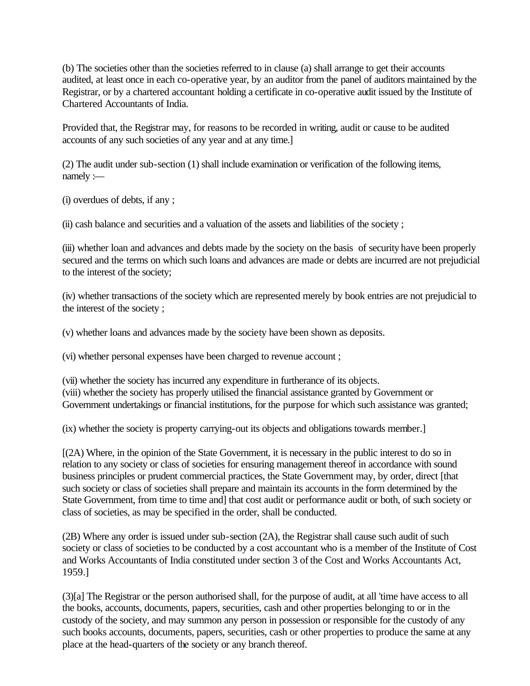(b) The societies other than the societies referred to in clause (a) shall arrange to get their accounts audited, at least once in each co-operative year, by an auditor from the panel of auditors maintained by the Registrar, or by a chartered accountant holding a certificate in co-operative audit issued by the Institute of Chartered Accountants of India.

Provided that, the Registrar may, for reasons to be recorded in writing, audit or cause to be audited accounts of any such societies of any year and at any time.]

(2) The audit under sub-section (1) shall include examination or verification of the following items, namely :—

(i) overdues of debts, if any ;

(ii) cash balance and securities and a valuation of the assets and liabilities of the society ;

(iii) whether loan and advances and debts made by the society on the basis of security have been properly secured and the terms on which such loans and advances are made or debts are incurred are not prejudicial to the interest of the society;

(iv) whether transactions of the society which are represented merely by book entries are not prejudicial to the interest of the society ;

(v) whether loans and advances made by the society have been shown as deposits.

(vi) whether personal expenses have been charged to revenue account ;

(vii) whether the society has incurred any expenditure in furtherance of its objects. (viii) whether the society has properly utilised the financial assistance granted by Government or Government undertakings or financial institutions, for the purpose for which such assistance was granted;

(ix) whether the society is property carrying-out its objects and obligations towards member.]

[(2A) Where, in the opinion of the State Government, it is necessary in the public interest to do so in relation to any society or class of societies for ensuring management thereof in accordance with sound business principles or prudent commercial practices, the State Government may, by order, direct [that such society or class of societies shall prepare and maintain its accounts in the form determined by the State Government, from time to time and] that cost audit or performance audit or both, of such society or class of societies, as may be specified in the order, shall be conducted.

(2B) Where any order is issued under sub-section (2A), the Registrar shall cause such audit of such society or class of societies to be conducted by a cost accountant who is a member of the Institute of Cost and Works Accountants of India constituted under section 3 of the Cost and Works Accountants Act, 1959.]

(3)[a] The Registrar or the person authorised shall, for the purpose of audit, at all 'time have access to all the books, accounts, documents, papers, securities, cash and other properties belonging to or in the custody of the society, and may summon any person in possession or responsible for the custody of any such books accounts, documents, papers, securities, cash or other properties to produce the same at any place at the head-quarters of the society or any branch thereof.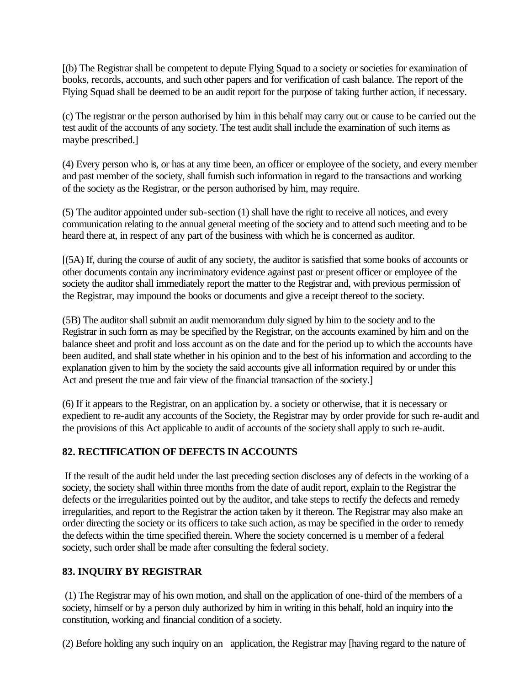[(b) The Registrar shall be competent to depute Flying Squad to a society or societies for examination of books, records, accounts, and such other papers and for verification of cash balance. The report of the Flying Squad shall be deemed to be an audit report for the purpose of taking further action, if necessary.

(c) The registrar or the person authorised by him in this behalf may carry out or cause to be carried out the test audit of the accounts of any society. The test audit shall include the examination of such items as maybe prescribed.]

(4) Every person who is, or has at any time been, an officer or employee of the society, and every member and past member of the society, shall furnish such information in regard to the transactions and working of the society as the Registrar, or the person authorised by him, may require.

(5) The auditor appointed under sub-section (1) shall have the right to receive all notices, and every communication relating to the annual general meeting of the society and to attend such meeting and to be heard there at, in respect of any part of the business with which he is concerned as auditor.

[(5A) If, during the course of audit of any society, the auditor is satisfied that some books of accounts or other documents contain any incriminatory evidence against past or present officer or employee of the society the auditor shall immediately report the matter to the Registrar and, with previous permission of the Registrar, may impound the books or documents and give a receipt thereof to the society.

(5B) The auditor shall submit an audit memorandum duly signed by him to the society and to the Registrar in such form as may be specified by the Registrar, on the accounts examined by him and on the balance sheet and profit and loss account as on the date and for the period up to which the accounts have been audited, and shall state whether in his opinion and to the best of his information and according to the explanation given to him by the society the said accounts give all information required by or under this Act and present the true and fair view of the financial transaction of the society.]

(6) If it appears to the Registrar, on an application by. a society or otherwise, that it is necessary or expedient to re-audit any accounts of the Society, the Registrar may by order provide for such re-audit and the provisions of this Act applicable to audit of accounts of the society shall apply to such re-audit.

# **82. RECTIFICATION OF DEFECTS IN ACCOUNTS**

 If the result of the audit held under the last preceding section discloses any of defects in the working of a society, the society shall within three months from the date of audit report, explain to the Registrar the defects or the irregularities pointed out by the auditor, and take steps to rectify the defects and remedy irregularities, and report to the Registrar the action taken by it thereon. The Registrar may also make an order directing the society or its officers to take such action, as may be specified in the order to remedy the defects within the time specified therein. Where the society concerned is u member of a federal society, such order shall be made after consulting the federal society.

# **83. INQUIRY BY REGISTRAR**

(1) The Registrar may of his own motion, and shall on the application of one-third of the members of a society, himself or by a person duly authorized by him in writing in this behalf, hold an inquiry into the constitution, working and financial condition of a society.

(2) Before holding any such inquiry on an application, the Registrar may [having regard to the nature of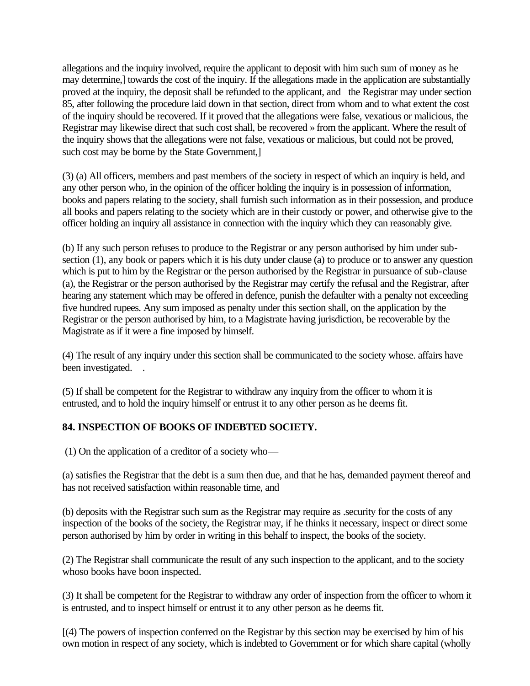allegations and the inquiry involved, require the applicant to deposit with him such sum of money as he may determine,] towards the cost of the inquiry. If the allegations made in the application are substantially proved at the inquiry, the deposit shall be refunded to the applicant, and the Registrar may under section 85, after following the procedure laid down in that section, direct from whom and to what extent the cost of the inquiry should be recovered. If it proved that the allegations were false, vexatious or malicious, the Registrar may likewise direct that such cost shall, be recovered » from the applicant. Where the result of the inquiry shows that the allegations were not false, vexatious or malicious, but could not be proved, such cost may be borne by the State Government,]

(3) (a) All officers, members and past members of the society in respect of which an inquiry is held, and any other person who, in the opinion of the officer holding the inquiry is in possession of information, books and papers relating to the society, shall furnish such information as in their possession, and produce all books and papers relating to the society which are in their custody or power, and otherwise give to the officer holding an inquiry all assistance in connection with the inquiry which they can reasonably give.

(b) If any such person refuses to produce to the Registrar or any person authorised by him under subsection (1), any book or papers which it is his duty under clause (a) to produce or to answer any question which is put to him by the Registrar or the person authorised by the Registrar in pursuance of sub-clause (a), the Registrar or the person authorised by the Registrar may certify the refusal and the Registrar, after hearing any statement which may be offered in defence, punish the defaulter with a penalty not exceeding five hundred rupees. Any sum imposed as penalty under this section shall, on the application by the Registrar or the person authorised by him, to a Magistrate having jurisdiction, be recoverable by the Magistrate as if it were a fine imposed by himself.

(4) The result of any inquiry under this section shall be communicated to the society whose. affairs have been investigated.

(5) If shall be competent for the Registrar to withdraw any inquiry from the officer to whom it is entrusted, and to hold the inquiry himself or entrust it to any other person as he deems fit.

# **84. INSPECTION OF BOOKS OF INDEBTED SOCIETY.**

(1) On the application of a creditor of a society who—

(a) satisfies the Registrar that the debt is a sum then due, and that he has, demanded payment thereof and has not received satisfaction within reasonable time, and

(b) deposits with the Registrar such sum as the Registrar may require as .security for the costs of any inspection of the books of the society, the Registrar may, if he thinks it necessary, inspect or direct some person authorised by him by order in writing in this behalf to inspect, the books of the society.

(2) The Registrar shall communicate the result of any such inspection to the applicant, and to the society whoso books have boon inspected.

(3) It shall be competent for the Registrar to withdraw any order of inspection from the officer to whom it is entrusted, and to inspect himself or entrust it to any other person as he deems fit.

[(4) The powers of inspection conferred on the Registrar by this section may be exercised by him of his own motion in respect of any society, which is indebted to Government or for which share capital (wholly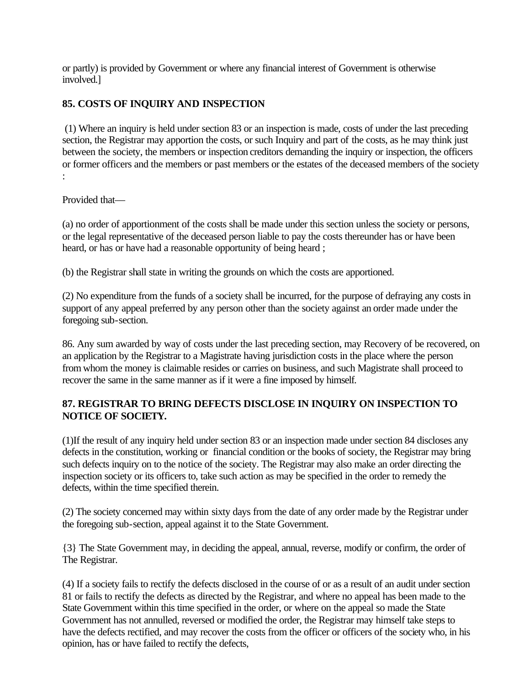or partly) is provided by Government or where any financial interest of Government is otherwise involved.]

# **85. COSTS OF INQUIRY AND INSPECTION**

 (1) Where an inquiry is held under section 83 or an inspection is made, costs of under the last preceding section, the Registrar may apportion the costs, or such Inquiry and part of the costs, as he may think just between the society, the members or inspection creditors demanding the inquiry or inspection, the officers or former officers and the members or past members or the estates of the deceased members of the society :

Provided that—

(a) no order of apportionment of the costs shall be made under this section unless the society or persons, or the legal representative of the deceased person liable to pay the costs thereunder has or have been heard, or has or have had a reasonable opportunity of being heard ;

(b) the Registrar shall state in writing the grounds on which the costs are apportioned.

(2) No expenditure from the funds of a society shall be incurred, for the purpose of defraying any costs in support of any appeal preferred by any person other than the society against an order made under the foregoing sub-section.

86. Any sum awarded by way of costs under the last preceding section, may Recovery of be recovered, on an application by the Registrar to a Magistrate having jurisdiction costs in the place where the person from whom the money is claimable resides or carries on business, and such Magistrate shall proceed to recover the same in the same manner as if it were a fine imposed by himself.

### **87. REGISTRAR TO BRING DEFECTS DISCLOSE IN INQUIRY ON INSPECTION TO NOTICE OF SOCIETY.**

(1)If the result of any inquiry held under section 83 or an inspection made under section 84 discloses any defects in the constitution, working or financial condition or the books of society, the Registrar may bring such defects inquiry on to the notice of the society. The Registrar may also make an order directing the inspection society or its officers to, take such action as may be specified in the order to remedy the defects, within the time specified therein.

(2) The society concerned may within sixty days from the date of any order made by the Registrar under the foregoing sub-section, appeal against it to the State Government.

{3} The State Government may, in deciding the appeal, annual, reverse, modify or confirm, the order of The Registrar.

(4) If a society fails to rectify the defects disclosed in the course of or as a result of an audit under section 81 or fails to rectify the defects as directed by the Registrar, and where no appeal has been made to the State Government within this time specified in the order, or where on the appeal so made the State Government has not annulled, reversed or modified the order, the Registrar may himself take steps to have the defects rectified, and may recover the costs from the officer or officers of the society who, in his opinion, has or have failed to rectify the defects,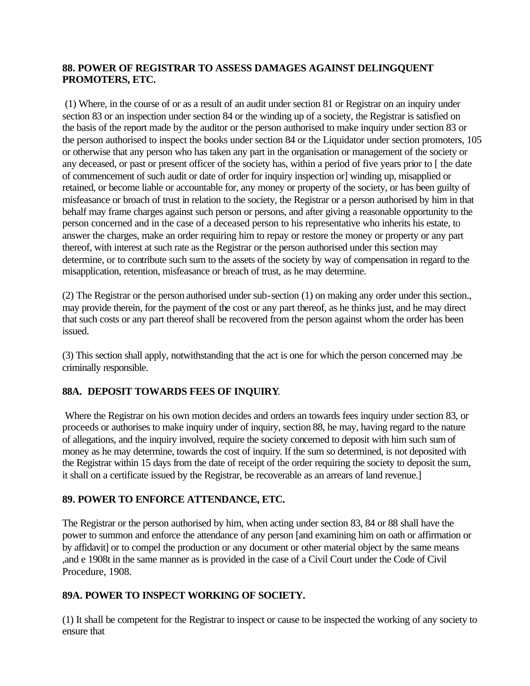#### **88. POWER OF REGISTRAR TO ASSESS DAMAGES AGAINST DELINGQUENT PROMOTERS, ETC.**

 (1) Where, in the course of or as a result of an audit under section 81 or Registrar on an inquiry under section 83 or an inspection under section 84 or the winding up of a society, the Registrar is satisfied on the basis of the report made by the auditor or the person authorised to make inquiry under section 83 or the person authorised to inspect the books under section 84 or the Liquidator under section promoters, 105 or otherwise that any person who has taken any part in the organisation or management of the society or any deceased, or past or present officer of the society has, within a period of five years prior to [ the date of commencement of such audit or date of order for inquiry inspection or] winding up, misapplied or retained, or become liable or accountable for, any money or property of the society, or has been guilty of misfeasance or broach of trust in relation to the society, the Registrar or a person authorised by him in that behalf may frame charges against such person or persons, and after giving a reasonable opportunity to the person concerned and in the case of a deceased person to his representative who inherits his estate, to answer the charges, make an order requiring him to repay or restore the money or property or any part thereof, with interest at such rate as the Registrar or the person authorised under this section may determine, or to contribute such sum to the assets of the society by way of compensation in regard to the misapplication, retention, misfeasance or breach of trust, as he may determine.

(2) The Registrar or the person authorised under sub-section (1) on making any order under this section., may provide therein, for the payment of the cost or any part thereof, as he thinks just, and he may direct that such costs or any part thereof shall be recovered from the person against whom the order has been issued.

(3) This section shall apply, notwithstanding that the act is one for which the person concerned may .be criminally responsible.

# **88A. DEPOSIT TOWARDS FEES OF INQUIRY**.

 Where the Registrar on his own motion decides and orders an towards fees inquiry under section 83, or proceeds or authorises to make inquiry under of inquiry, section 88, he may, having regard to the nature of allegations, and the inquiry involved, require the society concerned to deposit with him such sum of money as he may determine, towards the cost of inquiry. If the sum so determined, is not deposited with the Registrar within 15 days from the date of receipt of the order requiring the society to deposit the sum, it shall on a certificate issued by the Registrar, be recoverable as an arrears of land revenue.]

### **89. POWER TO ENFORCE ATTENDANCE, ETC.**

The Registrar or the person authorised by him, when acting under section 83, 84 or 88 shall have the power to summon and enforce the attendance of any person [and examining him on oath or affirmation or by affidavit] or to compel the production or any document or other material object by the same means ,and e 1908t in the same manner as is provided in the case of a Civil Court under the Code of Civil Procedure, 1908.

# **89A. POWER TO INSPECT WORKING OF SOCIETY.**

(1) It shall be competent for the Registrar to inspect or cause to be inspected the working of any society to ensure that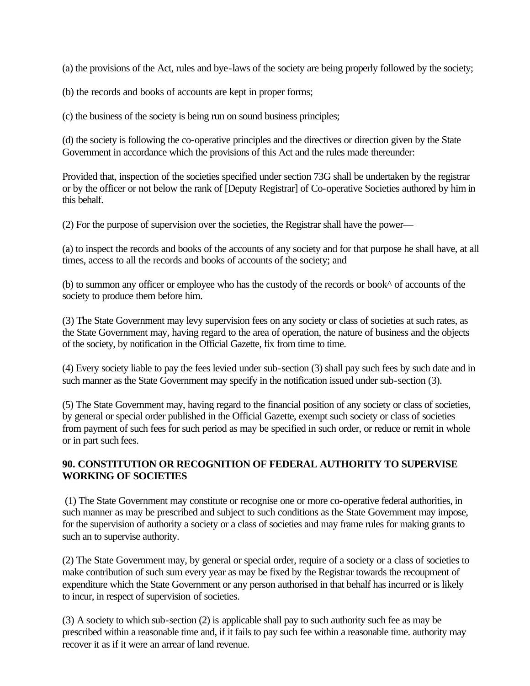(a) the provisions of the Act, rules and bye-laws of the society are being properly followed by the society;

(b) the records and books of accounts are kept in proper forms;

(c) the business of the society is being run on sound business principles;

(d) the society is following the co-operative principles and the directives or direction given by the State Government in accordance which the provisions of this Act and the rules made thereunder:

Provided that, inspection of the societies specified under section 73G shall be undertaken by the registrar or by the officer or not below the rank of [Deputy Registrar] of Co-operative Societies authored by him in this behalf.

(2) For the purpose of supervision over the societies, the Registrar shall have the power—

(a) to inspect the records and books of the accounts of any society and for that purpose he shall have, at all times, access to all the records and books of accounts of the society; and

(b) to summon any officer or employee who has the custody of the records or book^ of accounts of the society to produce them before him.

(3) The State Government may levy supervision fees on any society or class of societies at such rates, as the State Government may, having regard to the area of operation, the nature of business and the objects of the society, by notification in the Official Gazette, fix from time to time.

(4) Every society liable to pay the fees levied under sub-section (3) shall pay such fees by such date and in such manner as the State Government may specify in the notification issued under sub-section (3).

(5) The State Government may, having regard to the financial position of any society or class of societies, by general or special order published in the Official Gazette, exempt such society or class of societies from payment of such fees for such period as may be specified in such order, or reduce or remit in whole or in part such fees.

### **90. CONSTITUTION OR RECOGNITION OF FEDERAL AUTHORITY TO SUPERVISE WORKING OF SOCIETIES**

 (1) The State Government may constitute or recognise one or more co-operative federal authorities, in such manner as may be prescribed and subject to such conditions as the State Government may impose, for the supervision of authority a society or a class of societies and may frame rules for making grants to such an to supervise authority.

(2) The State Government may, by general or special order, require of a society or a class of societies to make contribution of such sum every year as may be fixed by the Registrar towards the recoupment of expenditure which the State Government or any person authorised in that behalf has incurred or is likely to incur, in respect of supervision of societies.

(3) A society to which sub-section (2) is applicable shall pay to such authority such fee as may be prescribed within a reasonable time and, if it fails to pay such fee within a reasonable time. authority may recover it as if it were an arrear of land revenue.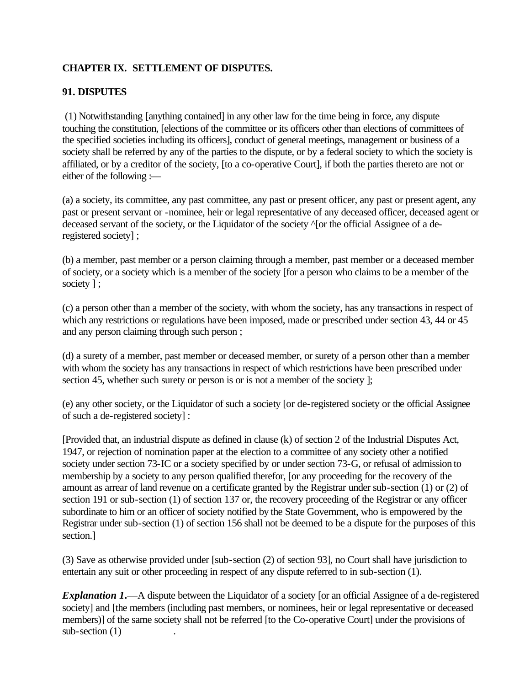### **CHAPTER IX. SETTLEMENT OF DISPUTES.**

### **91. DISPUTES**

 (1) Notwithstanding [anything contained] in any other law for the time being in force, any dispute touching the constitution, [elections of the committee or its officers other than elections of committees of the specified societies including its officers], conduct of general meetings, management or business of a society shall be referred by any of the parties to the dispute, or by a federal society to which the society is affiliated, or by a creditor of the society, [to a co-operative Court], if both the parties thereto are not or either of the following :—

(a) a society, its committee, any past committee, any past or present officer, any past or present agent, any past or present servant or -nominee, heir or legal representative of any deceased officer, deceased agent or deceased servant of the society, or the Liquidator of the society  $\gamma$  or the official Assignee of a deregistered society] ;

(b) a member, past member or a person claiming through a member, past member or a deceased member of society, or a society which is a member of the society [for a person who claims to be a member of the society ] ;

(c) a person other than a member of the society, with whom the society, has any transactions in respect of which any restrictions or regulations have been imposed, made or prescribed under section 43, 44 or 45 and any person claiming through such person ;

(d) a surety of a member, past member or deceased member, or surety of a person other than a member with whom the society has any transactions in respect of which restrictions have been prescribed under section 45, whether such surety or person is or is not a member of the society ];

(e) any other society, or the Liquidator of such a society [or de-registered society or the official Assignee of such a de-registered society] :

[Provided that, an industrial dispute as defined in clause (k) of section 2 of the Industrial Disputes Act, 1947, or rejection of nomination paper at the election to a committee of any society other a notified society under section 73-IC or a society specified by or under section 73-G, or refusal of admission to membership by a society to any person qualified therefor, [or any proceeding for the recovery of the amount as arrear of land revenue on a certificate granted by the Registrar under sub-section (1) or (2) of section 191 or sub-section (1) of section 137 or, the recovery proceeding of the Registrar or any officer subordinate to him or an officer of society notified by the State Government, who is empowered by the Registrar under sub-section (1) of section 156 shall not be deemed to be a dispute for the purposes of this section.]

(3) Save as otherwise provided under [sub-section (2) of section 93], no Court shall have jurisdiction to entertain any suit or other proceeding in respect of any dispute referred to in sub-section (1).

*Explanation 1***.**—A dispute between the Liquidator of a society [or an official Assignee of a de-registered society] and [the members (including past members, or nominees, heir or legal representative or deceased members)] of the same society shall not be referred [to the Co-operative Court] under the provisions of  $sub-section (1)$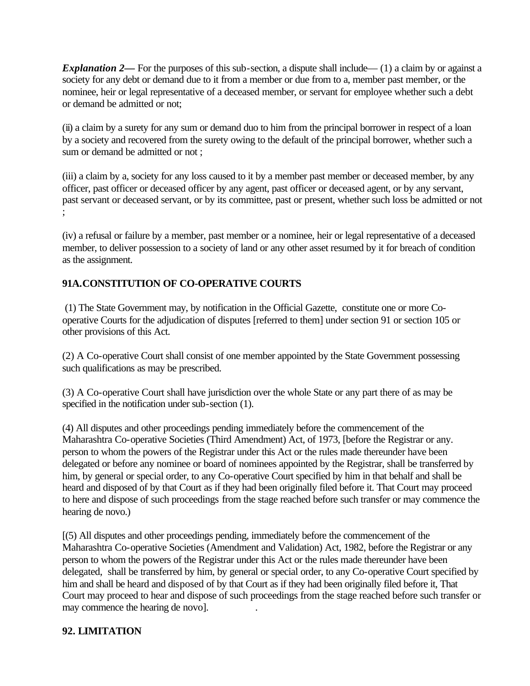*Explanation 2—* For the purposes of this sub-section, a dispute shall include— (1) a claim by or against a society for any debt or demand due to it from a member or due from to a, member past member, or the nominee, heir or legal representative of a deceased member, or servant for employee whether such a debt or demand be admitted or not;

(ii) a claim by a surety for any sum or demand duo to him from the principal borrower in respect of a loan by a society and recovered from the surety owing to the default of the principal borrower, whether such a sum or demand be admitted or not ;

(iii) a claim by a, society for any loss caused to it by a member past member or deceased member, by any officer, past officer or deceased officer by any agent, past officer or deceased agent, or by any servant, past servant or deceased servant, or by its committee, past or present, whether such loss be admitted or not ;

(iv) a refusal or failure by a member, past member or a nominee, heir or legal representative of a deceased member, to deliver possession to a society of land or any other asset resumed by it for breach of condition as the assignment.

# **91A.CONSTITUTION OF CO-OPERATIVE COURTS**

 (1) The State Government may, by notification in the Official Gazette, constitute one or more Cooperative Courts for the adjudication of disputes [referred to them] under section 91 or section 105 or other provisions of this Act.

(2) A Co-operative Court shall consist of one member appointed by the State Government possessing such qualifications as may be prescribed.

(3) A Co-operative Court shall have jurisdiction over the whole State or any part there of as may be specified in the notification under sub-section (1).

(4) All disputes and other proceedings pending immediately before the commencement of the Maharashtra Co-operative Societies (Third Amendment) Act, of 1973, [before the Registrar or any. person to whom the powers of the Registrar under this Act or the rules made thereunder have been delegated or before any nominee or board of nominees appointed by the Registrar, shall be transferred by him, by general or special order, to any Co-operative Court specified by him in that behalf and shall be heard and disposed of by that Court as if they had been originally filed before it. That Court may proceed to here and dispose of such proceedings from the stage reached before such transfer or may commence the hearing de novo.)

[(5) All disputes and other proceedings pending, immediately before the commencement of the Maharashtra Co-operative Societies (Amendment and Validation) Act, 1982, before the Registrar or any person to whom the powers of the Registrar under this Act or the rules made thereunder have been delegated, shall be transferred by him, by general or special order, to any Co-operative Court specified by him and shall be heard and disposed of by that Court as if they had been originally filed before it, That Court may proceed to hear and dispose of such proceedings from the stage reached before such transfer or may commence the hearing de novo].

# **92. LIMITATION**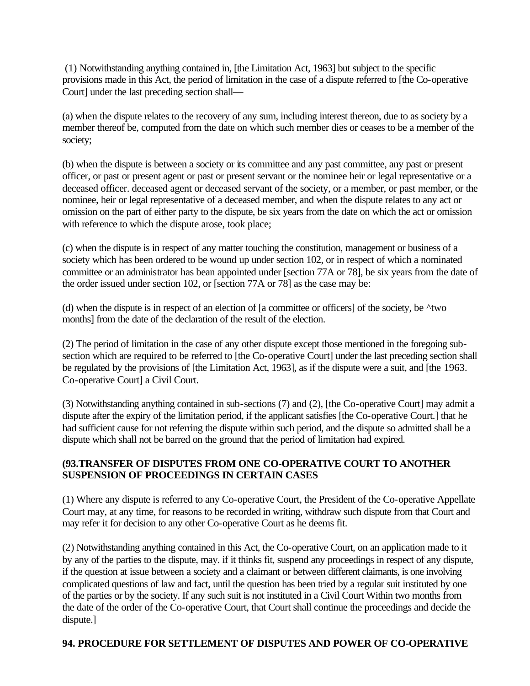(1) Notwithstanding anything contained in, [the Limitation Act, 1963] but subject to the specific provisions made in this Act, the period of limitation in the case of a dispute referred to [the Co-operative Court] under the last preceding section shall—

(a) when the dispute relates to the recovery of any sum, including interest thereon, due to as society by a member thereof be, computed from the date on which such member dies or ceases to be a member of the society;

(b) when the dispute is between a society or its committee and any past committee, any past or present officer, or past or present agent or past or present servant or the nominee heir or legal representative or a deceased officer. deceased agent or deceased servant of the society, or a member, or past member, or the nominee, heir or legal representative of a deceased member, and when the dispute relates to any act or omission on the part of either party to the dispute, be six years from the date on which the act or omission with reference to which the dispute arose, took place;

(c) when the dispute is in respect of any matter touching the constitution, management or business of a society which has been ordered to be wound up under section 102, or in respect of which a nominated committee or an administrator has bean appointed under [section 77A or 78], be six years from the date of the order issued under section 102, or [section 77A or 78] as the case may be:

(d) when the dispute is in respect of an election of [a committee or officers] of the society, be ^two months] from the date of the declaration of the result of the election.

(2) The period of limitation in the case of any other dispute except those mentioned in the foregoing subsection which are required to be referred to [the Co-operative Court] under the last preceding section shall be regulated by the provisions of [the Limitation Act, 1963], as if the dispute were a suit, and [the 1963. Co-operative Court] a Civil Court.

(3) Notwithstanding anything contained in sub-sections (7) and (2), [the Co-operative Court] may admit a dispute after the expiry of the limitation period, if the applicant satisfies [the Co-operative Court.] that he had sufficient cause for not referring the dispute within such period, and the dispute so admitted shall be a dispute which shall not be barred on the ground that the period of limitation had expired.

### **(93.TRANSFER OF DISPUTES FROM ONE CO-OPERATIVE COURT TO ANOTHER SUSPENSION OF PROCEEDINGS IN CERTAIN CASES**

(1) Where any dispute is referred to any Co-operative Court, the President of the Co-operative Appellate Court may, at any time, for reasons to be recorded in writing, withdraw such dispute from that Court and may refer it for decision to any other Co-operative Court as he deems fit.

(2) Notwithstanding anything contained in this Act, the Co-operative Court, on an application made to it by any of the parties to the dispute, may. if it thinks fit, suspend any proceedings in respect of any dispute, if the question at issue between a society and a claimant or between different claimants, is one involving complicated questions of law and fact, until the question has been tried by a regular suit instituted by one of the parties or by the society. If any such suit is not instituted in a Civil Court Within two months from the date of the order of the Co-operative Court, that Court shall continue the proceedings and decide the dispute.]

# **94. PROCEDURE FOR SETTLEMENT OF DISPUTES AND POWER OF CO-OPERATIVE**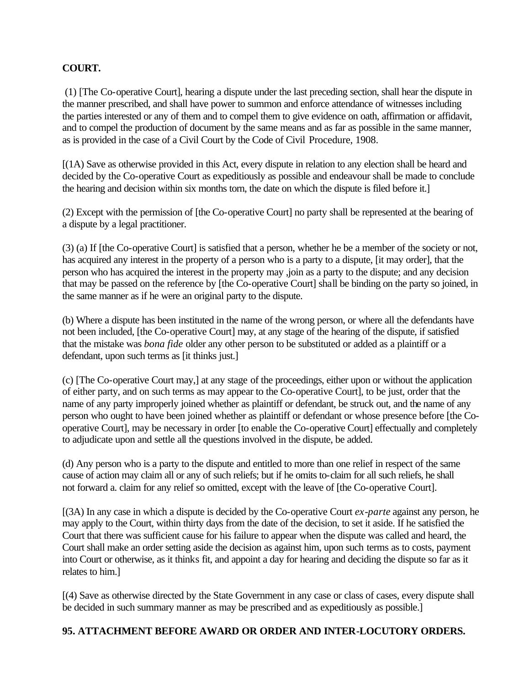### **COURT.**

 (1) [The Co-operative Court], hearing a dispute under the last preceding section, shall hear the dispute in the manner prescribed, and shall have power to summon and enforce attendance of witnesses including the parties interested or any of them and to compel them to give evidence on oath, affirmation or affidavit, and to compel the production of document by the same means and as far as possible in the same manner, as is provided in the case of a Civil Court by the Code of Civil Procedure, 1908.

[(1A) Save as otherwise provided in this Act, every dispute in relation to any election shall be heard and decided by the Co-operative Court as expeditiously as possible and endeavour shall be made to conclude the hearing and decision within six months torn, the date on which the dispute is filed before it.]

(2) Except with the permission of [the Co-operative Court] no party shall be represented at the bearing of a dispute by a legal practitioner.

(3) (a) If [the Co-operative Court] is satisfied that a person, whether he be a member of the society or not, has acquired any interest in the property of a person who is a party to a dispute, [it may order], that the person who has acquired the interest in the property may ,join as a party to the dispute; and any decision that may be passed on the reference by [the Co-operative Court] shall be binding on the party so joined, in the same manner as if he were an original party to the dispute.

(b) Where a dispute has been instituted in the name of the wrong person, or where all the defendants have not been included, [the Co-operative Court] may, at any stage of the hearing of the dispute, if satisfied that the mistake was *bona fide* older any other person to be substituted or added as a plaintiff or a defendant, upon such terms as [it thinks just.]

(c) [The Co-operative Court may,] at any stage of the proceedings, either upon or without the application of either party, and on such terms as may appear to the Co-operative Court], to be just, order that the name of any party improperly joined whether as plaintiff or defendant, be struck out, and the name of any person who ought to have been joined whether as plaintiff or defendant or whose presence before [the Cooperative Court], may be necessary in order [to enable the Co-operative Court] effectually and completely to adjudicate upon and settle all the questions involved in the dispute, be added.

(d) Any person who is a party to the dispute and entitled to more than one relief in respect of the same cause of action may claim all or any of such reliefs; but if he omits to-claim for all such reliefs, he shall not forward a. claim for any relief so omitted, except with the leave of [the Co-operative Court].

[(3A) In any case in which a dispute is decided by the Co-operative Court *ex-parte* against any person, he may apply to the Court, within thirty days from the date of the decision, to set it aside. If he satisfied the Court that there was sufficient cause for his failure to appear when the dispute was called and heard, the Court shall make an order setting aside the decision as against him, upon such terms as to costs, payment into Court or otherwise, as it thinks fit, and appoint a day for hearing and deciding the dispute so far as it relates to him.]

[(4) Save as otherwise directed by the State Government in any case or class of cases, every dispute shall be decided in such summary manner as may be prescribed and as expeditiously as possible.]

# **95. ATTACHMENT BEFORE AWARD OR ORDER AND INTER-LOCUTORY ORDERS.**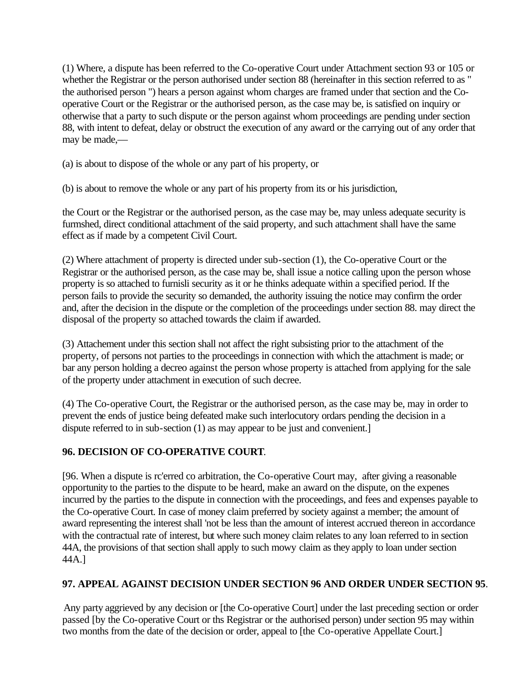(1) Where, a dispute has been referred to the Co-operative Court under Attachment section 93 or 105 or whether the Registrar or the person authorised under section 88 (hereinafter in this section referred to as " the authorised person ") hears a person against whom charges are framed under that section and the Cooperative Court or the Registrar or the authorised person, as the case may be, is satisfied on inquiry or otherwise that a party to such dispute or the person against whom proceedings are pending under section 88, with intent to defeat, delay or obstruct the execution of any award or the carrying out of any order that may be made,—

(a) is about to dispose of the whole or any part of his property, or

(b) is about to remove the whole or any part of his property from its or his jurisdiction,

the Court or the Registrar or the authorised person, as the case may be, may unless adequate security is furmshed, direct conditional attachment of the said property, and such attachment shall have the same effect as if made by a competent Civil Court.

(2) Where attachment of property is directed under sub-section (1), the Co-operative Court or the Registrar or the authorised person, as the case may be, shall issue a notice calling upon the person whose property is so attached to furnisli security as it or he thinks adequate within a specified period. If the person fails to provide the security so demanded, the authority issuing the notice may confirm the order and, after the decision in the dispute or the completion of the proceedings under section 88. may direct the disposal of the property so attached towards the claim if awarded.

(3) Attachement under this section shall not affect the right subsisting prior to the attachment of the property, of persons not parties to the proceedings in connection with which the attachment is made; or bar any person holding a decreo against the person whose property is attached from applying for the sale of the property under attachment in execution of such decree.

(4) The Co-operative Court, the Registrar or the authorised person, as the case may be, may in order to prevent the ends of justice being defeated make such interlocutory ordars pending the decision in a dispute referred to in sub-section (1) as may appear to be just and convenient.

### **96. DECISION OF CO-OPERATIVE COURT**.

[96. When a dispute is rc'erred co arbitration, the Co-operative Court may, after giving a reasonable opportunity to the parties to the dispute to be heard, make an award on the dispute, on the expenes incurred by the parties to the dispute in connection with the proceedings, and fees and expenses payable to the Co-operative Court. In case of money claim preferred by society against a member; the amount of award representing the interest shall 'not be less than the amount of interest accrued thereon in accordance with the contractual rate of interest, but where such money claim relates to any loan referred to in section 44A, the provisions of that section shall apply to such mowy claim as they apply to loan under section 44A.]

### **97. APPEAL AGAINST DECISION UNDER SECTION 96 AND ORDER UNDER SECTION 95**.

Any party aggrieved by any decision or [the Co-operative Court] under the last preceding section or order passed [by the Co-operative Court or ths Registrar or the authorised person) under section 95 may within two months from the date of the decision or order, appeal to [the Co-operative Appellate Court.]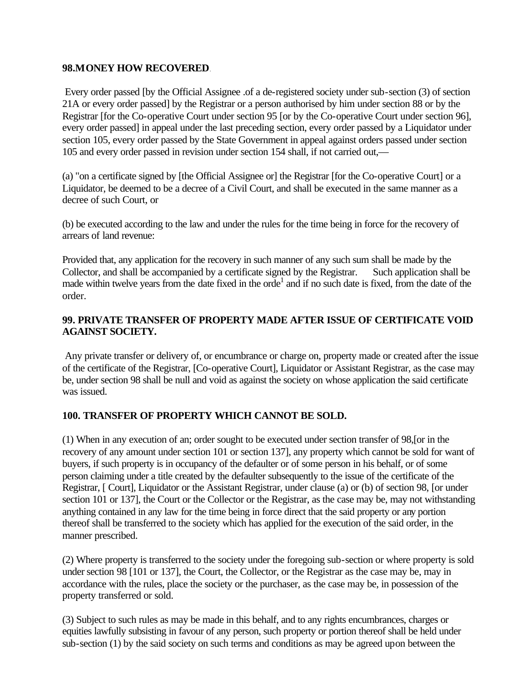#### **98.MONEY HOW RECOVERED**.

Every order passed [by the Official Assignee .of a de-registered society under sub-section (3) of section 21A or every order passed] by the Registrar or a person authorised by him under section 88 or by the Registrar [for the Co-operative Court under section 95 [or by the Co-operative Court under section 96], every order passed] in appeal under the last preceding section, every order passed by a Liquidator under section 105, every order passed by the State Government in appeal against orders passed under section 105 and every order passed in revision under section 154 shall, if not carried out,—

(a) "on a certificate signed by [the Official Assignee or] the Registrar [for the Co-operative Court] or a Liquidator, be deemed to be a decree of a Civil Court, and shall be executed in the same manner as a decree of such Court, or

(b) be executed according to the law and under the rules for the time being in force for the recovery of arrears of land revenue:

Provided that, any application for the recovery in such manner of any such sum shall be made by the Collector, and shall be accompanied by a certificate signed by the Registrar. Such application shall be made within twelve years from the date fixed in the orde<sup>1</sup> and if no such date is fixed, from the date of the order.

### **99. PRIVATE TRANSFER OF PROPERTY MADE AFTER ISSUE OF CERTIFICATE VOID AGAINST SOCIETY.**

 Any private transfer or delivery of, or encumbrance or charge on, property made or created after the issue of the certificate of the Registrar, [Co-operative Court], Liquidator or Assistant Registrar, as the case may be, under section 98 shall be null and void as against the society on whose application the said certificate was issued.

### **100. TRANSFER OF PROPERTY WHICH CANNOT BE SOLD.**

(1) When in any execution of an; order sought to be executed under section transfer of 98,[or in the recovery of any amount under section 101 or section 137], any property which cannot be sold for want of buyers, if such property is in occupancy of the defaulter or of some person in his behalf, or of some person claiming under a title created by the defaulter subsequently to the issue of the certificate of the Registrar, [ Court], Liquidator or the Assistant Registrar, under clause (a) or (b) of section 98, [or under section 101 or 137], the Court or the Collector or the Registrar, as the case may be, may not withstanding anything contained in any law for the time being in force direct that the said property or any portion thereof shall be transferred to the society which has applied for the execution of the said order, in the manner prescribed.

(2) Where property is transferred to the society under the foregoing sub-section or where property is sold under section 98 [101 or 137], the Court, the Collector, or the Registrar as the case may be, may in accordance with the rules, place the society or the purchaser, as the case may be, in possession of the property transferred or sold.

(3) Subject to such rules as may be made in this behalf, and to any rights encumbrances, charges or equities lawfully subsisting in favour of any person, such property or portion thereof shall be held under sub-section (1) by the said society on such terms and conditions as may be agreed upon between the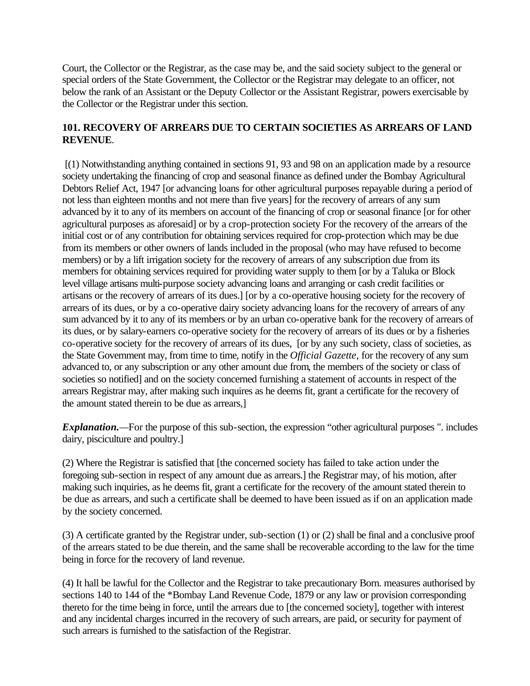Court, the Collector or the Registrar, as the case may be, and the said society subject to the general or special orders of the State Government, the Collector or the Registrar may delegate to an officer, not below the rank of an Assistant or the Deputy Collector or the Assistant Registrar, powers exercisable by the Collector or the Registrar under this section.

### **101. RECOVERY OF ARREARS DUE TO CERTAIN SOCIETIES AS ARREARS OF LAND REVENUE**.

 [(1) Notwithstanding anything contained in sections 91, 93 and 98 on an application made by a resource society undertaking the financing of crop and seasonal finance as defined under the Bombay Agricultural Debtors Relief Act, 1947 [or advancing loans for other agricultural purposes repayable during a period of not less than eighteen months and not mere than five years] for the recovery of arrears of any sum advanced by it to any of its members on account of the financing of crop or seasonal finance [or for other agricultural purposes as aforesaid] or by a crop-protection society For the recovery of the arrears of the initial cost or of any contribution for obtaining services required for crop-protection which may be due from its members or other owners of lands included in the proposal (who may have refused to become members) or by a lift irrigation society for the recovery of arrears of any subscription due from its members for obtaining services required for providing water supply to them [or by a Taluka or Block level village artisans multi-purpose society advancing loans and arranging or cash credit facilities or artisans or the recovery of arrears of its dues.] [or by a co-operative housing society for the recovery of arrears of its dues, or by a co-operative dairy society advancing loans for the recovery of arrears of any sum advanced by it to any of its members or by an urban co-operative bank for the recovery of arrears of its dues, or by salary-earners co-operative society for the recovery of arrears of its dues or by a fisheries co-operative society for the recovery of arrears of its dues, [or by any such society, class of societies, as the State Government may, from time to time, notify in the *Official Gazette,* for the recovery of any sum advanced to, or any subscription or any other amount due from, the members of the society or class of societies so notified] and on the society concerned furnishing a statement of accounts in respect of the arrears Registrar may, after making such inquires as he deems fit, grant a certificate for the recovery of the amount stated therein to be due as arrears,]

*Explanation.—*For the purpose of this sub-section, the expression "other agricultural purposes ". includes dairy, pisciculture and poultry.]

(2) Where the Registrar is satisfied that [the concerned society has failed to take action under the foregoing sub-section in respect of any amount due as arrears.] the Registrar may, of his motion, after making such inquiries, as he deems fit, grant a certificate for the recovery of the amount stated therein to be due as arrears, and such a certificate shall be deemed to have been issued as if on an application made by the society concerned.

(3) A certificate granted by the Registrar under, sub-section (1) or (2) shall be final and a conclusive proof of the arrears stated to be due therein, and the same shall be recoverable according to the law for the time being in force for the recovery of land revenue.

(4) It hall be lawful for the Collector and the Registrar to take precautionary Born. measures authorised by sections 140 to 144 of the \*Bombay Land Revenue Code, 1879 or any law or provision corresponding thereto for the time being in force, until the arrears due to [the concerned society], together with interest and any incidental charges incurred in the recovery of such arrears, are paid, or security for payment of such arrears is furnished to the satisfaction of the Registrar.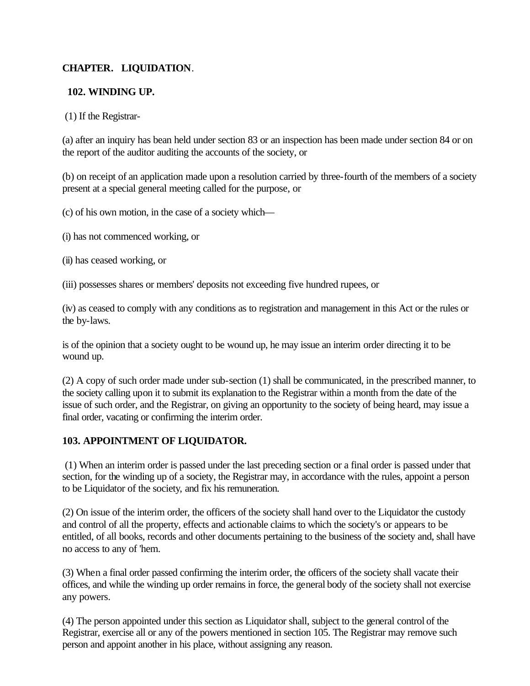### **CHAPTER. LIQUIDATION**.

#### **102. WINDING UP.**

#### (1) If the Registrar-

(a) after an inquiry has bean held under section 83 or an inspection has been made under section 84 or on the report of the auditor auditing the accounts of the society, or

(b) on receipt of an application made upon a resolution carried by three-fourth of the members of a society present at a special general meeting called for the purpose, or

(c) of his own motion, in the case of a society which—

(i) has not commenced working, or

(ii) has ceased working, or

(iii) possesses shares or members' deposits not exceeding five hundred rupees, or

(iv) as ceased to comply with any conditions as to registration and management in this Act or the rules or the by-laws.

is of the opinion that a society ought to be wound up, he may issue an interim order directing it to be wound up.

(2) A copy of such order made under sub-section (1) shall be communicated, in the prescribed manner, to the society calling upon it to submit its explanation to the Registrar within a month from the date of the issue of such order, and the Registrar, on giving an opportunity to the society of being heard, may issue a final order, vacating or confirming the interim order.

### **103. APPOINTMENT OF LIQUIDATOR.**

 (1) When an interim order is passed under the last preceding section or a final order is passed under that section, for the winding up of a society, the Registrar may, in accordance with the rules, appoint a person to be Liquidator of the society, and fix his remuneration.

(2) On issue of the interim order, the officers of the society shall hand over to the Liquidator the custody and control of all the property, effects and actionable claims to which the society's or appears to be entitled, of all books, records and other documents pertaining to the business of the society and, shall have no access to any of 'hem.

(3) When a final order passed confirming the interim order, the officers of the society shall vacate their offices, and while the winding up order remains in force, the general body of the society shall not exercise any powers.

(4) The person appointed under this section as Liquidator shall, subject to the general control of the Registrar, exercise all or any of the powers mentioned in section 105. The Registrar may remove such person and appoint another in his place, without assigning any reason.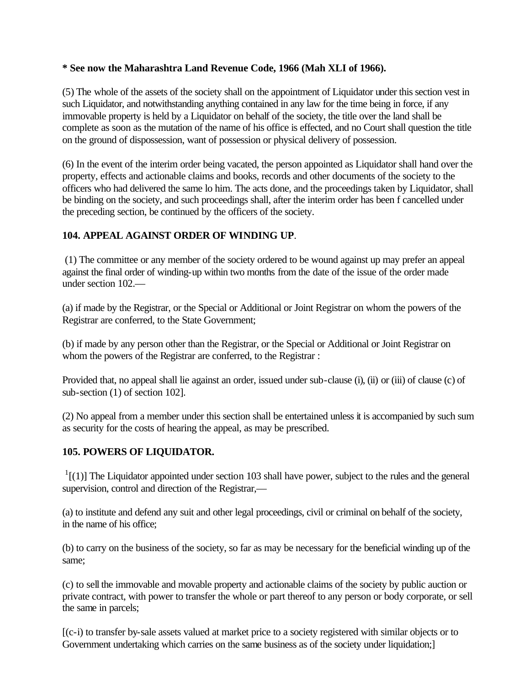#### **\* See now the Maharashtra Land Revenue Code, 1966 (Mah XLI of 1966).**

(5) The whole of the assets of the society shall on the appointment of Liquidator under this section vest in such Liquidator, and notwithstanding anything contained in any law for the time being in force, if any immovable property is held by a Liquidator on behalf of the society, the title over the land shall be complete as soon as the mutation of the name of his office is effected, and no Court shall question the title on the ground of dispossession, want of possession or physical delivery of possession.

(6) In the event of the interim order being vacated, the person appointed as Liquidator shall hand over the property, effects and actionable claims and books, records and other documents of the society to the officers who had delivered the same lo him. The acts done, and the proceedings taken by Liquidator, shall be binding on the society, and such proceedings shall, after the interim order has been f cancelled under the preceding section, be continued by the officers of the society.

### **104. APPEAL AGAINST ORDER OF WINDING UP**.

 (1) The committee or any member of the society ordered to be wound against up may prefer an appeal against the final order of winding-up within two months from the date of the issue of the order made under section 102.—

(a) if made by the Registrar, or the Special or Additional or Joint Registrar on whom the powers of the Registrar are conferred, to the State Government;

(b) if made by any person other than the Registrar, or the Special or Additional or Joint Registrar on whom the powers of the Registrar are conferred, to the Registrar :

Provided that, no appeal shall lie against an order, issued under sub-clause (i), (ii) or (iii) of clause (c) of sub-section (1) of section 102].

(2) No appeal from a member under this section shall be entertained unless it is accompanied by such sum as security for the costs of hearing the appeal, as may be prescribed.

### **105. POWERS OF LIQUIDATOR.**

 $1(1)$ ] The Liquidator appointed under section 103 shall have power, subject to the rules and the general supervision, control and direction of the Registrar,—

(a) to institute and defend any suit and other legal proceedings, civil or criminal on behalf of the society, in the name of his office;

(b) to carry on the business of the society, so far as may be necessary for the beneficial winding up of the same;

(c) to sell the immovable and movable property and actionable claims of the society by public auction or private contract, with power to transfer the whole or part thereof to any person or body corporate, or sell the same in parcels;

[(c-i) to transfer by-sale assets valued at market price to a society registered with similar objects or to Government undertaking which carries on the same business as of the society under liquidation;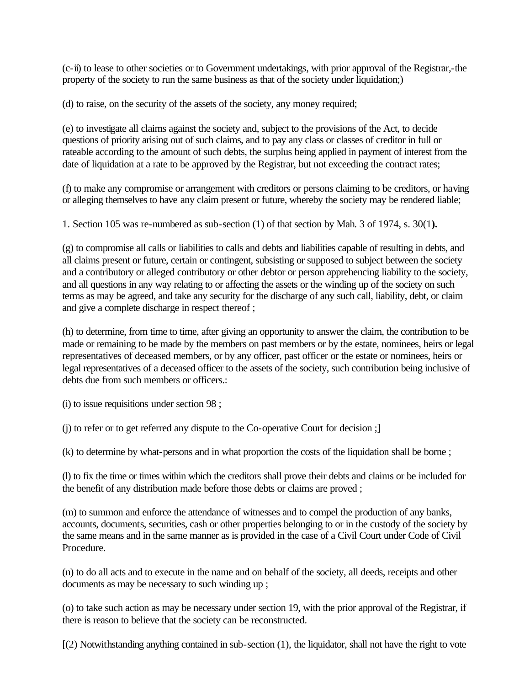(c-ii) to lease to other societies or to Government undertakings, with prior approval of the Registrar,-the property of the society to run the same business as that of the society under liquidation;)

(d) to raise, on the security of the assets of the society, any money required;

(e) to investigate all claims against the society and, subject to the provisions of the Act, to decide questions of priority arising out of such claims, and to pay any class or classes of creditor in full or rateable according to the amount of such debts, the surplus being applied in payment of interest from the date of liquidation at a rate to be approved by the Registrar, but not exceeding the contract rates;

(f) to make any compromise or arrangement with creditors or persons claiming to be creditors, or having or alleging themselves to have any claim present or future, whereby the society may be rendered liable;

1. Section 105 was re-numbered as sub-section (1) of that section by Mah. 3 of 1974, s. 30(1**).**

(g) to compromise all calls or liabilities to calls and debts and liabilities capable of resulting in debts, and all claims present or future, certain or contingent, subsisting or supposed to subject between the society and a contributory or alleged contributory or other debtor or person apprehencing liability to the society, and all questions in any way relating to or affecting the assets or the winding up of the society on such terms as may be agreed, and take any security for the discharge of any such call, liability, debt, or claim and give a complete discharge in respect thereof ;

(h) to determine, from time to time, after giving an opportunity to answer the claim, the contribution to be made or remaining to be made by the members on past members or by the estate, nominees, heirs or legal representatives of deceased members, or by any officer, past officer or the estate or nominees, heirs or legal representatives of a deceased officer to the assets of the society, such contribution being inclusive of debts due from such members or officers.:

(i) to issue requisitions under section 98 ;

(j) to refer or to get referred any dispute to the Co-operative Court for decision ;]

(k) to determine by what-persons and in what proportion the costs of the liquidation shall be borne ;

(l) to fix the time or times within which the creditors shall prove their debts and claims or be included for the benefit of any distribution made before those debts or claims are proved ;

(m) to summon and enforce the attendance of witnesses and to compel the production of any banks, accounts, documents, securities, cash or other properties belonging to or in the custody of the society by the same means and in the same manner as is provided in the case of a Civil Court under Code of Civil Procedure.

(n) to do all acts and to execute in the name and on behalf of the society, all deeds, receipts and other documents as may be necessary to such winding up ;

(o) to take such action as may be necessary under section 19, with the prior approval of the Registrar, if there is reason to believe that the society can be reconstructed.

[(2) Notwithstanding anything contained in sub-section (1), the liquidator, shall not have the right to vote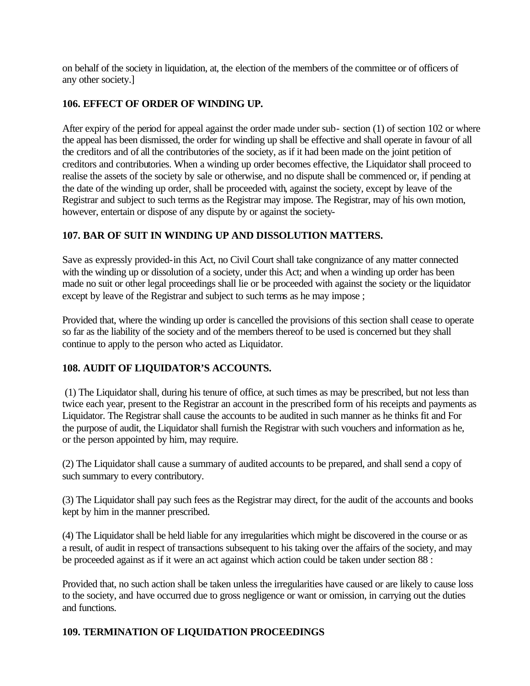on behalf of the society in liquidation, at, the election of the members of the committee or of officers of any other society.]

## **106. EFFECT OF ORDER OF WINDING UP.**

After expiry of the period for appeal against the order made under sub- section (1) of section 102 or where the appeal has been dismissed, the order for winding up shall be effective and shall operate in favour of all the creditors and of all the contributories of the society, as if it had been made on the joint petition of creditors and contributories. When a winding up order becomes effective, the Liquidator shall proceed to realise the assets of the society by sale or otherwise, and no dispute shall be commenced or, if pending at the date of the winding up order, shall be proceeded with, against the society, except by leave of the Registrar and subject to such terms as the Registrar may impose. The Registrar, may of his own motion, however, entertain or dispose of any dispute by or against the society-

## **107. BAR OF SUIT IN WINDING UP AND DISSOLUTION MATTERS.**

Save as expressly provided-in this Act, no Civil Court shall take congnizance of any matter connected with the winding up or dissolution of a society, under this Act; and when a winding up order has been made no suit or other legal proceedings shall lie or be proceeded with against the society or the liquidator except by leave of the Registrar and subject to such terms as he may impose ;

Provided that, where the winding up order is cancelled the provisions of this section shall cease to operate so far as the liability of the society and of the members thereof to be used is concerned but they shall continue to apply to the person who acted as Liquidator.

## **108. AUDIT OF LIQUIDATOR'S ACCOUNTS.**

 (1) The Liquidator shall, during his tenure of office, at such times as may be prescribed, but not less than twice each year, present to the Registrar an account in the prescribed form of his receipts and payments as Liquidator. The Registrar shall cause the accounts to be audited in such manner as he thinks fit and For the purpose of audit, the Liquidator shall furnish the Registrar with such vouchers and information as he, or the person appointed by him, may require.

(2) The Liquidator shall cause a summary of audited accounts to be prepared, and shall send a copy of such summary to every contributory.

(3) The Liquidator shall pay such fees as the Registrar may direct, for the audit of the accounts and books kept by him in the manner prescribed.

(4) The Liquidator shall be held liable for any irregularities which might be discovered in the course or as a result, of audit in respect of transactions subsequent to his taking over the affairs of the society, and may be proceeded against as if it were an act against which action could be taken under section 88 :

Provided that, no such action shall be taken unless the irregularities have caused or are likely to cause loss to the society, and have occurred due to gross negligence or want or omission, in carrying out the duties and functions.

## **109. TERMINATION OF LIQUIDATION PROCEEDINGS**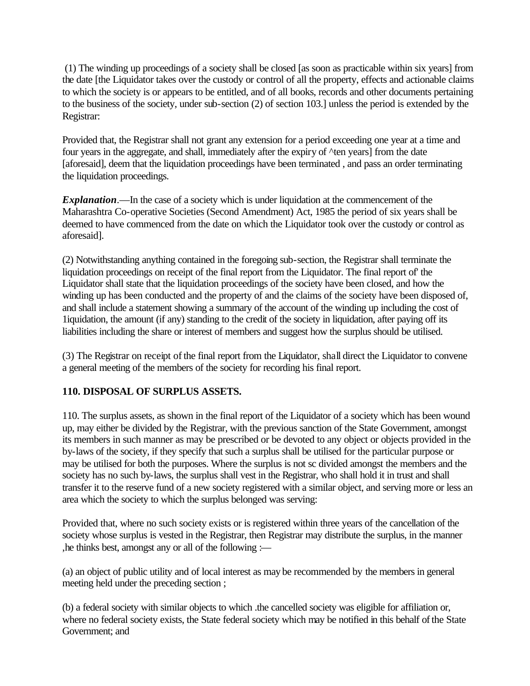(1) The winding up proceedings of a society shall be closed [as soon as practicable within six years] from the date [the Liquidator takes over the custody or control of all the property, effects and actionable claims to which the society is or appears to be entitled, and of all books, records and other documents pertaining to the business of the society, under sub-section (2) of section 103.] unless the period is extended by the Registrar:

Provided that, the Registrar shall not grant any extension for a period exceeding one year at a time and four years in the aggregate, and shall, immediately after the expiry of ^ten years] from the date [aforesaid], deem that the liquidation proceedings have been terminated , and pass an order terminating the liquidation proceedings.

*Explanation*.—In the case of a society which is under liquidation at the commencement of the Maharashtra Co-operative Societies (Second Amendment) Act, 1985 the period of six years shall be deemed to have commenced from the date on which the Liquidator took over the custody or control as aforesaid].

(2) Notwithstanding anything contained in the foregoing sub-section, the Registrar shall terminate the liquidation proceedings on receipt of the final report from the Liquidator. The final report of' the Liquidator shall state that the liquidation proceedings of the society have been closed, and how the winding up has been conducted and the property of and the claims of the society have been disposed of, and shall include a statement showing a summary of the account of the winding up including the cost of 1iquidation, the amount (if any) standing to the credit of the society in liquidation, after paying off its liabilities including the share or interest of members and suggest how the surplus should be utilised.

(3) The Registrar on receipt of the final report from the Liquidator, shall direct the Liquidator to convene a general meeting of the members of the society for recording his final report.

# **110. DISPOSAL OF SURPLUS ASSETS.**

110. The surplus assets, as shown in the final report of the Liquidator of a society which has been wound up, may either be divided by the Registrar, with the previous sanction of the State Government, amongst its members in such manner as may be prescribed or be devoted to any object or objects provided in the by-laws of the society, if they specify that such a surplus shall be utilised for the particular purpose or may be utilised for both the purposes. Where the surplus is not sc divided amongst the members and the society has no such by-laws, the surplus shall vest in the Registrar, who shall hold it in trust and shall transfer it to the reserve fund of a new society registered with a similar object, and serving more or less an area which the society to which the surplus belonged was serving:

Provided that, where no such society exists or is registered within three years of the cancellation of the society whose surplus is vested in the Registrar, then Registrar may distribute the surplus, in the manner ,he thinks best, amongst any or all of the following :—

(a) an object of public utility and of local interest as may be recommended by the members in general meeting held under the preceding section ;

(b) a federal society with similar objects to which .the cancelled society was eligible for affiliation or, where no federal society exists, the State federal society which may be notified in this behalf of the State Government; and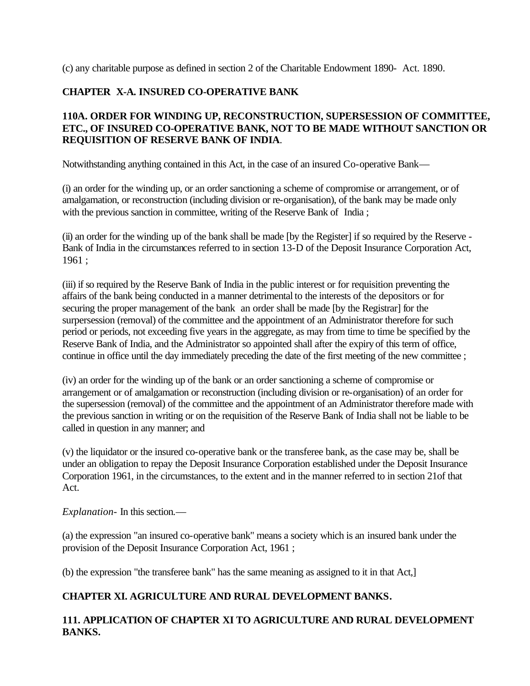(c) any charitable purpose as defined in section 2 of the Charitable Endowment 1890- Act. 1890.

## **CHAPTER X-A. INSURED CO-OPERATIVE BANK**

## **110A. ORDER FOR WINDING UP, RECONSTRUCTION, SUPERSESSION OF COMMITTEE, ETC., OF INSURED CO-OPERATIVE BANK, NOT TO BE MADE WITHOUT SANCTION OR REQUISITION OF RESERVE BANK OF INDIA**.

Notwithstanding anything contained in this Act, in the case of an insured Co-operative Bank—

(i) an order for the winding up, or an order sanctioning a scheme of compromise or arrangement, or of amalgamation, or reconstruction (including division or re-organisation), of the bank may be made only with the previous sanction in committee, writing of the Reserve Bank of India;

(ii) an order for the winding up of the bank shall be made [by the Register] if so required by the Reserve - Bank of India in the circumstances referred to in section 13-D of the Deposit Insurance Corporation Act, 1961 ;

(iii) if so required by the Reserve Bank of India in the public interest or for requisition preventing the affairs of the bank being conducted in a manner detrimental to the interests of the depositors or for securing the proper management of the bank an order shall be made [by the Registrar] for the surpersession (removal) of the committee and the appointment of an Administrator therefore for such period or periods, not exceeding five years in the aggregate, as may from time to time be specified by the Reserve Bank of India, and the Administrator so appointed shall after the expiry of this term of office, continue in office until the day immediately preceding the date of the first meeting of the new committee ;

(iv) an order for the winding up of the bank or an order sanctioning a scheme of compromise or arrangement or of amalgamation or reconstruction (including division or re-organisation) of an order for the supersession (removal) of the committee and the appointment of an Administrator therefore made with the previous sanction in writing or on the requisition of the Reserve Bank of India shall not be liable to be called in question in any manner; and

(v) the liquidator or the insured co-operative bank or the transferee bank, as the case may be, shall be under an obligation to repay the Deposit Insurance Corporation established under the Deposit Insurance Corporation 1961, in the circumstances, to the extent and in the manner referred to in section 21of that Act.

*Explanation*- In this section.—

(a) the expression "an insured co-operative bank" means a society which is an insured bank under the provision of the Deposit Insurance Corporation Act, 1961 ;

(b) the expression "the transferee bank" has the same meaning as assigned to it in that Act,]

# **CHAPTER XI. AGRICULTURE AND RURAL DEVELOPMENT BANKS.**

## **111. APPLICATION OF CHAPTER XI TO AGRICULTURE AND RURAL DEVELOPMENT BANKS.**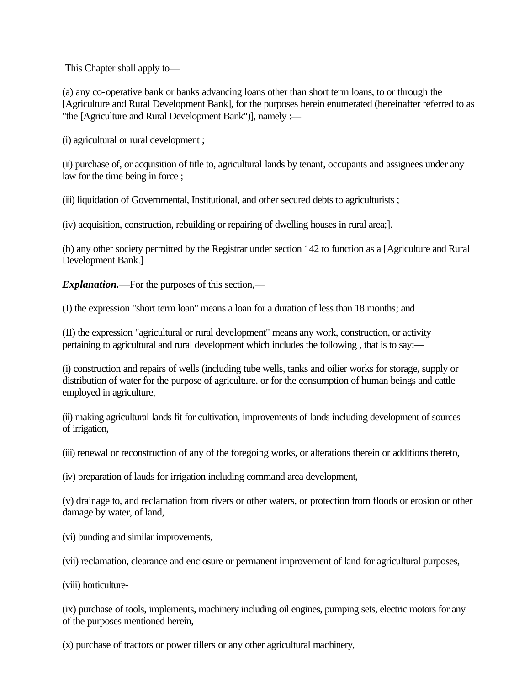This Chapter shall apply to—

(a) any co-operative bank or banks advancing loans other than short term loans, to or through the [Agriculture and Rural Development Bank], for the purposes herein enumerated (hereinafter referred to as "the [Agriculture and Rural Development Bank")], namely :—

(i) agricultural or rural development ;

(ii) purchase of, or acquisition of title to, agricultural lands by tenant, occupants and assignees under any law for the time being in force ;

(iii) liquidation of Governmental, Institutional, and other secured debts to agriculturists ;

(iv) acquisition, construction, rebuilding or repairing of dwelling houses in rural area;].

(b) any other society permitted by the Registrar under section 142 to function as a [Agriculture and Rural Development Bank.]

*Explanation.*—For the purposes of this section,—

(I) the expression "short term loan" means a loan for a duration of less than 18 months; and

(II) the expression "agricultural or rural development" means any work, construction, or activity pertaining to agricultural and rural development which includes the following , that is to say:—

(i) construction and repairs of wells (including tube wells, tanks and oilier works for storage, supply or distribution of water for the purpose of agriculture. or for the consumption of human beings and cattle employed in agriculture,

(ii) making agricultural lands fit for cultivation, improvements of lands including development of sources of irrigation,

(iii) renewal or reconstruction of any of the foregoing works, or alterations therein or additions thereto,

(iv) preparation of lauds for irrigation including command area development,

(v) drainage to, and reclamation from rivers or other waters, or protection from floods or erosion or other damage by water, of land,

(vi) bunding and similar improvements,

(vii) reclamation, clearance and enclosure or permanent improvement of land for agricultural purposes,

(viii) horticulture-

(ix) purchase of tools, implements, machinery including oil engines, pumping sets, electric motors for any of the purposes mentioned herein,

(x) purchase of tractors or power tillers or any other agricultural machinery,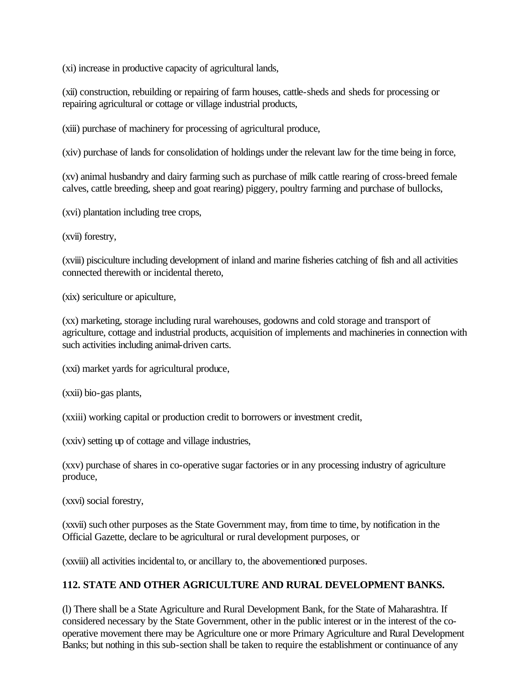(xi) increase in productive capacity of agricultural lands,

(xii) construction, rebuilding or repairing of farm houses, cattle-sheds and sheds for processing or repairing agricultural or cottage or village industrial products,

(xiii) purchase of machinery for processing of agricultural produce,

(xiv) purchase of lands for consolidation of holdings under the relevant law for the time being in force,

(xv) animal husbandry and dairy farming such as purchase of milk cattle rearing of cross-breed female calves, cattle breeding, sheep and goat rearing) piggery, poultry farming and purchase of bullocks,

(xvi) plantation including tree crops,

(xvii) forestry,

(xviii) pisciculture including development of inland and marine fisheries catching of fish and all activities connected therewith or incidental thereto,

(xix) sericulture or apiculture,

(xx) marketing, storage including rural warehouses, godowns and cold storage and transport of agriculture, cottage and industrial products, acquisition of implements and machineries in connection with such activities including animal-driven carts.

(xxi) market yards for agricultural produce,

(xxii) bio-gas plants,

(xxiii) working capital or production credit to borrowers or investment credit,

(xxiv) setting up of cottage and village industries,

(xxv) purchase of shares in co-operative sugar factories or in any processing industry of agriculture produce,

(xxvi) social forestry,

(xxvii) such other purposes as the State Government may, from time to time, by notification in the Official Gazette, declare to be agricultural or rural development purposes, or

(xxviii) all activities incidental to, or ancillary to, the abovementioned purposes.

#### **112. STATE AND OTHER AGRICULTURE AND RURAL DEVELOPMENT BANKS.**

(l) There shall be a State Agriculture and Rural Development Bank, for the State of Maharashtra. If considered necessary by the State Government, other in the public interest or in the interest of the cooperative movement there may be Agriculture one or more Primary Agriculture and Rural Development Banks; but nothing in this sub-section shall be taken to require the establishment or continuance of any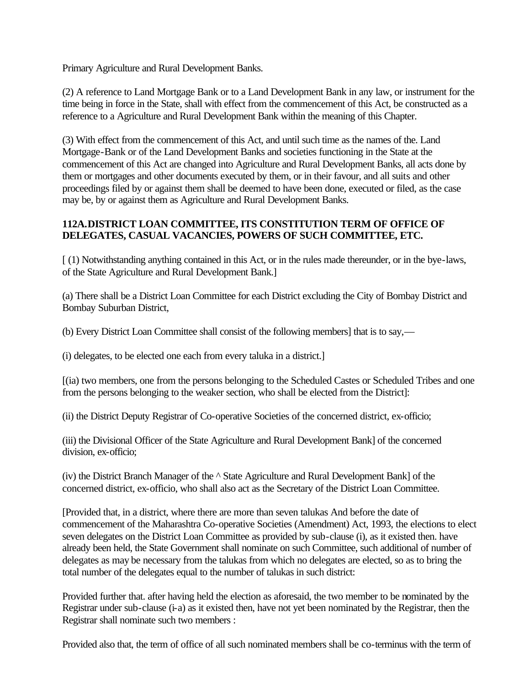Primary Agriculture and Rural Development Banks.

(2) A reference to Land Mortgage Bank or to a Land Development Bank in any law, or instrument for the time being in force in the State, shall with effect from the commencement of this Act, be constructed as a reference to a Agriculture and Rural Development Bank within the meaning of this Chapter.

(3) With effect from the commencement of this Act, and until such time as the names of the. Land Mortgage-Bank or of the Land Development Banks and societies functioning in the State at the commencement of this Act are changed into Agriculture and Rural Development Banks, all acts done by them or mortgages and other documents executed by them, or in their favour, and all suits and other proceedings filed by or against them shall be deemed to have been done, executed or filed, as the case may be, by or against them as Agriculture and Rural Development Banks.

## **112A.DISTRICT LOAN COMMITTEE, ITS CONSTITUTION TERM OF OFFICE OF DELEGATES, CASUAL VACANCIES, POWERS OF SUCH COMMITTEE, ETC.**

[ (1) Notwithstanding anything contained in this Act, or in the rules made thereunder, or in the bye-laws, of the State Agriculture and Rural Development Bank.]

(a) There shall be a District Loan Committee for each District excluding the City of Bombay District and Bombay Suburban District,

(b) Every District Loan Committee shall consist of the following members] that is to say,—

(i) delegates, to be elected one each from every taluka in a district.]

[(ia) two members, one from the persons belonging to the Scheduled Castes or Scheduled Tribes and one from the persons belonging to the weaker section, who shall be elected from the District]:

(ii) the District Deputy Registrar of Co-operative Societies of the concerned district, ex-officio;

(iii) the Divisional Officer of the State Agriculture and Rural Development Bank] of the concerned division, ex-officio;

(iv) the District Branch Manager of the ^ State Agriculture and Rural Development Bank] of the concerned district, ex-officio, who shall also act as the Secretary of the District Loan Committee.

[Provided that, in a district, where there are more than seven talukas And before the date of commencement of the Maharashtra Co-operative Societies (Amendment) Act, 1993, the elections to elect seven delegates on the District Loan Committee as provided by sub-clause (i), as it existed then. have already been held, the State Government shall nominate on such Committee, such additional of number of delegates as may be necessary from the talukas from which no delegates are elected, so as to bring the total number of the delegates equal to the number of talukas in such district:

Provided further that. after having held the election as aforesaid, the two member to be nominated by the Registrar under sub-clause (i-a) as it existed then, have not yet been nominated by the Registrar, then the Registrar shall nominate such two members :

Provided also that, the term of office of all such nominated members shall be co-terminus with the term of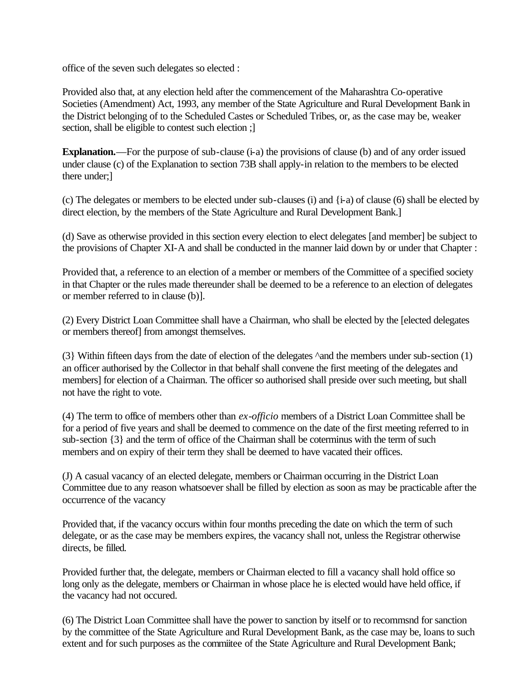office of the seven such delegates so elected :

Provided also that, at any election held after the commencement of the Maharashtra Co-operative Societies (Amendment) Act, 1993, any member of the State Agriculture and Rural Development Bank in the District belonging of to the Scheduled Castes or Scheduled Tribes, or, as the case may be, weaker section, shall be eligible to contest such election ;

**Explanation.**—For the purpose of sub-clause (i-a) the provisions of clause (b) and of any order issued under clause (c) of the Explanation to section 73B shall apply-in relation to the members to be elected there under;]

(c) The delegates or members to be elected under sub-clauses (i) and {i-a) of clause (6) shall be elected by direct election, by the members of the State Agriculture and Rural Development Bank.]

(d) Save as otherwise provided in this section every election to elect delegates [and member] be subject to the provisions of Chapter XI-A and shall be conducted in the manner laid down by or under that Chapter :

Provided that, a reference to an election of a member or members of the Committee of a specified society in that Chapter or the rules made thereunder shall be deemed to be a reference to an election of delegates or member referred to in clause (b)].

(2) Every District Loan Committee shall have a Chairman, who shall be elected by the [elected delegates or members thereof] from amongst themselves.

(3} Within fifteen days from the date of election of the delegates ^and the members under sub-section (1) an officer authorised by the Collector in that behalf shall convene the first meeting of the delegates and members] for election of a Chairman. The officer so authorised shall preside over such meeting, but shall not have the right to vote.

(4) The term to office of members other than *ex-officio* members of a District Loan Committee shall be for a period of five years and shall be deemed to commence on the date of the first meeting referred to in sub-section  $\{3\}$  and the term of office of the Chairman shall be coterminus with the term of such members and on expiry of their term they shall be deemed to have vacated their offices.

(J) A casual vacancy of an elected delegate, members or Chairman occurring in the District Loan Committee due to any reason whatsoever shall be filled by election as soon as may be practicable after the occurrence of the vacancy

Provided that, if the vacancy occurs within four months preceding the date on which the term of such delegate, or as the case may be members expires, the vacancy shall not, unless the Registrar otherwise directs, be filled.

Provided further that, the delegate, members or Chairman elected to fill a vacancy shall hold office so long only as the delegate, members or Chairman in whose place he is elected would have held office, if the vacancy had not occured.

(6) The District Loan Committee shall have the power to sanction by itself or to recommsnd for sanction by the committee of the State Agriculture and Rural Development Bank, as the case may be, loans to such extent and for such purposes as the committee of the State Agriculture and Rural Development Bank;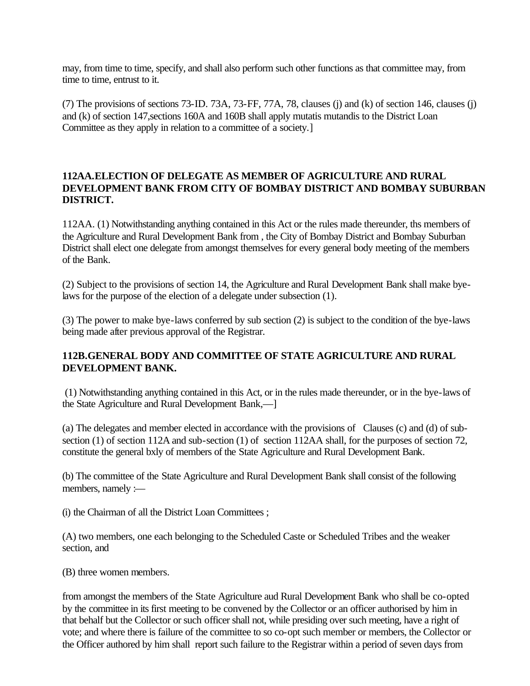may, from time to time, specify, and shall also perform such other functions as that committee may, from time to time, entrust to it.

(7) The provisions of sections 73-ID. 73A, 73-FF, 77A, 78, clauses (j) and (k) of section 146, clauses (j) and (k) of section 147,sections 160A and 160B shall apply mutatis mutandis to the District Loan Committee as they apply in relation to a committee of a society.]

## **112AA.ELECTION OF DELEGATE AS MEMBER OF AGRICULTURE AND RURAL DEVELOPMENT BANK FROM CITY OF BOMBAY DISTRICT AND BOMBAY SUBURBAN DISTRICT.**

112AA. (1) Notwithstanding anything contained in this Act or the rules made thereunder, ths members of the Agriculture and Rural Development Bank from , the City of Bombay District and Bombay Suburban District shall elect one delegate from amongst themselves for every general body meeting of the members of the Bank.

(2) Subject to the provisions of section 14, the Agriculture and Rural Development Bank shall make byelaws for the purpose of the election of a delegate under subsection (1).

(3) The power to make bye-laws conferred by sub section (2) is subject to the condition of the bye-laws being made after previous approval of the Registrar.

## **112B.GENERAL BODY AND COMMITTEE OF STATE AGRICULTURE AND RURAL DEVELOPMENT BANK.**

 (1) Notwithstanding anything contained in this Act, or in the rules made thereunder, or in the bye-laws of the State Agriculture and Rural Development Bank,—]

(a) The delegates and member elected in accordance with the provisions of Clauses (c) and (d) of subsection (1) of section 112A and sub-section (1) of section 112AA shall, for the purposes of section 72, constitute the general bxly of members of the State Agriculture and Rural Development Bank.

(b) The committee of the State Agriculture and Rural Development Bank shall consist of the following members, namely :—

(i) the Chairman of all the District Loan Committees ;

(A) two members, one each belonging to the Scheduled Caste or Scheduled Tribes and the weaker section, and

(B) three women members.

from amongst the members of the State Agriculture aud Rural Development Bank who shall be co-opted by the committee in its first meeting to be convened by the Collector or an officer authorised by him in that behalf but the Collector or such officer shall not, while presiding over such meeting, have a right of vote; and where there is failure of the committee to so co-opt such member or members, the Collector or the Officer authored by him shall report such failure to the Registrar within a period of seven days from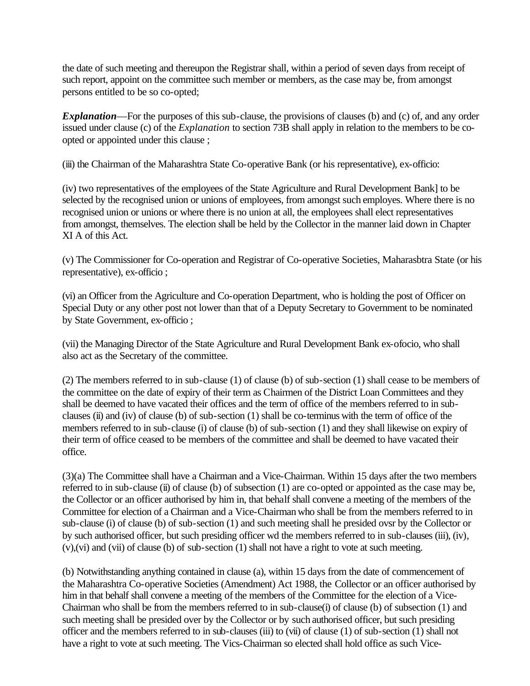the date of such meeting and thereupon the Registrar shall, within a period of seven days from receipt of such report, appoint on the committee such member or members, as the case may be, from amongst persons entitled to be so co-opted;

*Explanation*—For the purposes of this sub-clause, the provisions of clauses (b) and (c) of, and any order issued under clause (c) of the *Explanation* to section 73B shall apply in relation to the members to be coopted or appointed under this clause ;

(iii) the Chairman of the Maharashtra State Co-operative Bank (or his representative), ex-officio:

(iv) two representatives of the employees of the State Agriculture and Rural Development Bank] to be selected by the recognised union or unions of employees, from amongst such employes. Where there is no recognised union or unions or where there is no union at all, the employees shall elect representatives from amongst, themselves. The election shall be held by the Collector in the manner laid down in Chapter XI A of this Act.

(v) The Commissioner for Co-operation and Registrar of Co-operative Societies, Maharasbtra State (or his representative), ex-officio ;

(vi) an Officer from the Agriculture and Co-operation Department, who is holding the post of Officer on Special Duty or any other post not lower than that of a Deputy Secretary to Government to be nominated by State Government, ex-officio ;

(vii) the Managing Director of the State Agriculture and Rural Development Bank ex-ofocio, who shall also act as the Secretary of the committee.

(2) The members referred to in sub-clause (1) of clause (b) of sub-section (1) shall cease to be members of the committee on the date of expiry of their term as Chairmen of the District Loan Committees and they shall be deemed to have vacated their offices and the term of office of the members referred to in subclauses (ii) and (iv) of clause (b) of sub-section (1) shall be co-terminus with the term of office of the members referred to in sub-clause (i) of clause (b) of sub-section (1) and they shall likewise on expiry of their term of office ceased to be members of the committee and shall be deemed to have vacated their office.

(3)(a) The Committee shall have a Chairman and a Vice-Chairman. Within 15 days after the two members referred to in sub-clause (ii) of clause (b) of subsection (1) are co-opted or appointed as the case may be, the Collector or an officer authorised by him in, that behalf shall convene a meeting of the members of the Committee for election of a Chairman and a Vice-Chairman who shall be from the members referred to in sub-clause (i) of clause (b) of sub-section (1) and such meeting shall he presided ovsr by the Collector or by such authorised officer, but such presiding officer wd the members referred to in sub-clauses (iii), (iv), (v),(vi) and (vii) of clause (b) of sub-section (1) shall not have a right to vote at such meeting.

(b) Notwithstanding anything contained in clause (a), within 15 days from the date of commencement of the Maharashtra Co-operative Societies (Amendment) Act 1988, the Collector or an officer authorised by him in that behalf shall convene a meeting of the members of the Committee for the election of a Vice-Chairman who shall be from the members referred to in sub-clause(i) of clause (b) of subsection (1) and such meeting shall be presided over by the Collector or by such authorised officer, but such presiding officer and the members referred to in sub-clauses (iii) to (vii) of clause (1) of sub-section (1) shall not have a right to vote at such meeting. The Vics-Chairman so elected shall hold office as such Vice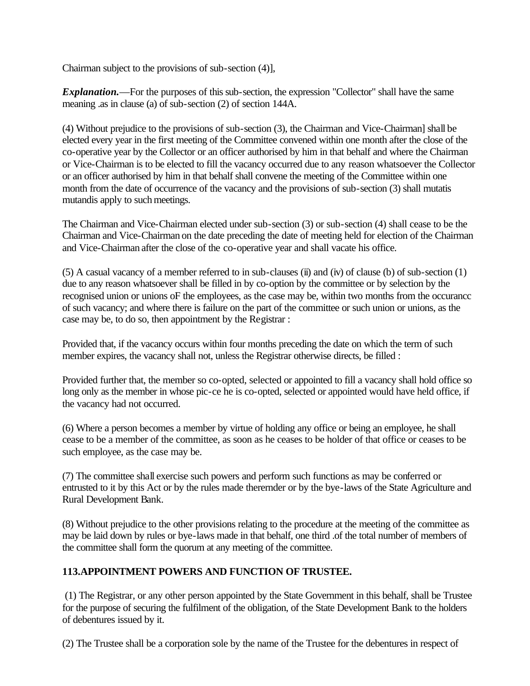Chairman subject to the provisions of sub-section (4)],

*Explanation.*—For the purposes of this sub-section, the expression "Collector" shall have the same meaning .as in clause (a) of sub-section (2) of section 144A.

(4) Without prejudice to the provisions of sub-section (3), the Chairman and Vice-Chairman] shall be elected every year in the first meeting of the Committee convened within one month after the close of the co-operative year by the Collector or an officer authorised by him in that behalf and where the Chairman or Vice-Chairman is to be elected to fill the vacancy occurred due to any reason whatsoever the Collector or an officer authorised by him in that behalf shall convene the meeting of the Committee within one month from the date of occurrence of the vacancy and the provisions of sub-section (3) shall mutatis mutandis apply to such meetings.

The Chairman and Vice-Chairman elected under sub-section (3) or sub-section (4) shall cease to be the Chairman and Vice-Chairman on the date preceding the date of meeting held for election of the Chairman and Vice-Chairman after the close of the co-operative year and shall vacate his office.

(5) A casual vacancy of a member referred to in sub-clauses (ii) and (iv) of clause (b) of sub-section (1) due to any reason whatsoever shall be filled in by co-option by the committee or by selection by the recognised union or unions oF the employees, as the case may be, within two months from the occurancc of such vacancy; and where there is failure on the part of the committee or such union or unions, as the case may be, to do so, then appointment by the Registrar :

Provided that, if the vacancy occurs within four months preceding the date on which the term of such member expires, the vacancy shall not, unless the Registrar otherwise directs, be filled :

Provided further that, the member so co-opted, selected or appointed to fill a vacancy shall hold office so long only as the member in whose pic-ce he is co-opted, selected or appointed would have held office, if the vacancy had not occurred.

(6) Where a person becomes a member by virtue of holding any office or being an employee, he shall cease to be a member of the committee, as soon as he ceases to be holder of that office or ceases to be such employee, as the case may be.

(7) The committee shall exercise such powers and perform such functions as may be conferred or entrusted to it by this Act or by the rules made therernder or by the bye-laws of the State Agriculture and Rural Development Bank.

(8) Without prejudice to the other provisions relating to the procedure at the meeting of the committee as may be laid down by rules or bye-laws made in that behalf, one third .of the total number of members of the committee shall form the quorum at any meeting of the committee.

# **113.APPOINTMENT POWERS AND FUNCTION OF TRUSTEE.**

 (1) The Registrar, or any other person appointed by the State Government in this behalf, shall be Trustee for the purpose of securing the fulfilment of the obligation, of the State Development Bank to the holders of debentures issued by it.

(2) The Trustee shall be a corporation sole by the name of the Trustee for the debentures in respect of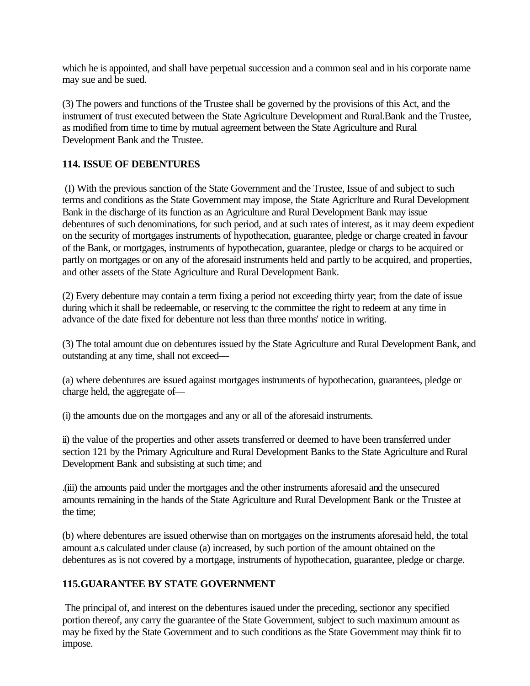which he is appointed, and shall have perpetual succession and a common seal and in his corporate name may sue and be sued.

(3) The powers and functions of the Trustee shall be governed by the provisions of this Act, and the instrument of trust executed between the State Agriculture Development and Rural.Bank and the Trustee, as modified from time to time by mutual agreement between the State Agriculture and Rural Development Bank and the Trustee.

## **114. ISSUE OF DEBENTURES**

 (I) With the previous sanction of the State Government and the Trustee, Issue of and subject to such terms and conditions as the State Government may impose, the State Agricrlture and Rural Development Bank in the discharge of its function as an Agriculture and Rural Development Bank may issue debentures of such denominations, for such period, and at such rates of interest, as it may deem expedient on the security of mortgages instruments of hypothecation, guarantee, pledge or charge created in favour of the Bank, or mortgages, instruments of hypothecation, guarantee, pledge or chargs to be acquired or partly on mortgages or on any of the aforesaid instruments held and partly to be acquired, and properties, and other assets of the State Agriculture and Rural Development Bank.

(2) Every debenture may contain a term fixing a period not exceeding thirty year; from the date of issue during which it shall be redeemable, or reserving tc the committee the right to redeem at any time in advance of the date fixed for debenture not less than three months' notice in writing.

(3) The total amount due on debentures issued by the State Agriculture and Rural Development Bank, and outstanding at any time, shall not exceed—

(a) where debentures are issued against mortgages instruments of hypothecation, guarantees, pledge or charge held, the aggregate of—

(i) the amounts due on the mortgages and any or all of the aforesaid instruments.

ii) the value of the properties and other assets transferred or deemed to have been transferred under section 121 by the Primary Agriculture and Rural Development Banks to the State Agriculture and Rural Development Bank and subsisting at such time; and

.(iii) the amounts paid under the mortgages and the other instruments aforesaid and the unsecured amounts remaining in the hands of the State Agriculture and Rural Development Bank or the Trustee at the time;

(b) where debentures are issued otherwise than on mortgages on the instruments aforesaid held, the total amount a.s calculated under clause (a) increased, by such portion of the amount obtained on the debentures as is not covered by a mortgage, instruments of hypothecation, guarantee, pledge or charge.

## **115.GUARANTEE BY STATE GOVERNMENT**

 The principal of, and interest on the debentures isaued under the preceding, sectionor any specified portion thereof, any carry the guarantee of the State Government, subject to such maximum amount as may be fixed by the State Government and to such conditions as the State Government may think fit to impose.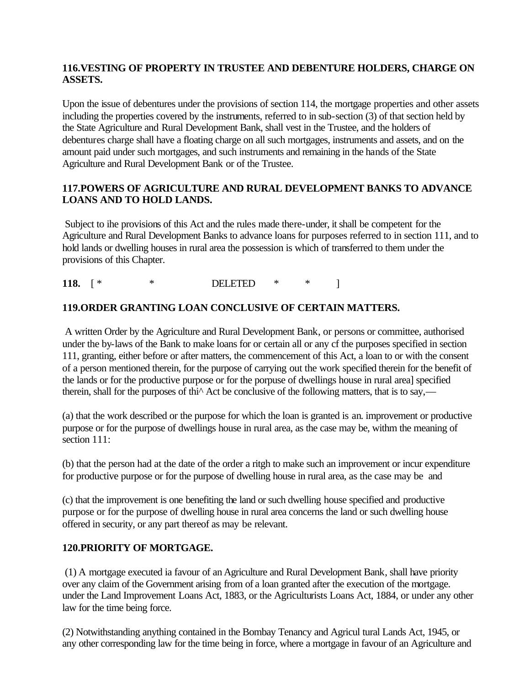#### **116.VESTING OF PROPERTY IN TRUSTEE AND DEBENTURE HOLDERS, CHARGE ON ASSETS.**

Upon the issue of debentures under the provisions of section 114, the mortgage properties and other assets including the properties covered by the instruments, referred to in sub-section (3) of that section held by the State Agriculture and Rural Development Bank, shall vest in the Trustee, and the holders of debentures charge shall have a floating charge on all such mortgages, instruments and assets, and on the amount paid under such mortgages, and such instruments and remaining in the hands of the State Agriculture and Rural Development Bank or of the Trustee.

## **117.POWERS OF AGRICULTURE AND RURAL DEVELOPMENT BANKS TO ADVANCE LOANS AND TO HOLD LANDS.**

 Subject to ihe provisions of this Act and the rules made there-under, it shall be competent for the Agriculture and Rural Development Banks to advance loans for purposes referred to in section 111, and to hold lands or dwelling houses in rural area the possession is which of transferred to them under the provisions of this Chapter.

**118.** [ \* \* DELETED \* \* ]

## **119.ORDER GRANTING LOAN CONCLUSIVE OF CERTAIN MATTERS.**

 A written Order by the Agriculture and Rural Development Bank, or persons or committee, authorised under the by-laws of the Bank to make loans for or certain all or any cf the purposes specified in section 111, granting, either before or after matters, the commencement of this Act, a loan to or with the consent of a person mentioned therein, for the purpose of carrying out the work specified therein for the benefit of the lands or for the productive purpose or for the porpuse of dwellings house in rural area] specified therein, shall for the purposes of thi^ Act be conclusive of the following matters, that is to say,—

(a) that the work described or the purpose for which the loan is granted is an. improvement or productive purpose or for the purpose of dwellings house in rural area, as the case may be, withm the meaning of section 111:

(b) that the person had at the date of the order a ritgh to make such an improvement or incur expenditure for productive purpose or for the purpose of dwelling house in rural area, as the case may be and

(c) that the improvement is one benefiting the land or such dwelling house specified and productive purpose or for the purpose of dwelling house in rural area concerns the land or such dwelling house offered in security, or any part thereof as may be relevant.

#### **120.PRIORITY OF MORTGAGE.**

 (1) A mortgage executed ia favour of an Agriculture and Rural Development Bank, shall have priority over any claim of the Government arising from of a loan granted after the execution of the mortgage. under the Land Improvement Loans Act, 1883, or the Agriculturists Loans Act, 1884, or under any other law for the time being force.

(2) Notwithstanding anything contained in the Bombay Tenancy and Agricul tural Lands Act, 1945, or any other corresponding law for the time being in force, where a mortgage in favour of an Agriculture and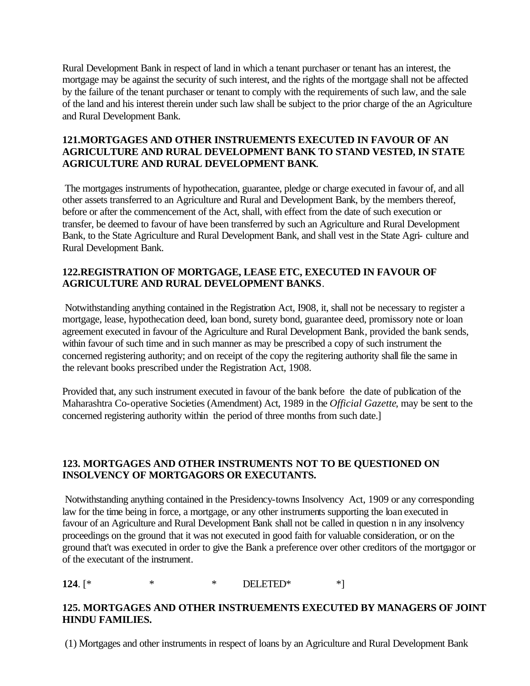Rural Development Bank in respect of land in which a tenant purchaser or tenant has an interest, the mortgage may be against the security of such interest, and the rights of the mortgage shall not be affected by the failure of the tenant purchaser or tenant to comply with the requirements of such law, and the sale of the land and his interest therein under such law shall be subject to the prior charge of the an Agriculture and Rural Development Bank.

#### **121.MORTGAGES AND OTHER INSTRUEMENTS EXECUTED IN FAVOUR OF AN AGRICULTURE AND RURAL DEVELOPMENT BANK TO STAND VESTED, IN STATE AGRICULTURE AND RURAL DEVELOPMENT BANK**.

 The mortgages instruments of hypothecation, guarantee, pledge or charge executed in favour of, and all other assets transferred to an Agriculture and Rural and Development Bank, by the members thereof, before or after the commencement of the Act, shall, with effect from the date of such execution or transfer, be deemed to favour of have been transferred by such an Agriculture and Rural Development Bank, to the State Agriculture and Rural Development Bank, and shall vest in the State Agri- culture and Rural Development Bank.

## **122.REGISTRATION OF MORTGAGE, LEASE ETC, EXECUTED IN FAVOUR OF AGRICULTURE AND RURAL DEVELOPMENT BANKS**.

 Notwithstanding anything contained in the Registration Act, I908, it, shall not be necessary to register a mortgage, lease, hypothecation deed, loan bond, surety bond, guarantee deed, promissory note or loan agreement executed in favour of the Agriculture and Rural Development Bank, provided the bank sends, within favour of such time and in such manner as may be prescribed a copy of such instrument the concerned registering authority; and on receipt of the copy the regitering authority shall file the same in the relevant books prescribed under the Registration Act, 1908.

Provided that, any such instrument executed in favour of the bank before the date of publication of the Maharashtra Co-operative Societies (Amendment) Act, 1989 in the *Official Gazette*, may be sent to the concerned registering authority within the period of three months from such date.]

## **123. MORTGAGES AND OTHER INSTRUMENTS NOT TO BE QUESTIONED ON INSOLVENCY OF MORTGAGORS OR EXECUTANTS.**

Notwithstanding anything contained in the Presidency-towns Insolvency Act, 1909 or any corresponding law for the time being in force, a mortgage, or any other instruments supporting the loan executed in favour of an Agriculture and Rural Development Bank shall not be called in question n in any insolvency proceedings on the ground that it was not executed in good faith for valuable consideration, or on the ground that't was executed in order to give the Bank a preference over other creditors of the mortgagor or of the executant of the instrument.

**124**. [\* \* \* DELETED\* \*]

## **125. MORTGAGES AND OTHER INSTRUEMENTS EXECUTED BY MANAGERS OF JOINT HINDU FAMILIES.**

(1) Mortgages and other instruments in respect of loans by an Agriculture and Rural Development Bank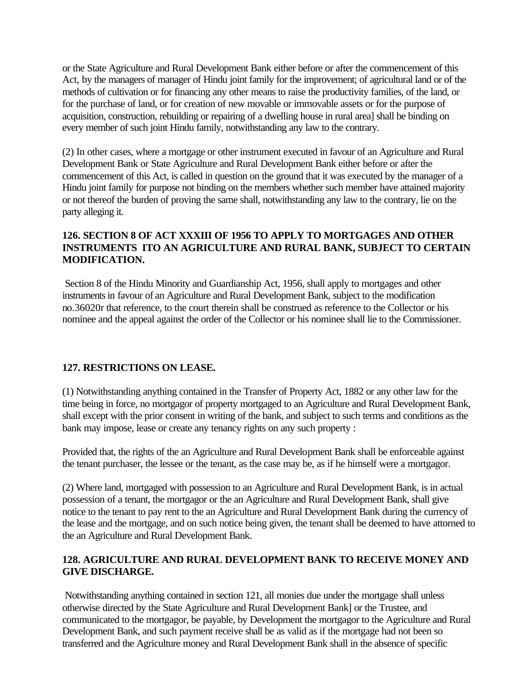or the State Agriculture and Rural Development Bank either before or after the commencement of this Act, by the managers of manager of Hindu joint family for the improvement; of agricultural land or of the methods of cultivation or for financing any other means to raise the productivity families, of the land, or for the purchase of land, or for creation of new movable or immovable assets or for the purpose of acquisition, construction, rebuilding or repairing of a dwelling house in rural area] shall be binding on every member of such joint Hindu family, notwithstanding any law to the contrary.

(2) In other cases, where a mortgage or other instrument executed in favour of an Agriculture and Rural Development Bank or State Agriculture and Rural Development Bank either before or after the commencement of this Act, is called in question on the ground that it was executed by the manager of a Hindu joint family for purpose not binding on the members whether such member have attained majority or not thereof the burden of proving the same shall, notwithstanding any law to the contrary, lie on the party alleging it.

## **126. SECTION 8 OF ACT XXXIII OF 1956 TO APPLY TO MORTGAGES AND OTHER INSTRUMENTS ITO AN AGRICULTURE AND RURAL BANK, SUBJECT TO CERTAIN MODIFICATION.**

 Section 8 of the Hindu Minority and Guardianship Act, 1956, shall apply to mortgages and other instruments in favour of an Agriculture and Rural Development Bank, subject to the modification no.36020r that reference, to the court therein shall be construed as reference to the Collector or his nominee and the appeal against the order of the Collector or his nominee shall lie to the Commissioner.

## **127. RESTRICTIONS ON LEASE.**

(1) Notwithstanding anything contained in the Transfer of Property Act, 1882 or any other law for the time being in force, no mortgagor of property mortgaged to an Agriculture and Rural Development Bank, shall except with the prior consent in writing of the bank, and subject to such terms and conditions as the bank may impose, lease or create any tenancy rights on any such property :

Provided that, the rights of the an Agriculture and Rural Development Bank shall be enforceable against the tenant purchaser, the lessee or the tenant, as the case may be, as if he himself were a mortgagor.

(2) Where land, mortgaged with possession to an Agriculture and Rural Development Bank, is in actual possession of a tenant, the mortgagor or the an Agriculture and Rural Development Bank, shall give notice to the tenant to pay rent to the an Agriculture and Rural Development Bank during the currency of the lease and the mortgage, and on such notice being given, the tenant shall be deemed to have attorned to the an Agriculture and Rural Development Bank.

## **128. AGRICULTURE AND RURAL DEVELOPMENT BANK TO RECEIVE MONEY AND GIVE DISCHARGE.**

 Notwithstanding anything contained in section 121, all monies due under the mortgage shall unless otherwise directed by the State Agriculture and Rural Development Bank] or the Trustee, and communicated to the mortgagor, be payable, by Development the mortgagor to the Agriculture and Rural Development Bank, and such payment receive shall be as valid as if the mortgage had not been so transferred and the Agriculture money and Rural Development Bank shall in the absence of specific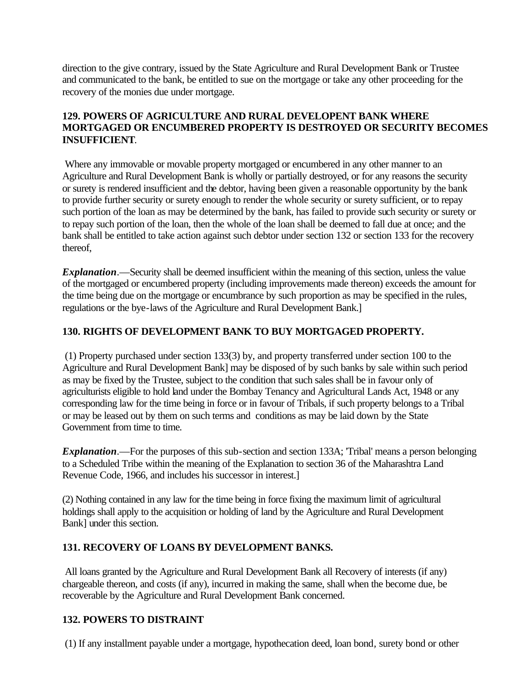direction to the give contrary, issued by the State Agriculture and Rural Development Bank or Trustee and communicated to the bank, be entitled to sue on the mortgage or take any other proceeding for the recovery of the monies due under mortgage.

## **129. POWERS OF AGRICULTURE AND RURAL DEVELOPENT BANK WHERE MORTGAGED OR ENCUMBERED PROPERTY IS DESTROYED OR SECURITY BECOMES INSUFFICIENT**.

Where any immovable or movable property mortgaged or encumbered in any other manner to an Agriculture and Rural Development Bank is wholly or partially destroyed, or for any reasons the security or surety is rendered insufficient and the debtor, having been given a reasonable opportunity by the bank to provide further security or surety enough to render the whole security or surety sufficient, or to repay such portion of the loan as may be determined by the bank, has failed to provide such security or surety or to repay such portion of the loan, then the whole of the loan shall be deemed to fall due at once; and the bank shall be entitled to take action against such debtor under section 132 or section 133 for the recovery thereof,

*Explanation*.—Security shall be deemed insufficient within the meaning of this section, unless the value of the mortgaged or encumbered property (including improvements made thereon) exceeds the amount for the time being due on the mortgage or encumbrance by such proportion as may be specified in the rules, regulations or the bye-laws of the Agriculture and Rural Development Bank.]

## **130. RIGHTS OF DEVELOPMENT BANK TO BUY MORTGAGED PROPERTY.**

 (1) Property purchased under section 133(3) by, and property transferred under section 100 to the Agriculture and Rural Development Bank] may be disposed of by such banks by sale within such period as may be fixed by the Trustee, subject to the condition that such sales shall be in favour only of agriculturists eligible to hold land under the Bombay Tenancy and Agricultural Lands Act, 1948 or any corresponding law for the time being in force or in favour of Tribals, if such property belongs to a Tribal or may be leased out by them on such terms and conditions as may be laid down by the State Government from time to time.

*Explanation*.—For the purposes of this sub-section and section 133A; 'Tribal' means a person belonging to a Scheduled Tribe within the meaning of the Explanation to section 36 of the Maharashtra Land Revenue Code, 1966, and includes his successor in interest.]

(2) Nothing contained in any law for the time being in force fixing the maximum limit of agricultural holdings shall apply to the acquisition or holding of land by the Agriculture and Rural Development Bank] under this section.

## **131. RECOVERY OF LOANS BY DEVELOPMENT BANKS.**

 All loans granted by the Agriculture and Rural Development Bank all Recovery of interests (if any) chargeable thereon, and costs (if any), incurred in making the same, shall when the become due, be recoverable by the Agriculture and Rural Development Bank concerned.

# **132. POWERS TO DISTRAINT**

(1) If any installment payable under a mortgage, hypothecation deed, loan bond*,* surety bond or other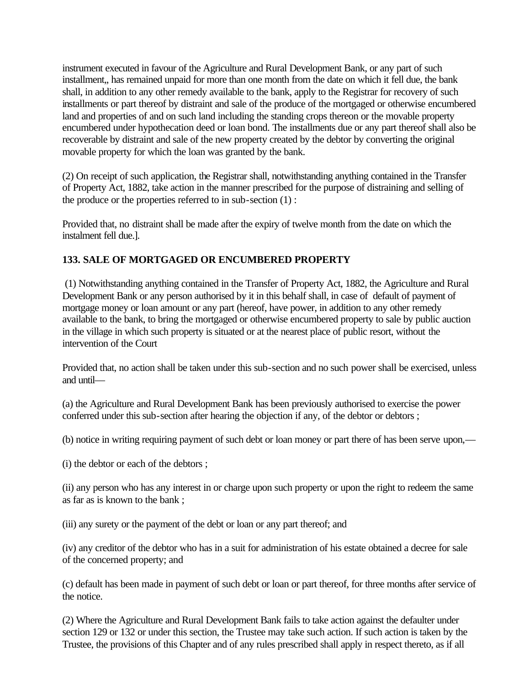instrument executed in favour of the Agriculture and Rural Development Bank, or any part of such installment,, has remained unpaid for more than one month from the date on which it fell due, the bank shall, in addition to any other remedy available to the bank, apply to the Registrar for recovery of such installments or part thereof by distraint and sale of the produce of the mortgaged or otherwise encumbered land and properties of and on such land including the standing crops thereon or the movable property encumbered under hypothecation deed or loan bond. The installments due or any part thereof shall also be recoverable by distraint and sale of the new property created by the debtor by converting the original movable property for which the loan was granted by the bank.

(2) On receipt of such application, the Registrar shall, notwithstanding anything contained in the Transfer of Property Act, 1882, take action in the manner prescribed for the purpose of distraining and selling of the produce or the properties referred to in sub-section (1) :

Provided that, no distraint shall be made after the expiry of twelve month from the date on which the instalment fell due.].

# **133. SALE OF MORTGAGED OR ENCUMBERED PROPERTY**

 (1) Notwithstanding anything contained in the Transfer of Property Act, 1882, the Agriculture and Rural Development Bank or any person authorised by it in this behalf shall, in case of default of payment of mortgage money or loan amount or any part (hereof, have power, in addition to any other remedy available to the bank, to bring the mortgaged or otherwise encumbered property to sale by public auction in the village in which such property is situated or at the nearest place of public resort, without the intervention of the Court

Provided that, no action shall be taken under this sub-section and no such power shall be exercised, unless and until—

(a) the Agriculture and Rural Development Bank has been previously authorised to exercise the power conferred under this sub-section after hearing the objection if any, of the debtor or debtors ;

(b) notice in writing requiring payment of such debt or loan money or part there of has been serve upon,—

(i) the debtor or each of the debtors ;

(ii) any person who has any interest in or charge upon such property or upon the right to redeem the same as far as is known to the bank ;

(iii) any surety or the payment of the debt or loan or any part thereof; and

(iv) any creditor of the debtor who has in a suit for administration of his estate obtained a decree for sale of the concerned property; and

(c) default has been made in payment of such debt or loan or part thereof, for three months after service of the notice.

(2) Where the Agriculture and Rural Development Bank fails to take action against the defaulter under section 129 or 132 or under this section, the Trustee may take such action. If such action is taken by the Trustee, the provisions of this Chapter and of any rules prescribed shall apply in respect thereto, as if all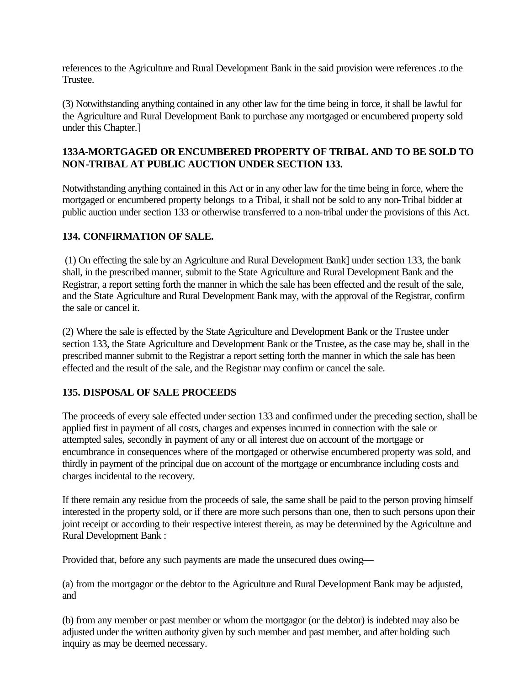references to the Agriculture and Rural Development Bank in the said provision were references .to the Trustee.

(3) Notwithstanding anything contained in any other law for the time being in force, it shall be lawful for the Agriculture and Rural Development Bank to purchase any mortgaged or encumbered property sold under this Chapter.]

## **133A-MORTGAGED OR ENCUMBERED PROPERTY OF TRIBAL AND TO BE SOLD TO NON-TRIBAL AT PUBLIC AUCTION UNDER SECTION 133.**

Notwithstanding anything contained in this Act or in any other law for the time being in force, where the mortgaged or encumbered property belongs to a Tribal, it shall not be sold to any non-Tribal bidder at public auction under section 133 or otherwise transferred to a non-tribal under the provisions of this Act.

# **134. CONFIRMATION OF SALE.**

 (1) On effecting the sale by an Agriculture and Rural Development Bank] under section 133, the bank shall, in the prescribed manner, submit to the State Agriculture and Rural Development Bank and the Registrar, a report setting forth the manner in which the sale has been effected and the result of the sale, and the State Agriculture and Rural Development Bank may, with the approval of the Registrar, confirm the sale or cancel it.

(2) Where the sale is effected by the State Agriculture and Development Bank or the Trustee under section 133, the State Agriculture and Development Bank or the Trustee, as the case may be, shall in the prescribed manner submit to the Registrar a report setting forth the manner in which the sale has been effected and the result of the sale, and the Registrar may confirm or cancel the sale.

# **135. DISPOSAL OF SALE PROCEEDS**

The proceeds of every sale effected under section 133 and confirmed under the preceding section, shall be applied first in payment of all costs, charges and expenses incurred in connection with the sale or attempted sales, secondly in payment of any or all interest due on account of the mortgage or encumbrance in consequences where of the mortgaged or otherwise encumbered property was sold, and thirdly in payment of the principal due on account of the mortgage or encumbrance including costs and charges incidental to the recovery.

If there remain any residue from the proceeds of sale, the same shall be paid to the person proving himself interested in the property sold, or if there are more such persons than one, then to such persons upon their joint receipt or according to their respective interest therein, as may be determined by the Agriculture and Rural Development Bank :

Provided that, before any such payments are made the unsecured dues owing—

(a) from the mortgagor or the debtor to the Agriculture and Rural Development Bank may be adjusted, and

(b) from any member or past member or whom the mortgagor (or the debtor) is indebted may also be adjusted under the written authority given by such member and past member, and after holding such inquiry as may be deemed necessary.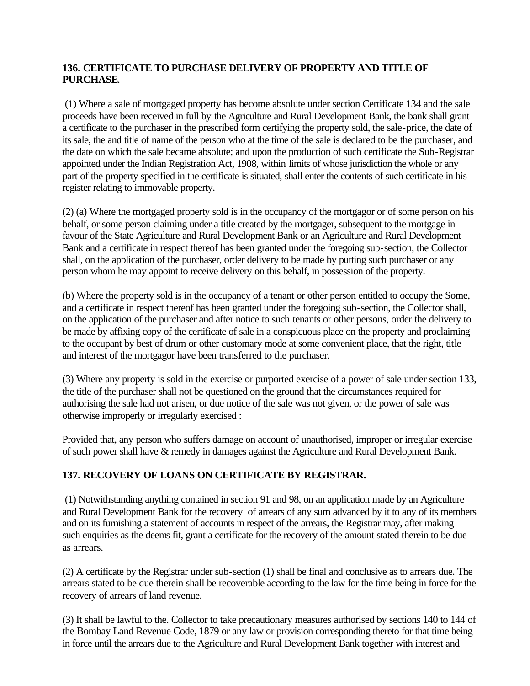## **136. CERTIFICATE TO PURCHASE DELIVERY OF PROPERTY AND TITLE OF PURCHASE**.

 (1) Where a sale of mortgaged property has become absolute under section Certificate 134 and the sale proceeds have been received in full by the Agriculture and Rural Development Bank, the bank shall grant a certificate to the purchaser in the prescribed form certifying the property sold, the sale-price, the date of its sale, the and title of name of the person who at the time of the sale is declared to be the purchaser, and the date on which the sale became absolute; and upon the production of such certificate the Sub-Registrar appointed under the Indian Registration Act, 1908, within limits of whose jurisdiction the whole or any part of the property specified in the certificate is situated, shall enter the contents of such certificate in his register relating to immovable property.

(2) (a) Where the mortgaged property sold is in the occupancy of the mortgagor or of some person on his behalf, or some person claiming under a title created by the mortgager, subsequent to the mortgage in favour of the State Agriculture and Rural Development Bank or an Agriculture and Rural Development Bank and a certificate in respect thereof has been granted under the foregoing sub-section, the Collector shall, on the application of the purchaser, order delivery to be made by putting such purchaser or any person whom he may appoint to receive delivery on this behalf, in possession of the property.

(b) Where the property sold is in the occupancy of a tenant or other person entitled to occupy the Some, and a certificate in respect thereof has been granted under the foregoing sub-section, the Collector shall, on the application of the purchaser and after notice to such tenants or other persons, order the delivery to be made by affixing copy of the certificate of sale in a conspicuous place on the property and proclaiming to the occupant by best of drum or other customary mode at some convenient place, that the right, title and interest of the mortgagor have been transferred to the purchaser.

(3) Where any property is sold in the exercise or purported exercise of a power of sale under section 133, the title of the purchaser shall not be questioned on the ground that the circumstances required for authorising the sale had not arisen, or due notice of the sale was not given, or the power of sale was otherwise improperly or irregularly exercised :

Provided that, any person who suffers damage on account of unauthorised, improper or irregular exercise of such power shall have & remedy in damages against the Agriculture and Rural Development Bank.

# **137. RECOVERY OF LOANS ON CERTIFICATE BY REGISTRAR.**

 (1) Notwithstanding anything contained in section 91 and 98, on an application made by an Agriculture and Rural Development Bank for the recovery of arrears of any sum advanced by it to any of its members and on its furnishing a statement of accounts in respect of the arrears, the Registrar may, after making such enquiries as the deems fit, grant a certificate for the recovery of the amount stated therein to be due as arrears.

(2) A certificate by the Registrar under sub-section (1) shall be final and conclusive as to arrears due. The arrears stated to be due therein shall be recoverable according to the law for the time being in force for the recovery of arrears of land revenue.

(3) It shall be lawful to the. Collector to take precautionary measures authorised by sections 140 to 144 of the Bombay Land Revenue Code, 1879 or any law or provision corresponding thereto for that time being in force until the arrears due to the Agriculture and Rural Development Bank together with interest and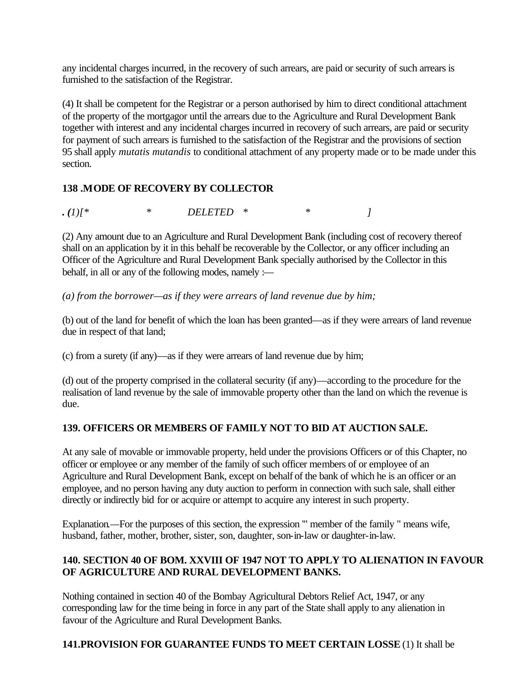any incidental charges incurred, in the recovery of such arrears, are paid or security of such arrears is furnished to the satisfaction of the Registrar.

(4) It shall be competent for the Registrar or a person authorised by him to direct conditional attachment of the property of the mortgagor until the arrears due to the Agriculture and Rural Development Bank together with interest and any incidental charges incurred in recovery of such arrears, are paid or security for payment of such arrears is furnished to the satisfaction of the Registrar and the provisions of section 95 shall apply *mutatis mutandis* to conditional attachment of any property made or to be made under this section.

## **138 .MODE OF RECOVERY BY COLLECTOR**

*. (1)[\* \* DELETED \* \* ]*

(2) Any amount due to an Agriculture and Rural Development Bank (including cost of recovery thereof shall on an application by it in this behalf be recoverable by the Collector, or any officer including an Officer of the Agriculture and Rural Development Bank specially authorised by the Collector in this behalf, in all or any of the following modes, namely :—

*(a) from the borrower—as if they were arrears of land revenue due by him;*

(b) out of the land for benefit of which the loan has been granted—as if they were arrears of land revenue due in respect of that land;

(c) from a surety (if any)—as if they were arrears of land revenue due by him;

(d) out of the property comprised in the collateral security (if any)—according to the procedure for the realisation of land revenue by the sale of immovable property other than the land on which the revenue is due.

## **139. OFFICERS OR MEMBERS OF FAMILY NOT TO BID AT AUCTION SALE.**

At any sale of movable or immovable property, held under the provisions Officers or of this Chapter, no officer or employee or any member of the family of such officer members of or employee of an Agriculture and Rural Development Bank, except on behalf of the bank of which he is an officer or an employee, and no person having any duty auction to perform in connection with such sale, shall either directly or indirectly bid for or acquire or attempt to acquire any interest in such property.

Explanation*.—*For the purposes of this section, the expression '" member of the family " means wife, husband, father, mother, brother, sister, son, daughter, son-in-law or daughter-in-law.

## **140. SECTION 40 OF BOM. XXVIII OF 1947 NOT TO APPLY TO ALIENATION IN FAVOUR OF AGRICULTURE AND RURAL DEVELOPMENT BANKS.**

Nothing contained in section 40 of the Bombay Agricultural Debtors Relief Act, 1947, or any corresponding law for the time being in force in any part of the State shall apply to any alienation in favour of the Agriculture and Rural Development Banks.

## **141.PROVISION FOR GUARANTEE FUNDS TO MEET CERTAIN LOSSE** (1) It shall be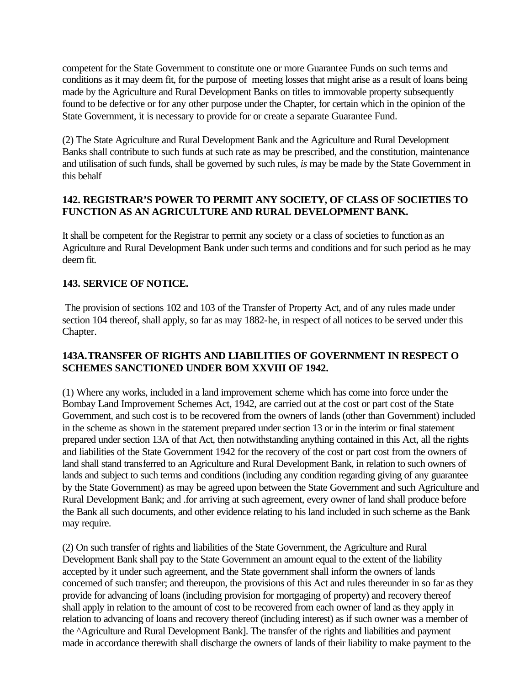competent for the State Government to constitute one or more Guarantee Funds on such terms and conditions as it may deem fit, for the purpose of meeting losses that might arise as a result of loans being made by the Agriculture and Rural Development Banks on titles to immovable property subsequently found to be defective or for any other purpose under the Chapter, for certain which in the opinion of the State Government, it is necessary to provide for or create a separate Guarantee Fund.

(2) The State Agriculture and Rural Development Bank and the Agriculture and Rural Development Banks shall contribute to such funds at such rate as may be prescribed, and the constitution, maintenance and utilisation of such funds, shall be governed by such rules, *is* may be made by the State Government in this behalf

## **142. REGISTRAR'S POWER TO PERMIT ANY SOCIETY, OF CLASS OF SOCIETIES TO FUNCTION AS AN AGRICULTURE AND RURAL DEVELOPMENT BANK.**

It shall be competent for the Registrar to permit any society or a class of societies to function as an Agriculture and Rural Development Bank under such terms and conditions and for such period as he may deem fit.

## **143. SERVICE OF NOTICE.**

 The provision of sections 102 and 103 of the Transfer of Property Act, and of any rules made under section 104 thereof, shall apply, so far as may 1882-he, in respect of all notices to be served under this Chapter.

## **143A.TRANSFER OF RIGHTS AND LIABILITIES OF GOVERNMENT IN RESPECT O SCHEMES SANCTIONED UNDER BOM XXVIII OF 1942.**

(1) Where any works, included in a land improvement scheme which has come into force under the Bombay Land Improvement Schemes Act, 1942, are carried out at the cost or part cost of the State Government, and such cost is to be recovered from the owners of lands (other than Government) included in the scheme as shown in the statement prepared under section 13 or in the interim or final statement prepared under section 13A of that Act, then notwithstanding anything contained in this Act, all the rights and liabilities of the State Government 1942 for the recovery of the cost or part cost from the owners of land shall stand transferred to an Agriculture and Rural Development Bank, in relation to such owners of lands and subject to such terms and conditions (including any condition regarding giving of any guarantee by the State Government) as may be agreed upon between the State Government and such Agriculture and Rural Development Bank; and .for arriving at such agreement, every owner of land shall produce before the Bank all such documents, and other evidence relating to his land included in such scheme as the Bank may require.

(2) On such transfer of rights and liabilities of the State Government, the Agriculture and Rural Development Bank shall pay to the State Government an amount equal to the extent of the liability accepted by it under such agreement, and the State government shall inform the owners of lands concerned of such transfer; and thereupon, the provisions of this Act and rules thereunder in so far as they provide for advancing of loans (including provision for mortgaging of property) and recovery thereof shall apply in relation to the amount of cost to be recovered from each owner of land as they apply in relation to advancing of loans and recovery thereof (including interest) as if such owner was a member of the ^Agriculture and Rural Development Bank]. The transfer of the rights and liabilities and payment made in accordance therewith shall discharge the owners of lands of their liability to make payment to the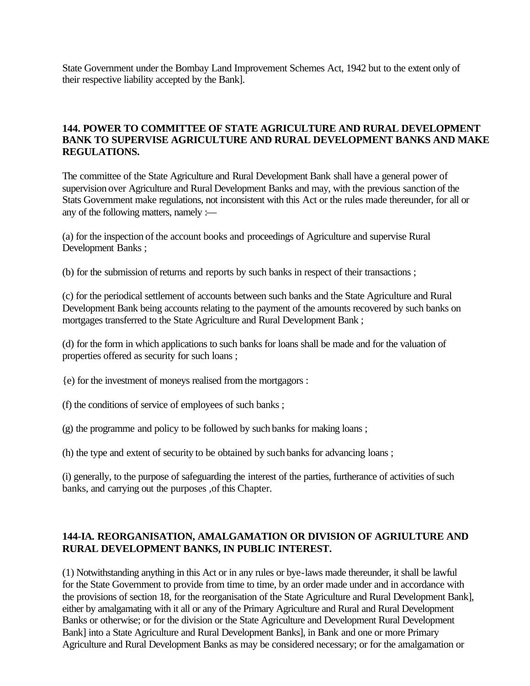State Government under the Bombay Land Improvement Schemes Act, 1942 but to the extent only of their respective liability accepted by the Bank].

#### **144. POWER TO COMMITTEE OF STATE AGRICULTURE AND RURAL DEVELOPMENT BANK TO SUPERVISE AGRICULTURE AND RURAL DEVELOPMENT BANKS AND MAKE REGULATIONS.**

The committee of the State Agriculture and Rural Development Bank shall have a general power of supervision over Agriculture and Rural Development Banks and may, with the previous sanction of the Stats Government make regulations, not inconsistent with this Act or the rules made thereunder, for all or any of the following matters, namely :—

(a) for the inspection of the account books and proceedings of Agriculture and supervise Rural Development Banks ;

(b) for the submission of returns and reports by such banks in respect of their transactions ;

(c) for the periodical settlement of accounts between such banks and the State Agriculture and Rural Development Bank being accounts relating to the payment of the amounts recovered by such banks on mortgages transferred to the State Agriculture and Rural Development Bank ;

(d) for the form in which applications to such banks for loans shall be made and for the valuation of properties offered as security for such loans ;

{e) for the investment of moneys realised from the mortgagors :

- (f) the conditions of service of employees of such banks ;
- (g) the programme and policy to be followed by such banks for making loans ;

(h) the type and extent of security to be obtained by such banks for advancing loans ;

(i) generally, to the purpose of safeguarding the interest of the parties, furtherance of activities of such banks, and carrying out the purposes ,of this Chapter.

## **144-IA. REORGANISATION, AMALGAMATION OR DIVISION OF AGRIULTURE AND RURAL DEVELOPMENT BANKS, IN PUBLIC INTEREST.**

(1) Notwithstanding anything in this Act or in any rules or bye-laws made thereunder, it shall be lawful for the State Government to provide from time to time, by an order made under and in accordance with the provisions of section 18, for the reorganisation of the State Agriculture and Rural Development Bank], either by amalgamating with it all or any of the Primary Agriculture and Rural and Rural Development Banks or otherwise; or for the division or the State Agriculture and Development Rural Development Bank] into a State Agriculture and Rural Development Banks], in Bank and one or more Primary Agriculture and Rural Development Banks as may be considered necessary; or for the amalgamation or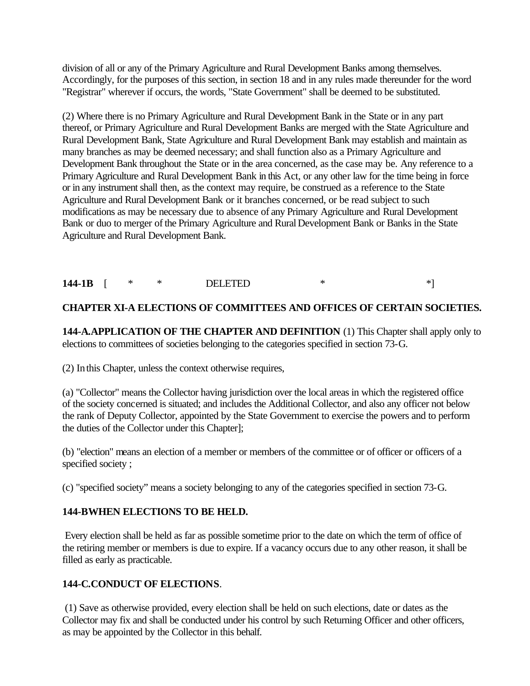division of all or any of the Primary Agriculture and Rural Development Banks among themselves. Accordingly, for the purposes of this section, in section 18 and in any rules made thereunder for the word "Registrar" wherever if occurs, the words, "State Government" shall be deemed to be substituted.

(2) Where there is no Primary Agriculture and Rural Development Bank in the State or in any part thereof, or Primary Agriculture and Rural Development Banks are merged with the State Agriculture and Rural Development Bank, State Agriculture and Rural Development Bank may establish and maintain as many branches as may be deemed necessary; and shall function also as a Primary Agriculture and Development Bank throughout the State or in the area concerned, as the case may be*.* Any reference to a Primary Agriculture and Rural Development Bank in this Act, or any other law for the time being in force or in any instrument shall then, as the context may require, be construed as a reference to the State Agriculture and Rural Development Bank or it branches concerned, or be read subject to such modifications as may be necessary due to absence of any Primary Agriculture and Rural Development Bank or duo to merger of the Primary Agriculture and Rural Development Bank or Banks in the State Agriculture and Rural Development Bank.

**144-1B** [ \* *\** DELETED \* \*]

## **CHAPTER XI-A ELECTIONS OF COMMITTEES AND OFFICES OF CERTAIN SOCIETIES.**

**144-A.APPLICATION OF THE CHAPTER AND DEFINITION** (1) This Chapter shall apply only to elections to committees of societies belonging to the categories specified in section 73-G.

(2) Inthis Chapter, unless the context otherwise requires,

(a) "Collector" means the Collector having jurisdiction over the local areas in which the registered office of the society concerned is situated; and includes the Additional Collector, and also any officer not below the rank of Deputy Collector, appointed by the State Government to exercise the powers and to perform the duties of the Collector under this Chapter];

(b) "election" means an election of a member or members of the committee or of officer or officers of a specified society ;

(c) "specified society" means a society belonging to any of the categories specified in section 73-G.

## **144-BWHEN ELECTIONS TO BE HELD.**

 Every election shall be held as far as possible sometime prior to the date on which the term of office of the retiring member or members is due to expire. If a vacancy occurs due to any other reason, it shall be filled as early as practicable.

## **144-C.CONDUCT OF ELECTIONS**.

(1) Save as otherwise provided, every election shall be held on such elections, date or dates as the Collector may fix and shall be conducted under his control by such Returning Officer and other officers, as may be appointed by the Collector in this behalf.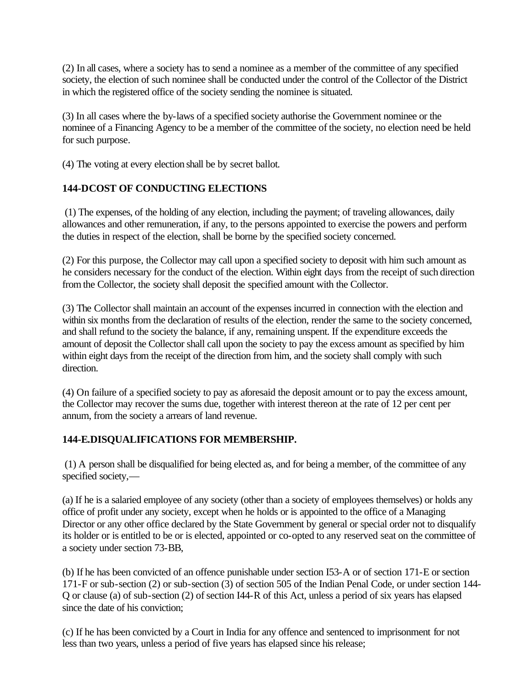(2) In all cases, where a society has to send a nominee as a member of the committee of any specified society, the election of such nominee shall be conducted under the control of the Collector of the District in which the registered office of the society sending the nominee is situated.

(3) In all cases where the by-laws of a specified society authorise the Government nominee or the nominee of a Financing Agency to be a member of the committee of the society, no election need be held for such purpose.

(4) The voting at every election shall be by secret ballot*.* 

## **144-DCOST OF CONDUCTING ELECTIONS**

 (1) The expenses, of the holding of any election, including the payment; of traveling allowances, daily allowances and other remuneration, if any, to the persons appointed to exercise the powers and perform the duties in respect of the election, shall be borne by the specified society concerned.

(2) For this purpose, the Collector may call upon a specified society to deposit with him such amount as he considers necessary for the conduct of the election. Within eight days from the receipt of such direction from the Collector, the society shall deposit the specified amount with the Collector.

(3) The Collector shall maintain an account of the expenses incurred in connection with the election and within six months from the declaration of results of the election, render the same to the society concerned, and shall refund to the society the balance, if any, remaining unspent. If the expenditure exceeds the amount of deposit the Collector shall call upon the society to pay the excess amount as specified by him within eight days from the receipt of the direction from him, and the society shall comply with such direction.

(4) On failure of a specified society to pay as aforesaid the deposit amount or to pay the excess amount, the Collector may recover the sums due, together with interest thereon at the rate of 12 per cent per annum, from the society a arrears of land revenue.

## **144-E.DISQUALIFICATIONS FOR MEMBERSHIP.**

 (1) A person shall be disqualified for being elected as, and for being a member, of the committee of any specified society,—

(a) If he is a salaried employee of any society (other than a society of employees themselves) or holds any office of profit under any society, except when he holds or is appointed to the office of a Managing Director or any other office declared by the State Government by general or special order not to disqualify its holder or is entitled to be or is elected, appointed or co-opted to any reserved seat on the committee of a society under section 73-BB,

(b) If he has been convicted of an offence punishable under section I53-A or of section 171-E or section 171-F or sub-section (2) or sub-section (3) of section 505 of the Indian Penal Code, or under section 144- Q or clause (a) of sub-section (2) of section I44-R of this Act, unless a period of six years has elapsed since the date of his conviction;

(c) If he has been convicted by a Court in India for any offence and sentenced to imprisonment for not less than two years, unless a period of five years has elapsed since his release;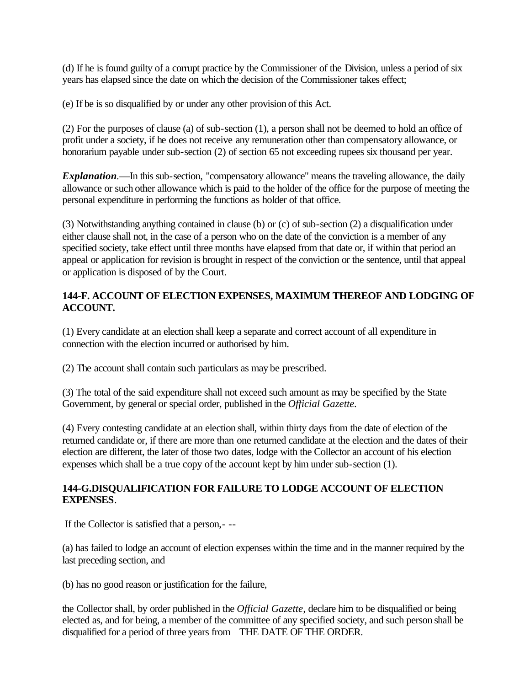(d) If he is found guilty of a corrupt practice by the Commissioner of the Division, unless a period of six years has elapsed since the date on which the decision of the Commissioner takes effect;

(e) If be is so disqualified by or under any other provision of this Act.

(2) For the purposes of clause (a) of sub-section (1), a person shall not be deemed to hold an office of profit under a society, if he does not receive any remuneration other than compensatory allowance, or honorarium payable under sub-section (2) of section 65 not exceeding rupees six thousand per year.

*Explanation.*—In this sub-section, "compensatory allowance" means the traveling allowance, the daily allowance or such other allowance which is paid to the holder of the office for the purpose of meeting the personal expenditure in performing the functions as holder of that office.

(3) Notwithstanding anything contained in clause (b) or (c) of sub-section (2) a disqualification under either clause shall not, in the case of a person who on the date of the conviction is a member of any specified society, take effect until three months have elapsed from that date or, if within that period an appeal or application for revision is brought in respect of the conviction or the sentence, until that appeal or application is disposed of by the Court.

## **144-F. ACCOUNT OF ELECTION EXPENSES, MAXIMUM THEREOF AND LODGING OF ACCOUNT.**

(1) Every candidate at an election shall keep a separate and correct account of all expenditure in connection with the election incurred or authorised by him.

(2) The account shall contain such particulars as may be prescribed.

(3) The total of the said expenditure shall not exceed such amount as may be specified by the State Government, by general or special order, published in the *Official Gazette.*

(4) Every contesting candidate at an election shall, within thirty days from the date of election of the returned candidate or, if there are more than one returned candidate at the election and the dates of their election are different, the later of those two dates, lodge with the Collector an account of his election expenses which shall be a true copy of the account kept by him under sub-section (1).

## **144-G.DISQUALIFICATION FOR FAILURE TO LODGE ACCOUNT OF ELECTION EXPENSES**.

If the Collector is satisfied that a person,- --

(a) has failed to lodge an account of election expenses within the time and in the manner required by the last preceding section, and

(b) has no good reason or justification for the failure,

the Collector shall, by order published in the *Official Gazette,* declare him to be disqualified or being elected as, and for being, a member of the committee of any specified society, and such person shall be disqualified for a period of three years from THE DATE OF THE ORDER.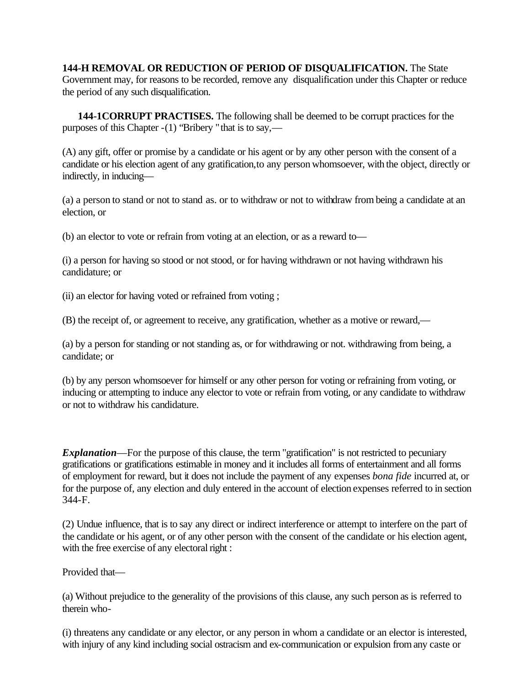#### **144-H REMOVAL OR REDUCTION OF PERIOD OF DISQUALIFICATION.** The State Government may, for reasons to be recorded, remove any disqualification under this Chapter or reduce the period of any such disqualification.

 **144-1CORRUPT PRACTISES.** The following shall be deemed to be corrupt practices for the purposes of this Chapter -(1) "Bribery " that is to say,—

(A) any gift, offer or promise by a candidate or his agent or by any other person with the consent of a candidate or his election agent of any gratification,to any person whomsoever, with the object, directly or indirectly, in inducing—

(a) a person to stand or not to stand as. or to withdraw or not to withdraw from being a candidate at an election, or

(b) an elector to vote or refrain from voting at an election, or as a reward to—

(i) a person for having so stood or not stood, or for having withdrawn or not having withdrawn his candidature; or

(ii) an elector for having voted or refrained from voting ;

(B) the receipt of, or agreement to receive, any gratification, whether as a motive or reward,—

(a) by a person for standing or not standing as, or for withdrawing or not. withdrawing from being, a candidate; or

(b) by any person whomsoever for himself or any other person for voting or refraining from voting, or inducing or attempting to induce any elector to vote or refrain from voting, or any candidate to withdraw or not to withdraw his candidature.

*Explanation*—For the purpose of this clause, the term "gratification" is not restricted to pecuniary gratifications or gratifications estimable in money and it includes all forms of entertainment and all forms of employment for reward, but it does not include the payment of any expenses *bona fide* incurred at, or for the purpose of, any election and duly entered in the account of election expenses referred to in section 344-F.

(2) Undue influence, that is to say any direct or indirect interference or attempt to interfere on the part of the candidate or his agent, or of any other person with the consent of the candidate or his election agent, with the free exercise of any electoral right :

Provided that—

(a) Without prejudice to the generality of the provisions of this clause, any such person as is referred to therein who-

(i) threatens any candidate or any elector, or any person in whom a candidate or an elector is interested, with injury of any kind including social ostracism and ex-communication or expulsion from any caste or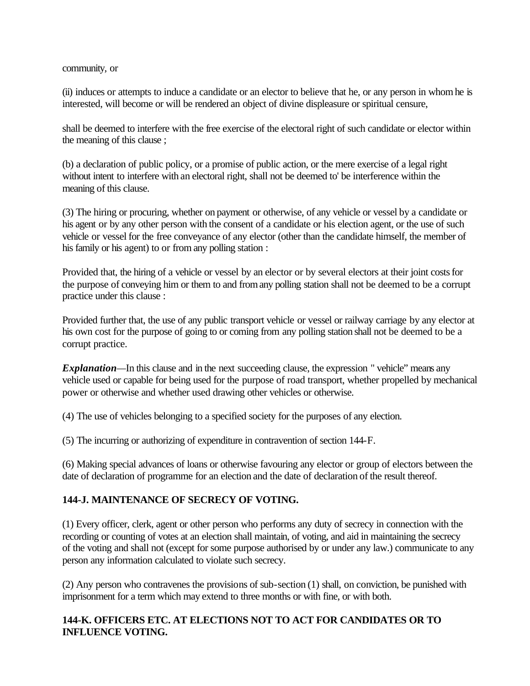#### community, or

(ii) induces or attempts to induce a candidate or an elector to believe that he, or any person in whom he is interested, will become or will be rendered an object of divine displeasure or spiritual censure,

shall be deemed to interfere with the free exercise of the electoral right of such candidate or elector within the meaning of this clause ;

(b) a declaration of public policy, or a promise of public action, or the mere exercise of a legal right without intent to interfere with an electoral right, shall not be deemed to' be interference within the meaning of this clause.

(3) The hiring or procuring, whether on payment or otherwise, of any vehicle or vessel by a candidate or his agent or by any other person with the consent of a candidate or his election agent, or the use of such vehicle or vessel for the free conveyance of any elector (other than the candidate himself, the member of his family or his agent) to or from any polling station :

Provided that, the hiring of a vehicle or vessel by an elector or by several electors at their joint costs for the purpose of conveying him or them to and from any polling station shall not be deemed to be a corrupt practice under this clause :

Provided further that, the use of any public transport vehicle or vessel or railway carriage by any elector at his own cost for the purpose of going to or coming from any polling station shall not be deemed to be a corrupt practice.

*Explanation—*In this clause and in the next succeeding clause, the expression " vehicle" means any vehicle used or capable for being used for the purpose of road transport, whether propelled by mechanical power or otherwise and whether used drawing other vehicles or otherwise.

(4) The use of vehicles belonging to a specified society for the purposes of any election.

(5) The incurring or authorizing of expenditure in contravention of section 144-F.

(6) Making special advances of loans or otherwise favouring any elector or group of electors between the date of declaration of programme for an election and the date of declaration of the result thereof.

## **144-J. MAINTENANCE OF SECRECY OF VOTING.**

(1) Every officer, clerk, agent or other person who performs any duty of secrecy in connection with the recording or counting of votes at an election shall maintain, of voting, and aid in maintaining the secrecy of the voting and shall not (except for some purpose authorised by or under any law.) communicate to any person any information calculated to violate such secrecy.

(2) Any person who contravenes the provisions of sub-section (1) shall, on conviction, be punished with imprisonment for a term which may extend to three months or with fine, or with both.

## **144-K. OFFICERS ETC. AT ELECTIONS NOT TO ACT FOR CANDIDATES OR TO INFLUENCE VOTING.**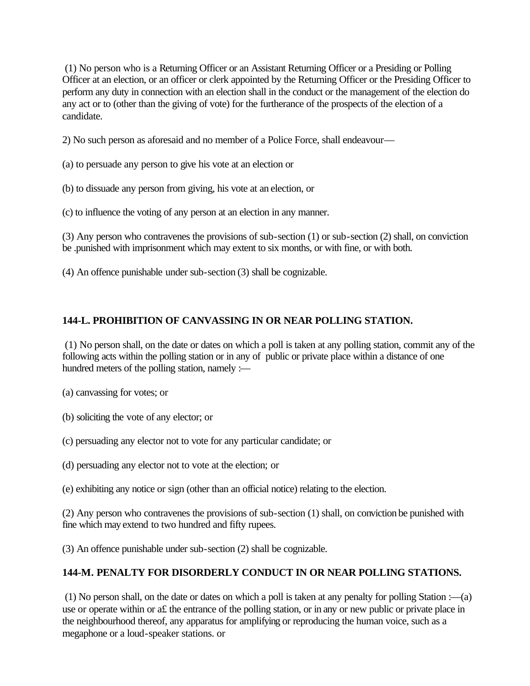(1) No person who is a Returning Officer or an Assistant Returning Officer or a Presiding or Polling Officer at an election, or an officer or clerk appointed by the Returning Officer or the Presiding Officer to perform any duty in connection with an election shall in the conduct or the management of the election do any act or to (other than the giving of vote) for the furtherance of the prospects of the election of a candidate.

2) No such person as aforesaid and no member of a Police Force, shall endeavour—

(a) to persuade any person to give his vote at an election or

(b) to dissuade any person from giving, his vote at an election, or

(c) to influence the voting of any person at an election in any manner.

(3) Any person who contravenes the provisions of sub-section (1) or sub-section (2) shall, on conviction be .punished with imprisonment which may extent to six months, or with fine, or with both.

(4) An offence punishable under sub-section (3) shall be cognizable.

## **144-L. PROHIBITION OF CANVASSING IN OR NEAR POLLING STATION.**

 (1) No person shall, on the date or dates on which a poll is taken at any polling station, commit any of the following acts within the polling station or in any of public or private place within a distance of one hundred meters of the polling station, namely :—

(a) canvassing for votes; or

(b) soliciting the vote of any elector; or

(c) persuading any elector not to vote for any particular candidate; or

(d) persuading any elector not to vote at the election; or

(e) exhibiting any notice or sign (other than an official notice) relating to the election.

(2) Any person who contravenes the provisions of sub-section (1) shall, on conviction be punished with fine which may extend to two hundred and fifty rupees.

(3) An offence punishable under sub-section (2) shall be cognizable.

## **144-M. PENALTY FOR DISORDERLY CONDUCT IN OR NEAR POLLING STATIONS.**

 (1) No person shall, on the date or dates on which a poll is taken at any penalty for polling Station :—(a) use or operate within or a£ the entrance of the polling station, or in any or new public or private place in the neighbourhood thereof, any apparatus for amplifying or reproducing the human voice, such as a megaphone or a loud-speaker stations. or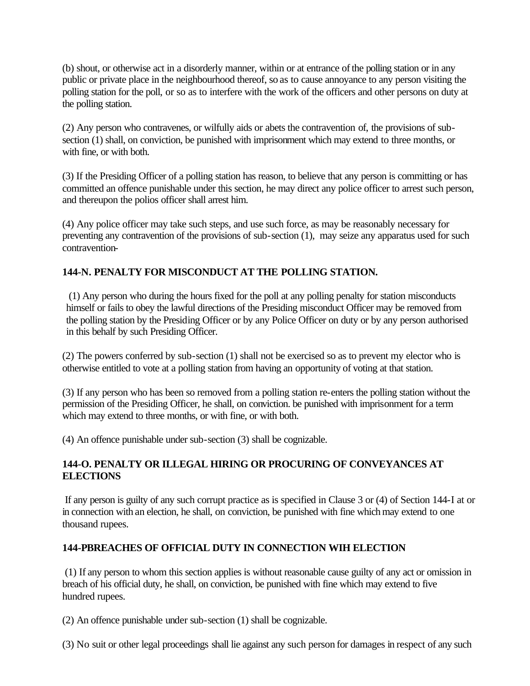(b) shout, or otherwise act in a disorderly manner, within or at entrance of the polling station or in any public or private place in the neighbourhood thereof, so as to cause annoyance to any person visiting the polling station for the poll, or so as to interfere with the work of the officers and other persons on duty at the polling station.

(2) Any person who contravenes, or wilfully aids or abets the contravention of, the provisions of subsection (1) shall, on conviction, be punished with imprisonment which may extend to three months, or with fine, or with both.

(3) If the Presiding Officer of a polling station has reason, to believe that any person is committing or has committed an offence punishable under this section, he may direct any police officer to arrest such person, and thereupon the polios officer shall arrest him.

(4) Any police officer may take such steps, and use such force, as may be reasonably necessary for preventing any contravention of the provisions of sub-section (1), may seize any apparatus used for such contravention-

# **144-N. PENALTY FOR MISCONDUCT AT THE POLLING STATION.**

 (1) Any person who during the hours fixed for the poll at any polling penalty for station misconducts himself or fails to obey the lawful directions of the Presiding misconduct Officer may be removed from the polling station by the Presiding Officer or by any Police Officer on duty or by any person authorised in this behalf by such Presiding Officer.

(2) The powers conferred by sub-section (1) shall not be exercised so as to prevent my elector who is otherwise entitled to vote at a polling station from having an opportunity of voting at that station.

(3) If any person who has been so removed from a polling station re-enters the polling station without the permission of the Presiding Officer, he shall, on conviction. be punished with imprisonment for a term which may extend to three months, or with fine, or with both.

(4) An offence punishable under sub-section (3) shall be cognizable.

# **144-O. PENALTY OR ILLEGAL HIRING OR PROCURING OF CONVEYANCES AT ELECTIONS**

 If any person is guilty of any such corrupt practice as is specified in Clause 3 or (4) of Section 144-I at or in connection with an election, he shall, on conviction, be punished with fine which may extend to one thousand rupees.

# **144-PBREACHES OF OFFICIAL DUTY IN CONNECTION WIH ELECTION**

 (1) If any person to whom this section applies is without reasonable cause guilty of any act or omission in breach of his official duty, he shall, on conviction, be punished with fine which may extend to five hundred rupees.

(2) An offence punishable under sub-section (1) shall be cognizable.

(3) No suit or other legal proceedings shall lie against any such person for damages in respect of any such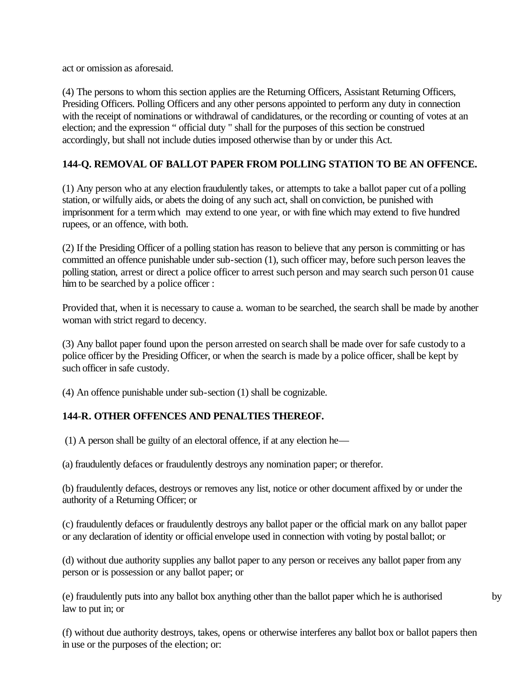act or omission as aforesaid.

(4) The persons to whom this section applies are the Returning Officers, Assistant Returning Officers, Presiding Officers. Polling Officers and any other persons appointed to perform any duty in connection with the receipt of nominations or withdrawal of candidatures, or the recording or counting of votes at an election; and the expression " official duty " shall for the purposes of this section be construed accordingly, but shall not include duties imposed otherwise than by or under this Act.

## **144-Q. REMOVAL OF BALLOT PAPER FROM POLLING STATION TO BE AN OFFENCE.**

(1) Any person who at any election fraudulently takes, or attempts to take a ballot paper cut of a polling station, or wilfully aids, or abets the doing of any such act, shall on conviction, be punished with imprisonment for a term which may extend to one year, or with fine which may extend to five hundred rupees, or an offence, with both.

(2) If the Presiding Officer of a polling station has reason to believe that any person is committing or has committed an offence punishable under sub-section (1), such officer may, before such person leaves the polling station, arrest or direct a police officer to arrest such person and may search such person 01 cause him to be searched by a police officer :

Provided that, when it is necessary to cause a. woman to be searched, the search shall be made by another woman with strict regard to decency.

(3) Any ballot paper found upon the person arrested on search shall be made over for safe custody to a police officer by the Presiding Officer, or when the search is made by a police officer, shall be kept by such officer in safe custody.

(4) An offence punishable under sub-section (1) shall be cognizable.

## **144-R. OTHER OFFENCES AND PENALTIES THEREOF.**

(1) A person shall be guilty of an electoral offence, if at any election he—

(a) fraudulently defaces or fraudulently destroys any nomination paper; or therefor.

(b) fraudulently defaces, destroys or removes any list, notice or other document affixed by or under the authority of a Returning Officer; or

(c) fraudulently defaces or fraudulently destroys any ballot paper or the official mark on any ballot paper or any declaration of identity or official envelope used in connection with voting by postal ballot; or

(d) without due authority supplies any ballot paper to any person or receives any ballot paper from any person or is possession or any ballot paper; or

(e) fraudulently puts into any ballot box anything other than the ballot paper which he is authorised by law to put in; or

(f) without due authority destroys, takes, opens or otherwise interferes any ballot box or ballot papers then in use or the purposes of the election; or: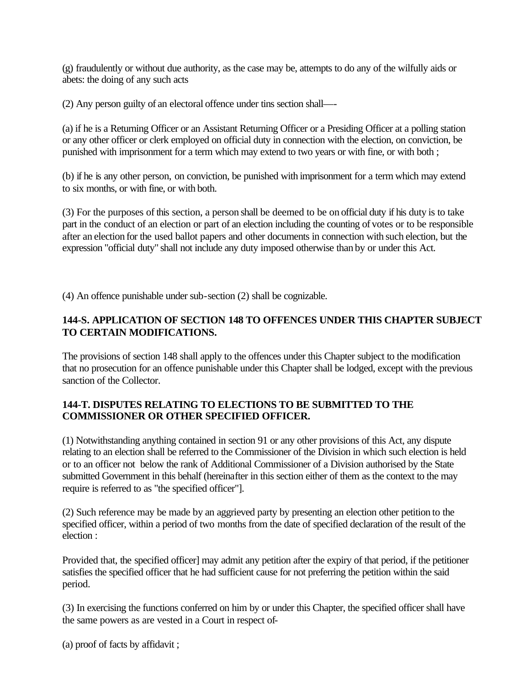(g) fraudulently or without due authority, as the case may be, attempts to do any of the wilfully aids or abets: the doing of any such acts

(2) Any person guilty of an electoral offence under tins section shall—-

(a) if he is a Returning Officer or an Assistant Returning Officer or a Presiding Officer at a polling station or any other officer or clerk employed on official duty in connection with the election, on conviction, be punished with imprisonment for a term which may extend to two years or with fine, or with both ;

(b) if he is any other person, on conviction, be punished with imprisonment for a term which may extend to six months, or with fine, or with both.

(3) For the purposes of this section, a person shall be deemed to be on official duty if his duty is to take part in the conduct of an election or part of an election including the counting of votes or to be responsible after an election for the used ballot papers and other documents in connection with such election, but the expression "official duty" shall not include any duty imposed otherwise than by or under this Act.

(4) An offence punishable under sub-section (2) shall be cognizable.

## **144-S. APPLICATION OF SECTION 148 TO OFFENCES UNDER THIS CHAPTER SUBJECT TO CERTAIN MODIFICATIONS.**

The provisions of section 148 shall apply to the offences under this Chapter subject to the modification that no prosecution for an offence punishable under this Chapter shall be lodged, except with the previous sanction of the Collector.

## **144-T. DISPUTES RELATING TO ELECTIONS TO BE SUBMITTED TO THE COMMISSIONER OR OTHER SPECIFIED OFFICER.**

(1) Notwithstanding anything contained in section 91 or any other provisions of this Act, any dispute relating to an election shall be referred to the Commissioner of the Division in which such election is held or to an officer not below the rank of Additional Commissioner of a Division authorised by the State submitted Government in this behalf (hereinafter in this section either of them as the context to the may require is referred to as "the specified officer"].

(2) Such reference may be made by an aggrieved party by presenting an election other petition to the specified officer, within a period of two months from the date of specified declaration of the result of the election :

Provided that, the specified officer] may admit any petition after the expiry of that period, if the petitioner satisfies the specified officer that he had sufficient cause for not preferring the petition within the said period.

(3) In exercising the functions conferred on him by or under this Chapter, the specified officer shall have the same powers as are vested in a Court in respect of-

(a) proof of facts by affidavit ;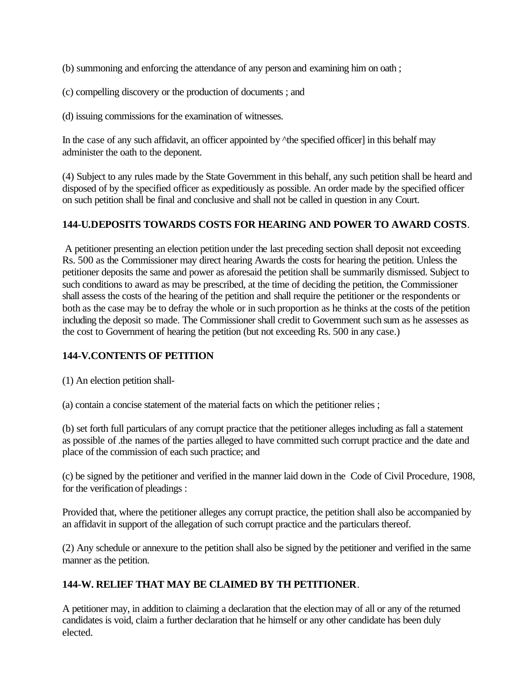(b) summoning and enforcing the attendance of any person and examining him on oath ;

(c) compelling discovery or the production of documents ; and

(d) issuing commissions for the examination of witnesses.

In the case of any such affidavit, an officer appointed by  $\land$  the specified officer] in this behalf may administer the oath to the deponent.

(4) Subject to any rules made by the State Government in this behalf, any such petition shall be heard and disposed of by the specified officer as expeditiously as possible. An order made by the specified officer on such petition shall be final and conclusive and shall not be called in question in any Court.

## **144-U.DEPOSITS TOWARDS COSTS FOR HEARING AND POWER TO AWARD COSTS**.

 A petitioner presenting an election petition under the last preceding section shall deposit not exceeding Rs. 500 as the Commissioner may direct hearing Awards the costs for hearing the petition. Unless the petitioner deposits the same and power as aforesaid the petition shall be summarily dismissed. Subject to such conditions to award as may be prescribed, at the time of deciding the petition, the Commissioner shall assess the costs of the hearing of the petition and shall require the petitioner or the respondents or both as the case may be to defray the whole or in such proportion as he thinks at the costs of the petition including the deposit so made. The Commissioner shall credit to Government such sum as he assesses as the cost to Government of hearing the petition (but not exceeding Rs. 500 in any case.)

## **144-V.CONTENTS OF PETITION**

(1) An election petition shall-

(a) contain a concise statement of the material facts on which the petitioner relies ;

(b) set forth full particulars of any corrupt practice that the petitioner alleges including as fall a statement as possible of .the names of the parties alleged to have committed such corrupt practice and the date and place of the commission of each such practice; and

(c) be signed by the petitioner and verified in the manner laid down in the Code of Civil Procedure, 1908, for the verification of pleadings :

Provided that, where the petitioner alleges any corrupt practice, the petition shall also be accompanied by an affidavit in support of the allegation of such corrupt practice and the particulars thereof.

(2) Any schedule or annexure to the petition shall also be signed by the petitioner and verified in the same manner as the petition.

## **144-W. RELIEF THAT MAY BE CLAIMED BY TH PETITIONER**.

A petitioner may, in addition to claiming a declaration that the election may of all or any of the returned candidates is void, claim a further declaration that he himself or any other candidate has been duly elected.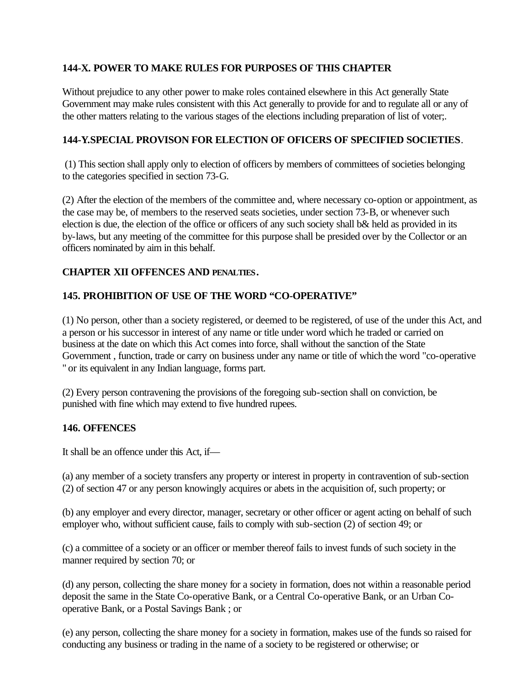## **144-X. POWER TO MAKE RULES FOR PURPOSES OF THIS CHAPTER**

Without prejudice to any other power to make roles contained elsewhere in this Act generally State Government may make rules consistent with this Act generally to provide for and to regulate all or any of the other matters relating to the various stages of the elections including preparation of list of voter;.

## **144-Y.SPECIAL PROVISON FOR ELECTION OF OFICERS OF SPECIFIED SOCIETIES**.

 (1) This section shall apply only to election of officers by members of committees of societies belonging to the categories specified in section 73-G.

(2) After the election of the members of the committee and, where necessary co-option or appointment, as the case may be, of members to the reserved seats societies, under section 73-B, or whenever such election is due, the election of the office or officers of any such society shall b& held as provided in its by-laws, but any meeting of the committee for this purpose shall be presided over by the Collector or an officers nominated by aim in this behalf.

## **CHAPTER XII OFFENCES AND PENALTIES.**

# **145. PROHIBITION OF USE OF THE WORD "CO-OPERATIVE"**

(1) No person, other than a society registered, or deemed to be registered, of use of the under this Act, and a person or his successor in interest of any name or title under word which he traded or carried on business at the date on which this Act comes into force, shall without the sanction of the State Government , function, trade or carry on business under any name or title of which the word "co-operative " or its equivalent in any Indian language, forms part.

(2) Every person contravening the provisions of the foregoing sub-section shall on conviction, be punished with fine which may extend to five hundred rupees.

## **146. OFFENCES**

It shall be an offence under this Act, if—

(a) any member of a society transfers any property or interest in property in contravention of sub-section (2) of section 47 or any person knowingly acquires or abets in the acquisition of, such property; or

(b) any employer and every director, manager, secretary or other officer or agent acting on behalf of such employer who, without sufficient cause, fails to comply with sub-section (2) of section 49; or

(c) a committee of a society or an officer or member thereof fails to invest funds of such society in the manner required by section 70; or

(d) any person, collecting the share money for a society in formation, does not within a reasonable period deposit the same in the State Co-operative Bank, or a Central Co-operative Bank, or an Urban Cooperative Bank, or a Postal Savings Bank ; or

(e) any person, collecting the share money for a society in formation, makes use of the funds so raised for conducting any business or trading in the name of a society to be registered or otherwise; or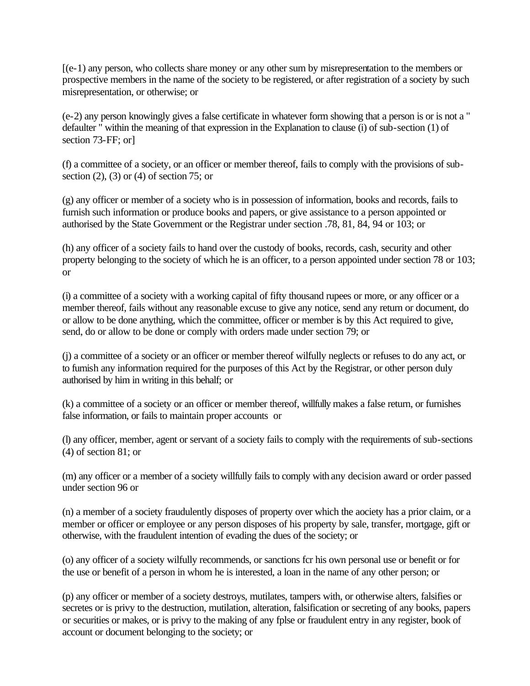[(e-1) any person, who collects share money or any other sum by misrepresentation to the members or prospective members in the name of the society to be registered, or after registration of a society by such misrepresentation, or otherwise; or

(e-2) any person knowingly gives a false certificate in whatever form showing that a person is or is not a " defaulter " within the meaning of that expression in the Explanation to clause (i) of sub-section (1) of section 73-FF; or]

(f) a committee of a society, or an officer or member thereof, fails to comply with the provisions of subsection  $(2)$ ,  $(3)$  or  $(4)$  of section 75; or

(g) any officer or member of a society who is in possession of information, books and records, fails to furnish such information or produce books and papers, or give assistance to a person appointed or authorised by the State Government or the Registrar under section .78, 81, 84, 94 or 103; or

(h) any officer of a society fails to hand over the custody of books, records, cash, security and other property belonging to the society of which he is an officer, to a person appointed under section 78 or 103; or

(i) a committee of a society with a working capital of fifty thousand rupees or more, or any officer or a member thereof, fails without any reasonable excuse to give any notice, send any return or document, do or allow to be done anything, which the committee, officer or member is by this Act required to give, send, do or allow to be done or comply with orders made under section 79; or

(j) a committee of a society or an officer or member thereof wilfully neglects or refuses to do any act, or to furnish any information required for the purposes of this Act by the Registrar, or other person duly authorised by him in writing in this behalf; or

(k) a committee of a society or an officer or member thereof, willfully makes a false return, or furnishes false information, or fails to maintain proper accounts or

(l) any officer, member, agent or servant of a society fails to comply with the requirements of sub-sections (4) of section 81; or

(m) any officer or a member of a society willfully fails to comply with any decision award or order passed under section 96 or

(n) a member of a society fraudulently disposes of property over which the aociety has a prior claim, or a member or officer or employee or any person disposes of his property by sale, transfer, mortgage, gift or otherwise, with the fraudulent intention of evading the dues of the society; or

(o) any officer of a society wilfully recommends, or sanctions fcr his own personal use or benefit or for the use or benefit of a person in whom he is interested, a loan in the name of any other person; or

(p) any officer or member of a society destroys, mutilates, tampers with, or otherwise alters, falsifies or secretes or is privy to the destruction, mutilation, alteration, falsification or secreting of any books, papers or securities or makes, or is privy to the making of any fplse or fraudulent entry in any register, book of account or document belonging to the society; or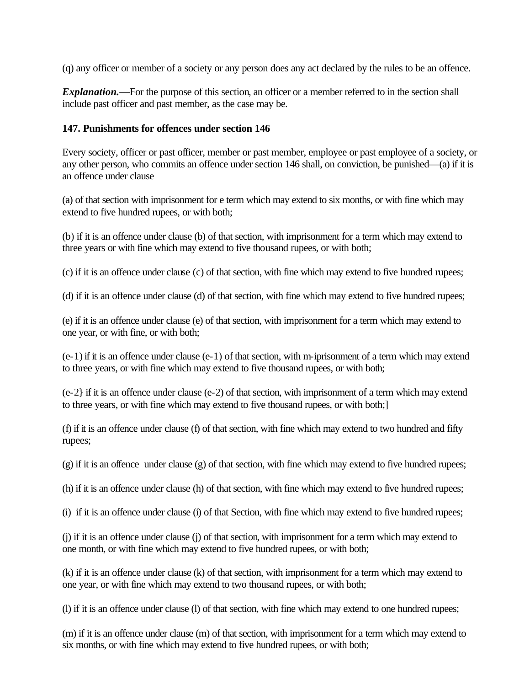(q) any officer or member of a society or any person does any act declared by the rules to be an offence.

*Explanation.*—For the purpose of this section, an officer or a member referred to in the section shall include past officer and past member, as the case may be.

#### **147. Punishments for offences under section 146**

Every society, officer or past officer, member or past member, employee or past employee of a society, or any other person, who commits an offence under section 146 shall, on conviction, be punished—(a) if it is an offence under clause

(a) of that section with imprisonment for e term which may extend to six months, or with fine which may extend to five hundred rupees, or with both;

(b) if it is an offence under clause (b) of that section, with imprisonment for a term which may extend to three years or with fine which may extend to five thousand rupees, or with both;

(c) if it is an offence under clause (c) of that section, with fine which may extend to five hundred rupees;

(d) if it is an offence under clause (d) of that section, with fine which may extend to five hundred rupees;

(e) if it is an offence under clause (e) of that section, with imprisonment for a term which may extend to one year, or with fine, or with both;

(e-1) if it is an offence under clause (e-1) of that section, with m-iprisonment of a term which may extend to three years, or with fine which may extend to five thousand rupees, or with both;

(e-2} if it is an offence under clause (e-2) of that section, with imprisonment of a term which may extend to three years, or with fine which may extend to five thousand rupees, or with both;]

(f) if it is an offence under clause (f) of that section, with fine which may extend to two hundred and fifty rupees;

(g) if it is an offence under clause (g) of that section, with fine which may extend to five hundred rupees;

(h) if it is an offence under clause (h) of that section, with fine which may extend to five hundred rupees;

(i) if it is an offence under clause (i) of that Section, with fine which may extend to five hundred rupees;

(j) if it is an offence under clause (j) of that section, with imprisonment for a term which may extend to one month, or with fine which may extend to five hundred rupees, or with both;

(k) if it is an offence under clause (k) of that section, with imprisonment for a term which may extend to one year, or with fine which may extend to two thousand rupees, or with both;

(l) if it is an offence under clause (l) of that section, with fine which may extend to one hundred rupees;

(m) if it is an offence under clause (m) of that section, with imprisonment for a term which may extend to six months, or with fine which may extend to five hundred rupees, or with both;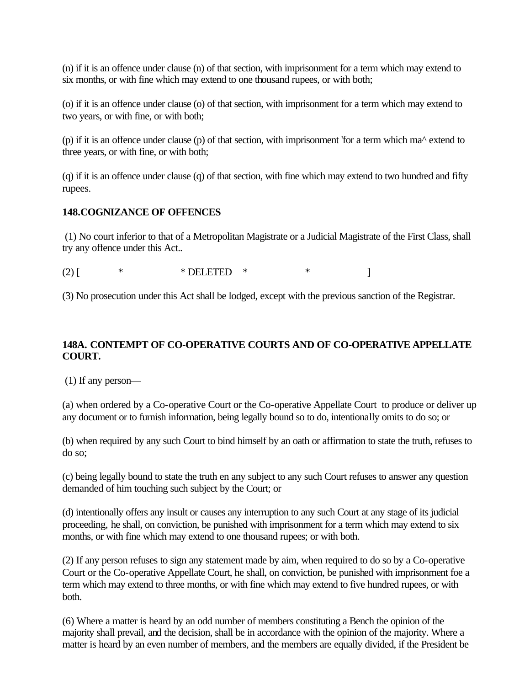(n) if it is an offence under clause (n) of that section, with imprisonment for a term which may extend to six months, or with fine which may extend to one thousand rupees, or with both;

(o) if it is an offence under clause (o) of that section, with imprisonment for a term which may extend to two years, or with fine, or with both;

(p) if it is an offence under clause (p) of that section, with imprisonment 'for a term which ma^ extend to three years, or with fine, or with both;

(q) if it is an offence under clause (q) of that section, with fine which may extend to two hundred and fifty rupees.

#### **148.COGNIZANCE OF OFFENCES**

 (1) No court inferior to that of a Metropolitan Magistrate or a Judicial Magistrate of the First Class, shall try any offence under this Act..

(2)  $[$  \* \* DELETED \* \* ]

(3) No prosecution under this Act shall be lodged, except with the previous sanction of the Registrar.

## **148A. CONTEMPT OF CO-OPERATIVE COURTS AND OF CO-OPERATIVE APPELLATE COURT.**

(1) If any person—

(a) when ordered by a Co-operative Court or the Co-operative Appellate Court to produce or deliver up any document or to furnish information, being legally bound so to do, intentionally omits to do so; or

(b) when required by any such Court to bind himself by an oath or affirmation to state the truth, refuses to do so;

(c) being legally bound to state the truth en any subject to any such Court refuses to answer any question demanded of him touching such subject by the Court; or

(d) intentionally offers any insult or causes any interruption to any such Court at any stage of its judicial proceeding, he shall, on conviction, be punished with imprisonment for a term which may extend to six months, or with fine which may extend to one thousand rupees; or with both.

(2) If any person refuses to sign any statement made by aim, when required to do so by a Co-operative Court or the Co-operative Appellate Court, he shall, on conviction, be punished with imprisonment foe a term which may extend to three months, or with fine which may extend to five hundred rupees, or with both.

(6) Where a matter is heard by an odd number of members constituting a Bench the opinion of the majority shall prevail, and the decision, shall be in accordance with the opinion of the majority. Where a matter is heard by an even number of members, and the members are equally divided, if the President be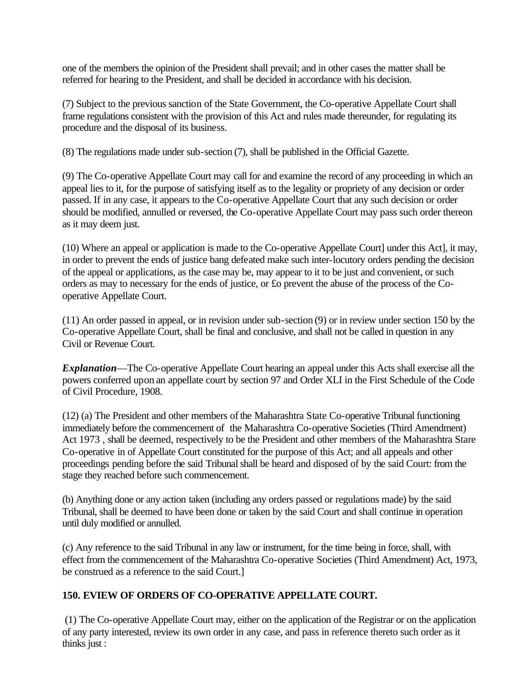one of the members the opinion of the President shall prevail; and in other cases the matter shall be referred for hearing to the President, and shall be decided in accordance with his decision.

(7) Subject to the previous sanction of the State Government, the Co-operative Appellate Court shall frame regulations consistent with the provision of this Act and rules made thereunder, for regulating its procedure and the disposal of its business.

(8) The regulations made under sub-section (7), shall be published in the Official Gazette.

(9) The Co-operative Appellate Court may call for and examine the record of any proceeding in which an appeal lies to it, for the purpose of satisfying itself as to the legality or propriety of any decision or order passed. If in any case, it appears to the Co-operative Appellate Court that any such decision or order should be modified, annulled or reversed, the Co-operative Appellate Court may pass such order thereon as it may deem just.

(10) Where an appeal or application is made to the Co-operative Appellate Court] under this Act], it may, in order to prevent the ends of justice bang defeated make such inter-locutory orders pending the decision of the appeal or applications, as the case may be, may appear to it to be just and convenient, or such orders as may to necessary for the ends of justice, or £o prevent the abuse of the process of the Cooperative Appellate Court.

(11) An order passed in appeal, or in revision under sub-section (9) or in review under section 150 by the Co-operative Appellate Court, shall be final and conclusive, and shall not be called in question in any Civil or Revenue Court.

*Explanation*—The Co-operative Appellate Court hearing an appeal under this Acts shall exercise all the powers conferred upon an appellate court by section 97 and Order XLI in the First Schedule of the Code of Civil Procedure, 1908.

(12) (a) The President and other members of the Maharashtra State Co-operative Tribunal functioning immediately before the commencement of the Maharashtra Co-operative Societies (Third Amendment) Act 1973 , shall be deemed, respectively to be the President and other members of the Maharashtra Stare Co-operative in of Appellate Court constituted for the purpose of this Act; and all appeals and other proceedings pending before the said Tribunal shall be heard and disposed of by the said Court: from the stage they reached before such commencement.

(b) Anything done or any action taken (including any orders passed or regulations made) by the said Tribunal, shall be deemed to have been done or taken by the said Court and shall continue in operation until duly modified or annulled.

(c) Any reference to the said Tribunal in any law or instrument, for the time being in force, shall, with effect from the commencement of the Maharashtra Co-operative Societies (Third Amendment) Act, 1973, be construed as a reference to the said Court.]

# **150. EVIEW OF ORDERS OF CO-OPERATIVE APPELLATE COURT.**

 (1) The Co-operative Appellate Court may, either on the application of the Registrar or on the application of any party interested, review its own order in any case, and pass in reference thereto such order as it thinks just :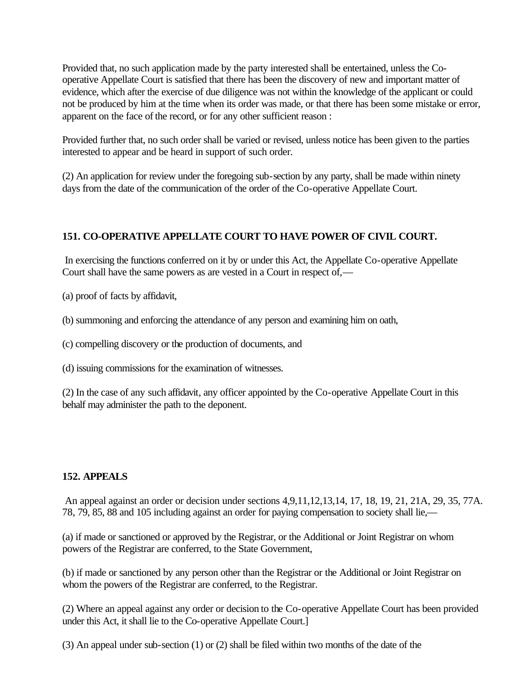Provided that, no such application made by the party interested shall be entertained, unless the Cooperative Appellate Court is satisfied that there has been the discovery of new and important matter of evidence, which after the exercise of due diligence was not within the knowledge of the applicant or could not be produced by him at the time when its order was made, or that there has been some mistake or error, apparent on the face of the record, or for any other sufficient reason :

Provided further that, no such order shall be varied or revised, unless notice has been given to the parties interested to appear and be heard in support of such order.

(2) An application for review under the foregoing sub-section by any party, shall be made within ninety days from the date of the communication of the order of the Co-operative Appellate Court.

# **151. CO-OPERATIVE APPELLATE COURT TO HAVE POWER OF CIVIL COURT.**

 In exercising the functions conferred on it by or under this Act, the Appellate Co-operative Appellate Court shall have the same powers as are vested in a Court in respect of,—

(a) proof of facts by affidavit,

(b) summoning and enforcing the attendance of any person and examining him on oath,

(c) compelling discovery or the production of documents, and

(d) issuing commissions for the examination of witnesses.

(2) In the case of any such affidavit, any officer appointed by the Co-operative Appellate Court in this behalf may administer the path to the deponent.

#### **152. APPEALS**

 An appeal against an order or decision under sections 4,9,11,12,13,14, 17, 18, 19, 21, 21A, 29, 35, 77A. 78, 79, 85, 88 and 105 including against an order for paying compensation to society shall lie,—

(a) if made or sanctioned or approved by the Registrar, or the Additional or Joint Registrar on whom powers of the Registrar are conferred, to the State Government,

(b) if made or sanctioned by any person other than the Registrar or the Additional or Joint Registrar on whom the powers of the Registrar are conferred, to the Registrar.

(2) Where an appeal against any order or decision to the Co-operative Appellate Court has been provided under this Act, it shall lie to the Co-operative Appellate Court.]

(3) An appeal under sub-section (1) or (2) shall be filed within two months of the date of the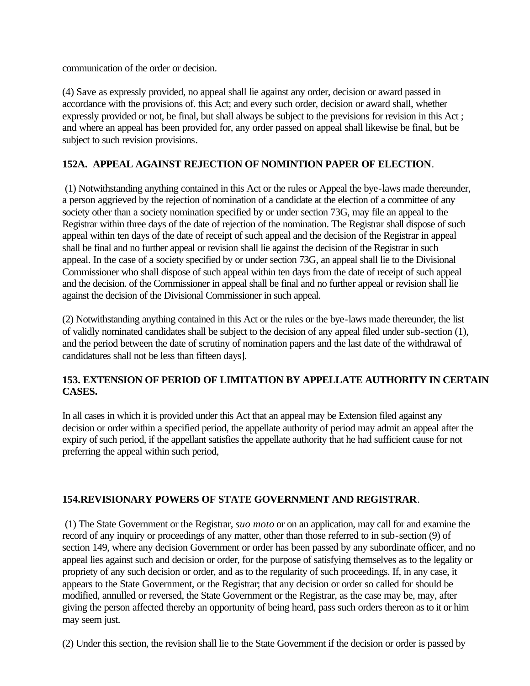communication of the order or decision.

(4) Save as expressly provided, no appeal shall lie against any order, decision or award passed in accordance with the provisions of. this Act; and every such order, decision or award shall, whether expressly provided or not, be final, but shall always be subject to the previsions for revision in this Act ; and where an appeal has been provided for, any order passed on appeal shall likewise be final, but be subject to such revision provisions.

### **152A. APPEAL AGAINST REJECTION OF NOMINTION PAPER OF ELECTION**.

 (1) Notwithstanding anything contained in this Act or the rules or Appeal the bye-laws made thereunder, a person aggrieved by the rejection of nomination of a candidate at the election of a committee of any society other than a society nomination specified by or under section 73G, may file an appeal to the Registrar within three days of the date of rejection of the nomination. The Registrar shall dispose of such appeal within ten days of the date of receipt of such appeal and the decision of the Registrar in appeal shall be final and no further appeal or revision shall lie against the decision of the Registrar in such appeal. In the case of a society specified by or under section 73G, an appeal shall lie to the Divisional Commissioner who shall dispose of such appeal within ten days from the date of receipt of such appeal and the decision. of the Commissioner in appeal shall be final and no further appeal or revision shall lie against the decision of the Divisional Commissioner in such appeal.

(2) Notwithstanding anything contained in this Act or the rules or the bye-laws made thereunder, the list of validly nominated candidates shall be subject to the decision of any appeal filed under sub-section (1), and the period between the date of scrutiny of nomination papers and the last date of the withdrawal of candidatures shall not be less than fifteen days].

#### **153. EXTENSION OF PERIOD OF LIMITATION BY APPELLATE AUTHORITY IN CERTAIN CASES.**

In all cases in which it is provided under this Act that an appeal may be Extension filed against any decision or order within a specified period, the appellate authority of period may admit an appeal after the expiry of such period, if the appellant satisfies the appellate authority that he had sufficient cause for not preferring the appeal within such period,

#### **154.REVISIONARY POWERS OF STATE GOVERNMENT AND REGISTRAR**.

 (1) The State Government or the Registrar, *suo moto* or on an application, may call for and examine the record of any inquiry or proceedings of any matter, other than those referred to in sub-section (9) of section 149, where any decision Government or order has been passed by any subordinate officer, and no appeal lies against such and decision or order, for the purpose of satisfying themselves as to the legality or propriety of any such decision or order, and as to the regularity of such proceedings. If, in any case, it appears to the State Government, or the Registrar; that any decision or order so called for should be modified, annulled or reversed, the State Government or the Registrar, as the case may be, may, after giving the person affected thereby an opportunity of being heard, pass such orders thereon as to it or him may seem just.

(2) Under this section, the revision shall lie to the State Government if the decision or order is passed by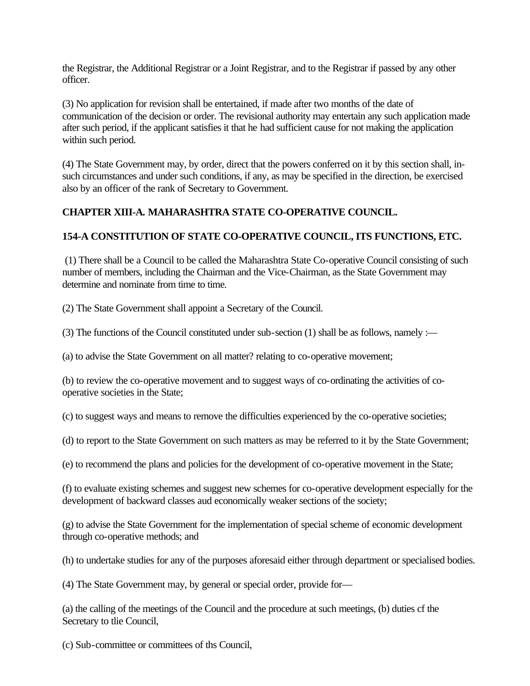the Registrar, the Additional Registrar or a Joint Registrar, and to the Registrar if passed by any other officer.

(3) No application for revision shall be entertained, if made after two months of the date of communication of the decision or order. The revisional authority may entertain any such application made after such period, if the applicant satisfies it that he had sufficient cause for not making the application within such period.

(4) The State Government may, by order, direct that the powers conferred on it by this section shall, insuch circumstances and under such conditions, if any, as may be specified in the direction, be exercised also by an officer of the rank of Secretary to Government.

# **CHAPTER XIII-A. MAHARASHTRA STATE CO-OPERATIVE COUNCIL.**

# **154-A CONSTITUTION OF STATE CO-OPERATIVE COUNCIL, ITS FUNCTIONS, ETC.**

 (1) There shall be a Council to be called the Maharashtra State Co-operative Council consisting of such number of members, including the Chairman and the Vice-Chairman, as the State Government may determine and nominate from time to time.

(2) The State Government shall appoint a Secretary of the Council.

(3) The functions of the Council constituted under sub-section (1) shall be as follows, namely :—

(a) to advise the State Government on all matter? relating to co-operative movement;

(b) to review the co-operative movement and to suggest ways of co-ordinating the activities of cooperative societies in the State;

(c) to suggest ways and means to remove the difficulties experienced by the co-operative societies;

(d) to report to the State Government on such matters as may be referred to it by the State Government;

(e) to recommend the plans and policies for the development of co-operative movement in the State;

(f) to evaluate existing schemes and suggest new schemes for co-operative development especially for the development of backward classes aud economically weaker sections of the society;

(g) to advise the State Government for the implementation of special scheme of economic development through co-operative methods; and

(h) to undertake studies for any of the purposes aforesaid either through department or specialised bodies.

(4) The State Government may, by general or special order, provide for—

(a) the calling of the meetings of the Council and the procedure at such meetings, (b) duties cf the Secretary to tlie Council,

(c) Sub-committee or committees of ths Council,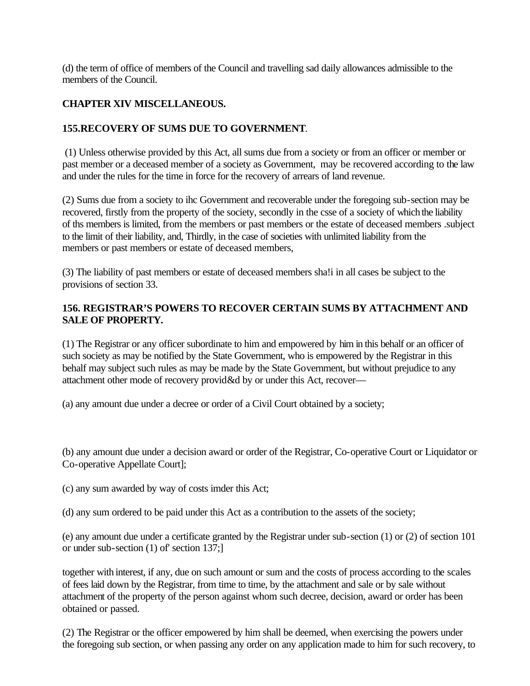(d) the term of office of members of the Council and travelling sad daily allowances admissible to the members of the Council.

### **CHAPTER XIV MISCELLANEOUS.**

## **155.RECOVERY OF SUMS DUE TO GOVERNMENT**.

 (1) Unless otherwise provided by this Act, all sums due from a society or from an officer or member or past member or a deceased member of a society as Government, may be recovered according to the law and under the rules for the time in force for the recovery of arrears of land revenue.

(2) Sums due from a society to ihc Government and recoverable under the foregoing sub-section may be recovered, firstly from the property of the society, secondly in the csse of a society of which the liability of ths members is limited, from the members or past members or the estate of deceased members .subject to the limit of their liability, and, Thirdly, in the case of societies with unlimited liability from the members or past members or estate of deceased members,

(3) The liability of past members or estate of deceased members sha!i in all cases be subject to the provisions of section 33.

#### **156. REGISTRAR'S POWERS TO RECOVER CERTAIN SUMS BY ATTACHMENT AND SALE OF PROPERTY.**

(1) The Registrar or any officer subordinate to him and empowered by him in this behalf or an officer of such society as may be notified by the State Government, who is empowered by the Registrar in this behalf may subject such rules as may be made by the State Government, but without prejudice to any attachment other mode of recovery provid&d by or under this Act, recover—

(a) any amount due under a decree or order of a Civil Court obtained by a society;

(b) any amount due under a decision award or order of the Registrar, Co-operative Court or Liquidator or Co-operative Appellate Court];

(c) any sum awarded by way of costs imder this Act;

(d) any sum ordered to be paid under this Act as a contribution to the assets of the society;

(e) any amount due under a certificate granted by the Registrar under sub-section (1) or (2) of section 101 or under sub-section (1) of' section 137;]

together with interest, if any, due on such amount or sum and the costs of process according to the scales of fees laid down by the Registrar, from time to time, by the attachment and sale or by sale without attachment of the property of the person against whom such decree, decision, award or order has been obtained or passed.

(2) The Registrar or the officer empowered by him shall be deemed, when exercising the powers under the foregoing sub section, or when passing any order on any application made to him for such recovery, to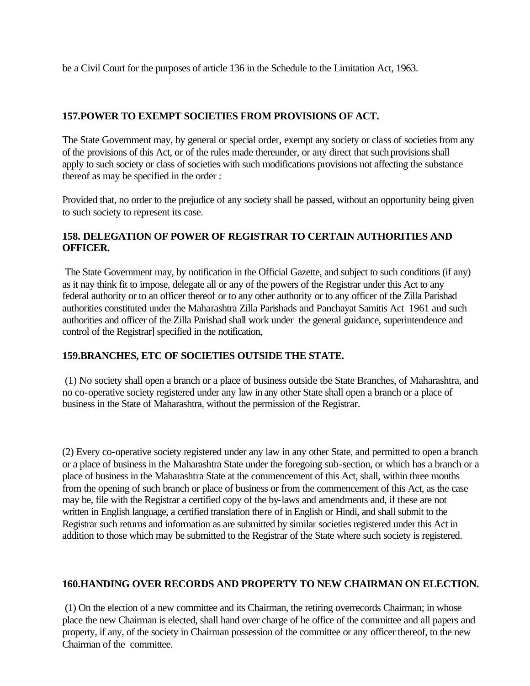be a Civil Court for the purposes of article 136 in the Schedule to the Limitation Act, 1963.

#### **157.POWER TO EXEMPT SOCIETIES FROM PROVISIONS OF ACT.**

The State Government may, by general or special order, exempt any society or class of societies from any of the provisions of this Act, or of the rules made thereunder, or any direct that such provisions shall apply to such society or class of societies with such modifications provisions not affecting the substance thereof as may be specified in the order :

Provided that, no order to the prejudice of any society shall be passed, without an opportunity being given to such society to represent its case.

#### **158. DELEGATION OF POWER OF REGISTRAR TO CERTAIN AUTHORITIES AND OFFICER.**

 The State Government may, by notification in the Official Gazette, and subject to such conditions (if any) as it nay think fit to impose, delegate all or any of the powers of the Registrar under this Act to any federal authority or to an officer thereof or to any other authority or to any officer of the Zilla Parishad authorities constituted under the Maharashtra Zilla Parishads and Panchayat Samitis Act 1961 and such authorities and officer of the Zilla Parishad shall work under the general guidance, superintendence and control of the Registrar] specified in the notification,

#### **159.BRANCHES, ETC OF SOCIETIES OUTSIDE THE STATE.**

 (1) No society shall open a branch or a place of business outside tbe State Branches, of Maharashtra, and no co-operative society registered under any law in any other State shall open a branch or a place of business in the State of Maharashtra, without the permission of the Registrar.

(2) Every co-operative society registered under any law in any other State, and permitted to open a branch or a place of business in the Maharashtra State under the foregoing sub-section, or which has a branch or a place of business in the Maharashtra State at the commencement of this Act, shall, within three months from the opening of such branch or place of business or from the commencement of this Act, as the case may be, file with the Registrar a certified copy of the by-laws and amendments and, if these are not written in English language, a certified translation there of in English or Hindi, and shall submit to the Registrar such returns and information as are submitted by similar societies registered under this Act in addition to those which may be submitted to the Registrar of the State where such society is registered.

#### **160.HANDING OVER RECORDS AND PROPERTY TO NEW CHAIRMAN ON ELECTION.**

 (1) On the election of a new committee and its Chairman, the retiring overrecords Chairman; in whose place the new Chairman is elected, shall hand over charge of he office of the committee and all papers and property, if any, of the society in Chairman possession of the committee or any officer thereof, to the new Chairman of the committee.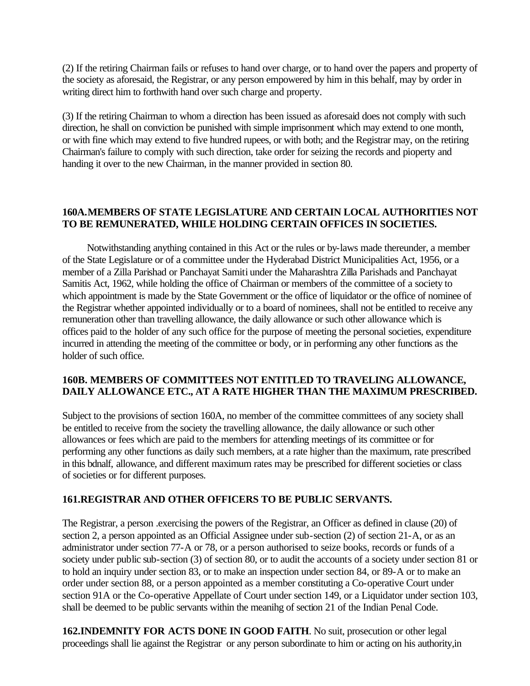(2) If the retiring Chairman fails or refuses to hand over charge, or to hand over the papers and property of the society as aforesaid, the Registrar, or any person empowered by him in this behalf, may by order in writing direct him to forthwith hand over such charge and property.

(3) If the retiring Chairman to whom a direction has been issued as aforesaid does not comply with such direction, he shall on conviction be punished with simple imprisonment which may extend to one month, or with fine which may extend to five hundred rupees, or with both; and the Registrar may, on the retiring Chairman's failure to comply with such direction, take order for seizing the records and pioperty and handing it over to the new Chairman, in the manner provided in section 80.

#### **160A.MEMBERS OF STATE LEGISLATURE AND CERTAIN LOCAL AUTHORITIES NOT TO BE REMUNERATED, WHILE HOLDING CERTAIN OFFICES IN SOCIETIES.**

Notwithstanding anything contained in this Act or the rules or by-laws made thereunder, a member of the State Legislature or of a committee under the Hyderabad District Municipalities Act, 1956, or a member of a Zilla Parishad or Panchayat Samiti under the Maharashtra Zilla Parishads and Panchayat Samitis Act, 1962, while holding the office of Chairman or members of the committee of a society to which appointment is made by the State Government or the office of liquidator or the office of nominee of the Registrar whether appointed individually or to a board of nominees, shall not be entitled to receive any remuneration other than travelling allowance, the daily allowance or such other allowance which is offices paid to the holder of any such office for the purpose of meeting the personal societies, expenditure incurred in attending the meeting of the committee or body, or in performing any other functions as the holder of such office.

#### **160B. MEMBERS OF COMMITTEES NOT ENTITLED TO TRAVELING ALLOWANCE, DAILY ALLOWANCE ETC., AT A RATE HIGHER THAN THE MAXIMUM PRESCRIBED.**

Subject to the provisions of section 160A, no member of the committee committees of any society shall be entitled to receive from the society the travelling allowance, the daily allowance or such other allowances or fees which are paid to the members for attending meetings of its committee or for performing any other functions as daily such members, at a rate higher than the maximum, rate prescribed in this bdnalf, allowance, and different maximum rates may be prescribed for different societies or class of societies or for different purposes.

#### **161.REGISTRAR AND OTHER OFFICERS TO BE PUBLIC SERVANTS.**

The Registrar, a person .exercising the powers of the Registrar, an Officer as defined in clause (20) of section 2, a person appointed as an Official Assignee under sub-section (2) of section 21-A, or as an administrator under section 77-A or 78, or a person authorised to seize books, records or funds of a society under public sub-section (3) of section 80, or to audit the accounts of a society under section 81 or to hold an inquiry under section 83, or to make an inspection under section 84, or 89-A or to make an order under section 88, or a person appointed as a member constituting a Co-operative Court under section 91A or the Co-operative Appellate of Court under section 149, or a Liquidator under section 103, shall be deemed to be public servants within the meanihg of section 21 of the Indian Penal Code.

**162.INDEMNITY FOR ACTS DONE IN GOOD FAITH**. No suit, prosecution or other legal proceedings shall lie against the Registrar or any person subordinate to him or acting on his authority,in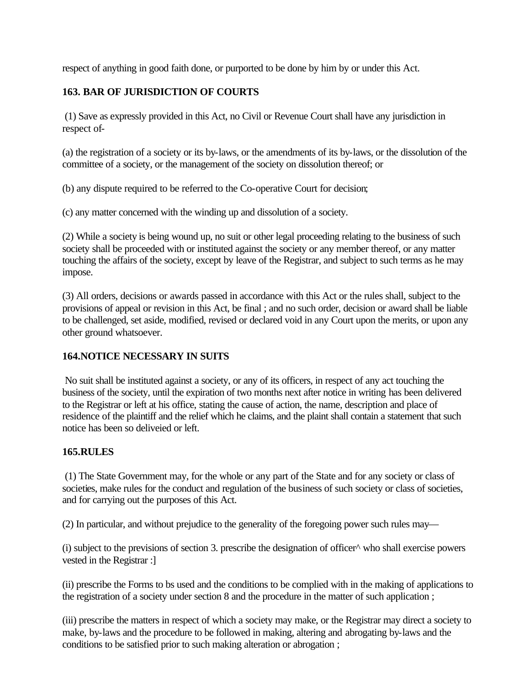respect of anything in good faith done, or purported to be done by him by or under this Act.

# **163. BAR OF JURISDICTION OF COURTS**

 (1) Save as expressly provided in this Act, no Civil or Revenue Court shall have any jurisdiction in respect of-

(a) the registration of a society or its by-laws, or the amendments of its by-laws, or the dissolution of the committee of a society, or the management of the society on dissolution thereof; or

(b) any dispute required to be referred to the Co-operative Court for decision;

(c) any matter concerned with the winding up and dissolution of a society.

(2) While a society is being wound up, no suit or other legal proceeding relating to the business of such society shall be proceeded with or instituted against the society or any member thereof, or any matter touching the affairs of the society, except by leave of the Registrar, and subject to such terms as he may impose.

(3) All orders, decisions or awards passed in accordance with this Act or the rules shall, subject to the provisions of appeal or revision in this Act, be final ; and no such order, decision or award shall be liable to be challenged, set aside, modified, revised or declared void in any Court upon the merits, or upon any other ground whatsoever.

# **164.NOTICE NECESSARY IN SUITS**

 No suit shall be instituted against a society, or any of its officers, in respect of any act touching the business of the society, until the expiration of two months next after notice in writing has been delivered to the Registrar or left at his office, stating the cause of action, the name, description and place of residence of the plaintiff and the relief which he claims, and the plaint shall contain a statement that such notice has been so deliveied or left.

# **165.RULES**

 (1) The State Government may, for the whole or any part of the State and for any society or class of societies, make rules for the conduct and regulation of the business of such society or class of societies, and for carrying out the purposes of this Act.

(2) In particular, and without prejudice to the generality of the foregoing power such rules may—

(i) subject to the previsions of section 3. prescribe the designation of officer $\wedge$  who shall exercise powers vested in the Registrar :]

(ii) prescribe the Forms to bs used and the conditions to be complied with in the making of applications to the registration of a society under section 8 and the procedure in the matter of such application ;

(iii) prescribe the matters in respect of which a society may make, or the Registrar may direct a society to make, by-laws and the procedure to be followed in making, altering and abrogating by-laws and the conditions to be satisfied prior to such making alteration or abrogation ;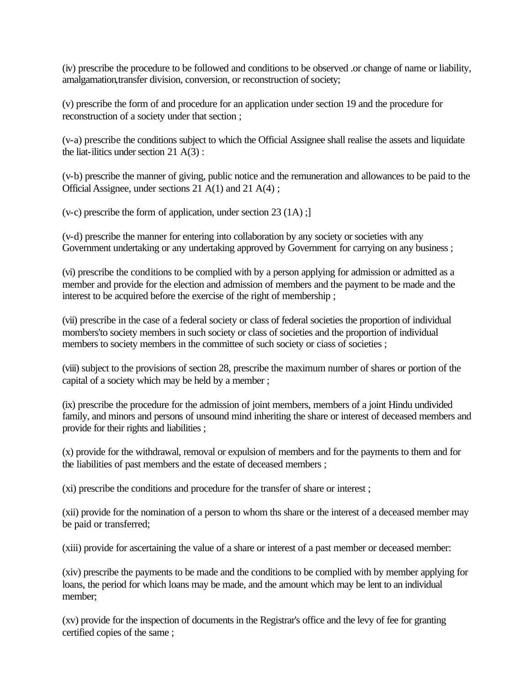(iv) prescribe the procedure to be followed and conditions to be observed .or change of name or liability, amalgamation, transfer division, conversion, or reconstruction of society;

(v) prescribe the form of and procedure for an application under section 19 and the procedure for reconstruction of a society under that section ;

(v-a) prescribe the conditions subject to which the Official Assignee shall realise the assets and liquidate the liat-ilitics under section  $21 \text{ A}(3)$ :

(v-b) prescribe the manner of giving, public notice and the remuneration and allowances to be paid to the Official Assignee, under sections 21 A(1) and 21 A(4) ;

(v-c) prescribe the form of application, under section 23 (1A) ;]

(v-d) prescribe the manner for entering into collaboration by any society or societies with any Government undertaking or any undertaking approved by Government for carrying on any business;

(vi) prescribe the conditions to be complied with by a person applying for admission or admitted as a member and provide for the election and admission of members and the payment to be made and the interest to be acquired before the exercise of the right of membership ;

(vii) prescribe in the case of a federal society or class of federal societies the proportion of individual mombers'to society members in such society or class of societies and the proportion of individual members to society members in the committee of such society or ciass of societies;

(viii) subject to the provisions of section 28, prescribe the maximum number of shares or portion of the capital of a society which may be held by a member ;

(ix) prescribe the procedure for the admission of joint members, members of a joint Hindu undivided family, and minors and persons of unsound mind inheriting the share or interest of deceased members and provide for their rights and liabilities ;

(x) provide for the withdrawal, removal or expulsion of members and for the payments to them and for the liabilities of past members and the estate of deceased members ;

(xi) prescribe the conditions and procedure for the transfer of share or interest ;

(xii) provide for the nomination of a person to whom ths share or the interest of a deceased member may be paid or transferred;

(xiii) provide for ascertaining the value of a share or interest of a past member or deceased member:

(xiv) prescribe the payments to be made and the conditions to be complied with by member applying for loans, the period for which loans may be made, and the amount which may be lent to an individual member;

(xv) provide for the inspection of documents in the Registrar's office and the levy of fee for granting certified copies of the same ;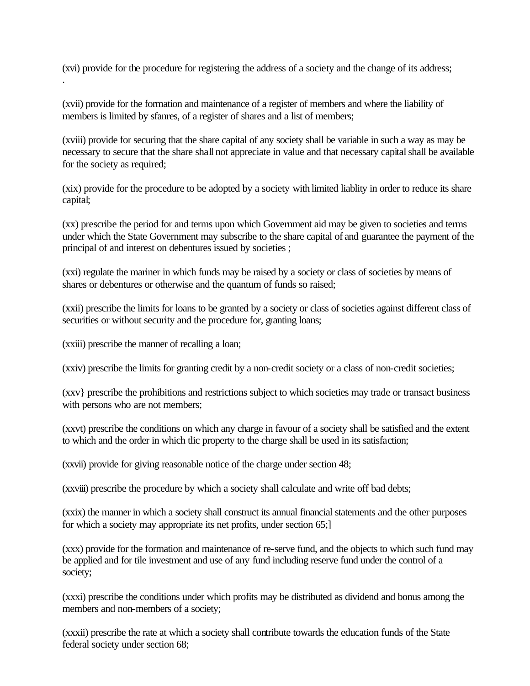(xvi) provide for the procedure for registering the address of a society and the change of its address; .

(xvii) provide for the formation and maintenance of a register of members and where the liability of members is limited by sfanres, of a register of shares and a list of members;

(xviii) provide for securing that the share capital of any society shall be variable in such a way as may be necessary to secure that the share shall not appreciate in value and that necessary capital shall be available for the society as required;

(xix) provide for the procedure to be adopted by a society with limited liablity in order to reduce its share capital;

(xx) prescribe the period for and terms upon which Government aid may be given to societies and terms under which the State Government may subscribe to the share capital of and guarantee the payment of the principal of and interest on debentures issued by societies ;

(xxi) regulate the mariner in which funds may be raised by a society or class of societies by means of shares or debentures or otherwise and the quantum of funds so raised;

(xxii) prescribe the limits for loans to be granted by a society or class of societies against different class of securities or without security and the procedure for, granting loans;

(xxiii) prescribe the manner of recalling a loan;

(xxiv) prescribe the limits for granting credit by a non-credit society or a class of non-credit societies;

(xxv} prescribe the prohibitions and restrictions subject to which societies may trade or transact business with persons who are not members;

(xxvt) prescribe the conditions on which any charge in favour of a society shall be satisfied and the extent to which and the order in which tlic property to the charge shall be used in its satisfaction;

(xxvii) provide for giving reasonable notice of the charge under section 48;

(xxviii) prescribe the procedure by which a society shall calculate and write off bad debts;

(xxix) the manner in which a society shall construct its annual financial statements and the other purposes for which a society may appropriate its net profits, under section 65;]

(xxx) provide for the formation and maintenance of re-serve fund, and the objects to which such fund may be applied and for tile investment and use of any fund including reserve fund under the control of a society;

(xxxi) prescribe the conditions under which profits may be distributed as dividend and bonus among the members and non-members of a society;

(xxxii) prescribe the rate at which a society shall contribute towards the education funds of the State federal society under section 68;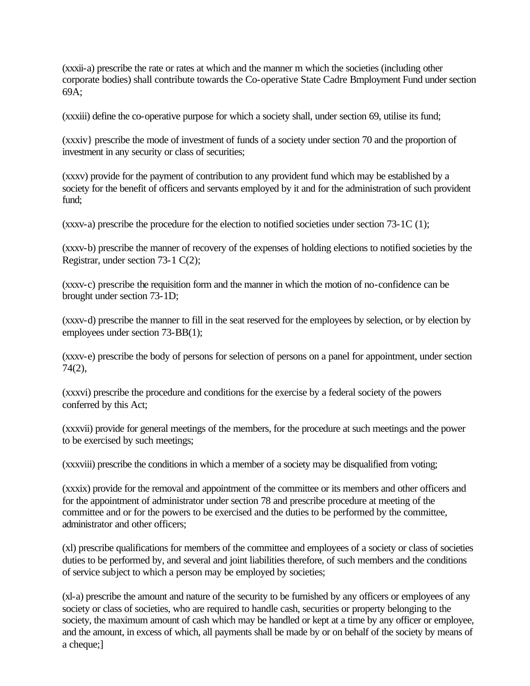(xxxii-a) prescribe the rate or rates at which and the manner m which the societies (including other corporate bodies) shall contribute towards the Co-operative State Cadre Bmployment Fund under section 69A;

(xxxiii) define the co-operative purpose for which a society shall, under section 69, utilise its fund;

(xxxiv} prescribe the mode of investment of funds of a society under section 70 and the proportion of investment in any security or class of securities;

(xxxv) provide for the payment of contribution to any provident fund which may be established by a society for the benefit of officers and servants employed by it and for the administration of such provident fund;

(xxxv-a) prescribe the procedure for the election to notified societies under section 73-1C (1);

(xxxv-b) prescribe the manner of recovery of the expenses of holding elections to notified societies by the Registrar, under section 73-1 C(2);

(xxxv-c) prescribe the requisition form and the manner in which the motion of no-confidence can be brought under section 73-1D;

(xxxv-d) prescribe the manner to fill in the seat reserved for the employees by selection, or by election by employees under section 73-BB(1);

(xxxv-e) prescribe the body of persons for selection of persons on a panel for appointment, under section 74(2),

(xxxvi) prescribe the procedure and conditions for the exercise by a federal society of the powers conferred by this Act;

(xxxvii) provide for general meetings of the members, for the procedure at such meetings and the power to be exercised by such meetings;

(xxxviii) prescribe the conditions in which a member of a society may be disqualified from voting;

(xxxix) provide for the removal and appointment of the committee or its members and other officers and for the appointment of administrator under section 78 and prescribe procedure at meeting of the committee and or for the powers to be exercised and the duties to be performed by the committee, administrator and other officers;

(xl) prescribe qualifications for members of the committee and employees of a society or class of societies duties to be performed by, and several and joint liabilities therefore, of such members and the conditions of service subject to which a person may be employed by societies;

(xl-a) prescribe the amount and nature of the security to be furnished by any officers or employees of any society or class of societies, who are required to handle cash, securities or property belonging to the society, the maximum amount of cash which may be handled or kept at a time by any officer or employee, and the amount, in excess of which, all payments shall be made by or on behalf of the society by means of a cheque;]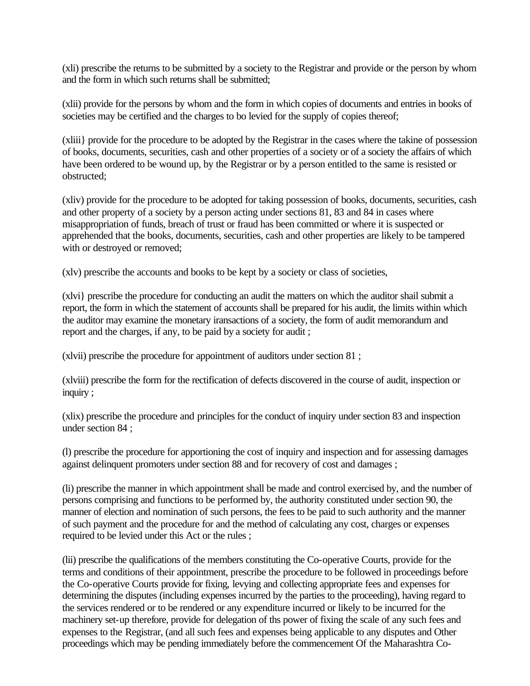(xli) prescribe the returns to be submitted by a society to the Registrar and provide or the person by whom and the form in which such returns shall be submitted;

(xlii) provide for the persons by whom and the form in which copies of documents and entries in books of societies may be certified and the charges to bo levied for the supply of copies thereof;

(xliii} provide for the procedure to be adopted by the Registrar in the cases where the takine of possession of books, documents, securities, cash and other properties of a society or of a society the affairs of which have been ordered to be wound up, by the Registrar or by a person entitled to the same is resisted or obstructed;

(xliv) provide for the procedure to be adopted for taking possession of books, documents, securities, cash and other property of a society by a person acting under sections 81, 83 and 84 in cases where misappropriation of funds, breach of trust or fraud has been committed or where it is suspected or apprehended that the books, documents, securities, cash and other properties are likely to be tampered with or destroyed or removed;

(xlv) prescribe the accounts and books to be kept by a society or class of societies,

(xlvi} prescribe the procedure for conducting an audit the matters on which the auditor shail submit a report, the form in which the statement of accounts shall be prepared for his audit, the limits within which the auditor may examine the monetary iransactions of a society, the form of audit memorandum and report and the charges, if any, to be paid by a society for audit ;

(xlvii) prescribe the procedure for appointment of auditors under section 81 ;

(xlviii) prescribe the form for the rectification of defects discovered in the course of audit, inspection or inquiry ;

(xlix) prescribe the procedure and principles for the conduct of inquiry under section 83 and inspection under section 84 ;

(l) prescribe the procedure for apportioning the cost of inquiry and inspection and for assessing damages against delinquent promoters under section 88 and for recovery of cost and damages ;

(li) prescribe the manner in which appointment shall be made and control exercised by, and the number of persons comprising and functions to be performed by, the authority constituted under section 90, the manner of election and nomination of such persons, the fees to be paid to such authority and the manner of such payment and the procedure for and the method of calculating any cost, charges or expenses required to be levied under this Act or the rules ;

(lii) prescribe the qualifications of the members constituting the Co-operative Courts, provide for the terms and conditions of their appointment, prescribe the procedure to be followed in proceedings before the Co-operative Courts provide for fixing, levying and collecting appropriate fees and expenses for determining the disputes (including expenses incurred by the parties to the proceeding), having regard to the services rendered or to be rendered or any expenditure incurred or likely to be incurred for the machinery set-up therefore, provide for delegation of ths power of fixing the scale of any such fees and expenses to the Registrar, (and all such fees and expenses being applicable to any disputes and Other proceedings which may be pending immediately before the commencement Of the Maharashtra Co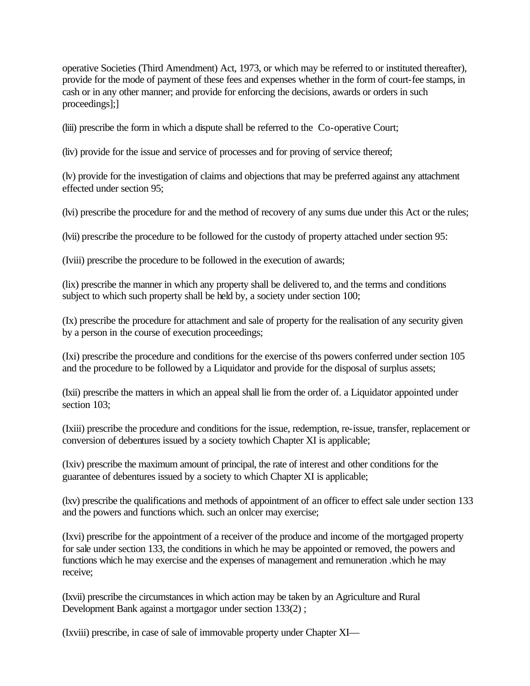operative Societies (Third Amendment) Act, 1973, or which may be referred to or instituted thereafter), provide for the mode of payment of these fees and expenses whether in the form of court-fee stamps, in cash or in any other manner; and provide for enforcing the decisions, awards or orders in such proceedings];]

(liii) prescribe the form in which a dispute shall be referred to the Co-operative Court;

(liv) provide for the issue and service of processes and for proving of service thereof;

(lv) provide for the investigation of claims and objections that may be preferred against any attachment effected under section 95;

(lvi) prescribe the procedure for and the method of recovery of any sums due under this Act or the rules;

(lvii) prescribe the procedure to be followed for the custody of property attached under section 95:

(Iviii) prescribe the procedure to be followed in the execution of awards;

(lix) prescribe the manner in which any property shall be delivered to, and the terms and conditions subject to which such property shall be held by, a society under section 100;

(Ix) prescribe the procedure for attachment and sale of property for the realisation of any security given by a person in the course of execution proceedings;

(Ixi) prescribe the procedure and conditions for the exercise of ths powers conferred under section 105 and the procedure to be followed by a Liquidator and provide for the disposal of surplus assets;

(Ixii) prescribe the matters in which an appeal shall lie from the order of. a Liquidator appointed under section 103:

(Ixiii) prescribe the procedure and conditions for the issue, redemption, re-issue, transfer, replacement or conversion of debentures issued by a society towhich Chapter XI is applicable;

(Ixiv) prescribe the maximum amount of principal, the rate of interest and other conditions for the guarantee of debentures issued by a society to which Chapter XI is applicable;

(lxv) prescribe the qualifications and methods of appointment of an officer to effect sale under section 133 and the powers and functions which. such an onlcer may exercise;

(Ixvi) prescribe for the appointment of a receiver of the produce and income of the mortgaged property for sale under section 133, the conditions in which he may be appointed or removed, the powers and functions which he may exercise and the expenses of management and remuneration .which he may receive;

(Ixvii) prescribe the circumstances in which action may be taken by an Agriculture and Rural Development Bank against a mortgagor under section 133(2) ;

(Ixviii) prescribe, in case of sale of immovable property under Chapter XI—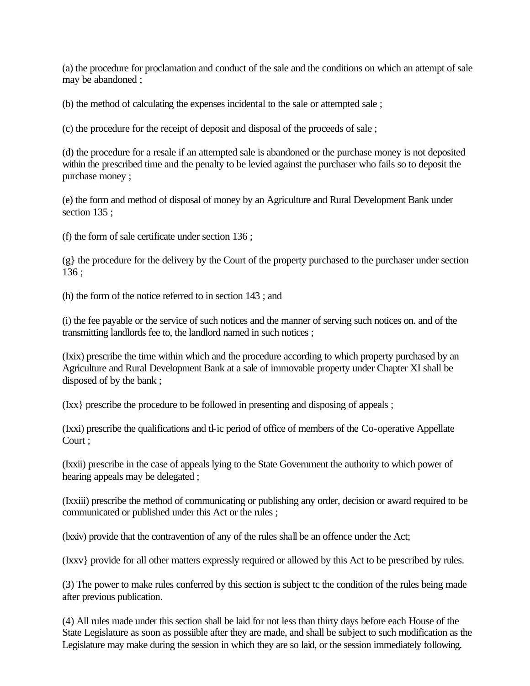(a) the procedure for proclamation and conduct of the sale and the conditions on which an attempt of sale may be abandoned ;

(b) the method of calculating the expenses incidental to the sale or attempted sale ;

(c) the procedure for the receipt of deposit and disposal of the proceeds of sale ;

(d) the procedure for a resale if an attempted sale is abandoned or the purchase money is not deposited within the prescribed time and the penalty to be levied against the purchaser who fails so to deposit the purchase money ;

(e) the form and method of disposal of money by an Agriculture and Rural Development Bank under section 135 ;

(f) the form of sale certificate under section 136 ;

(g} the procedure for the delivery by the Court of the property purchased to the purchaser under section 136 ;

(h) the form of the notice referred to in section 143 ; and

(i) the fee payable or the service of such notices and the manner of serving such notices on. and of the transmitting landlords fee to, the landlord named in such notices ;

(Ixix) prescribe the time within which and the procedure according to which property purchased by an Agriculture and Rural Development Bank at a sale of immovable property under Chapter XI shall be disposed of by the bank ;

(Ixx} prescribe the procedure to be followed in presenting and disposing of appeals ;

(Ixxi) prescribe the qualifications and tl-ic period of office of members of the Co-operative Appellate Court ;

(Ixxii) prescribe in the case of appeals lying to the State Government the authority to which power of hearing appeals may be delegated ;

(Ixxiii) prescribe the method of communicating or publishing any order, decision or award required to be communicated or published under this Act or the rules ;

(lxxiv) provide that the contravention of any of the rules shall be an offence under the Act;

(Ixxv} provide for all other matters expressly required or allowed by this Act to be prescribed by rules.

(3) The power to make rules conferred by this section is subject tc the condition of the rules being made after previous publication.

(4) All rules made under this section shall be laid for not less than thirty days before each House of the State Legislature as soon as possiible after they are made, and shall be subject to such modification as the Legislature may make during the session in which they are so laid, or the session immediately following.